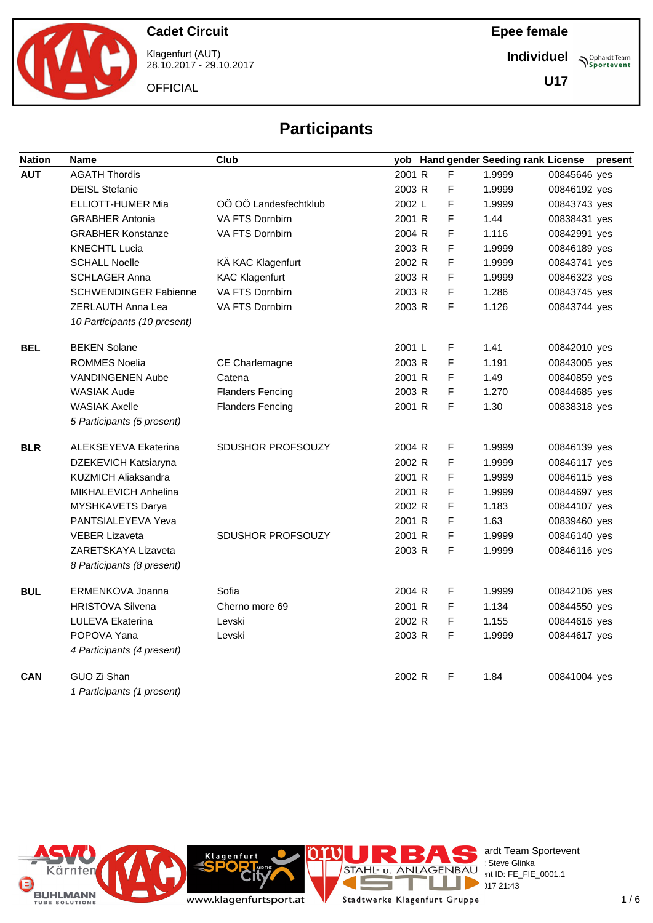

Klagenfurt (AUT) 28.10.2017 - 29.10.2017

**OFFICIAL** 

**Epee female**

**Individuel Sportevent** 

**U17**

# **Participants**

| <b>Nation</b> | <b>Name</b>                               | Club                     |        |   | yob Hand gender Seeding rank License |              | present |
|---------------|-------------------------------------------|--------------------------|--------|---|--------------------------------------|--------------|---------|
| <b>AUT</b>    | <b>AGATH Thordis</b>                      |                          | 2001 R | F | 1.9999                               | 00845646 yes |         |
|               | <b>DEISL Stefanie</b>                     |                          | 2003 R | F | 1.9999                               | 00846192 yes |         |
|               | <b>ELLIOTT-HUMER Mia</b>                  | OÖ OÖ Landesfechtklub    | 2002 L | F | 1.9999                               | 00843743 yes |         |
|               | <b>GRABHER Antonia</b>                    | VA FTS Dornbirn          | 2001 R | F | 1.44                                 | 00838431 yes |         |
|               | <b>GRABHER Konstanze</b>                  | VA FTS Dornbirn          | 2004 R | F | 1.116                                | 00842991 yes |         |
|               | <b>KNECHTL Lucia</b>                      |                          | 2003 R | F | 1.9999                               | 00846189 yes |         |
|               | <b>SCHALL Noelle</b>                      | KÄ KAC Klagenfurt        | 2002 R | F | 1.9999                               | 00843741 yes |         |
|               | <b>SCHLAGER Anna</b>                      | <b>KAC Klagenfurt</b>    | 2003 R | F | 1.9999                               | 00846323 yes |         |
|               | <b>SCHWENDINGER Fabienne</b>              | VA FTS Dornbirn          | 2003 R | F | 1.286                                | 00843745 yes |         |
|               | ZERLAUTH Anna Lea                         | VA FTS Dornbirn          | 2003 R | F | 1.126                                | 00843744 yes |         |
|               | 10 Participants (10 present)              |                          |        |   |                                      |              |         |
| <b>BEL</b>    | <b>BEKEN Solane</b>                       |                          | 2001 L | F | 1.41                                 | 00842010 yes |         |
|               | <b>ROMMES Noelia</b>                      | CE Charlemagne           | 2003 R | F | 1.191                                | 00843005 yes |         |
|               | <b>VANDINGENEN Aube</b>                   | Catena                   | 2001 R | F | 1.49                                 | 00840859 yes |         |
|               | <b>WASIAK Aude</b>                        | <b>Flanders Fencing</b>  | 2003 R | F | 1.270                                | 00844685 yes |         |
|               | <b>WASIAK Axelle</b>                      | <b>Flanders Fencing</b>  | 2001 R | F | 1.30                                 | 00838318 yes |         |
|               | 5 Participants (5 present)                |                          |        |   |                                      |              |         |
| <b>BLR</b>    | ALEKSEYEVA Ekaterina                      | <b>SDUSHOR PROFSOUZY</b> | 2004 R | F | 1.9999                               | 00846139 yes |         |
|               | DZEKEVICH Katsiaryna                      |                          | 2002 R | F | 1.9999                               | 00846117 yes |         |
|               | <b>KUZMICH Aliaksandra</b>                |                          | 2001 R | F | 1.9999                               | 00846115 yes |         |
|               | MIKHALEVICH Anhelina                      |                          | 2001 R | F | 1.9999                               | 00844697 yes |         |
|               | MYSHKAVETS Darya                          |                          | 2002 R | F | 1.183                                | 00844107 yes |         |
|               | PANTSIALEYEVA Yeva                        |                          | 2001 R | F | 1.63                                 | 00839460 yes |         |
|               | <b>VEBER Lizaveta</b>                     | SDUSHOR PROFSOUZY        | 2001 R | F | 1.9999                               | 00846140 yes |         |
|               | ZARETSKAYA Lizaveta                       |                          | 2003 R | F | 1.9999                               | 00846116 yes |         |
|               | 8 Participants (8 present)                |                          |        |   |                                      |              |         |
| <b>BUL</b>    | ERMENKOVA Joanna                          | Sofia                    | 2004 R | F | 1.9999                               | 00842106 yes |         |
|               | <b>HRISTOVA Silvena</b>                   | Cherno more 69           | 2001 R | F | 1.134                                | 00844550 yes |         |
|               | <b>LULEVA Ekaterina</b>                   | Levski                   | 2002 R | F | 1.155                                | 00844616 yes |         |
|               | POPOVA Yana                               | Levski                   | 2003 R | F | 1.9999                               | 00844617 yes |         |
|               | 4 Participants (4 present)                |                          |        |   |                                      |              |         |
| <b>CAN</b>    | GUO Zi Shan<br>1 Participants (1 present) |                          | 2002 R | F | 1.84                                 | 00841004 yes |         |





**Rit** 

**Klagenfurt** 



Е

erdt Team Sportevent **License:** Steve Glinka  $P^{\text{LO}}$  int ID: FE\_FIE\_0001.1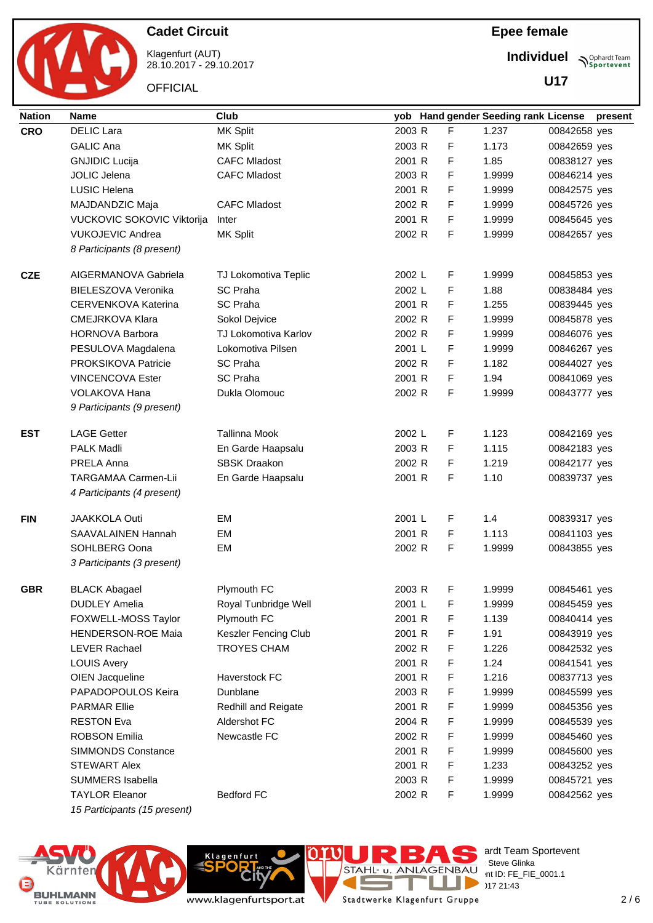

Klagenfurt (AUT) 28.10.2017 - 29.10.2017

**OFFICIAL** 

**Individuel Sportevent** 

**U17**

| <b>Nation</b> | <b>Name</b>                  | Club                        |        |             | yob Hand gender Seeding rank License |              | present |
|---------------|------------------------------|-----------------------------|--------|-------------|--------------------------------------|--------------|---------|
| <b>CRO</b>    | <b>DELIC Lara</b>            | MK Split                    | 2003 R | F           | 1.237                                | 00842658 yes |         |
|               | <b>GALIC Ana</b>             | MK Split                    | 2003 R | F           | 1.173                                | 00842659 yes |         |
|               | <b>GNJIDIC Lucija</b>        | <b>CAFC Mladost</b>         | 2001 R | F           | 1.85                                 | 00838127 yes |         |
|               | <b>JOLIC Jelena</b>          | <b>CAFC Mladost</b>         | 2003 R | F           | 1.9999                               | 00846214 yes |         |
|               | <b>LUSIC Helena</b>          |                             | 2001 R | F           | 1.9999                               | 00842575 yes |         |
|               | MAJDANDZIC Maja              | <b>CAFC Mladost</b>         | 2002 R | F           | 1.9999                               | 00845726 yes |         |
|               | VUCKOVIC SOKOVIC Viktorija   | Inter                       | 2001 R | F           | 1.9999                               | 00845645 yes |         |
|               | <b>VUKOJEVIC Andrea</b>      | <b>MK Split</b>             | 2002 R | F           | 1.9999                               | 00842657 yes |         |
|               | 8 Participants (8 present)   |                             |        |             |                                      |              |         |
| <b>CZE</b>    | AIGERMANOVA Gabriela         | TJ Lokomotiva Teplic        | 2002 L | F           | 1.9999                               | 00845853 yes |         |
|               | <b>BIELESZOVA Veronika</b>   | <b>SC Praha</b>             | 2002 L | F           | 1.88                                 | 00838484 yes |         |
|               | <b>CERVENKOVA Katerina</b>   | <b>SC Praha</b>             | 2001 R | F           | 1.255                                | 00839445 yes |         |
|               | <b>CMEJRKOVA Klara</b>       | Sokol Dejvice               | 2002 R | F           | 1.9999                               | 00845878 yes |         |
|               | <b>HORNOVA Barbora</b>       | TJ Lokomotiva Karlov        | 2002 R | F           | 1.9999                               | 00846076 yes |         |
|               | PESULOVA Magdalena           | Lokomotiva Pilsen           | 2001 L | F           | 1.9999                               | 00846267 yes |         |
|               | PROKSIKOVA Patricie          | <b>SC Praha</b>             | 2002 R | F           | 1.182                                | 00844027 yes |         |
|               | <b>VINCENCOVA Ester</b>      | <b>SC Praha</b>             | 2001 R | F           | 1.94                                 | 00841069 yes |         |
|               | <b>VOLAKOVA Hana</b>         | Dukla Olomouc               | 2002 R | F           | 1.9999                               | 00843777 yes |         |
|               | 9 Participants (9 present)   |                             |        |             |                                      |              |         |
| <b>EST</b>    | <b>LAGE Getter</b>           | <b>Tallinna Mook</b>        | 2002 L | F           | 1.123                                | 00842169 yes |         |
|               | <b>PALK Madli</b>            | En Garde Haapsalu           | 2003 R | F           | 1.115                                | 00842183 yes |         |
|               | PRELA Anna                   | <b>SBSK Draakon</b>         | 2002 R | F           | 1.219                                | 00842177 yes |         |
|               | <b>TARGAMAA Carmen-Lii</b>   | En Garde Haapsalu           | 2001 R | F           | 1.10                                 | 00839737 yes |         |
|               | 4 Participants (4 present)   |                             |        |             |                                      |              |         |
| <b>FIN</b>    | <b>JAAKKOLA Outi</b>         | EM                          | 2001 L | F           | 1.4                                  | 00839317 yes |         |
|               | SAAVALAINEN Hannah           | <b>EM</b>                   | 2001 R | F           | 1.113                                | 00841103 yes |         |
|               | SOHLBERG Oona                | EM                          | 2002 R | F           | 1.9999                               | 00843855 yes |         |
|               | 3 Participants (3 present)   |                             |        |             |                                      |              |         |
| <b>GBR</b>    | <b>BLACK Abagael</b>         | <b>Plymouth FC</b>          | 2003 R | F           | 1.9999                               | 00845461 yes |         |
|               | <b>DUDLEY Amelia</b>         | Royal Tunbridge Well        | 2001 L | F           | 1.9999                               | 00845459 yes |         |
|               | FOXWELL-MOSS Taylor          | Plymouth FC                 | 2001 R | F           | 1.139                                | 00840414 yes |         |
|               | <b>HENDERSON-ROE Maia</b>    | <b>Keszler Fencing Club</b> | 2001 R | $\mathsf F$ | 1.91                                 | 00843919 yes |         |
|               | <b>LEVER Rachael</b>         | <b>TROYES CHAM</b>          | 2002 R | F           | 1.226                                | 00842532 yes |         |
|               | <b>LOUIS Avery</b>           |                             | 2001 R | F           | 1.24                                 | 00841541 yes |         |
|               | OIEN Jacqueline              | Haverstock FC               | 2001 R | F           | 1.216                                | 00837713 yes |         |
|               | PAPADOPOULOS Keira           | Dunblane                    | 2003 R | $\mathsf F$ | 1.9999                               | 00845599 yes |         |
|               | <b>PARMAR Ellie</b>          | <b>Redhill and Reigate</b>  | 2001 R | F           | 1.9999                               | 00845356 yes |         |
|               | <b>RESTON Eva</b>            | Aldershot FC                | 2004 R | F           | 1.9999                               | 00845539 yes |         |
|               | <b>ROBSON Emilia</b>         | Newcastle FC                | 2002 R | F           | 1.9999                               | 00845460 yes |         |
|               | <b>SIMMONDS Constance</b>    |                             | 2001 R | F           | 1.9999                               | 00845600 yes |         |
|               | <b>STEWART Alex</b>          |                             | 2001 R | F           | 1.233                                | 00843252 yes |         |
|               | <b>SUMMERS Isabella</b>      |                             | 2003 R | F           | 1.9999                               | 00845721 yes |         |
|               | <b>TAYLOR Eleanor</b>        | <b>Bedford FC</b>           | 2002 R | F           | 1.9999                               | 00842562 yes |         |
|               | 15 Participants (15 present) |                             |        |             |                                      |              |         |



www.klagenfurtsport.at

**Rit** 

**Klagenfurt** 

T Stadtwerke Klagenfurt Gruppe

**IC** 

a.

Е

ende Team Sportevent

**License:** Steve Glinka  $P^{\text{LO}}$  int ID: FE\_FIE\_0001.1

 $\sum$  317 21:43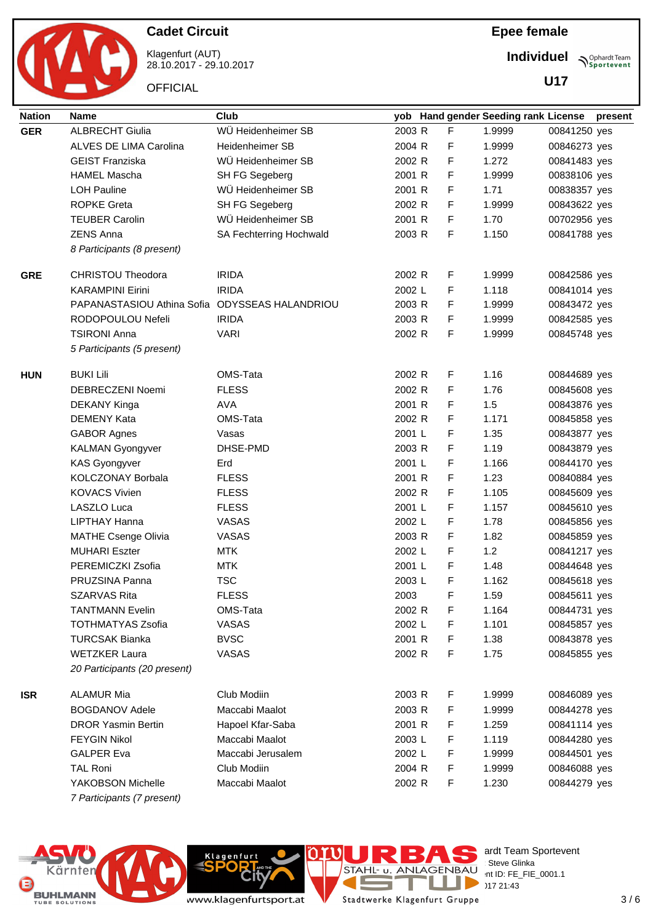Klagenfurt (AUT) 28.10.2017 - 29.10.2017

**OFFICIAL** 

**Individuel Sportevent** 

**U17**

| <b>Nation</b> | <b>Name</b>                  | Club                    |        |             | yob Hand gender Seeding rank License |              | present |
|---------------|------------------------------|-------------------------|--------|-------------|--------------------------------------|--------------|---------|
| <b>GER</b>    | <b>ALBRECHT Giulia</b>       | WÜ Heidenheimer SB      | 2003 R | $\mathsf F$ | 1.9999                               | 00841250 yes |         |
|               | ALVES DE LIMA Carolina       | Heidenheimer SB         | 2004 R | F           | 1.9999                               | 00846273 yes |         |
|               | <b>GEIST Franziska</b>       | WÜ Heidenheimer SB      | 2002 R | F           | 1.272                                | 00841483 yes |         |
|               | <b>HAMEL Mascha</b>          | SH FG Segeberg          | 2001 R | F           | 1.9999                               | 00838106 yes |         |
|               | <b>LOH Pauline</b>           | WÜ Heidenheimer SB      | 2001 R | F           | 1.71                                 | 00838357 yes |         |
|               | <b>ROPKE Greta</b>           | SH FG Segeberg          | 2002 R | F           | 1.9999                               | 00843622 yes |         |
|               | <b>TEUBER Carolin</b>        | WÜ Heidenheimer SB      | 2001 R | F           | 1.70                                 | 00702956 yes |         |
|               | <b>ZENS Anna</b>             | SA Fechterring Hochwald | 2003 R | F           | 1.150                                | 00841788 yes |         |
|               | 8 Participants (8 present)   |                         |        |             |                                      |              |         |
| <b>GRE</b>    | <b>CHRISTOU Theodora</b>     | <b>IRIDA</b>            | 2002 R | F           | 1.9999                               | 00842586 yes |         |
|               | <b>KARAMPINI Eirini</b>      | <b>IRIDA</b>            | 2002 L | F           | 1.118                                | 00841014 yes |         |
|               | PAPANASTASIOU Athina Sofia   | ODYSSEAS HALANDRIOU     | 2003 R | F           | 1.9999                               | 00843472 yes |         |
|               | RODOPOULOU Nefeli            | <b>IRIDA</b>            | 2003 R | F           | 1.9999                               | 00842585 yes |         |
|               | <b>TSIRONI Anna</b>          | <b>VARI</b>             | 2002 R | F           | 1.9999                               | 00845748 yes |         |
|               | 5 Participants (5 present)   |                         |        |             |                                      |              |         |
| <b>HUN</b>    | <b>BUKI Lili</b>             | OMS-Tata                | 2002 R | F           | 1.16                                 | 00844689 yes |         |
|               | DEBRECZENI Noemi             | <b>FLESS</b>            | 2002 R | F           | 1.76                                 | 00845608 yes |         |
|               | DEKANY Kinga                 | <b>AVA</b>              | 2001 R | F           | 1.5                                  | 00843876 yes |         |
|               | <b>DEMENY Kata</b>           | OMS-Tata                | 2002 R | F           | 1.171                                | 00845858 yes |         |
|               | <b>GABOR Agnes</b>           | Vasas                   | 2001 L | F           | 1.35                                 | 00843877 yes |         |
|               | <b>KALMAN Gyongyver</b>      | DHSE-PMD                | 2003 R | F           | 1.19                                 | 00843879 yes |         |
|               | <b>KAS Gyongyver</b>         | Erd                     | 2001 L | F           | 1.166                                | 00844170 yes |         |
|               | <b>KOLCZONAY Borbala</b>     | <b>FLESS</b>            | 2001 R | F           | 1.23                                 | 00840884 yes |         |
|               | <b>KOVACS Vivien</b>         | <b>FLESS</b>            | 2002 R | F           | 1.105                                | 00845609 yes |         |
|               | LASZLO Luca                  | <b>FLESS</b>            | 2001 L | F           | 1.157                                | 00845610 yes |         |
|               | LIPTHAY Hanna                | VASAS                   | 2002 L | F           | 1.78                                 | 00845856 yes |         |
|               | <b>MATHE Csenge Olivia</b>   | VASAS                   | 2003 R | F           | 1.82                                 | 00845859 yes |         |
|               | <b>MUHARI Eszter</b>         | <b>MTK</b>              | 2002 L | F           | 1.2                                  | 00841217 yes |         |
|               | PEREMICZKI Zsofia            | MTK                     | 2001 L | F           | 1.48                                 | 00844648 yes |         |
|               | PRUZSINA Panna               | <b>TSC</b>              | 2003 L | F           | 1.162                                | 00845618 yes |         |
|               | <b>SZARVAS Rita</b>          | <b>FLESS</b>            | 2003   | F           | 1.59                                 | 00845611 yes |         |
|               | <b>TANTMANN Evelin</b>       | OMS-Tata                | 2002 R | F           | 1.164                                | 00844731 yes |         |
|               | <b>TOTHMATYAS Zsofia</b>     | <b>VASAS</b>            | 2002 L | F           | 1.101                                | 00845857 yes |         |
|               | <b>TURCSAK Bianka</b>        | <b>BVSC</b>             | 2001 R | F           | 1.38                                 | 00843878 yes |         |
|               | <b>WETZKER Laura</b>         | <b>VASAS</b>            | 2002 R | F           | 1.75                                 | 00845855 yes |         |
|               | 20 Participants (20 present) |                         |        |             |                                      |              |         |
| <b>ISR</b>    | <b>ALAMUR Mia</b>            | Club Modiin             | 2003 R | F           | 1.9999                               | 00846089 yes |         |
|               | <b>BOGDANOV Adele</b>        | Maccabi Maalot          | 2003 R | F           | 1.9999                               | 00844278 yes |         |
|               | <b>DROR Yasmin Bertin</b>    | Hapoel Kfar-Saba        | 2001 R | F           | 1.259                                | 00841114 yes |         |
|               | <b>FEYGIN Nikol</b>          | Maccabi Maalot          | 2003 L | F           | 1.119                                | 00844280 yes |         |
|               | <b>GALPER Eva</b>            | Maccabi Jerusalem       | 2002 L | F           | 1.9999                               | 00844501 yes |         |
|               | <b>TAL Roni</b>              | Club Modiin             | 2004 R | F           | 1.9999                               | 00846088 yes |         |
|               | YAKOBSON Michelle            | Maccabi Maalot          | 2002 R | F.          | 1.230                                | 00844279 yes |         |
|               | 7 Participants (7 present)   |                         |        |             |                                      |              |         |



www.klagenfurtsport.at

`it

Klagenfurt

Stadtwerke Klagenfurt Gruppe

LL

Е

T J.

 $\overline{a}$ 

ardt Team Sportevent<br>∶Steve Glinka

**License:** Steve Glinka  $P^{\text{LO}}$  int ID: FE\_FIE\_0001.1

 $21:43$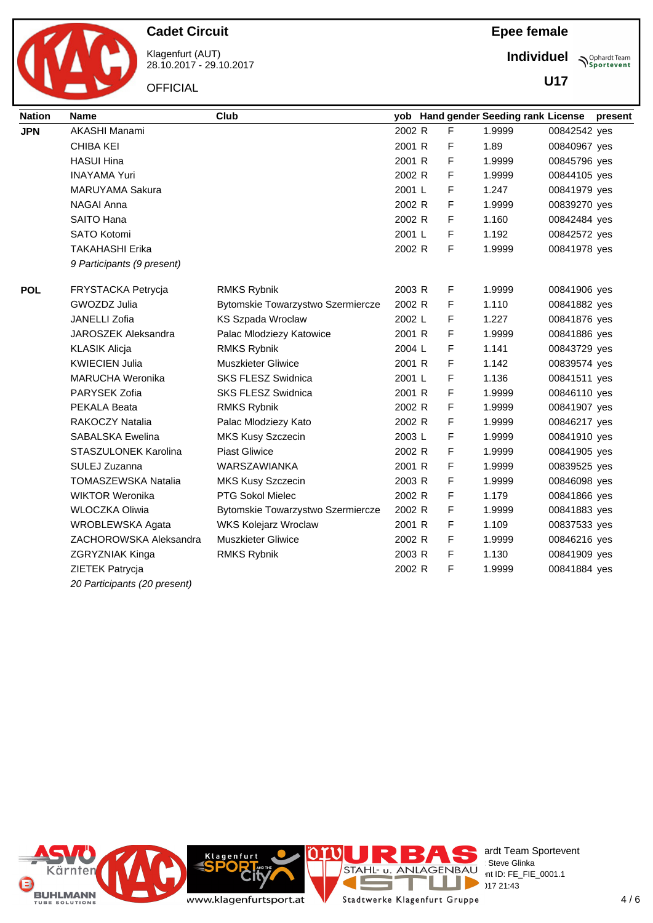

Klagenfurt (AUT) 28.10.2017 - 29.10.2017

**OFFICIAL** 

**Individuel Sportevent** 

**U17**

| <b>Nation</b> | <b>Name</b>                  | Club                              | yob    |   | <b>Hand gender Seeding rank License</b> |              | present |
|---------------|------------------------------|-----------------------------------|--------|---|-----------------------------------------|--------------|---------|
| <b>JPN</b>    | AKASHI Manami                |                                   | 2002 R | F | 1.9999                                  | 00842542 yes |         |
|               | <b>CHIBA KEI</b>             |                                   | 2001 R | F | 1.89                                    | 00840967 yes |         |
|               | <b>HASUI Hina</b>            |                                   | 2001 R | F | 1.9999                                  | 00845796 yes |         |
|               | <b>INAYAMA Yuri</b>          |                                   | 2002 R | F | 1.9999                                  | 00844105 yes |         |
|               | <b>MARUYAMA Sakura</b>       |                                   | 2001 L | F | 1.247                                   | 00841979 yes |         |
|               | NAGAI Anna                   |                                   | 2002 R | F | 1.9999                                  | 00839270 yes |         |
|               | <b>SAITO Hana</b>            |                                   | 2002 R | F | 1.160                                   | 00842484 yes |         |
|               | SATO Kotomi                  |                                   | 2001 L | F | 1.192                                   | 00842572 yes |         |
|               | <b>TAKAHASHI Erika</b>       |                                   | 2002 R | F | 1.9999                                  | 00841978 yes |         |
|               | 9 Participants (9 present)   |                                   |        |   |                                         |              |         |
| <b>POL</b>    | FRYSTACKA Petrycja           | <b>RMKS Rybnik</b>                | 2003 R | F | 1.9999                                  | 00841906 yes |         |
|               | GWOZDZ Julia                 | Bytomskie Towarzystwo Szermiercze | 2002 R | F | 1.110                                   | 00841882 yes |         |
|               | JANELLI Zofia                | <b>KS Szpada Wroclaw</b>          | 2002 L | F | 1.227                                   | 00841876 yes |         |
|               | <b>JAROSZEK Aleksandra</b>   | Palac Mlodziezy Katowice          | 2001 R | F | 1.9999                                  | 00841886 yes |         |
|               | <b>KLASIK Alicja</b>         | <b>RMKS Rybnik</b>                | 2004 L | F | 1.141                                   | 00843729 yes |         |
|               | <b>KWIECIEN Julia</b>        | <b>Muszkieter Gliwice</b>         | 2001 R | F | 1.142                                   | 00839574 yes |         |
|               | <b>MARUCHA Weronika</b>      | <b>SKS FLESZ Swidnica</b>         | 2001 L | F | 1.136                                   | 00841511 yes |         |
|               | PARYSEK Zofia                | SKS FLESZ Swidnica                | 2001 R | F | 1.9999                                  | 00846110 yes |         |
|               | PEKALA Beata                 | <b>RMKS Rybnik</b>                | 2002 R | F | 1.9999                                  | 00841907 yes |         |
|               | RAKOCZY Natalia              | Palac Mlodziezy Kato              | 2002 R | F | 1.9999                                  | 00846217 yes |         |
|               | <b>SABALSKA Ewelina</b>      | MKS Kusy Szczecin                 | 2003 L | F | 1.9999                                  | 00841910 yes |         |
|               | <b>STASZULONEK Karolina</b>  | <b>Piast Gliwice</b>              | 2002 R | F | 1.9999                                  | 00841905 yes |         |
|               | SULEJ Zuzanna                | <b>WARSZAWIANKA</b>               | 2001 R | F | 1.9999                                  | 00839525 yes |         |
|               | <b>TOMASZEWSKA Natalia</b>   | MKS Kusy Szczecin                 | 2003 R | F | 1.9999                                  | 00846098 yes |         |
|               | <b>WIKTOR Weronika</b>       | PTG Sokol Mielec                  | 2002 R | F | 1.179                                   | 00841866 yes |         |
|               | <b>WLOCZKA Oliwia</b>        | Bytomskie Towarzystwo Szermiercze | 2002 R | F | 1.9999                                  | 00841883 yes |         |
|               | WROBLEWSKA Agata             | <b>WKS Kolejarz Wroclaw</b>       | 2001 R | F | 1.109                                   | 00837533 yes |         |
|               | ZACHOROWSKA Aleksandra       | <b>Muszkieter Gliwice</b>         | 2002 R | F | 1.9999                                  | 00846216 yes |         |
|               | <b>ZGRYZNIAK Kinga</b>       | <b>RMKS Rybnik</b>                | 2003 R | F | 1.130                                   | 00841909 yes |         |
|               | ZIETEK Patrycja              |                                   | 2002 R | F | 1.9999                                  | 00841884 yes |         |
|               | 20 Participants (20 present) |                                   |        |   |                                         |              |         |



ardt Team Sportevent<br>∶Steve Glinka  $P^{\text{LO}}$  int ID: FE\_FIE\_0001.1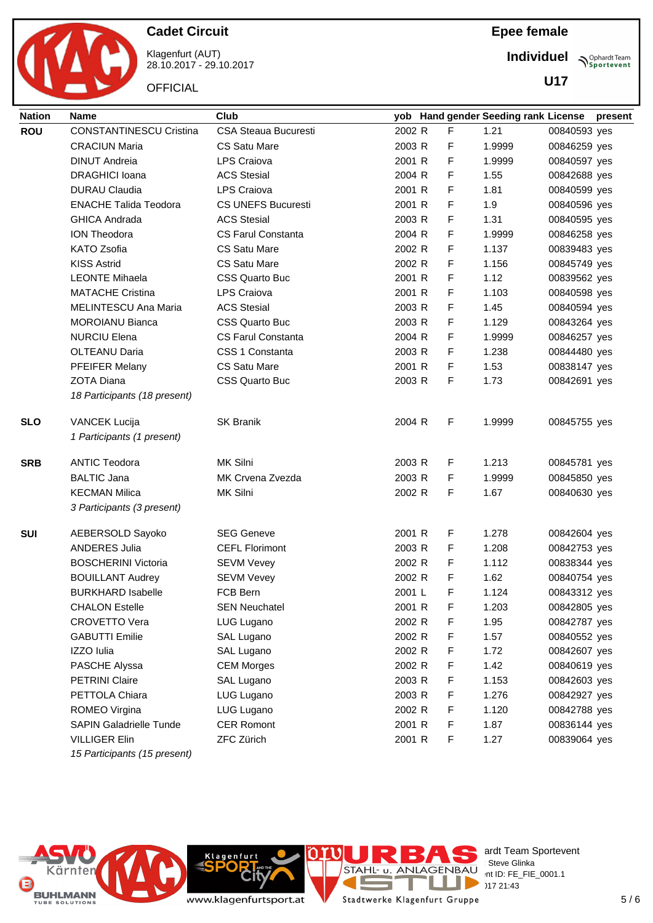

Klagenfurt (AUT) 28.10.2017 - 29.10.2017

**OFFICIAL** 

**Individuel**

**U17**

**Sportevent** 

| <b>Nation</b> | <b>Name</b>                    | Club                        |        |   | yob Hand gender Seeding rank License |              | present |
|---------------|--------------------------------|-----------------------------|--------|---|--------------------------------------|--------------|---------|
| <b>ROU</b>    | <b>CONSTANTINESCU Cristina</b> | <b>CSA Steaua Bucuresti</b> | 2002 R | F | 1.21                                 | 00840593 yes |         |
|               | <b>CRACIUN Maria</b>           | <b>CS Satu Mare</b>         | 2003 R | F | 1.9999                               | 00846259 yes |         |
|               | <b>DINUT Andreia</b>           | <b>LPS Craiova</b>          | 2001 R | F | 1.9999                               | 00840597 yes |         |
|               | <b>DRAGHICI Ioana</b>          | <b>ACS Stesial</b>          | 2004 R | F | 1.55                                 | 00842688 yes |         |
|               | <b>DURAU Claudia</b>           | <b>LPS Craiova</b>          | 2001 R | F | 1.81                                 | 00840599 yes |         |
|               | <b>ENACHE Talida Teodora</b>   | <b>CS UNEFS Bucuresti</b>   | 2001 R | F | 1.9                                  | 00840596 yes |         |
|               | <b>GHICA Andrada</b>           | <b>ACS Stesial</b>          | 2003 R | F | 1.31                                 | 00840595 yes |         |
|               | <b>ION Theodora</b>            | <b>CS Farul Constanta</b>   | 2004 R | F | 1.9999                               | 00846258 yes |         |
|               | <b>KATO Zsofia</b>             | CS Satu Mare                | 2002 R | F | 1.137                                | 00839483 yes |         |
|               | <b>KISS Astrid</b>             | CS Satu Mare                | 2002 R | F | 1.156                                | 00845749 yes |         |
|               | <b>LEONTE Mihaela</b>          | <b>CSS Quarto Buc</b>       | 2001 R | F | 1.12                                 | 00839562 yes |         |
|               | <b>MATACHE Cristina</b>        | <b>LPS Craiova</b>          | 2001 R | F | 1.103                                | 00840598 yes |         |
|               | MELINTESCU Ana Maria           | <b>ACS Stesial</b>          | 2003 R | F | 1.45                                 | 00840594 yes |         |
|               | <b>MOROIANU Bianca</b>         | <b>CSS Quarto Buc</b>       | 2003 R | F | 1.129                                | 00843264 yes |         |
|               | <b>NURCIU Elena</b>            | CS Farul Constanta          | 2004 R | F | 1.9999                               | 00846257 yes |         |
|               | OLTEANU Daria                  | CSS 1 Constanta             | 2003 R | F | 1.238                                | 00844480 yes |         |
|               | <b>PFEIFER Melany</b>          | <b>CS Satu Mare</b>         | 2001 R | F | 1.53                                 | 00838147 yes |         |
|               | <b>ZOTA Diana</b>              | <b>CSS Quarto Buc</b>       | 2003 R | F | 1.73                                 | 00842691 yes |         |
|               | 18 Participants (18 present)   |                             |        |   |                                      |              |         |
| <b>SLO</b>    | <b>VANCEK Lucija</b>           | <b>SK Branik</b>            | 2004 R | F | 1.9999                               | 00845755 yes |         |
|               | 1 Participants (1 present)     |                             |        |   |                                      |              |         |
| <b>SRB</b>    | <b>ANTIC Teodora</b>           | MK Silni                    | 2003 R | F | 1.213                                | 00845781 yes |         |
|               | <b>BALTIC Jana</b>             | MK Crvena Zvezda            | 2003 R | F | 1.9999                               | 00845850 yes |         |
|               | <b>KECMAN Milica</b>           | MK Silni                    | 2002 R | F | 1.67                                 | 00840630 yes |         |
|               | 3 Participants (3 present)     |                             |        |   |                                      |              |         |
| <b>SUI</b>    | AEBERSOLD Sayoko               | <b>SEG Geneve</b>           | 2001 R | F | 1.278                                | 00842604 yes |         |
|               | <b>ANDERES Julia</b>           | <b>CEFL Florimont</b>       | 2003 R | F | 1.208                                | 00842753 yes |         |
|               | <b>BOSCHERINI Victoria</b>     | <b>SEVM Vevey</b>           | 2002 R | F | 1.112                                | 00838344 yes |         |
|               | <b>BOUILLANT Audrey</b>        | <b>SEVM Vevey</b>           | 2002 R | F | 1.62                                 | 00840754 yes |         |
|               | <b>BURKHARD Isabelle</b>       | FCB Bern                    | 2001 L | F | 1.124                                | 00843312 yes |         |
|               | <b>CHALON Estelle</b>          | <b>SEN Neuchatel</b>        | 2001 R | F | 1.203                                | 00842805 yes |         |
|               | <b>CROVETTO Vera</b>           | LUG Lugano                  | 2002 R | F | 1.95                                 | 00842787 yes |         |
|               | <b>GABUTTI Emilie</b>          | SAL Lugano                  | 2002 R | F | 1.57                                 | 00840552 yes |         |
|               | IZZO lulia                     | SAL Lugano                  | 2002 R | F | 1.72                                 | 00842607 yes |         |
|               | PASCHE Alyssa                  | <b>CEM Morges</b>           | 2002 R | F | 1.42                                 | 00840619 yes |         |
|               | <b>PETRINI Claire</b>          | SAL Lugano                  | 2003 R | F | 1.153                                | 00842603 yes |         |
|               | PETTOLA Chiara                 | LUG Lugano                  | 2003 R | F | 1.276                                | 00842927 yes |         |
|               | ROMEO Virgina                  | LUG Lugano                  | 2002 R | F | 1.120                                | 00842788 yes |         |
|               | SAPIN Galadrielle Tunde        | <b>CER Romont</b>           | 2001 R | F | 1.87                                 | 00836144 yes |         |
|               | <b>VILLIGER Elin</b>           | ZFC Zürich                  | 2001 R | F | 1.27                                 | 00839064 yes |         |
|               | 15 Participants (15 present)   |                             |        |   |                                      |              |         |



Е

T a.

Stadtwerke Klagenfurt Gruppe

**IC** 

www.klagenfurtsport.at

**Cit** 

Klagenfurt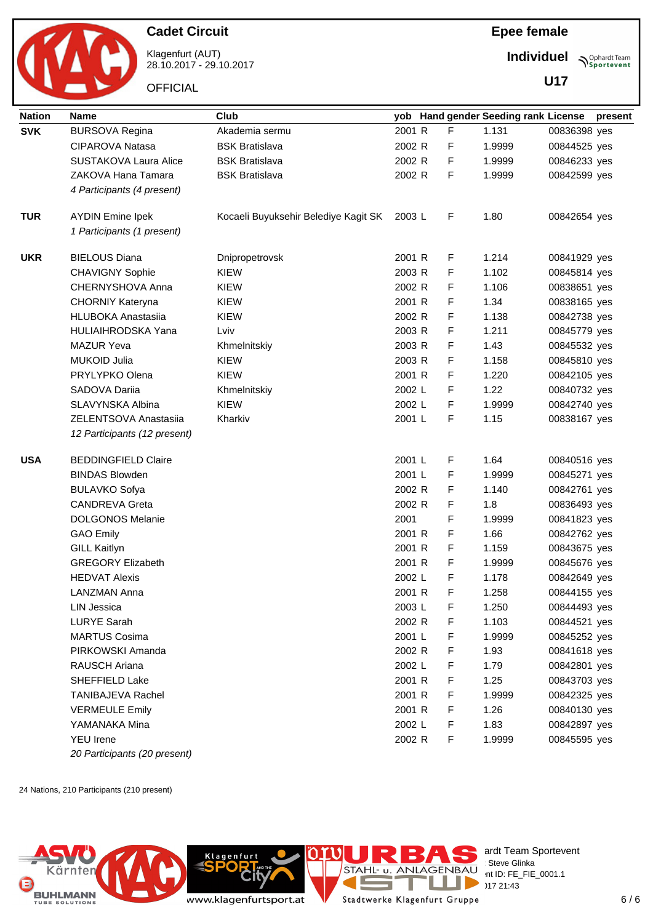

Klagenfurt (AUT) 28.10.2017 - 29.10.2017

**OFFICIAL** 

**Individuel Sportevent** 

**U17**

| <b>Nation</b> | <b>Name</b>                  | Club                                 |        |   | yob Hand gender Seeding rank License |              | present |
|---------------|------------------------------|--------------------------------------|--------|---|--------------------------------------|--------------|---------|
| <b>SVK</b>    | <b>BURSOVA Regina</b>        | Akademia sermu                       | 2001 R | F | 1.131                                | 00836398 yes |         |
|               | <b>CIPAROVA Natasa</b>       | <b>BSK Bratislava</b>                | 2002 R | F | 1.9999                               | 00844525 yes |         |
|               | <b>SUSTAKOVA Laura Alice</b> | <b>BSK Bratislava</b>                | 2002 R | F | 1.9999                               | 00846233 yes |         |
|               | ZAKOVA Hana Tamara           | <b>BSK Bratislava</b>                | 2002 R | F | 1.9999                               | 00842599 yes |         |
|               | 4 Participants (4 present)   |                                      |        |   |                                      |              |         |
| <b>TUR</b>    | <b>AYDIN Emine Ipek</b>      | Kocaeli Buyuksehir Belediye Kagit SK | 2003 L | F | 1.80                                 | 00842654 yes |         |
|               | 1 Participants (1 present)   |                                      |        |   |                                      |              |         |
| <b>UKR</b>    | <b>BIELOUS Diana</b>         | Dnipropetrovsk                       | 2001 R | F | 1.214                                | 00841929 yes |         |
|               | <b>CHAVIGNY Sophie</b>       | <b>KIEW</b>                          | 2003 R | F | 1.102                                | 00845814 yes |         |
|               | CHERNYSHOVA Anna             | <b>KIEW</b>                          | 2002 R | F | 1.106                                | 00838651 yes |         |
|               | <b>CHORNIY Kateryna</b>      | <b>KIEW</b>                          | 2001 R | F | 1.34                                 | 00838165 yes |         |
|               | <b>HLUBOKA Anastasiia</b>    | <b>KIEW</b>                          | 2002 R | F | 1.138                                | 00842738 yes |         |
|               | HULIAIHRODSKA Yana           | Lviv                                 | 2003 R | F | 1.211                                | 00845779 yes |         |
|               | <b>MAZUR Yeva</b>            | Khmelnitskiy                         | 2003 R | F | 1.43                                 | 00845532 yes |         |
|               | <b>MUKOID Julia</b>          | <b>KIEW</b>                          | 2003 R | F | 1.158                                | 00845810 yes |         |
|               | PRYLYPKO Olena               | <b>KIEW</b>                          | 2001 R | F | 1.220                                | 00842105 yes |         |
|               | SADOVA Dariia                | Khmelnitskiy                         | 2002 L | F | 1.22                                 | 00840732 yes |         |
|               | SLAVYNSKA Albina             | <b>KIEW</b>                          | 2002 L | F | 1.9999                               | 00842740 yes |         |
|               | ZELENTSOVA Anastasiia        | Kharkiv                              | 2001 L | F | 1.15                                 | 00838167 yes |         |
|               | 12 Participants (12 present) |                                      |        |   |                                      |              |         |
| <b>USA</b>    | <b>BEDDINGFIELD Claire</b>   |                                      | 2001 L | F | 1.64                                 | 00840516 yes |         |
|               | <b>BINDAS Blowden</b>        |                                      | 2001 L | F | 1.9999                               | 00845271 yes |         |
|               | <b>BULAVKO Sofya</b>         |                                      | 2002 R | F | 1.140                                | 00842761 yes |         |
|               | <b>CANDREVA Greta</b>        |                                      | 2002 R | F | 1.8                                  | 00836493 yes |         |
|               | <b>DOLGONOS Melanie</b>      |                                      | 2001   | F | 1.9999                               | 00841823 yes |         |
|               | <b>GAO Emily</b>             |                                      | 2001 R | F | 1.66                                 | 00842762 yes |         |
|               | <b>GILL Kaitlyn</b>          |                                      | 2001 R | F | 1.159                                | 00843675 yes |         |
|               | <b>GREGORY Elizabeth</b>     |                                      | 2001 R | F | 1.9999                               | 00845676 yes |         |
|               | <b>HEDVAT Alexis</b>         |                                      | 2002 L | F | 1.178                                | 00842649 yes |         |
|               | <b>LANZMAN Anna</b>          |                                      | 2001 R | F | 1.258                                | 00844155 yes |         |
|               | <b>LIN Jessica</b>           |                                      | 2003 L | F | 1.250                                | 00844493 yes |         |
|               | <b>LURYE Sarah</b>           |                                      | 2002 R | F | 1.103                                | 00844521 yes |         |
|               | <b>MARTUS Cosima</b>         |                                      | 2001 L | F | 1.9999                               | 00845252 yes |         |
|               | PIRKOWSKI Amanda             |                                      | 2002 R | F | 1.93                                 | 00841618 yes |         |
|               | <b>RAUSCH Ariana</b>         |                                      | 2002 L | F | 1.79                                 | 00842801 yes |         |
|               | SHEFFIELD Lake               |                                      | 2001 R | F | 1.25                                 | 00843703 yes |         |
|               | TANIBAJEVA Rachel            |                                      | 2001 R | F | 1.9999                               | 00842325 yes |         |
|               | <b>VERMEULE Emily</b>        |                                      | 2001 R | F | 1.26                                 | 00840130 yes |         |
|               | YAMANAKA Mina                |                                      | 2002 L | F | 1.83                                 | 00842897 yes |         |
|               | <b>YEU Irene</b>             |                                      | 2002 R | F | 1.9999                               | 00845595 yes |         |
|               | 20 Participants (20 present) |                                      |        |   |                                      |              |         |

24 Nations, 210 Participants (210 present)



ardt Team Sportevent Document ID: FE\_FIE\_0001.1  $21:43$ 

 $\Box$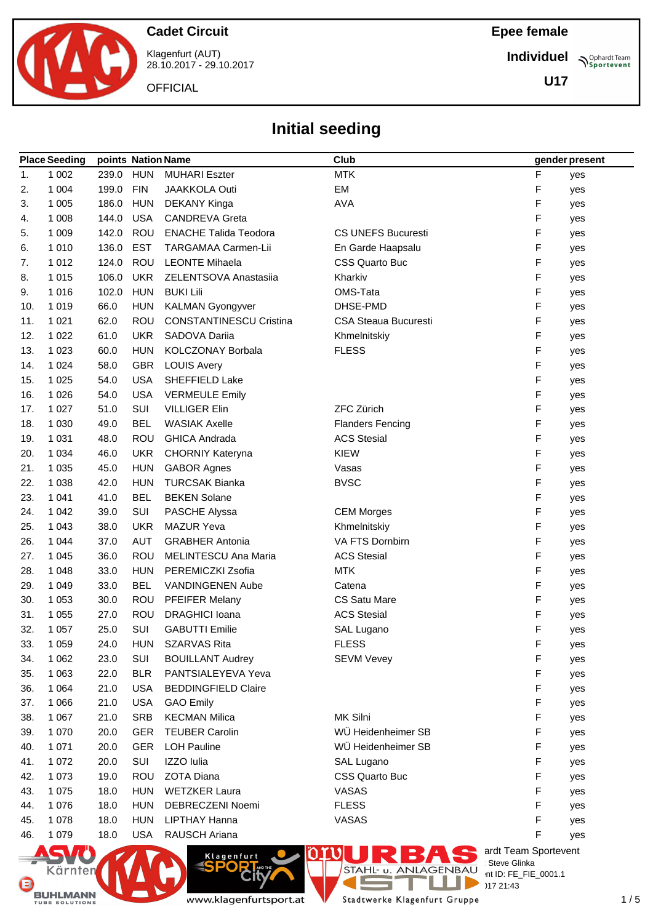

Klagenfurt (AUT) 28.10.2017 - 29.10.2017

**OFFICIAL** 

#### **Epee female**

**Individuel Sportevent** 

**U17**

## **Initial seeding**

| <b>Place Seeding</b> |         | Club<br>points Nation Name |            |                                |                             |   | gender present |  |  |  |
|----------------------|---------|----------------------------|------------|--------------------------------|-----------------------------|---|----------------|--|--|--|
| 1.                   | 1 0 0 2 | 239.0                      | <b>HUN</b> | <b>MUHARI Eszter</b>           | <b>MTK</b>                  | F | yes            |  |  |  |
| 2.                   | 1 0 0 4 | 199.0                      | <b>FIN</b> | <b>JAAKKOLA Outi</b>           | EM                          | F | yes            |  |  |  |
| 3.                   | 1 0 0 5 | 186.0                      | <b>HUN</b> | DEKANY Kinga                   | <b>AVA</b>                  | F | yes            |  |  |  |
| 4.                   | 1 0 0 8 | 144.0                      | <b>USA</b> | <b>CANDREVA Greta</b>          |                             | F | yes            |  |  |  |
| 5.                   | 1 0 0 9 | 142.0                      | ROU        | <b>ENACHE Talida Teodora</b>   | <b>CS UNEFS Bucuresti</b>   | F | yes            |  |  |  |
| 6.                   | 1 0 1 0 | 136.0                      | <b>EST</b> | TARGAMAA Carmen-Lii            | En Garde Haapsalu           | F | yes            |  |  |  |
| 7.                   | 1 0 1 2 | 124.0                      | ROU        | <b>LEONTE Mihaela</b>          | <b>CSS Quarto Buc</b>       | F | yes            |  |  |  |
| 8.                   | 1015    | 106.0                      | <b>UKR</b> | ZELENTSOVA Anastasiia          | Kharkiv                     | F | yes            |  |  |  |
| 9.                   | 1 0 1 6 | 102.0                      | <b>HUN</b> | <b>BUKI Lili</b>               | OMS-Tata                    | F | yes            |  |  |  |
| 10.                  | 1 0 1 9 | 66.0                       | <b>HUN</b> | <b>KALMAN Gyongyver</b>        | DHSE-PMD                    | F | yes            |  |  |  |
| 11.                  | 1 0 2 1 | 62.0                       | <b>ROU</b> | <b>CONSTANTINESCU Cristina</b> | <b>CSA Steaua Bucuresti</b> | F | yes            |  |  |  |
| 12.                  | 1 0 2 2 | 61.0                       | <b>UKR</b> | SADOVA Dariia                  | Khmelnitskiy                | F | yes            |  |  |  |
| 13.                  | 1 0 2 3 | 60.0                       | <b>HUN</b> | KOLCZONAY Borbala              | <b>FLESS</b>                | F | yes            |  |  |  |
| 14.                  | 1 0 2 4 | 58.0                       | <b>GBR</b> | <b>LOUIS Avery</b>             |                             | F | yes            |  |  |  |
| 15.                  | 1 0 2 5 | 54.0                       | <b>USA</b> | SHEFFIELD Lake                 |                             | F | yes            |  |  |  |
| 16.                  | 1 0 2 6 | 54.0                       | <b>USA</b> | <b>VERMEULE Emily</b>          |                             | F | yes            |  |  |  |
| 17.                  | 1 0 2 7 | 51.0                       | SUI        | <b>VILLIGER Elin</b>           | <b>ZFC Zürich</b>           | F | yes            |  |  |  |
| 18.                  | 1 0 3 0 | 49.0                       | <b>BEL</b> | <b>WASIAK Axelle</b>           | <b>Flanders Fencing</b>     | F | yes            |  |  |  |
| 19.                  | 1 0 3 1 | 48.0                       | <b>ROU</b> | <b>GHICA Andrada</b>           | <b>ACS Stesial</b>          | F | yes            |  |  |  |
| 20.                  | 1 0 3 4 | 46.0                       | <b>UKR</b> | CHORNIY Kateryna               | <b>KIEW</b>                 | F | yes            |  |  |  |
| 21.                  | 1 0 3 5 | 45.0                       | <b>HUN</b> | <b>GABOR Agnes</b>             | Vasas                       | F | yes            |  |  |  |
| 22.                  | 1 0 38  | 42.0                       | <b>HUN</b> | <b>TURCSAK Bianka</b>          | <b>BVSC</b>                 | F | yes            |  |  |  |
| 23.                  | 1 0 4 1 | 41.0                       | <b>BEL</b> | <b>BEKEN Solane</b>            |                             | F | yes            |  |  |  |
| 24.                  | 1 0 4 2 | 39.0                       | SUI        | PASCHE Alyssa                  | <b>CEM Morges</b>           | F | yes            |  |  |  |
| 25.                  | 1 0 4 3 | 38.0                       | <b>UKR</b> | <b>MAZUR Yeva</b>              | Khmelnitskiy                | F | yes            |  |  |  |
| 26.                  | 1 0 4 4 | 37.0                       | <b>AUT</b> | <b>GRABHER Antonia</b>         | VA FTS Dornbirn             | F | yes            |  |  |  |
| 27.                  | 1 0 4 5 | 36.0                       | <b>ROU</b> | MELINTESCU Ana Maria           | <b>ACS Stesial</b>          | F | yes            |  |  |  |
| 28.                  | 1 0 4 8 | 33.0                       | <b>HUN</b> | PEREMICZKI Zsofia              | <b>MTK</b>                  | F | yes            |  |  |  |
| 29.                  | 1 0 4 9 | 33.0                       | <b>BEL</b> | VANDINGENEN Aube               | Catena                      | F | yes            |  |  |  |
| 30.                  | 1 0 5 3 | 30.0                       | <b>ROU</b> | PFEIFER Melany                 | <b>CS Satu Mare</b>         | F | yes            |  |  |  |
| 31.                  | 1 0 5 5 | 27.0                       | <b>ROU</b> | <b>DRAGHICI Ioana</b>          | <b>ACS Stesial</b>          | F | yes            |  |  |  |
| 32.                  | 1 0 5 7 | 25.0                       | SUI        | <b>GABUTTI Emilie</b>          | SAL Lugano                  | F | yes            |  |  |  |
| 33.                  | 1 0 5 9 | 24.0                       | <b>HUN</b> | <b>SZARVAS Rita</b>            | <b>FLESS</b>                | F | yes            |  |  |  |
| 34.                  | 1 0 6 2 | 23.0                       | SUI        | <b>BOUILLANT Audrey</b>        | <b>SEVM Vevey</b>           | F | yes            |  |  |  |
| 35.                  | 1 0 6 3 | 22.0                       | <b>BLR</b> | PANTSIALEYEVA Yeva             |                             | F | yes            |  |  |  |
| 36.                  | 1 0 6 4 | 21.0                       | <b>USA</b> | <b>BEDDINGFIELD Claire</b>     |                             | F | yes            |  |  |  |
| 37.                  | 1 0 6 6 | 21.0                       | <b>USA</b> | <b>GAO Emily</b>               |                             | F | yes            |  |  |  |
| 38.                  | 1 0 6 7 | 21.0                       | <b>SRB</b> | <b>KECMAN Milica</b>           | MK Silni                    | F | yes            |  |  |  |
| 39.                  | 1 0 7 0 | 20.0                       | <b>GER</b> | <b>TEUBER Carolin</b>          | WÜ Heidenheimer SB          | F | yes            |  |  |  |
| 40.                  | 1 0 7 1 | 20.0                       | <b>GER</b> | <b>LOH Pauline</b>             | WÜ Heidenheimer SB          | F | yes            |  |  |  |
| 41.                  | 1 0 7 2 | 20.0                       | SUI        | IZZO Iulia                     | SAL Lugano                  | F | yes            |  |  |  |
| 42.                  | 1 0 7 3 | 19.0                       | <b>ROU</b> | <b>ZOTA Diana</b>              | CSS Quarto Buc              | F | yes            |  |  |  |
| 43.                  | 1 0 7 5 | 18.0                       | <b>HUN</b> | <b>WETZKER Laura</b>           | <b>VASAS</b>                | F | yes            |  |  |  |
| 44.                  | 1 0 7 6 | 18.0                       | <b>HUN</b> | DEBRECZENI Noemi               | <b>FLESS</b>                | F | yes            |  |  |  |
| 45.                  | 1 0 7 8 | 18.0                       | <b>HUN</b> | LIPTHAY Hanna                  | VASAS                       | F | yes            |  |  |  |
| 46.                  | 1 0 7 9 | 18.0                       | <b>USA</b> | RAUSCH Ariana                  |                             | F | yes            |  |  |  |



www.klagenfurtsport.at

**Cit** 

**Klagenfurt** 

T Stadtwerke Klagenfurt Gruppe

a.

**CONTRACT** 

Е

ardt Team Sportevent<br>∶Steve Glinka

**License:** Steve Glinka  $P^{\text{LO}}$  int ID: FE\_FIE\_0001.1

 $18.721:43$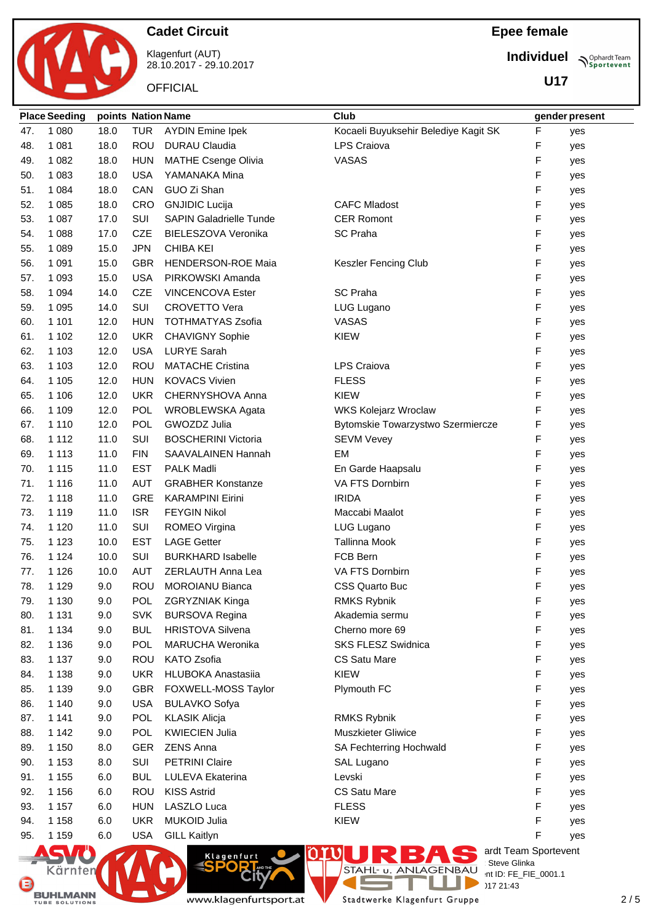

Klagenfurt (AUT) 28.10.2017 - 29.10.2017

**OFFICIAL** 

#### **Epee female**

**Individuel**

**U17**

**Sportevent** 

| <b>Place Seeding</b> |         | points Nation Name |            |                            | Club                                 |   | gender present |  |
|----------------------|---------|--------------------|------------|----------------------------|--------------------------------------|---|----------------|--|
| 47.                  | 1 0 8 0 | 18.0               | <b>TUR</b> | <b>AYDIN Emine Ipek</b>    | Kocaeli Buyuksehir Belediye Kagit SK | F | yes            |  |
| 48.                  | 1 0 8 1 | 18.0               | ROU        | <b>DURAU Claudia</b>       | <b>LPS Craiova</b>                   | F | yes            |  |
| 49.                  | 1 0 8 2 | 18.0               | <b>HUN</b> | <b>MATHE Csenge Olivia</b> | VASAS                                | F | yes            |  |
| 50.                  | 1 0 8 3 | 18.0               | <b>USA</b> | YAMANAKA Mina              |                                      | F | yes            |  |
| 51.                  | 1 0 8 4 | 18.0               | CAN        | GUO Zi Shan                |                                      | F | yes            |  |
| 52.                  | 1 0 8 5 | 18.0               | CRO        | <b>GNJIDIC Lucija</b>      | <b>CAFC Mladost</b>                  | F | yes            |  |
| 53.                  | 1 0 8 7 | 17.0               | SUI        | SAPIN Galadrielle Tunde    | <b>CER Romont</b>                    | F | yes            |  |
| 54.                  | 1 0 8 8 | 17.0               | <b>CZE</b> | <b>BIELESZOVA Veronika</b> | SC Praha                             | F | yes            |  |
| 55.                  | 1 0 8 9 | 15.0               | <b>JPN</b> | <b>CHIBA KEI</b>           |                                      | F | yes            |  |
| 56.                  | 1 0 9 1 | 15.0               | GBR        | <b>HENDERSON-ROE Maia</b>  | Keszler Fencing Club                 | F | yes            |  |
| 57.                  | 1 0 9 3 | 15.0               | <b>USA</b> | PIRKOWSKI Amanda           |                                      | F | yes            |  |
| 58.                  | 1 0 9 4 | 14.0               | <b>CZE</b> | <b>VINCENCOVA Ester</b>    | <b>SC Praha</b>                      | F | yes            |  |
| 59.                  | 1 0 9 5 | 14.0               | SUI        | <b>CROVETTO Vera</b>       | LUG Lugano                           | F | yes            |  |
| 60.                  | 1 1 0 1 | 12.0               | <b>HUN</b> | <b>TOTHMATYAS Zsofia</b>   | VASAS                                | F | yes            |  |
| 61.                  | 1 1 0 2 | 12.0               | <b>UKR</b> | <b>CHAVIGNY Sophie</b>     | <b>KIEW</b>                          | F | yes            |  |
| 62.                  | 1 1 0 3 | 12.0               | <b>USA</b> | <b>LURYE Sarah</b>         |                                      | F | yes            |  |
| 63.                  | 1 1 0 3 | 12.0               | <b>ROU</b> | <b>MATACHE Cristina</b>    | <b>LPS Craiova</b>                   | F | yes            |  |
| 64.                  | 1 1 0 5 | 12.0               | <b>HUN</b> | <b>KOVACS Vivien</b>       | <b>FLESS</b>                         | F | yes            |  |
| 65.                  | 1 1 0 6 | 12.0               | <b>UKR</b> | CHERNYSHOVA Anna           | <b>KIEW</b>                          | F | yes            |  |
| 66.                  | 1 1 0 9 | 12.0               | <b>POL</b> | WROBLEWSKA Agata           | WKS Kolejarz Wroclaw                 | F | yes            |  |
| 67.                  | 1 1 1 0 | 12.0               | <b>POL</b> | GWOZDZ Julia               | Bytomskie Towarzystwo Szermiercze    | F | yes            |  |
| 68.                  | 1 1 1 2 | 11.0               | SUI        | <b>BOSCHERINI Victoria</b> | <b>SEVM Vevey</b>                    | F | yes            |  |
| 69.                  | 1 1 1 3 | 11.0               | <b>FIN</b> | SAAVALAINEN Hannah         | EM                                   | F | yes            |  |
| 70.                  | 1 1 1 5 | 11.0               | <b>EST</b> | <b>PALK Madli</b>          | En Garde Haapsalu                    | F | yes            |  |
| 71.                  | 1 1 1 6 | 11.0               | <b>AUT</b> | <b>GRABHER Konstanze</b>   | VA FTS Dornbirn                      | F | yes            |  |
| 72.                  | 1 1 1 8 | 11.0               | <b>GRE</b> | <b>KARAMPINI Eirini</b>    | <b>IRIDA</b>                         | F | yes            |  |
| 73.                  | 1 1 1 9 | 11.0               | <b>ISR</b> | <b>FEYGIN Nikol</b>        | Maccabi Maalot                       | F | yes            |  |
| 74.                  | 1 1 2 0 | 11.0               | SUI        | ROMEO Virgina              | LUG Lugano                           | F | yes            |  |
| 75.                  | 1 1 2 3 | 10.0               | <b>EST</b> | <b>LAGE Getter</b>         | <b>Tallinna Mook</b>                 | F | yes            |  |
| 76.                  | 1 1 2 4 | 10.0               | SUI        | <b>BURKHARD Isabelle</b>   | FCB Bern                             | F | yes            |  |
| 77.                  | 1 1 2 6 | 10.0               | AUT        | ZERLAUTH Anna Lea          | VA FTS Dornbirn                      | F | yes            |  |
| 78.                  | 1 1 2 9 | 9.0                | <b>ROU</b> | <b>MOROIANU Bianca</b>     | <b>CSS Quarto Buc</b>                | F | yes            |  |
| 79.                  | 1 1 3 0 | 9.0                | <b>POL</b> | ZGRYZNIAK Kinga            | <b>RMKS Rybnik</b>                   | F | yes            |  |
| 80.                  | 1 1 3 1 | 9.0                | <b>SVK</b> | <b>BURSOVA Regina</b>      | Akademia sermu                       | F | yes            |  |
| 81.                  | 1 1 3 4 | 9.0                | <b>BUL</b> | <b>HRISTOVA Silvena</b>    | Cherno more 69                       | F | yes            |  |
| 82.                  | 1 1 3 6 | 9.0                | <b>POL</b> | <b>MARUCHA Weronika</b>    | <b>SKS FLESZ Swidnica</b>            | F | yes            |  |
| 83.                  | 1 1 3 7 | 9.0                | <b>ROU</b> | <b>KATO Zsofia</b>         | <b>CS Satu Mare</b>                  | F | yes            |  |
| 84.                  | 1 1 3 8 | 9.0                | <b>UKR</b> | <b>HLUBOKA Anastasiia</b>  | <b>KIEW</b>                          | F | yes            |  |
| 85.                  | 1 1 3 9 | 9.0                | <b>GBR</b> | FOXWELL-MOSS Taylor        | Plymouth FC                          | F | yes            |  |
| 86.                  | 1 1 4 0 | 9.0                | <b>USA</b> | <b>BULAVKO Sofya</b>       |                                      | F | yes            |  |
| 87.                  | 1 1 4 1 | 9.0                | <b>POL</b> | <b>KLASIK Alicja</b>       | <b>RMKS Rybnik</b>                   | F | yes            |  |
| 88.                  | 1 1 4 2 | 9.0                | <b>POL</b> | <b>KWIECIEN Julia</b>      | Muszkieter Gliwice                   | F | yes            |  |
| 89.                  | 1 1 5 0 | 8.0                | <b>GER</b> | <b>ZENS Anna</b>           | SA Fechterring Hochwald              | F | yes            |  |
| 90.                  | 1 1 5 3 | 8.0                | SUI        | <b>PETRINI Claire</b>      | SAL Lugano                           | F | yes            |  |
| 91.                  | 1 1 5 5 | 6.0                | <b>BUL</b> | LULEVA Ekaterina           | Levski                               | F | yes            |  |
| 92.                  | 1 1 5 6 | 6.0                | <b>ROU</b> | <b>KISS Astrid</b>         | <b>CS Satu Mare</b>                  | F | yes            |  |
| 93.                  | 1 1 5 7 | 6.0                | <b>HUN</b> | LASZLO Luca                | <b>FLESS</b>                         | F | yes            |  |
| 94.                  | 1 1 5 8 | 6.0                | <b>UKR</b> | <b>MUKOID Julia</b>        | <b>KIEW</b>                          | F | yes            |  |
| 95.                  | 1 1 5 9 | 6.0                | <b>USA</b> | <b>GILL Kaitlyn</b>        |                                      | F | yes            |  |
|                      |         |                    |            | Klagenfurt<br>SDORT        | ardt Team Sportevent<br>Steve Glinka |   |                |  |

BUHLMANN

Kärnten

www.klagenfurtsport.at

**Rit** 

T Stadtwerke Klagenfurt Gruppe

a.

**COL** 

**License:** Steve Glinka  $P^{\text{LO}}$  int ID: FE\_FIE\_0001.1

 $\sum$  317 21:43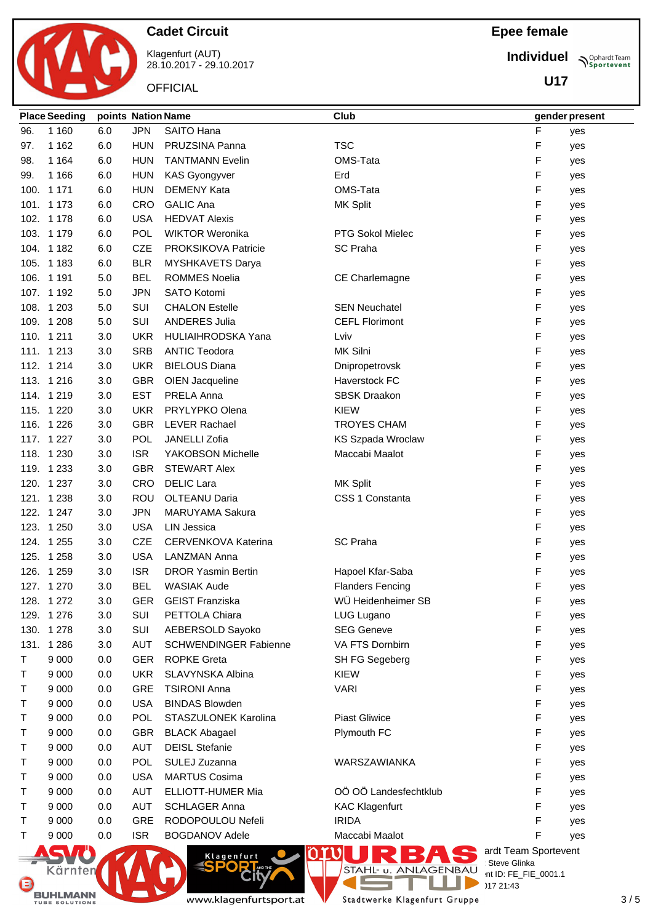Klagenfurt (AUT) 28.10.2017 - 29.10.2017

**OFFICIAL** 

### **Epee female**

**Individuel**

**U17**

**Sportevent** 

| <b>Place Seeding</b> |                         | points Nation Name |                          |                              | Club                                                    | gender present |     |  |  |  |
|----------------------|-------------------------|--------------------|--------------------------|------------------------------|---------------------------------------------------------|----------------|-----|--|--|--|
| 96.                  | 1 1 6 0                 | 6.0                | <b>JPN</b>               | SAITO Hana                   |                                                         | F              | yes |  |  |  |
| 97.                  | 1 1 6 2                 | 6.0                | <b>HUN</b>               | PRUZSINA Panna               | <b>TSC</b>                                              | F              | yes |  |  |  |
| 98.                  | 1 1 6 4                 | 6.0                | <b>HUN</b>               | <b>TANTMANN Evelin</b>       | OMS-Tata                                                | F              | yes |  |  |  |
| 99.                  | 1 1 6 6                 | 6.0                | <b>HUN</b>               | KAS Gyongyver                | Erd                                                     | F              | yes |  |  |  |
|                      | 100. 1 171              | 6.0                | <b>HUN</b>               | <b>DEMENY Kata</b>           | OMS-Tata                                                | F              | yes |  |  |  |
|                      | 101. 1 173              | 6.0                | CRO                      | <b>GALIC Ana</b>             | MK Split                                                | F              | yes |  |  |  |
| 102.                 | 1 1 7 8                 | 6.0                | <b>USA</b>               | <b>HEDVAT Alexis</b>         |                                                         | F              | yes |  |  |  |
|                      | 103. 1 179              | 6.0                | <b>POL</b>               | <b>WIKTOR Weronika</b>       | <b>PTG Sokol Mielec</b>                                 | F              | yes |  |  |  |
|                      | 104. 1 182              | 6.0                | <b>CZE</b>               | PROKSIKOVA Patricie          | SC Praha                                                | F              | yes |  |  |  |
|                      | 105. 1 183              | 6.0                | <b>BLR</b>               | MYSHKAVETS Darya             |                                                         | F              | yes |  |  |  |
|                      | 106. 1 191              | 5.0                | <b>BEL</b>               | <b>ROMMES Noelia</b>         | CE Charlemagne                                          | F              | yes |  |  |  |
|                      | 107. 1 192              | 5.0                | <b>JPN</b>               | SATO Kotomi                  |                                                         | F              | yes |  |  |  |
|                      | 108. 1 203              | 5.0                | SUI                      | <b>CHALON Estelle</b>        | <b>SEN Neuchatel</b>                                    | F              | yes |  |  |  |
|                      | 109. 1 208              | 5.0                | SUI                      | <b>ANDERES Julia</b>         | <b>CEFL Florimont</b>                                   | F              | yes |  |  |  |
|                      | 110. 1 211              | 3.0                | <b>UKR</b>               | <b>HULIAIHRODSKA Yana</b>    | Lviv                                                    | F              | yes |  |  |  |
|                      | 111. 1213               | 3.0                | <b>SRB</b>               | <b>ANTIC Teodora</b>         | MK Silni                                                | F              | yes |  |  |  |
|                      | 112. 1 214              | 3.0                | <b>UKR</b>               | <b>BIELOUS Diana</b>         | Dnipropetrovsk                                          | F              | yes |  |  |  |
|                      | 113. 1216               | 3.0                | <b>GBR</b>               | OIEN Jacqueline              | Haverstock FC                                           | F              | yes |  |  |  |
|                      | 114. 1219               | 3.0                | <b>EST</b>               | PRELA Anna                   | <b>SBSK Draakon</b>                                     | F              | yes |  |  |  |
|                      | 115. 1 220              | 3.0                | <b>UKR</b>               | PRYLYPKO Olena               | <b>KIEW</b>                                             | F              | yes |  |  |  |
|                      | 116. 1 226              | 3.0                | <b>GBR</b>               | <b>LEVER Rachael</b>         | <b>TROYES CHAM</b>                                      | F              | yes |  |  |  |
|                      | 117. 1 227              | 3.0                | <b>POL</b>               | JANELLI Zofia                | KS Szpada Wroclaw                                       | F              | yes |  |  |  |
|                      | 118. 1 230              | 3.0                | <b>ISR</b>               | YAKOBSON Michelle            | Maccabi Maalot                                          | F              | yes |  |  |  |
|                      | 119. 1 233              | 3.0                | <b>GBR</b>               | <b>STEWART Alex</b>          |                                                         | F              | yes |  |  |  |
|                      | 120. 1 237              | 3.0                | <b>CRO</b>               | <b>DELIC Lara</b>            | <b>MK Split</b>                                         | F              | yes |  |  |  |
|                      | 121. 1 238              | 3.0                | <b>ROU</b>               | OLTEANU Daria                | CSS 1 Constanta                                         | F              | yes |  |  |  |
|                      | 122. 1 247              | 3.0                | <b>JPN</b>               | MARUYAMA Sakura              |                                                         | F              | yes |  |  |  |
|                      | 123. 1 250              | 3.0                | <b>USA</b>               | <b>LIN Jessica</b>           |                                                         | F              |     |  |  |  |
|                      | 124. 1255               | 3.0                | <b>CZE</b>               | CERVENKOVA Katerina          | <b>SC Praha</b>                                         | F              | yes |  |  |  |
|                      | 125. 1 258              | 3.0                | <b>USA</b>               | <b>LANZMAN Anna</b>          |                                                         | F              | yes |  |  |  |
|                      | 126. 1 259              |                    | <b>ISR</b>               | <b>DROR Yasmin Bertin</b>    | Hapoel Kfar-Saba                                        | F              | yes |  |  |  |
|                      | 127. 1270               | 3.0                | <b>BEL</b>               | <b>WASIAK Aude</b>           | <b>Flanders Fencing</b>                                 | F              | yes |  |  |  |
|                      |                         | 3.0                |                          | <b>GEIST Franziska</b>       | WÜ Heidenheimer SB                                      |                | yes |  |  |  |
|                      | 128. 1272<br>129. 1 276 | 3.0<br>3.0         | GER<br>SUI               | PETTOLA Chiara               |                                                         | F<br>F         | yes |  |  |  |
|                      |                         |                    | SUI                      | AEBERSOLD Sayoko             | LUG Lugano                                              |                | yes |  |  |  |
| 130.                 | 1 2 7 8<br>131. 1286    | 3.0                |                          | <b>SCHWENDINGER Fabienne</b> | <b>SEG Geneve</b><br>VA FTS Dornbirn                    | F              | yes |  |  |  |
| Т                    | 9 0 0 0                 | 3.0<br>0.0         | <b>AUT</b><br><b>GER</b> | <b>ROPKE Greta</b>           |                                                         | F<br>F         | yes |  |  |  |
|                      |                         |                    |                          | SLAVYNSKA Albina             | SH FG Segeberg                                          | F              | yes |  |  |  |
| Т                    | 9 0 0 0                 | 0.0                | <b>UKR</b>               |                              | <b>KIEW</b>                                             |                | yes |  |  |  |
| Т                    | 9 0 0 0                 | 0.0                | <b>GRE</b>               | <b>TSIRONI Anna</b>          | <b>VARI</b>                                             | F              | yes |  |  |  |
| Т                    | 9 0 0 0                 | 0.0                | <b>USA</b>               | <b>BINDAS Blowden</b>        |                                                         | F              | yes |  |  |  |
| Т                    | 9 0 0 0                 | 0.0                | <b>POL</b>               | STASZULONEK Karolina         | <b>Piast Gliwice</b>                                    | F              | yes |  |  |  |
| Τ                    | 9 0 0 0                 | 0.0                | <b>GBR</b>               | <b>BLACK Abagael</b>         | Plymouth FC                                             | F              | yes |  |  |  |
| Т                    | 9 0 0 0                 | 0.0                | <b>AUT</b>               | <b>DEISL Stefanie</b>        |                                                         | F              | yes |  |  |  |
| Т                    | 9 0 0 0                 | 0.0                | POL                      | SULEJ Zuzanna                | WARSZAWIANKA                                            | F              | yes |  |  |  |
| Т                    | 9 0 0 0                 | 0.0                | <b>USA</b>               | <b>MARTUS Cosima</b>         |                                                         | F              | yes |  |  |  |
| Т                    | 9 0 0 0                 | 0.0                | <b>AUT</b>               | <b>ELLIOTT-HUMER Mia</b>     | OÖ OÖ Landesfechtklub                                   | F              | yes |  |  |  |
| Т                    | 9 0 0 0                 | 0.0                | <b>AUT</b>               | <b>SCHLAGER Anna</b>         | <b>KAC Klagenfurt</b>                                   | F              | yes |  |  |  |
| т                    | 9 0 0 0                 | 0.0                | GRE                      | RODOPOULOU Nefeli            | <b>IRIDA</b>                                            | F              | yes |  |  |  |
| Т                    | 9 0 0 0                 | 0.0                | <b>ISR</b>               | <b>BOGDANOV Adele</b>        | Maccabi Maalot                                          | F              | yes |  |  |  |
|                      |                         |                    | <b>TANA</b>              | Klagenfurt                   | ardt Team Sportevent<br>R<br><b>BY:</b><br>Stove Clinka |                |     |  |  |  |

www.klagenfurtsport.at

**Zity** 

70 Kärnten

BUHLMANN

T Stadtwerke Klagenfurt Gruppe

**COL** 

a.

**License:** Steve Glinka  $P^{\text{LO}}$  int ID: FE\_FIE\_0001.1

 $\blacksquare$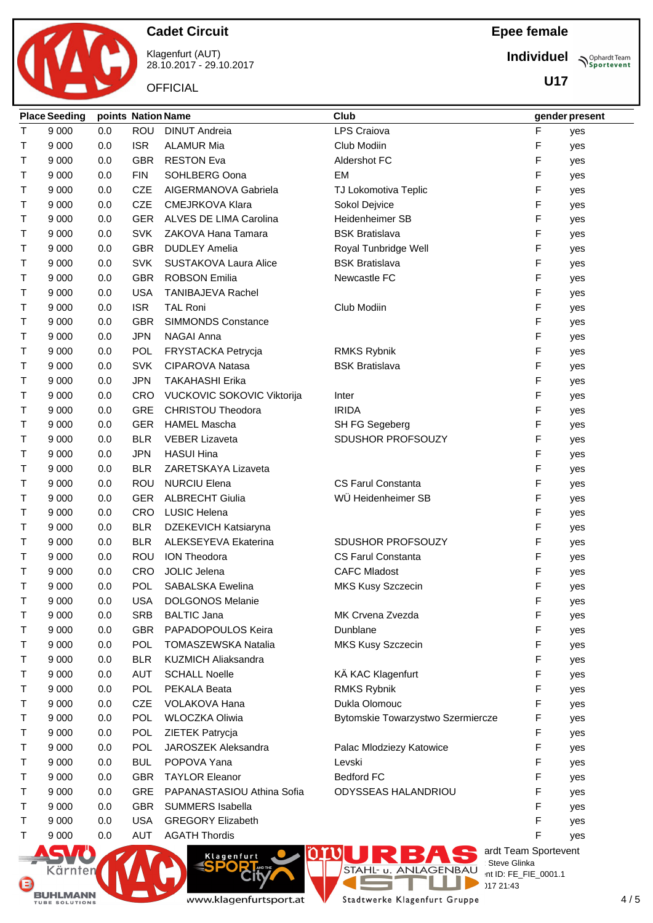

Klagenfurt (AUT) 28.10.2017 - 29.10.2017

**OFFICIAL** 

#### **Epee female**

**Individuel**

**U17**

**Sportevent** 

| <b>Place Seeding</b> |         |     | points Nation Name |                              | Club                              |                      | gender present |
|----------------------|---------|-----|--------------------|------------------------------|-----------------------------------|----------------------|----------------|
| т                    | 9 0 0 0 | 0.0 | ROU                | <b>DINUT Andreia</b>         | <b>LPS Craiova</b>                | F                    | yes            |
| т                    | 9 0 0 0 | 0.0 | <b>ISR</b>         | <b>ALAMUR Mia</b>            | Club Modiin                       | F                    | yes            |
| т                    | 9 0 0 0 | 0.0 | <b>GBR</b>         | <b>RESTON Eva</b>            | Aldershot FC                      | F                    | yes            |
| т                    | 9 0 0 0 | 0.0 | <b>FIN</b>         | SOHLBERG Oona                | EM                                | F                    | yes            |
| т                    | 9 0 0 0 | 0.0 | <b>CZE</b>         | AIGERMANOVA Gabriela         | TJ Lokomotiva Teplic              | F                    | yes            |
| T                    | 9 0 0 0 | 0.0 | <b>CZE</b>         | <b>CMEJRKOVA Klara</b>       | Sokol Dejvice                     | F                    | yes            |
| Τ                    | 9 0 0 0 | 0.0 | <b>GER</b>         | ALVES DE LIMA Carolina       | Heidenheimer SB                   | F                    | yes            |
| т                    | 9 0 0 0 | 0.0 | <b>SVK</b>         | ZAKOVA Hana Tamara           | <b>BSK Bratislava</b>             | F                    | yes            |
| Т                    | 9 0 0 0 | 0.0 | <b>GBR</b>         | <b>DUDLEY Amelia</b>         | Royal Tunbridge Well              | F                    | yes            |
| т                    | 9 0 0 0 | 0.0 | <b>SVK</b>         | <b>SUSTAKOVA Laura Alice</b> | <b>BSK Bratislava</b>             | F                    | yes            |
| T                    | 9 0 0 0 | 0.0 | <b>GBR</b>         | <b>ROBSON Emilia</b>         | Newcastle FC                      | F                    | yes            |
| т                    | 9 0 0 0 | 0.0 | <b>USA</b>         | <b>TANIBAJEVA Rachel</b>     |                                   | F                    | yes            |
| Τ                    | 9 0 0 0 | 0.0 | <b>ISR</b>         | <b>TAL Roni</b>              | Club Modiin                       | F                    | yes            |
| т                    | 9 0 0 0 | 0.0 | <b>GBR</b>         | <b>SIMMONDS Constance</b>    |                                   | F                    | yes            |
| T                    | 9 0 0 0 | 0.0 | <b>JPN</b>         | NAGAI Anna                   |                                   | F                    | yes            |
| т                    | 9 0 0 0 | 0.0 | POL                | FRYSTACKA Petrycja           | RMKS Rybnik                       | F                    | yes            |
| Τ                    | 9 0 0 0 | 0.0 | <b>SVK</b>         | CIPAROVA Natasa              | <b>BSK Bratislava</b>             | F                    | yes            |
| т                    | 9 0 0 0 | 0.0 | <b>JPN</b>         | <b>TAKAHASHI Erika</b>       |                                   | F                    | yes            |
| т                    | 9 0 0 0 | 0.0 | <b>CRO</b>         | VUCKOVIC SOKOVIC Viktorija   | Inter                             | F                    | yes            |
| Т                    | 9 0 0 0 | 0.0 | <b>GRE</b>         | <b>CHRISTOU Theodora</b>     | <b>IRIDA</b>                      | F                    | yes            |
| Τ                    | 9 0 0 0 | 0.0 | <b>GER</b>         | <b>HAMEL Mascha</b>          | SH FG Segeberg                    | F                    | yes            |
| Τ                    | 9 0 0 0 | 0.0 | <b>BLR</b>         | <b>VEBER Lizaveta</b>        | SDUSHOR PROFSOUZY                 | F                    | yes            |
| T                    | 9 0 0 0 | 0.0 | <b>JPN</b>         | <b>HASUI Hina</b>            |                                   | F                    | yes            |
| T                    | 9 0 0 0 | 0.0 | <b>BLR</b>         | ZARETSKAYA Lizaveta          |                                   | F                    | yes            |
| т                    | 9 0 0 0 | 0.0 | <b>ROU</b>         | <b>NURCIU Elena</b>          | <b>CS Farul Constanta</b>         | F                    | yes            |
| Τ                    | 9 0 0 0 | 0.0 | <b>GER</b>         | <b>ALBRECHT Giulia</b>       | WÜ Heidenheimer SB                | F                    | yes            |
| т                    | 9 0 0 0 | 0.0 | CRO                | LUSIC Helena                 |                                   | F                    | yes            |
| T                    | 9 0 0 0 | 0.0 | <b>BLR</b>         | DZEKEVICH Katsiaryna         |                                   | F                    | yes            |
| т                    | 9 0 0 0 | 0.0 | <b>BLR</b>         | ALEKSEYEVA Ekaterina         | SDUSHOR PROFSOUZY                 | F                    | yes            |
| т                    | 9 0 0 0 | 0.0 | <b>ROU</b>         | <b>ION Theodora</b>          | <b>CS Farul Constanta</b>         | F                    | yes            |
| т                    | 9 0 0 0 | 0.0 | <b>CRO</b>         | JOLIC Jelena                 | <b>CAFC Mladost</b>               | F                    | yes            |
| т                    | 9 0 0 0 | 0.0 | POL                | <b>SABALSKA Ewelina</b>      | MKS Kusy Szczecin                 | F                    | yes            |
| т                    | 9 0 0 0 | 0.0 | <b>USA</b>         | <b>DOLGONOS Melanie</b>      |                                   | F                    | yes            |
| т                    | 9 0 0 0 | 0.0 | <b>SRB</b>         | <b>BALTIC Jana</b>           | MK Crvena Zvezda                  | F                    | yes            |
| т                    | 9 0 0 0 | 0.0 | <b>GBR</b>         | PAPADOPOULOS Keira           | Dunblane                          | F                    | yes            |
| т                    | 9 0 0 0 | 0.0 | <b>POL</b>         | <b>TOMASZEWSKA Natalia</b>   | <b>MKS Kusy Szczecin</b>          | F                    | yes            |
| T                    | 9 0 0 0 | 0.0 | <b>BLR</b>         | <b>KUZMICH Aliaksandra</b>   |                                   | F                    | yes            |
| т                    | 9 0 0 0 | 0.0 | <b>AUT</b>         | <b>SCHALL Noelle</b>         | KÄ KAC Klagenfurt                 | F                    | yes            |
| Τ                    | 9 0 0 0 | 0.0 | <b>POL</b>         | PEKALA Beata                 | <b>RMKS Rybnik</b>                | F                    | yes            |
| т                    | 9 0 0 0 | 0.0 | <b>CZE</b>         | VOLAKOVA Hana                | Dukla Olomouc                     | F                    | yes            |
| T                    | 9 0 0 0 | 0.0 | <b>POL</b>         | <b>WLOCZKA Oliwia</b>        | Bytomskie Towarzystwo Szermiercze | F                    | yes            |
| т                    | 9 0 0 0 | 0.0 | POL                | ZIETEK Patrycja              |                                   | F                    | yes            |
| Τ                    | 9 0 0 0 | 0.0 | POL                | JAROSZEK Aleksandra          | Palac Mlodziezy Katowice          | F                    | yes            |
| т                    | 9 0 0 0 | 0.0 | <b>BUL</b>         | POPOVA Yana                  | Levski                            | F                    | yes            |
| т                    | 9 0 0 0 | 0.0 | <b>GBR</b>         | <b>TAYLOR Eleanor</b>        | <b>Bedford FC</b>                 | F                    | yes            |
| т                    | 9 0 0 0 | 0.0 | <b>GRE</b>         | PAPANASTASIOU Athina Sofia   | ODYSSEAS HALANDRIOU               | F                    | yes            |
| т                    | 9 0 0 0 | 0.0 | <b>GBR</b>         | <b>SUMMERS Isabella</b>      |                                   | F                    | yes            |
| Τ                    | 9 0 0 0 | 0.0 | <b>USA</b>         | <b>GREGORY Elizabeth</b>     |                                   | F                    | yes            |
| т                    | 9 0 0 0 | 0.0 | <b>AUT</b>         | <b>AGATH Thordis</b>         |                                   | F                    | yes            |
|                      |         |     |                    |                              |                                   | ardt Team Sportevent |                |
|                      |         |     | <b>TANA</b>        | Klagenfurt                   | Steve Glinka                      |                      |                |

www.klagenfurtsport.at

**City** 

Kärnten

BUHLMANN

T Stadtwerke Klagenfurt Gruppe

**CONTRACT** 

a.

**License:** Steve Glinka  $P^{\text{LO}}$  int ID: FE\_FIE\_0001.1

 $\sum$  317 21:43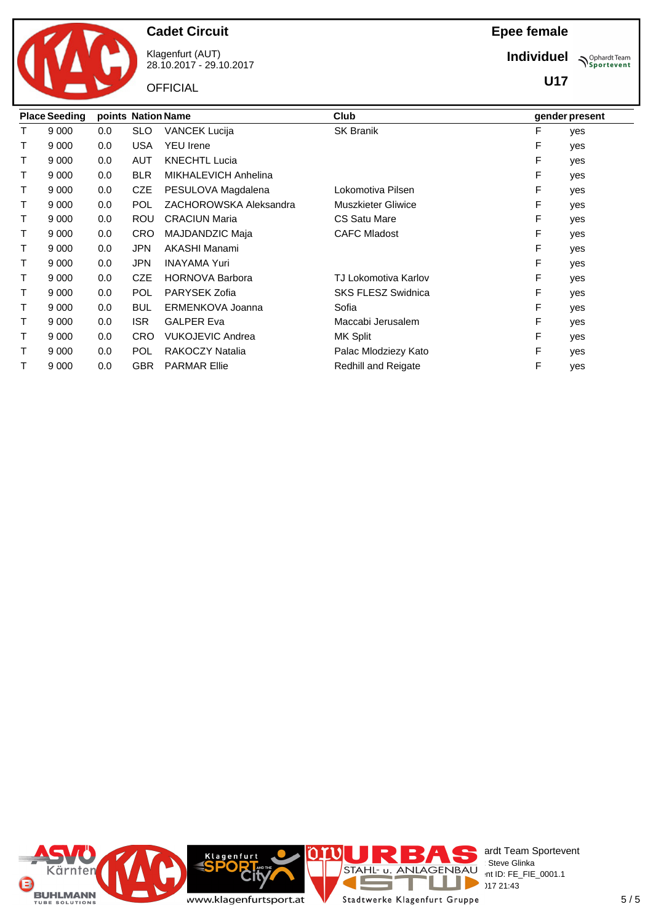Klagenfurt (AUT) 28.10.2017 - 29.10.2017

**OFFICIAL** 

#### **Epee female**

**Individuel**

**U17**

**Sportevent** 

|   | <b>Place Seeding</b> | points Nation Name |            |                         | <b>Club</b>                |   | gender present |
|---|----------------------|--------------------|------------|-------------------------|----------------------------|---|----------------|
| т | 9 0 0 0              | 0.0                | <b>SLO</b> | <b>VANCEK Lucija</b>    | <b>SK Branik</b>           | F | yes            |
| т | 9 0 0 0              | 0.0                | <b>USA</b> | <b>YEU</b> Irene        |                            | F | yes            |
| т | 9 0 0 0              | 0.0                | <b>AUT</b> | <b>KNECHTL Lucia</b>    |                            | F | yes            |
| т | 9 0 0 0              | 0.0                | <b>BLR</b> | MIKHALEVICH Anhelina    |                            | F | yes            |
| Τ | 9 0 0 0              | 0.0                | <b>CZE</b> | PESULOVA Magdalena      | Lokomotiva Pilsen          | F | yes            |
| Τ | 9 0 0 0              | 0.0                | <b>POL</b> | ZACHOROWSKA Aleksandra  | Muszkieter Gliwice         | F | yes            |
| т | 9 0 0 0              | 0.0                | ROU        | <b>CRACIUN Maria</b>    | <b>CS Satu Mare</b>        | F | yes            |
| Τ | 9 0 0 0              | 0.0                | <b>CRO</b> | MAJDANDZIC Maja         | <b>CAFC Mladost</b>        | F | yes            |
| т | 9 0 0 0              | 0.0                | <b>JPN</b> | AKASHI Manami           |                            | F | yes            |
| т | 9 0 0 0              | 0.0                | <b>JPN</b> | <b>INAYAMA Yuri</b>     |                            | F | yes            |
| Τ | 9 0 0 0              | 0.0                | <b>CZE</b> | <b>HORNOVA Barbora</b>  | TJ Lokomotiva Karlov       | F | yes            |
| Τ | 9 0 0 0              | 0.0                | <b>POL</b> | PARYSEK Zofia           | <b>SKS FLESZ Swidnica</b>  | F | yes            |
| Τ | 9 0 0 0              | 0.0                | <b>BUL</b> | ERMENKOVA Joanna        | Sofia                      | F | yes            |
| Τ | 9 0 0 0              | 0.0                | <b>ISR</b> | <b>GALPER Eva</b>       | Maccabi Jerusalem          | F | yes            |
| т | 9 0 0 0              | 0.0                | <b>CRO</b> | <b>VUKOJEVIC Andrea</b> | MK Split                   | F | yes            |
| Τ | 9 0 0 0              | 0.0                | <b>POL</b> | <b>RAKOCZY Natalia</b>  | Palac Mlodziezy Kato       | F | yes            |
| т | 9 0 0 0              | 0.0                | <b>GBR</b> | <b>PARMAR Ellie</b>     | <b>Redhill and Reigate</b> | F | yes            |
|   |                      |                    |            |                         |                            |   |                |

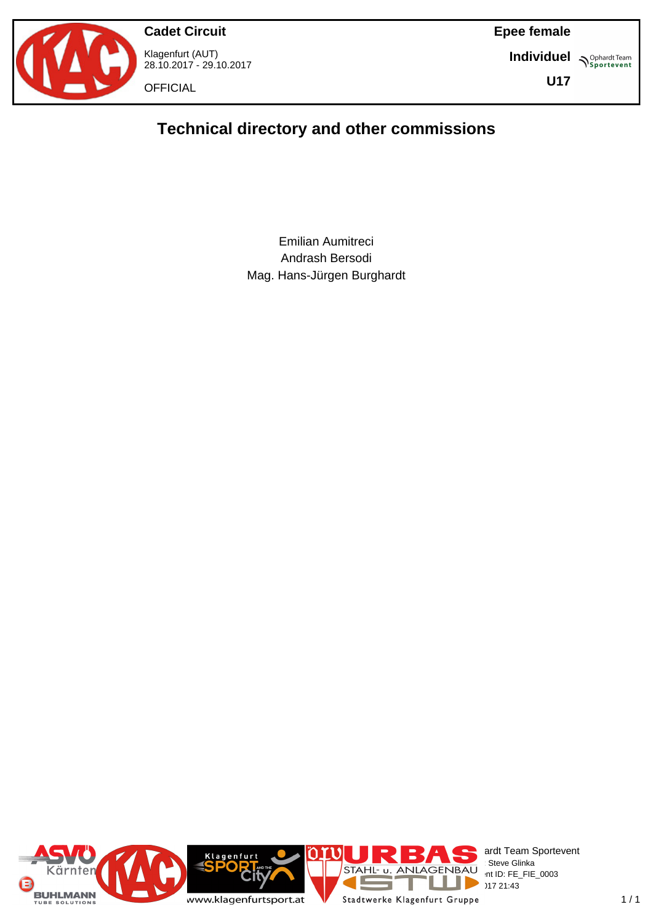

Klagenfurt (AUT) 28.10.2017 - 29.10.2017

**OFFICIAL** 

**Epee female**

**Individuel Supplemant** Team

**U17**

## **Technical directory and other commissions**

Emilian Aumitreci Andrash Bersodi Mag. Hans-Jürgen Burghardt

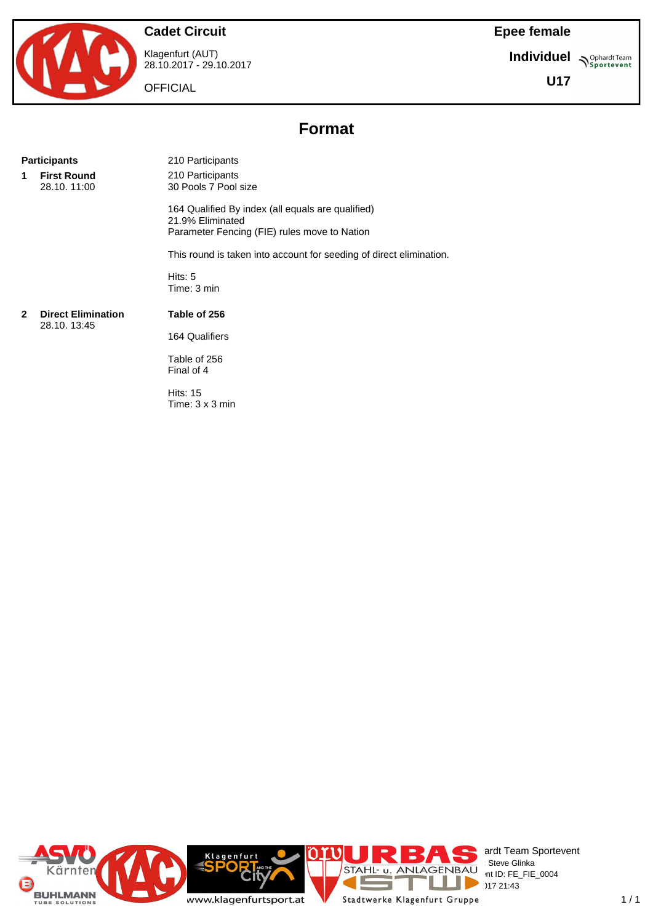

Klagenfurt (AUT) 28.10.2017 - 29.10.2017

**OFFICIAL** 

**Epee female**

**Individuel Supplement** Team

**U17**

# **Format**

#### **Participants** 210 Participants

**1 First Round** 28.10. 11:00

210 Participants 30 Pools 7 Pool size

164 Qualified By index (all equals are qualified) 21.9% Eliminated Parameter Fencing (FIE) rules move to Nation

This round is taken into account for seeding of direct elimination.

Hits: 5 Time: 3 min

#### **2 Direct Elimination** 28.10. 13:45

**Table of 256**

164 Qualifiers

Table of 256 Final of 4

Hits: 15 Time: 3 x 3 min

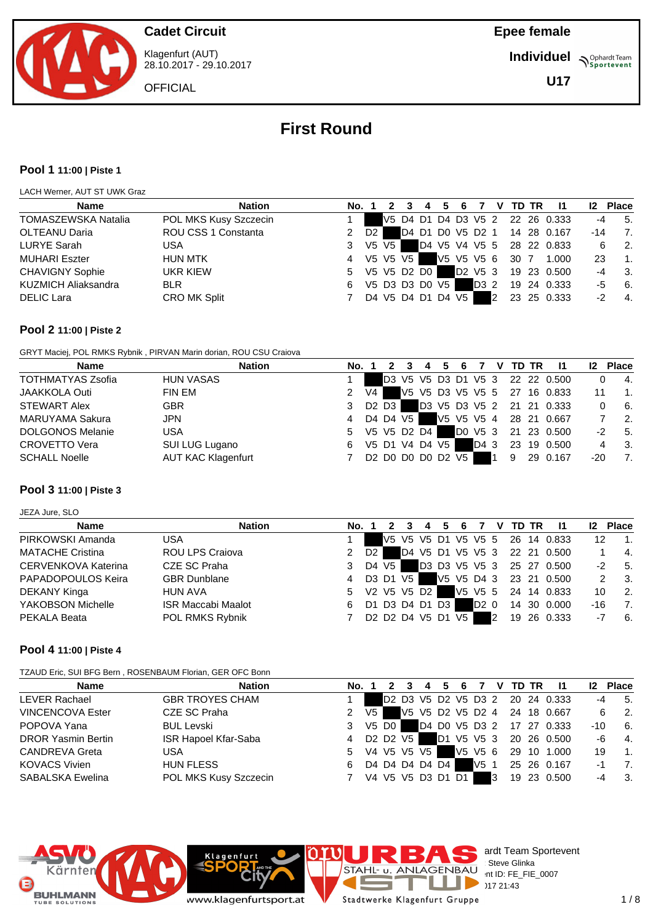

Klagenfurt (AUT) 28.10.2017 - 29.10.2017

**OFFICIAL** 

**Epee female**

**Individuel Supplemant** Team

**U17**

## **First Round**

#### **Pool 1 11:00 | Piste 1**

LACH Werner, AUT ST UWK Graz

| Name                       | <b>Nation</b>         | No. 1         |       |            |                   |         |      |   |                 | 3 4 5 6 7 V TD TR 11            | 12    | <b>Place</b>                |
|----------------------------|-----------------------|---------------|-------|------------|-------------------|---------|------|---|-----------------|---------------------------------|-------|-----------------------------|
| <b>TOMASZEWSKA Natalia</b> | POL MKS Kusy Szczecin |               |       |            |                   |         |      |   |                 | V5 D4 D1 D4 D3 V5 2 22 26 0.333 |       | $-4$ 5.                     |
| <b>OLTEANU Daria</b>       | ROU CSS 1 Constanta   | 2             | D2 I  |            |                   |         |      |   |                 | D4 D1 D0 V5 D2 1 14 28 0.167    | $-14$ | $\overline{7}$              |
| LURYE Sarah                | <b>USA</b>            | 3             | V5 V5 |            |                   |         |      |   |                 | D4 V5 V4 V5 5 28 22 0.833       | 6     | $\overline{2}$              |
| <b>MUHARI Eszter</b>       | <b>HUN MTK</b>        | 4             |       | V5 V5 V5 1 |                   |         |      |   | V5 V5 V5 6 30 7 | 1.000                           | 23    | $\overline{1}$              |
| <b>CHAVIGNY Sophie</b>     | UKR KIEW              | 5 V5 V5 D2 D0 |       |            |                   | D2 V5 3 |      |   |                 | 19 23 0.500                     | -4    | $\overline{\phantom{a}}$ 3. |
| <b>KUZMICH Aliaksandra</b> | <b>BLR</b>            | 6             |       |            | V5 D3 D3 D0 V5    |         | D3 2 |   |                 | 19 24 0.333                     | -5    | 6.                          |
| <b>DELIC Lara</b>          | CRO MK Split          | 7             |       |            | D4 V5 D4 D1 D4 V5 |         |      | 2 |                 | 23 25 0.333                     | -2    | $\overline{4}$              |

#### **Pool 2 11:00 | Piste 2**

GRYT Maciej, POL RMKS Rybnik , PIRVAN Marin dorian, ROU CSU Craiova

| <b>Name</b>                           | <b>Nation</b>             | <b>No.</b> 1 |    |          | 4                                                                                         | 5 | 6 |         | V. |   | TD TR | -11                             | 12 <sup>2</sup> | <b>Place</b>     |
|---------------------------------------|---------------------------|--------------|----|----------|-------------------------------------------------------------------------------------------|---|---|---------|----|---|-------|---------------------------------|-----------------|------------------|
| <b>TOTHMATYAS Zsofia</b>              | <b>HUN VASAS</b>          |              |    |          |                                                                                           |   |   |         |    |   |       | D3 V5 V5 D3 D1 V5 3 22 22 0.500 |                 | - 4.             |
| <b>JAAKKOLA Outi</b><br>FIN EM        |                           | 2            | V4 |          |                                                                                           |   |   |         |    |   |       | V5 V5 D3 V5 V5 5 27 16 0.833    |                 | $\overline{1}$ . |
| STEWART Alex<br><b>GBR</b>            |                           | 3            |    | D2 D3    |                                                                                           |   |   |         |    |   |       | D3 V5 D3 V5 2 21 21 0.333       |                 | - 6.             |
| <b>MARUYAMA Sakura</b><br><b>JPN</b>  |                           | 4            |    | D4 D4 V5 |                                                                                           |   |   |         |    |   |       | V5 V5 V5 4 28 21 0.667          |                 | $\overline{2}$ . |
| <b>DOLGONOS Melanie</b><br><b>USA</b> |                           | 5.           |    |          | V5 V5 D2 D4                                                                               |   |   | DO V5 3 |    |   |       | 21 23 0.500                     | -2              | 5.               |
| <b>CROVETTO Vera</b>                  | SUI LUG Lugano            | 6            |    |          | V5 D1 V4 D4 V5                                                                            |   |   | D4 3    |    |   |       | 23 19 0.500                     | 4               | - 3.             |
| <b>SCHALL Noelle</b>                  | <b>AUT KAC Klagenfurt</b> |              |    |          | D <sub>2</sub> D <sub>0</sub> D <sub>0</sub> D <sub>0</sub> D <sub>2</sub> V <sub>5</sub> |   |   |         |    | 9 |       | 29 0.167                        | $-20$           | 7.               |

#### **Pool 3 11:00 | Piste 3**

JEZA Jure, SLO

| <b>Name</b>                | <b>Nation</b>             | No. 1 |       |                   | 4 5 | - 6 |                  |   | V TD TR | - 11                            | 12            | <b>Place</b>     |
|----------------------------|---------------------------|-------|-------|-------------------|-----|-----|------------------|---|---------|---------------------------------|---------------|------------------|
| PIRKOWSKI Amanda           | USA                       |       |       |                   |     |     |                  |   |         | V5 V5 V5 D1 V5 V5 5 26 14 0.833 | 12            | $\mathbf{1}$ .   |
| <b>MATACHE Cristina</b>    | ROU LPS Craiova           |       | D2 .  |                   |     |     |                  |   |         | D4 V5 D1 V5 V5 3 22 21 0.500    |               | -4.              |
| <b>CERVENKOVA Katerina</b> | CZE SC Praha              |       | D4 V5 |                   |     |     |                  |   |         | D3 D3 V5 V5 3 25 27 0.500       | -2            | 5.               |
| PAPADOPOULOS Keira         | <b>GBR Dunblane</b>       | 4     |       | D3 D1 V5          |     |     |                  |   |         | V5 V5 D4 3 23 21 0.500          | $\mathcal{P}$ | 3.               |
| DEKANY Kinga               | <b>HUN AVA</b>            | 5.    |       | V2 V5 V5 D2       |     |     |                  |   |         | V5 V5 5 24 14 0.833             | 10            | $\overline{2}$ . |
| YAKOBSON Michelle          | <b>ISR Maccabi Maalot</b> | 6     |       | D1 D3 D4 D1 D3    |     |     | D <sub>2</sub> 0 |   |         | 14 30 0.000                     | -16           | 7.               |
| PEKALA Beata               | POL RMKS Rybnik           |       |       | D2 D2 D4 V5 D1 V5 |     |     |                  | 2 | 19      | 26 0.333                        | -7            | 6.               |

#### **Pool 4 11:00 | Piste 4**

TZAUD Eric, SUI BFG Bern , ROSENBAUM Florian, GER OFC Bonn

| <b>Name</b>               | <b>Nation</b>          | No. 1         |       |                   |  |  |                 |    | 4 5 6 7 V TD TR | - 11                            | $12 \,$ | <b>Place</b>     |
|---------------------------|------------------------|---------------|-------|-------------------|--|--|-----------------|----|-----------------|---------------------------------|---------|------------------|
| <b>LEVER Rachael</b>      | <b>GBR TROYES CHAM</b> |               |       |                   |  |  |                 |    |                 | D2 D3 V5 D2 V5 D3 2 20 24 0.333 |         | $-4$ 5.          |
| <b>VINCENCOVA Ester</b>   | CZE SC Praha           | 2             | $V_5$ |                   |  |  |                 |    |                 | V5 V5 D2 V5 D2 4 24 18 0.667    | 6       | $\overline{2}$ . |
| POPOVA Yana               | <b>BUL Levski</b>      |               |       | $V5$ DO           |  |  |                 |    |                 | D4 D0 V5 D3 2 17 27 0.333       | $-10$   | 6.               |
| <b>DROR Yasmin Bertin</b> | ISR Hapoel Kfar-Saba   | 4             |       | D2 D2 V5          |  |  |                 |    |                 | D1 V5 V5 3 20 26 0.500          | -6      | $-4.$            |
| <b>CANDREVA Greta</b>     | USA                    | 5 V4 V5 V5 V5 |       |                   |  |  |                 |    |                 | V5 V5 6 29 10 1.000             | 19      | $\overline{1}$ . |
| <b>KOVACS Vivien</b>      | <b>HUN FLESS</b>       | 6             |       | D4 D4 D4 D4 D4    |  |  | V5 <sub>1</sub> |    |                 | 25 26 0.167                     | -1      | $\overline{7}$ . |
| <b>SABALSKA Ewelina</b>   | POL MKS Kusy Szczecin  |               |       | V4 V5 V5 D3 D1 D1 |  |  |                 | Ι3 |                 | 19 23 0.500                     | -4      | 3.               |



www.klagenfurtsport.at

**Klagenfu** 

ı Stadtwerke Klagenfurt Gruppe

J.

STAHL U. ANLAGENBAU

ardt Team Sportevent

 $\begin{array}{|c|c|c|}\n\hline\n\text{JERBAU} & \text{int ID: FE\_FIE_0007}\n\hline\n\text{J17 21:43}\n\hline\n\end{array}$  $21:43$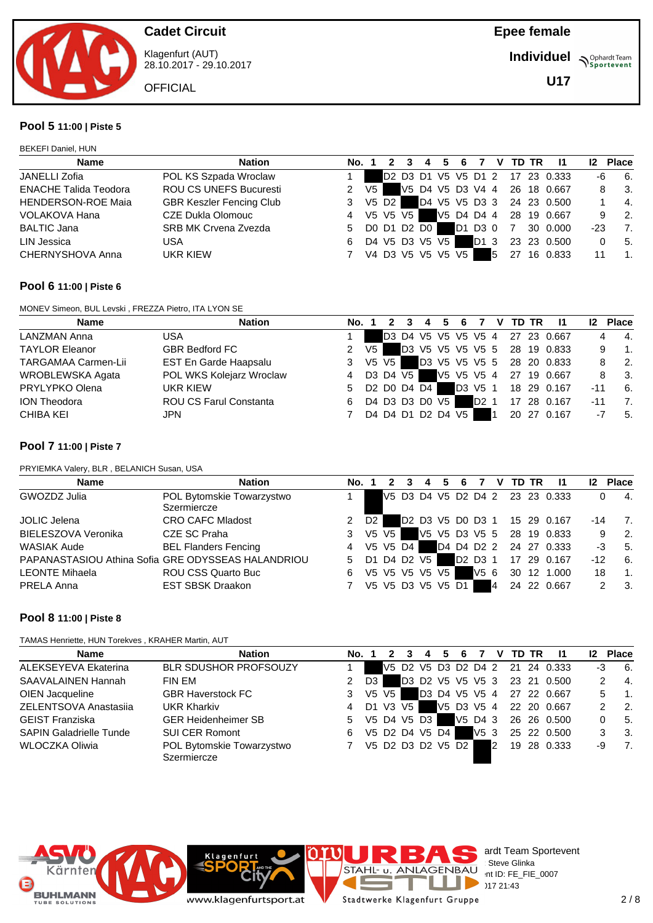

Klagenfurt (AUT) 28.10.2017 - 29.10.2017

**OFFICIAL** 

**Individuel Supplemant** Team

**U17**

#### **Pool 5 11:00 | Piste 5**

BEKEFI Daniel, HUN

| Name                         | <b>Nation</b>                   | No. 1 |                |         | 3                 |                   | 45 | 6 <sup>6</sup> |      | $\mathbf{V}$ |    | <b>TD TR</b> | -11                             | 12 <sup>2</sup> | <b>Place</b>     |
|------------------------------|---------------------------------|-------|----------------|---------|-------------------|-------------------|----|----------------|------|--------------|----|--------------|---------------------------------|-----------------|------------------|
| <b>JANELLI Zofia</b>         | POL KS Szpada Wroclaw           |       |                |         |                   |                   |    |                |      |              |    |              | D2 D3 D1 V5 V5 D1 2 17 23 0.333 | -6              | - 6.             |
| <b>ENACHE Talida Teodora</b> | <b>ROU CS UNEFS Bucuresti</b>   |       | V <sub>5</sub> |         |                   |                   |    |                |      |              |    |              | V5 D4 V5 D3 V4 4 26 18 0.667    | 8               | - 3.             |
| <b>HENDERSON-ROE Maja</b>    | <b>GBR Keszler Fencing Club</b> | 3     |                | $V5$ D2 |                   |                   |    |                |      |              |    |              | D4 V5 V5 D3 3 24 23 0.500       |                 | 4.               |
| VOLAKOVA Hana                | <b>CZE Dukla Olomouc</b>        | 4     |                |         | V5 V5 V5 <i>∎</i> |                   |    | V5 D4 D4 4     |      |              |    |              | 28 19 0.667                     |                 | $\overline{2}$ . |
| <b>BALTIC Jana</b>           | <b>SRB MK Crvena Zvezda</b>     | 5.    |                |         |                   | DO D1 D2 D0       |    | D1 D3 0 7      |      |              |    |              | 30 0.000                        | -23             | 7.               |
| <b>LIN Jessica</b>           | <b>USA</b>                      | 6     |                |         |                   | D4 V5 D3 V5 V5    |    |                | D1 3 |              |    |              | 23 23 0.500                     |                 | - 5.             |
| CHERNYSHOVA Anna             | UKR KIEW                        |       |                |         |                   | V4 D3 V5 V5 V5 V5 |    |                |      | 5            | 27 |              | 16 0.833                        |                 | $\overline{1}$ . |

#### **Pool 6 11:00 | Piste 6**

MONEV Simeon, BUL Levski , FREZZA Pietro, ITA LYON SE

| <b>Name</b>                | <b>Nation</b>                 | No. 1   |                |          |                                                             | 4 5 | $\sqrt{6}$        |       | V TD TR | $\mathbf{I}$                    | $12 \,$ | <b>Place</b>                |
|----------------------------|-------------------------------|---------|----------------|----------|-------------------------------------------------------------|-----|-------------------|-------|---------|---------------------------------|---------|-----------------------------|
| LANZMAN Anna               | <b>USA</b>                    |         |                |          |                                                             |     |                   |       |         | D3 D4 V5 V5 V5 V5 4 27 23 0.667 |         | $-4.$                       |
| <b>TAYLOR Eleanor</b>      | <b>GBR Bedford FC</b>         | 2       | V <sub>5</sub> |          |                                                             |     |                   |       |         | D3 V5 V5 V5 V5 5 28 19 0.833    |         | $\overline{1}$ .            |
| <b>TARGAMAA Carmen-Lii</b> | EST En Garde Haapsalu         | 3 V5 V5 |                |          |                                                             |     |                   |       |         | D3 V5 V5 V5 5 28 20 0.833       |         | $\overline{\phantom{a}}$ 2. |
| WROBLEWSKA Agata           | POL WKS Kolejarz Wroclaw      | 4       |                | D3 D4 V5 |                                                             |     | V5 V5 V5 4        |       |         | 27 19 0.667                     | 8       | - 3.                        |
| PRYLYPKO Olena             | UKR KIEW                      | 5       |                |          | D <sub>2</sub> D <sub>0</sub> D <sub>4</sub> D <sub>4</sub> |     | D3 V5 1           |       |         | 18 29 0.167                     | -11     | 6.                          |
| <b>ION Theodora</b>        | <b>ROU CS Farul Constanta</b> | 6       |                |          | D4 D3 D3 D0 V5                                              |     |                   | ID2_1 |         | 17 28 0.167                     | $-11$   | 7.                          |
| CHIBA KEI                  | <b>JPN</b>                    |         |                |          |                                                             |     | D4 D4 D1 D2 D4 V5 |       |         | 20 27 0.167                     | -7      | -5.                         |

#### **Pool 7 11:00 | Piste 7**

PRYIEMKA Valery, BLR , BELANICH Susan, USA

| <b>Name</b>           | <b>Nation</b>                                      | No. 1 |                |       |          | 4                 | 5 | 6                               |      | V | TD TR | -11                             | 12 <sup>2</sup> | <b>Place</b>   |
|-----------------------|----------------------------------------------------|-------|----------------|-------|----------|-------------------|---|---------------------------------|------|---|-------|---------------------------------|-----------------|----------------|
| GWOZDZ Julia          | POL Bytomskie Towarzystwo<br>Szermiercze           |       |                |       |          |                   |   |                                 |      |   |       | V5 D3 D4 V5 D2 D4 2 23 23 0.333 |                 | -4.<br>0       |
| <b>JOLIC Jelena</b>   | <b>CRO CAFC Mladost</b>                            | 2     | D <sub>2</sub> |       |          |                   |   |                                 |      |   |       | D2 D3 V5 D0 D3 1 15 29 0.167    | $-14$           | 7.             |
| BIELESZOVA Veronika   | CZE SC Praha                                       | 3     |                | V5 V5 |          |                   |   |                                 |      |   |       | V5 V5 D3 V5 5 28 19 0.833       | 9               | - 2.           |
| <b>WASIAK Aude</b>    | <b>BEL Flanders Fencing</b>                        | 4     |                |       | V5 V5 D4 |                   |   |                                 |      |   |       | D4 D4 D2 2 24 27 0.333          | -3              | 5.             |
|                       | PAPANASTASIOU Athina Sofia GRE ODYSSEAS HALANDRIOU | 5     |                |       |          | D1 D4 D2 V5       |   | D <sub>2</sub> D <sub>3</sub> 1 |      |   |       | 17 29 0.167                     | $-12$           | -6.            |
| <b>LEONTE Mihaela</b> | ROU CSS Quarto Buc                                 | 6     |                |       |          | V5 V5 V5 V5 V5    |   |                                 | V5 6 |   |       | 30 12 1.000                     | 18              | $\mathbf{1}$ . |
| PRELA Anna            | <b>EST SBSK Draakon</b>                            |       |                |       |          | V5 V5 D3 V5 V5 D1 |   |                                 |      | 4 |       | 24 22 0.667                     |                 | - 3.           |

#### **Pool 8 11:00 | Piste 8**

TAMAS Henriette, HUN Torekves , KRAHER Martin, AUT

| <b>Name</b>                    | <b>Nation</b>                            | No. 1 |    | $\overline{2}$ | - 3               | $\overline{4}$ | 5             | 6 |                 |               | 7 V TD TR | - 11                            | 12 <sup>2</sup> |    | <b>Place</b>                |
|--------------------------------|------------------------------------------|-------|----|----------------|-------------------|----------------|---------------|---|-----------------|---------------|-----------|---------------------------------|-----------------|----|-----------------------------|
| ALEKSEYEVA Ekaterina           | <b>BLR SDUSHOR PROFSOUZY</b>             |       |    |                |                   |                |               |   |                 |               |           | V5 D2 V5 D3 D2 D4 2 21 24 0.333 |                 | -3 | 6.                          |
| SAAVALAINEN Hannah             | FIN EM                                   | 2     | D3 |                |                   |                |               |   |                 |               |           | D3 D2 V5 V5 V5 3 23 21 0.500    |                 |    | $\overline{4}$              |
| OIEN Jacqueline                | <b>GBR Haverstock FC</b>                 | 3     |    | V5 V5          |                   |                | D3 D4 V5 V5 4 |   |                 |               |           | 27 22 0.667                     |                 | 5  | $\overline{1}$              |
| ZELENTSOVA Anastasija          | <b>UKR Kharkiv</b>                       | 4     |    |                | D1 V3 V5 1        |                | V5 D3 V5 4    |   |                 |               |           | 22 20 0.667                     |                 |    | $\overline{\phantom{0}}$ 2. |
| <b>GEIST Franziska</b>         | <b>GER Heidenheimer SB</b>               |       |    |                | 5 V5 D4 V5 D3     |                |               |   | V5 D4 3         |               |           | 26 26 0.500                     |                 |    | 5.                          |
| <b>SAPIN Galadrielle Tunde</b> | <b>SUI CER Romont</b>                    | 6     |    |                | V5 D2 D4 V5 D4    |                |               |   | V5 <sub>3</sub> |               |           | 25 22 0.500                     |                 | 3  | 3 <sub>1</sub>              |
| <b>WLOCZKA Oliwia</b>          | POL Bytomskie Towarzystwo<br>Szermiercze |       |    |                | V5 D2 D3 D2 V5 D2 |                |               |   |                 | $\mathbf{12}$ |           | 19 28 0.333                     |                 | -9 | $\overline{7}$              |



www.klagenfurtsport.at

Klagenfurt

П Stadtwerke Klagenfurt Gruppe

a.

ardt Team Sportevent<br>: Steve Glinka

**License:** Steve Glinka  $P^{\sim}$  nt ID: FE\_FIE\_0007

 $21:43$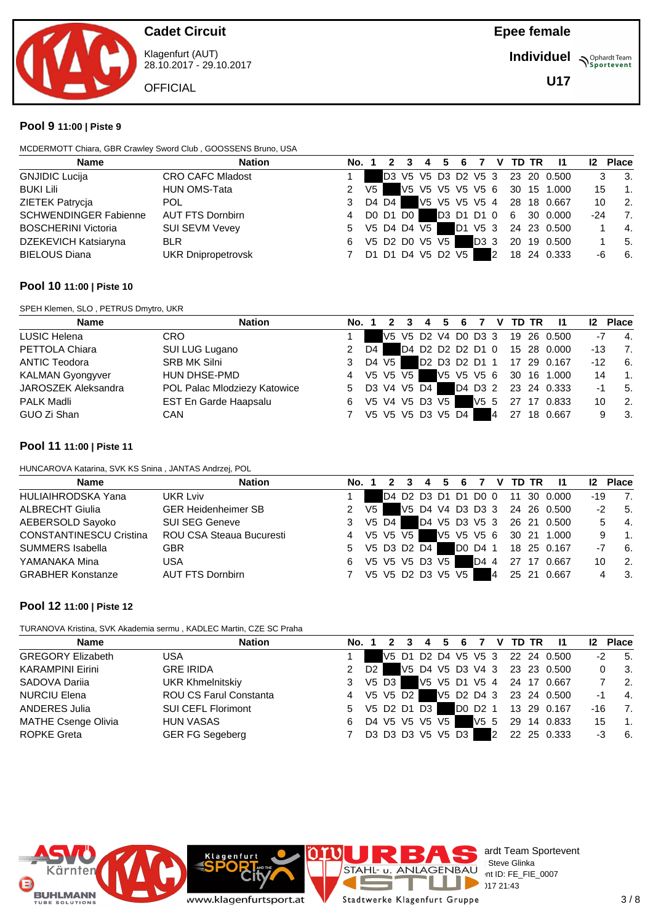

Klagenfurt (AUT) 28.10.2017 - 29.10.2017

**OFFICIAL** 

**Individuel Supplemant** Team

**U17**

#### **Pool 9 11:00 | Piste 9**

MCDERMOTT Chiara, GBR Crawley Sword Club , GOOSSENS Bruno, USA

| <b>Nation</b>             |    |       |                | 4     | 5        | -6          |                |                   |           |                                     | -11 | 12 <sup>2</sup>                                                                                                                                          | <b>Place</b>                |
|---------------------------|----|-------|----------------|-------|----------|-------------|----------------|-------------------|-----------|-------------------------------------|-----|----------------------------------------------------------------------------------------------------------------------------------------------------------|-----------------------------|
| <b>CRO CAFC Mladost</b>   |    |       |                |       |          |             |                |                   |           |                                     |     | 3                                                                                                                                                        | - 3.                        |
| <b>HUN OMS-Tata</b>       | 2  |       |                |       |          |             |                |                   |           |                                     |     | 15                                                                                                                                                       | $\overline{1}$ .            |
| <b>POL</b>                | 3  |       |                |       |          |             |                |                   |           |                                     |     | 10                                                                                                                                                       | $\overline{\phantom{a}}$ 2. |
| <b>AUT FTS Dornbirn</b>   | 4  |       |                |       |          |             |                |                   |           |                                     |     | -24                                                                                                                                                      | -7.                         |
| <b>SUI SEVM Vevey</b>     | 5. |       |                |       |          |             |                |                   |           |                                     |     |                                                                                                                                                          | -4.                         |
| <b>BLR</b>                | 6  |       |                |       |          |             |                |                   |           |                                     |     |                                                                                                                                                          | -5.                         |
| <b>UKR Dnipropetrovsk</b> |    |       |                |       |          |             |                |                   |           |                                     |     | -6                                                                                                                                                       | - 6.                        |
|                           |    | No. 1 | V <sub>5</sub> | D4 D4 | DO D1 D0 | V5 D4 D4 V5 | V5 D2 D0 V5 V5 | D1 D1 D4 V5 D2 V5 | D3 3<br>2 | V.<br>V5 V5 V5 V5 4<br>D3 D1 D1 0 6 |     | TD TR<br>D3 V5 V5 D3 D2 V5 3 23 20 0.500<br>V5 V5 V5 V5 V5 6 30 15 1.000<br>28 18 0.667<br>30 0.000<br>D1 V5 3 24 23 0.500<br>20 19 0.500<br>18 24 0.333 |                             |

#### **Pool 10 11:00 | Piste 10**

SPEH Klemen, SLO , PETRUS Dmytro, UKR

| <b>Name</b>             | <b>Nation</b>                | No. 1 |      |          |                   | 4 5 | 6 | $\overline{7}$ |   | V TD TR | -11                             | 12 <sup>2</sup> | <b>Place</b>     |
|-------------------------|------------------------------|-------|------|----------|-------------------|-----|---|----------------|---|---------|---------------------------------|-----------------|------------------|
| LUSIC Helena            | <b>CRO</b>                   |       |      |          |                   |     |   |                |   |         | V5 V5 D2 V4 D0 D3 3 19 26 0.500 | -7              | $\overline{4}$ . |
| PETTOLA Chiara          | SUI LUG Lugano               | 2     | D4 I |          |                   |     |   |                |   |         | D4 D2 D2 D2 D1 0 15 28 0.000    | $-13$           | 7.               |
| <b>ANTIC Teodora</b>    | <b>SRB MK Silni</b>          | 3     |      | D4 V5 I  |                   |     |   |                |   |         | D2 D3 D2 D1 1 17 29 0.167       | -12             | - 6.             |
| <b>KALMAN Gyongyver</b> | HUN DHSE-PMD                 | 4     |      | V5 V5 V5 |                   |     |   |                |   |         | V5 V5 V5 6 30 16 1.000          | 14              | $\overline{1}$ . |
| JAROSZEK Aleksandra     | POL Palac Mlodziezy Katowice | 5     |      |          | D3 V4 V5 D4       |     |   |                |   |         | D4 D3 2 23 24 0.333             | -1              | -5.              |
| PALK Madli              | EST En Garde Haapsalu        | 6     |      |          | V5 V4 V5 D3 V5    |     |   | V5 5           |   |         | 27 17 0.833                     | 10              | -2.              |
| GUO Zi Shan             | <b>CAN</b>                   |       |      |          | V5 V5 V5 D3 V5 D4 |     |   |                | 4 | 27      | 18 0.667                        |                 | - 3.             |

#### **Pool 11 11:00 | Piste 11**

HUNCAROVA Katarina, SVK KS Snina , JANTAS Andrzej, POL

| <b>Name</b>                    | <b>Nation</b>              | No. 1 |      |                |  | 4 5 6             |         |   | 7 V TD TR | -11                             |      | <b>Place</b>     |
|--------------------------------|----------------------------|-------|------|----------------|--|-------------------|---------|---|-----------|---------------------------------|------|------------------|
| <b>HULIAIHRODSKA Yana</b>      | UKR Lviv                   |       |      |                |  |                   |         |   |           | D4 D2 D3 D1 D1 D0 0 11 30 0.000 | -19  | 7.               |
| <b>ALBRECHT Giulia</b>         | <b>GER Heidenheimer SB</b> | 2     | V5 I |                |  |                   |         |   |           | V5 D4 V4 D3 D3 3 24 26 0.500    | $-2$ | 5.               |
| AEBERSOLD Sayoko               | <b>SUI SEG Geneve</b>      | 3     |      | $V5$ D4        |  |                   |         |   |           | D4 V5 D3 V5 3 26 21 0.500       | 5.   | $-4.$            |
| <b>CONSTANTINESCU Cristina</b> | ROU CSA Steaua Bucuresti   | 4     |      | V5 V5 V5 I     |  |                   |         |   |           | V5 V5 V5 6 30 21 1.000          | 9    | $\overline{1}$ . |
| SUMMERS Isabella               | <b>GBR</b>                 | 5     |      | V5 D3 D2 D4    |  |                   | D0 D4 1 |   |           | 18 25 0.167                     | -7   | - 6.             |
| YAMANAKA Mina                  | USA                        | 6     |      | V5 V5 V5 D3 V5 |  |                   | D4 4    |   | 27        | 17 0.667                        | 10   | $\overline{2}$ . |
| <b>GRABHER Konstanze</b>       | AUT FTS Dornbirn           |       |      |                |  | V5 V5 D2 D3 V5 V5 |         | 4 | 25 21     | 0.667                           | 4    | 3.               |

#### **Pool 12 11:00 | Piste 12**

TURANOVA Kristina, SVK Akademia sermu , KADLEC Martin, CZE SC Praha

| <b>Name</b>                | <b>Nation</b>                 | No. 1         |                | $\overline{2}$ |                   |  |      |                | 3 4 5 6 7 V TD TR | - 11                            | 12 <sup>2</sup> | <b>Place</b>                |
|----------------------------|-------------------------------|---------------|----------------|----------------|-------------------|--|------|----------------|-------------------|---------------------------------|-----------------|-----------------------------|
| <b>GREGORY Elizabeth</b>   | <b>USA</b>                    |               |                |                |                   |  |      |                |                   | V5 D1 D2 D4 V5 V5 3 22 24 0.500 | $-2$            | 5.                          |
| <b>KARAMPINI Eirini</b>    | <b>GRE IRIDA</b>              |               | D <sub>2</sub> |                |                   |  |      |                |                   | V5 D4 V5 D3 V4 3 23 23 0.500    | 0               | $\overline{\phantom{a}}$ 3. |
| SADOVA Darija              | <b>UKR Khmelnitskiy</b>       | 3             |                | V5 D3 I        |                   |  |      |                |                   | V5 V5 D1 V5 4 24 17 0.667       |                 | $\overline{\phantom{a}}$ 2. |
| <b>NURCIU Elena</b>        | <b>ROU CS Farul Constanta</b> | 4 V5 V5 D2    |                |                |                   |  |      |                |                   | V5 D2 D4 3 23 24 0.500          | $-1$            | $\overline{4}$              |
| <b>ANDERES Julia</b>       | SUI CEFL Florimont            | 5 V5 D2 D1 D3 |                |                |                   |  |      |                |                   | DO D2 1 13 29 0.167             | -16             | $\overline{7}$ .            |
| <b>MATHE Csenge Olivia</b> | <b>HUN VASAS</b>              | 6             |                |                | D4 V5 V5 V5 V5    |  | V5 5 |                |                   | 29 14 0.833                     | 15              | $\overline{1}$              |
| <b>ROPKE Greta</b>         | <b>GER FG Segeberg</b>        |               |                |                | D3 D3 D3 V5 V5 D3 |  |      | $\overline{2}$ |                   | 22 25 0.333                     | -3              | 6.                          |





Klagenfurt



ı ÷.

ardt Team Sportevent<br>: Steve Glinka

**License:** Steve Glinka  $P^{\sim}$  nt ID: FE\_FIE\_0007

 $21:43$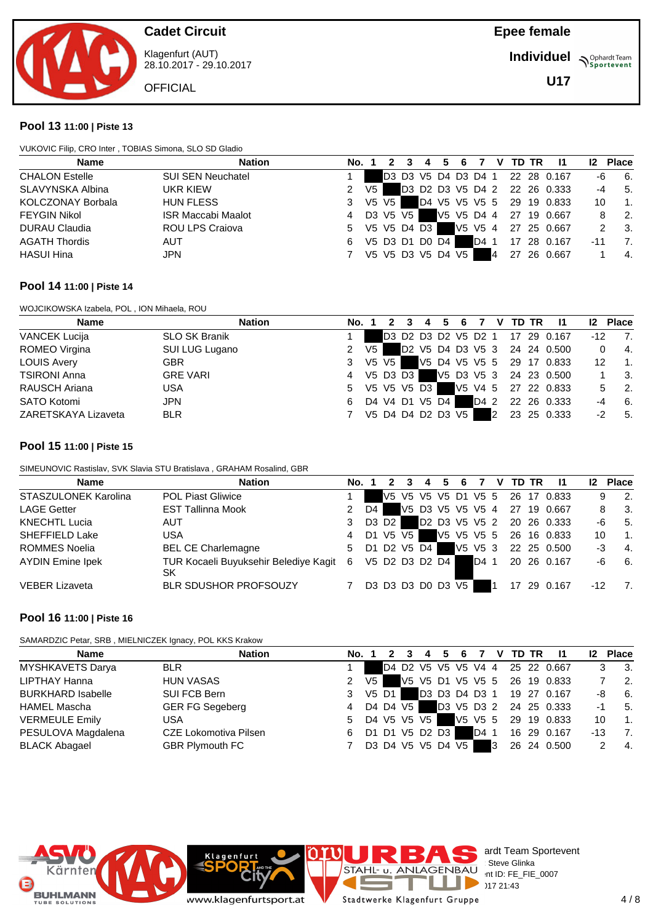

Klagenfurt (AUT) 28.10.2017 - 29.10.2017

**OFFICIAL** 

**Individuel Supplemant** Team

**U17**

#### **Pool 13 11:00 | Piste 13**

VUKOVIC Filip, CRO Inter , TOBIAS Simona, SLO SD Gladio

| <b>Name</b>              | <b>Nation</b>             | No. 1 |      |       |          |             | 4 5               | $-6$ |      | $\mathsf{v}$ | TD TR | -11                             | 12 <sup>2</sup> | <b>Place</b>     |
|--------------------------|---------------------------|-------|------|-------|----------|-------------|-------------------|------|------|--------------|-------|---------------------------------|-----------------|------------------|
| <b>CHALON Estelle</b>    | <b>SUI SEN Neuchatel</b>  |       |      |       |          |             |                   |      |      |              |       | D3 D3 V5 D4 D3 D4 1 22 28 0.167 | -6              | 6.               |
| SLAVYNSKA Albina         | UKR KIEW                  | 2     | V5 I |       |          |             |                   |      |      |              |       | D3 D2 D3 V5 D4 2 22 26 0.333    | $-4$            | 5.               |
| <b>KOLCZONAY Borbala</b> | <b>HUN FLESS</b>          | 3     |      | V5 V5 |          |             |                   |      |      |              |       | D4 V5 V5 V5 5 29 19 0.833       | 10              | $\overline{1}$ . |
| <b>FEYGIN Nikol</b>      | <b>ISR Maccabi Maalot</b> | 4     |      |       | D3 V5 V5 |             |                   |      |      |              |       | V5 V5 D4 4 27 19 0.667          |                 | $\overline{2}$ . |
| DURAU Claudia            | ROU LPS Craiova           | 5     |      |       |          | V5 V5 D4 D3 |                   |      |      |              |       | V5 V5 4 27 25 0.667             |                 | - 3.             |
| <b>AGATH Thordis</b>     | <b>AUT</b>                | 6.    |      |       |          |             | V5 D3 D1 D0 D4    |      | D4 1 |              |       | 17 28 0.167                     | -11             | 7.               |
| <b>HASUI Hina</b>        | <b>JPN</b>                |       |      |       |          |             | V5 V5 D3 V5 D4 V5 |      |      | 4            |       | 27 26 0.667                     |                 | 4.               |
|                          |                           |       |      |       |          |             |                   |      |      |              |       |                                 |                 |                  |

#### **Pool 14 11:00 | Piste 14**

WOJCIKOWSKA Izabela, POL , ION Mihaela, ROU

| <b>Name</b>          | <b>Nation</b>        | No. 1         |      | $\mathbf{z}$ |            |                   | 4 5 | $-6$ | $\overline{7}$ |   | V TD TR | $\mathbf{I}$                    | 12   | <b>Place</b>     |
|----------------------|----------------------|---------------|------|--------------|------------|-------------------|-----|------|----------------|---|---------|---------------------------------|------|------------------|
| <b>VANCEK Lucija</b> | <b>SLO SK Branik</b> |               |      |              |            |                   |     |      |                |   |         | D3 D2 D3 D2 V5 D2 1 17 29 0.167 | -12  | -7.              |
| ROMEO Virgina        | SUI LUG Lugano       |               | V5 I |              |            |                   |     |      |                |   |         | D2 V5 D4 D3 V5 3 24 24 0.500    |      | - 4.             |
| <b>LOUIS Avery</b>   | <b>GBR</b>           | 3 V5 V5       |      |              |            |                   |     |      |                |   |         | V5 D4 V5 V5 5 29 17 0.833       | 12   | $\overline{1}$ . |
| <b>TSIRONI Anna</b>  | <b>GRE VARI</b>      | 4             |      |              | V5 D3 D3 I |                   |     |      |                |   |         | V5 D3 V5 3 24 23 0.500          |      | - 3.             |
| RAUSCH Ariana        | <b>USA</b>           | 5 V5 V5 V5 D3 |      |              |            |                   |     |      |                |   |         | V5 V4 5 27 22 0.833             |      | $\overline{2}$ . |
| <b>SATO Kotomi</b>   | <b>JPN</b>           | 6             |      |              |            | D4 V4 D1 V5 D4    |     |      | D4 2           |   |         | 22 26 0.333                     | -4   | - 6.             |
| ZARETSKAYA Lizaveta  | <b>BLR</b>           |               |      |              |            | V5 D4 D4 D2 D3 V5 |     |      |                | 2 |         | 23 25 0.333                     | $-2$ | - 5.             |

#### **Pool 15 11:00 | Piste 15**

SIMEUNOVIC Rastislav, SVK Slavia STU Bratislava , GRAHAM Rosalind, GBR

| <b>Name</b>             | <b>Nation</b>                                      | No. 1         |         |            | 4                 | 5 | 6 |            | v |    | <b>TD TR</b> | $\mathbf{I}$                    | 12 <sup>2</sup> | <b>Place</b>     |
|-------------------------|----------------------------------------------------|---------------|---------|------------|-------------------|---|---|------------|---|----|--------------|---------------------------------|-----------------|------------------|
| STASZULONEK Karolina    | <b>POL Piast Gliwice</b>                           |               |         |            |                   |   |   |            |   |    |              | V5 V5 V5 V5 D1 V5 5 26 17 0.833 | 9               | - 2.             |
| <b>LAGE Getter</b>      | <b>EST Tallinna Mook</b>                           | $\mathcal{P}$ | D4      |            |                   |   |   |            |   |    |              | V5 D3 V5 V5 V5 4 27 19 0.667    | 8               | - 3.             |
| <b>KNECHTL Lucia</b>    | <b>AUT</b>                                         | 3             | D3 D2 I |            |                   |   |   |            |   |    |              | D2 D3 V5 V5 2 20 26 0.333       | -6              | 5.               |
| <b>SHEFFIELD Lake</b>   | <b>USA</b>                                         | 4             |         | D1 V5 V5 I |                   |   |   | V5 V5 V5 5 |   |    |              | 26 16 0.833                     | 10              | $\overline{1}$ . |
| <b>ROMMES Noelia</b>    | <b>BEL CE Charlemagne</b>                          | 5             |         |            | D1 D2 V5 D4       |   |   | V5 V5 3    |   |    |              | 22 25 0.500                     | -3              | 4.               |
| <b>AYDIN Emine Ipek</b> | TUR Kocaeli Buyuksehir Belediye Kagit<br><b>SK</b> | -6            |         |            | V5 D2 D3 D2 D4    |   |   | D4 1       |   |    |              | 20 26 0.167                     | -6              | 6.               |
| <b>VEBER Lizaveta</b>   | <b>BLR SDUSHOR PROFSOUZY</b>                       |               |         |            | D3 D3 D3 D0 D3 V5 |   |   |            |   | 17 |              | 29 0.167                        | $-12$           | 7.               |

#### **Pool 16 11:00 | Piste 16**

SAMARDZIC Petar, SRB , MIELNICZEK Ignacy, POL KKS Krakow

| <b>Name</b>              | <b>Nation</b>                | No. 1 |     |            | -3 | 4                 | 5 6 | $\mathbf{7}$ |   | V TD TR | - 11                            | 12 <sup>12</sup> | <b>Place</b>                |
|--------------------------|------------------------------|-------|-----|------------|----|-------------------|-----|--------------|---|---------|---------------------------------|------------------|-----------------------------|
| MYSHKAVETS Darya         | <b>BLR</b>                   |       |     |            |    |                   |     |              |   |         | D4 D2 V5 V5 V5 V4 4 25 22 0.667 |                  | - 3.<br>3                   |
| LIPTHAY Hanna            | <b>HUN VASAS</b>             | 2     | V5. |            |    |                   |     |              |   |         | V5 V5 D1 V5 V5 5 26 19 0.833    |                  | - 2.                        |
| <b>BURKHARD Isabelle</b> | SUI FCB Bern                 | 3     |     | V5 D1 I    |    |                   |     |              |   |         | D3 D3 D4 D3 1 19 27 0.167       | -8               | 6.                          |
| HAMEL Mascha             | <b>GER FG Segeberg</b>       | 4     |     | D4 D4 V5 I |    |                   |     |              |   |         | D3 V5 D3 2 24 25 0.333          | $-1$             | 5.                          |
| <b>VERMEULE Emily</b>    | <b>USA</b>                   | 5     |     |            |    | D4 V5 V5 V5       |     |              |   |         | V5 V5 5 29 19 0.833             | 10               | $\overline{\phantom{a}}$ 1. |
| PESULOVA Magdalena       | <b>CZE Lokomotiva Pilsen</b> | 6     |     |            |    | D1 D1 V5 D2 D3    |     | D4 1         |   |         | 16 29 0.167                     | -13              | -7.                         |
| <b>BLACK Abagael</b>     | <b>GBR Plymouth FC</b>       |       |     |            |    | D3 D4 V5 V5 D4 V5 |     |              | 3 |         | 26 24 0.500                     |                  | - 4.                        |

Klagenfurt

www.klagenfurtsport.at



ardt Team Sportevent<br>: Steve Glinka **License:** Steve Glinka  $P^{\sim}$  nt ID: FE\_FIE\_0007  $21:43$ Stadtwerke Klagenfurt Gruppe

П J.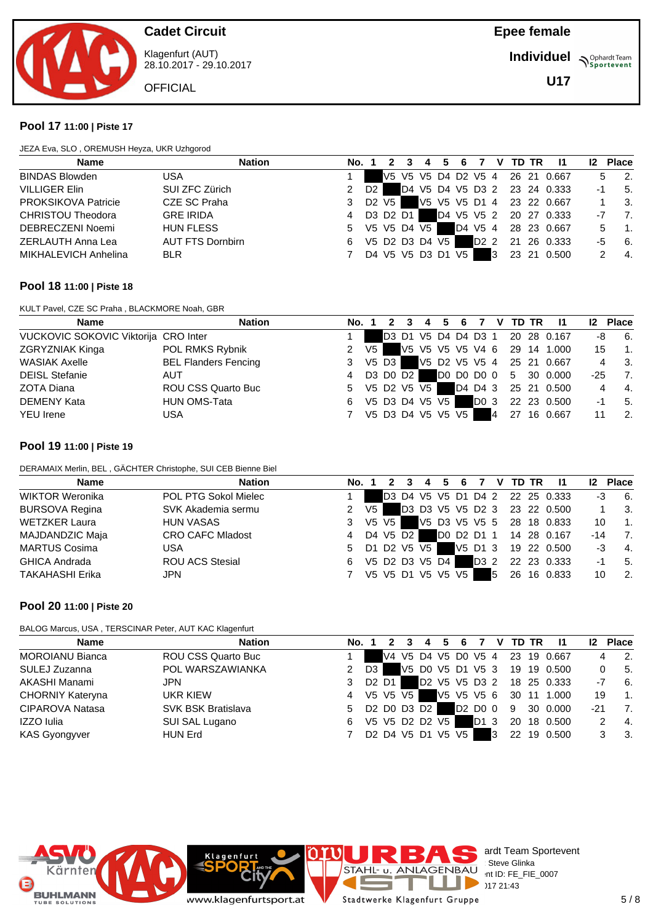

Klagenfurt (AUT) 28.10.2017 - 29.10.2017

**OFFICIAL** 

**Individuel Supplemant** Team

**U17**

#### **Pool 17 11:00 | Piste 17**

JEZA Eva, SLO , OREMUSH Heyza, UKR Uzhgorod

| Name                       | <b>Nation</b>           | No. 1         |          | $\mathbf{z}$ | 3 | 4 5               |  | 67 |   | V TD TR | $\mathbf{I}$                    | 12 <sup>2</sup> | <b>Place</b> |                  |
|----------------------------|-------------------------|---------------|----------|--------------|---|-------------------|--|----|---|---------|---------------------------------|-----------------|--------------|------------------|
| <b>BINDAS Blowden</b>      | USA                     |               |          |              |   |                   |  |    |   |         | V5 V5 V5 D4 D2 V5 4 26 21 0.667 |                 | 5.           | $\overline{2}$ . |
| <b>VILLIGER Elin</b>       | SUI ZFC Zürich          | $\mathcal{P}$ | D2 I     |              |   |                   |  |    |   |         | D4 V5 D4 V5 D3 2 23 24 0.333    | -1              |              | 5.               |
| <b>PROKSIKOVA Patricie</b> | CZE SC Praha            | 3             | D2 V5 1  |              |   |                   |  |    |   |         | V5 V5 V5 D1 4 23 22 0.667       |                 |              | - 3.             |
| <b>CHRISTOU Theodora</b>   | <b>GRE IRIDA</b>        | 4             | D3 D2 D1 |              |   |                   |  |    |   |         | D4 V5 V5 2 20 27 0.333          | -7              |              | $\overline{7}$ . |
| DEBRECZENI Noemi           | <b>HUN FLESS</b>        | 5 V5 V5 D4 V5 |          |              |   |                   |  |    |   |         | D4 V5 4 28 23 0.667             |                 | 5.           | $\overline{1}$ . |
| ZERLAUTH Anna Lea          | <b>AUT FTS Dornbirn</b> | 6             |          |              |   | V5 D2 D3 D4 V5    |  |    |   |         | D <sub>2</sub> 2 21 26 0.333    | -5              |              | 6.               |
| MIKHALEVICH Anhelina       | <b>BLR</b>              |               |          |              |   | D4 V5 V5 D3 D1 V5 |  |    | 3 |         | 23 21 0.500                     |                 |              | 4.               |

#### **Pool 18 11:00 | Piste 18**

KULT Pavel, CZE SC Praha , BLACKMORE Noah, GBR

| <b>Name</b>                          | <b>Nation</b>               | No. 1 |                |                   |  | 4 5 | $\sim$ 6 $^{-1}$ |                  |   |    | V TD TR | - 11                            |                | <b>Place</b>     |
|--------------------------------------|-----------------------------|-------|----------------|-------------------|--|-----|------------------|------------------|---|----|---------|---------------------------------|----------------|------------------|
| VUCKOVIC SOKOVIC Viktorija CRO Inter |                             |       |                |                   |  |     |                  |                  |   |    |         | D3 D1 V5 D4 D4 D3 1 20 28 0.167 | -8             | 6.               |
| ZGRYZNIAK Kinga                      | POL RMKS Rybnik             |       | V <sub>5</sub> |                   |  |     |                  |                  |   |    |         | V5 V5 V5 V5 V4 6 29 14 1.000    | 15             | $\overline{1}$ . |
| <b>WASIAK Axelle</b>                 | <b>BEL Flanders Fencing</b> | 3     |                | V5 D3 I           |  |     |                  |                  |   |    |         | V5 D2 V5 V5 4 25 21 0.667       | $\overline{4}$ | 3.               |
| <b>DEISL Stefanie</b>                | <b>AUT</b>                  | 4     |                | D3 D0 D2          |  |     |                  |                  |   |    |         | D0 D0 D0 0 5 30 0.000           | $-25$          | $\overline{7}$ . |
| <b>ZOTA Diana</b>                    | ROU CSS Quarto Buc          |       |                | 5 V5 D2 V5 V5     |  |     |                  |                  |   |    |         | D4 D4 3 25 21 0.500             | 4              | $-4.$            |
| DEMENY Kata                          | HUN OMS-Tata                | 6     |                | V5 D3 D4 V5 V5    |  |     |                  | D <sub>0</sub> 3 |   |    |         | 22 23 0.500                     | -1             | - 5.             |
| <b>YEU</b> Irene                     | USA                         |       |                | V5 D3 D4 V5 V5 V5 |  |     |                  |                  | 4 | 27 |         | 16 0.667                        | 11             | 2.               |

#### **Pool 19 11:00 | Piste 19**

DERAMAIX Merlin, BEL , GÄCHTER Christophe, SUI CEB Bienne Biel

| <b>Name</b>            | <b>Nation</b>           | No. 1 |                |                   |  | 4 5 | 6 | $\overline{7}$ |   | V TD TR | -11                             | 12 <sup>2</sup> | <b>Place</b>     |
|------------------------|-------------------------|-------|----------------|-------------------|--|-----|---|----------------|---|---------|---------------------------------|-----------------|------------------|
| <b>WIKTOR Weronika</b> | POL PTG Sokol Mielec    |       |                |                   |  |     |   |                |   |         | D3 D4 V5 V5 D1 D4 2 22 25 0.333 | -3              | 6.               |
| <b>BURSOVA Regina</b>  | SVK Akademia sermu      | 2     | V <sub>5</sub> |                   |  |     |   |                |   |         | D3 D3 V5 V5 D2 3 23 22 0.500    |                 | - 3.             |
| <b>WETZKER Laura</b>   | <b>HUN VASAS</b>        | 3     |                | V5 V5 I           |  |     |   |                |   |         | V5 D3 V5 V5 5 28 18 0.833       | 10              | $\overline{1}$ . |
| MAJDANDZIC Maja        | <b>CRO CAFC Mladost</b> | 4     |                | D4 V5 D2 I        |  |     |   |                |   |         | D0 D2 D1 1 14 28 0.167          | $-14$           | 7.               |
| <b>MARTUS Cosima</b>   | USA                     | 5     |                | D1 D2 V5 V5       |  |     |   |                |   |         | V5 D1 3 19 22 0.500             | -3              | - 4.             |
| <b>GHICA Andrada</b>   | <b>ROU ACS Stesial</b>  | 6     |                | V5 D2 D3 V5 D4    |  |     |   | D3 2           |   |         | 22 23 0.333                     | -1              | -5.              |
| <b>TAKAHASHI Erika</b> | <b>JPN</b>              |       |                | V5 V5 D1 V5 V5 V5 |  |     |   |                | 5 |         | 26 16 0.833                     | 10              | -2.              |

#### **Pool 20 11:00 | Piste 20**

BALOG Marcus, USA , TERSCINAR Peter, AUT KAC Klagenfurt

| <b>Name</b>             | <b>Nation</b>      | No. 1              |       |                   |  |      |   |  | 2 3 4 5 6 7 V TD TR 11          | 12 <sup>2</sup> | <b>Place</b>                                  |  |
|-------------------------|--------------------|--------------------|-------|-------------------|--|------|---|--|---------------------------------|-----------------|-----------------------------------------------|--|
| <b>MOROIANU Bianca</b>  | ROU CSS Quarto Buc |                    |       |                   |  |      |   |  | V4 V5 D4 V5 D0 V5 4 23 19 0.667 |                 | $\overline{\phantom{0}}$ 2.<br>$\overline{4}$ |  |
| SULEJ Zuzanna           | POL WARSZAWIANKA   | $2$ D <sub>3</sub> |       |                   |  |      |   |  | V5 D0 V5 D1 V5 3 19 19 0.500    |                 | 5.<br>$\Omega$                                |  |
| AKASHI Manami           | <b>JPN</b>         | 3                  | D2 D1 |                   |  |      |   |  | D2 V5 V5 D3 2 18 25 0.333       |                 | $-7$ 6.                                       |  |
| <b>CHORNIY Kateryna</b> | UKR KIEW           | 4 V5 V5 V5         |       |                   |  |      |   |  | V5 V5 V5 6 30 11 1.000          | 19              | $\blacksquare$ 1                              |  |
| CIPAROVA Natasa         | SVK BSK Bratislava | 5 D2 D0 D3 D2      |       |                   |  |      |   |  | D2 D0 0 9 30 0.000              | $-21$           | $\overline{7}$                                |  |
| IZZO Iulia              | SUI SAL Lugano     | 6.                 |       | V5 V5 D2 D2 V5    |  | D1 3 |   |  | 20 18 0.500                     |                 | $\overline{4}$                                |  |
| KAS Gyongyver           | <b>HUN Erd</b>     |                    |       | D2 D4 V5 D1 V5 V5 |  |      | 3 |  | 22 19 0.500                     |                 | 3 <sub>o</sub>                                |  |





Klagenfurt



J.

ardt Team Sportevent<br>: Steve Glinka

**License:** Steve Glinka  $P^{\sim}$  nt ID: FE\_FIE\_0007

 $21:43$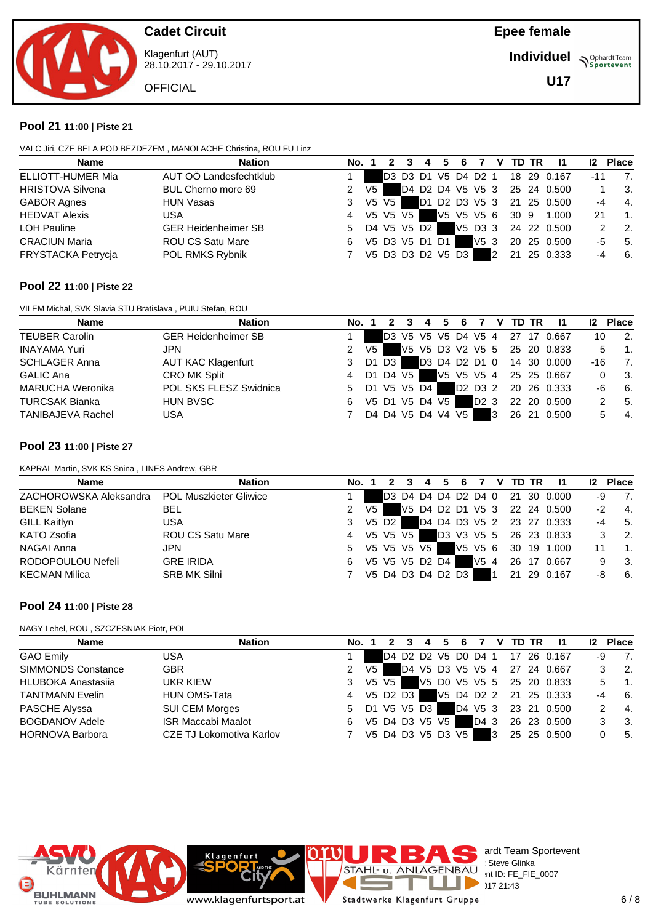

Klagenfurt (AUT) 28.10.2017 - 29.10.2017

**OFFICIAL** 

**Individuel Supplemant** Team

**U17**

#### **Pool 21 11:00 | Piste 21**

VALC Jiri, CZE BELA POD BEZDEZEM , MANOLACHE Christina, ROU FU Linz

| <b>Name</b>               | <b>Nation</b>              | No. 1 |        | $2^{\circ}$       | $\mathbf{3}$ |  |                     |                | 4 5 6 7 V TD TR | $\mathbf{I}$                 | 12 <sup>2</sup> | <b>Place</b>             |
|---------------------------|----------------------------|-------|--------|-------------------|--------------|--|---------------------|----------------|-----------------|------------------------------|-----------------|--------------------------|
| <b>ELLIOTT-HUMER Mia</b>  | AUT OÖ Landesfechtklub     |       |        |                   |              |  | D3 D3 D1 V5 D4 D2 1 |                |                 | 18 29 0.167                  | -11             | -7.                      |
| <b>HRISTOVA Silvena</b>   | BUL Cherno more 69         | 2     | - V5 I |                   |              |  |                     |                |                 | D4 D2 D4 V5 V5 3 25 24 0.500 |                 | - 3.                     |
| <b>GABOR Agnes</b>        | <b>HUN Vasas</b>           | 3     |        | V5 V5 1           |              |  |                     |                |                 | D1 D2 D3 V5 3 21 25 0.500    | $-4$            | $-4.$                    |
| <b>HEDVAT Alexis</b>      | USA                        | 4     |        | V5 V5 V5          |              |  | V5 V5 V5 6 30 9     |                |                 | 1.000                        | 21              | $\overline{1}$ .         |
| <b>LOH Pauline</b>        | <b>GER Heidenheimer SB</b> | 5     |        | D4 V5 V5 D2       |              |  |                     |                |                 | V5 D3 3 24 22 0.500          |                 | $\overline{\phantom{a}}$ |
| <b>CRACIUN Maria</b>      | <b>ROU CS Satu Mare</b>    | 6     |        | V5 D3 V5 D1 D1    |              |  | V5 3                |                |                 | 20 25 0.500                  | -5              | 5.                       |
| <b>FRYSTACKA Petrycia</b> | POL RMKS Rybnik            | 7     |        | V5 D3 D3 D2 V5 D3 |              |  |                     | $\mathbf{I}^2$ |                 | 21 25 0.333                  |                 | 6.                       |

#### **Pool 22 11:00 | Piste 22**

VILEM Michal, SVK Slavia STU Bratislava , PUIU Stefan, ROU

| <b>Name</b>              | <b>Nation</b>              | No. 1   |      |          |                   | 4 5 | $\sqrt{2}$ 6 |                  |   | V TD TR |       | $\mathbf{I}$                    | 12 <sup>2</sup> | <b>Place</b>     |
|--------------------------|----------------------------|---------|------|----------|-------------------|-----|--------------|------------------|---|---------|-------|---------------------------------|-----------------|------------------|
| <b>TEUBER Carolin</b>    | <b>GER Heidenheimer SB</b> |         |      |          |                   |     |              |                  |   |         |       | D3 V5 V5 V5 D4 V5 4 27 17 0.667 | 10              | -2.              |
| INAYAMA Yuri             | JPN                        | 2       | V5 I |          |                   |     |              |                  |   |         |       | V5 V5 D3 V2 V5 5 25 20 0.833    |                 | $\overline{1}$ . |
| <b>SCHLAGER Anna</b>     | AUT KAC Klagenfurt         | 3 D1 D3 |      |          |                   |     |              |                  |   |         |       | D3 D4 D2 D1 0 14 30 0.000       | -16             | -7.              |
| <b>GALIC Ana</b>         | <b>CRO MK Split</b>        | -4      |      | D1 D4 V5 |                   |     |              |                  |   |         |       | V5 V5 V5 4 25 25 0.667          |                 | - 3.             |
| <b>MARUCHA Weronika</b>  | POL SKS FLESZ Swidnica     | 5       |      |          | D1 V5 V5 D4       |     |              |                  |   |         |       | D2 D3 2 20 26 0.333             | -6              | 6.               |
| <b>TURCSAK Bianka</b>    | <b>HUN BVSC</b>            | 6.      |      |          | V5 D1 V5 D4 V5    |     |              | D <sub>2</sub> 3 |   |         |       | 22 20 0.500                     |                 | - 5.             |
| <b>TANIBAJEVA Rachel</b> | <b>USA</b>                 |         |      |          | D4 D4 V5 D4 V4 V5 |     |              |                  | 3 |         | 26 21 | 0.500                           |                 | - 4.             |

#### **Pool 23 11:00 | Piste 27**

KAPRAL Martin, SVK KS Snina , LINES Andrew, GBR

| <b>Name</b>                                   | <b>Nation</b>           | No. 1 |      |                   | 4 | 5 | 6 |                 | V TD TR | -11                             | $12 \,$ | <b>Place</b>     |
|-----------------------------------------------|-------------------------|-------|------|-------------------|---|---|---|-----------------|---------|---------------------------------|---------|------------------|
| ZACHOROWSKA Aleksandra POL Muszkieter Gliwice |                         |       |      |                   |   |   |   |                 |         | D3 D4 D4 D4 D2 D4 0 21 30 0.000 | -9      | -7.              |
| <b>BEKEN Solane</b>                           | <b>BEL</b>              | 2     | V5 I |                   |   |   |   |                 |         | V5 D4 D2 D1 V5 3 22 24 0.500    | $-2$    | 4.               |
| <b>GILL Kaitlyn</b>                           | USA                     | 3     |      | V5 D2             |   |   |   |                 |         | D4 D4 D3 V5 2 23 27 0.333       | -4      | 5.               |
| KATO Zsofia                                   | <b>ROU CS Satu Mare</b> | 4     |      | V5 V5 V5 1        |   |   |   |                 |         | D3 V3 V5 5 26 23 0.833          | 3       | $\overline{2}$ . |
| NAGAI Anna                                    | JPN                     | 5     |      | V5 V5 V5 V5       |   |   |   |                 |         | V5 V5 6 30 19 1.000             |         | $\overline{1}$ . |
| RODOPOULOU Nefeli                             | <b>GRE IRIDA</b>        | 6     |      | V5 V5 V5 D2 D4    |   |   |   | V5 <sub>4</sub> |         | 26 17 0.667                     |         | - 3.             |
| <b>KECMAN Milica</b>                          | <b>SRB MK Silni</b>     |       |      | V5 D4 D3 D4 D2 D3 |   |   |   |                 |         | 21 29 0.167                     | -8      | - 6.             |

#### **Pool 24 11:00 | Piste 28**

NAGY Lehel, ROU , SZCZESNIAK Piotr, POL

| <b>Name</b>               | <b>Nation</b>             | No. 1                           |  |                   |  |      |    |  | 3 4 5 6 7 V TD TR 11            | 12 <sup>2</sup> | <b>Place</b>                |                             |
|---------------------------|---------------------------|---------------------------------|--|-------------------|--|------|----|--|---------------------------------|-----------------|-----------------------------|-----------------------------|
| <b>GAO Emily</b>          | <b>USA</b>                |                                 |  |                   |  |      |    |  | D4 D2 D2 V5 D0 D4 1 17 26 0.167 | -9              |                             | $\overline{7}$              |
| <b>SIMMONDS Constance</b> | <b>GBR</b>                | 2 V <sub>5</sub>                |  |                   |  |      |    |  | D4 V5 D3 V5 V5 4 27 24 0.667    |                 | $\overline{\phantom{a}}$ 2. |                             |
| <b>HLUBOKA Anastasija</b> | UKR KIEW                  | 3 V <sub>5</sub> V <sub>5</sub> |  |                   |  |      |    |  | V5 D0 V5 V5 5 25 20 0.833       |                 | 5                           | $\blacksquare$ 1.           |
| <b>TANTMANN Evelin</b>    | <b>HUN OMS-Tata</b>       | 4 V5 D2 D3                      |  |                   |  |      |    |  | V5 D4 D2 2 21 25 0.333          |                 |                             | 6.                          |
| PASCHE Alyssa             | SUI CEM Morges            | 5 D1 V5 V5 D3                   |  |                   |  |      |    |  | D4 V5 3 23 21 0.500             |                 |                             | $\overline{4}$              |
| <b>BOGDANOV Adele</b>     | <b>ISR Maccabi Maalot</b> | 6                               |  | V5 D4 D3 V5 V5    |  | D4 3 |    |  | 26 23 0.500                     |                 |                             | $\overline{\phantom{a}}$ 3. |
| <b>HORNOVA Barbora</b>    | CZE TJ Lokomotiva Karlov  |                                 |  | V5 D4 D3 V5 D3 V5 |  |      | 13 |  | 25 25 0.500                     |                 |                             | - 5.                        |





Klagenfurt

÷.

ardt Team Sportevent<br>: Steve Glinka

**License:** Steve Glinka  $P^{\sim}$  nt ID: FE\_FIE\_0007

 $21:43$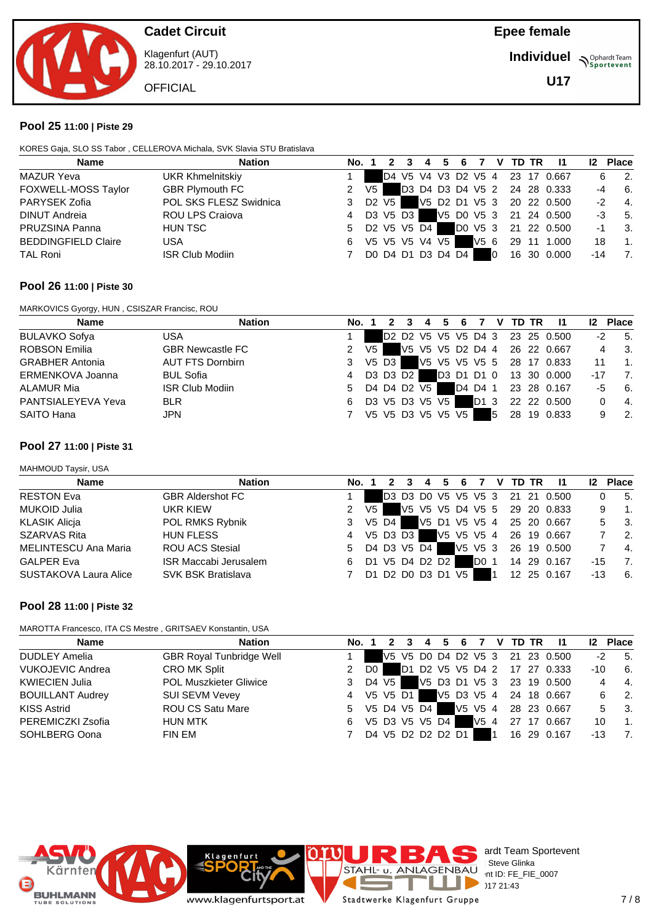

Klagenfurt (AUT) 28.10.2017 - 29.10.2017

**OFFICIAL** 

**Individuel Supplemant** Team

**U17**

#### **Pool 25 11:00 | Piste 29**

KORES Gaja, SLO SS Tabor , CELLEROVA Michala, SVK Slavia STU Bratislava

| <b>Name</b>                | <b>Nation</b>           | No. 1 |      |          | -3 |             |                | 4 5 6 7 V TD TR   |      |   |       | $\mathbf{I}$                    | 12    | <b>Place</b>                |
|----------------------------|-------------------------|-------|------|----------|----|-------------|----------------|-------------------|------|---|-------|---------------------------------|-------|-----------------------------|
| MAZUR Yeva                 | <b>UKR Khmelnitskiy</b> |       |      |          |    |             |                |                   |      |   |       | D4 V5 V4 V3 D2 V5 4 23 17 0.667 | 6.    | $\overline{\phantom{a}}$ 2. |
| FOXWELL-MOSS Taylor        | <b>GBR Plymouth FC</b>  | 2     | V5 I |          |    |             |                |                   |      |   |       | D3 D4 D3 D4 V5 2 24 28 0.333    |       | $-4$ 6.                     |
| PARYSEK Zofia              | POL SKS FLESZ Swidnica  | 3     |      | D2 V5 I  |    |             |                |                   |      |   |       | V5 D2 D1 V5 3 20 22 0.500       | $-2$  | $-4.$                       |
| DINUT Andreia              | ROU LPS Craiova         | 4     |      | D3 V5 D3 |    |             |                |                   |      |   |       | V5 D0 V5 3 21 24 0.500          | -3    | - 5.                        |
| PRUZSINA Panna             | HUN TSC                 | 5.    |      |          |    | D2 V5 V5 D4 |                |                   |      |   |       | D0 V5 3 21 22 0.500             | -1    | $\overline{\phantom{a}}$ 3. |
| <b>BEDDINGFIELD Claire</b> | <b>USA</b>              | 6.    |      |          |    |             | V5 V5 V5 V4 V5 |                   | V5 6 |   | 29 11 | 1.000                           | 18    | $\overline{1}$ .            |
| <b>TAL Roni</b>            | <b>ISR Club Modiin</b>  |       |      |          |    |             |                | D0 D4 D1 D3 D4 D4 |      | 0 |       | 16 30 0.000                     | $-14$ | 7.                          |

#### **Pool 26 11:00 | Piste 30**

MARKOVICS Gyorgy, HUN , CSISZAR Francisc, ROU

| <b>Name</b>            | <b>Nation</b>           | No. 1         |    |                   |  | 4 5 | $-6$ |      |   | V TD TR | - 11                            | 12    | <b>Place</b>              |
|------------------------|-------------------------|---------------|----|-------------------|--|-----|------|------|---|---------|---------------------------------|-------|---------------------------|
| <b>BULAVKO Sofya</b>   | USA                     |               |    |                   |  |     |      |      |   |         | D2 D2 V5 V5 V5 D4 3 23 25 0.500 | -2    | 5.                        |
| <b>ROBSON Emilia</b>   | <b>GBR Newcastle FC</b> | $\mathcal{P}$ | V5 |                   |  |     |      |      |   |         | V5 V5 V5 D2 D4 4 26 22 0.667    |       | $\overline{\mathbf{3}}$ . |
| <b>GRABHER Antonia</b> | AUT FTS Dornbirn        | 3 V5 D3       |    |                   |  |     |      |      |   |         | V5 V5 V5 V5 5 28 17 0.833       | 11    | $\overline{1}$ .          |
| ERMENKOVA Joanna       | <b>BUL Sofia</b>        | 4             |    | D3 D3 D2 I        |  |     |      |      |   |         | D3 D1 D1 0 13 30 0.000          | $-17$ | 7.                        |
| ALAMUR Mia             | <b>ISR Club Modiin</b>  | 5             |    | D4 D4 D2 V5       |  |     |      |      |   |         | D4 D4 1 23 28 0.167             | -5    | 6.                        |
| PANTSIALEYEVA Yeva     | <b>BLR</b>              | 6             |    | D3 V5 D3 V5 V5 1  |  |     |      | D1 3 |   |         | 22 22 0.500                     |       | 4.                        |
| SAITO Hana             | <b>JPN</b>              |               |    | V5 V5 D3 V5 V5 V5 |  |     |      |      | 5 |         | 28 19 0.833                     |       | - 2.                      |

#### **Pool 27 11:00 | Piste 31**

MAHMOUD Taysir, USA

| <b>Name</b>                  | <b>Nation</b>                | No. 1         |      |                |  |                   |                  |    | 4 5 6 7 V TD TR | - 11                            | 12 <sup>2</sup> | <b>Place</b>     |
|------------------------------|------------------------------|---------------|------|----------------|--|-------------------|------------------|----|-----------------|---------------------------------|-----------------|------------------|
| <b>RESTON Eva</b>            | <b>GBR Aldershot FC</b>      |               |      |                |  |                   |                  |    |                 | D3 D3 D0 V5 V5 V5 3 21 21 0.500 | 0               | 5.               |
| <b>MUKOID Julia</b>          | UKR KIEW                     | $\mathcal{P}$ | V5 I |                |  |                   |                  |    |                 | V5 V5 V5 D4 V5 5 29 20 0.833    | 9               | $\overline{1}$ . |
| <b>KLASIK Alicja</b>         | POL RMKS Rybnik              | 3             |      | $V5$ D4        |  |                   |                  |    |                 | V5 D1 V5 V5 4 25 20 0.667       | 5               | 3.               |
| <b>SZARVAS Rita</b>          | <b>HUN FLESS</b>             | 4             |      | V5 D3 D3 I     |  |                   |                  |    |                 | V5 V5 V5 4 26 19 0.667          |                 | $\overline{2}$ . |
| <b>MELINTESCU Ana Maria</b>  | ROU ACS Stesial              | 5             |      | D4 D3 V5 D4    |  |                   |                  |    |                 | V5 V5 3 26 19 0.500             |                 | 4.               |
| <b>GALPER Eva</b>            | <b>ISR Maccabi Jerusalem</b> | 6             |      | D1 V5 D4 D2 D2 |  |                   | D <sub>0</sub> 1 |    |                 | 14 29 0.167                     | $-15$           | 7.               |
| <b>SUSTAKOVA Laura Alice</b> | SVK BSK Bratislava           |               |      |                |  | D1 D2 D0 D3 D1 V5 |                  | Ι1 |                 | 12 25 0.167                     | $-13$           | -6.              |

#### **Pool 28 11:00 | Piste 32**

MAROTTA Francesco, ITA CS Mestre , GRITSAEV Konstantin, USA

| <b>Name</b>             | <b>Nation</b>                   | No. 1         |    |          |                   |  |        |             |  | 2 3 4 5 6 7 V TD TR 11          | $12-12$ | <b>Place</b>                |
|-------------------------|---------------------------------|---------------|----|----------|-------------------|--|--------|-------------|--|---------------------------------|---------|-----------------------------|
| <b>DUDLEY Amelia</b>    | <b>GBR Royal Tunbridge Well</b> |               |    |          |                   |  |        |             |  | V5 V5 D0 D4 D2 V5 3 21 23 0.500 | -2      | $-5$                        |
| <b>VUKOJEVIC Andrea</b> | CRO MK Split                    | 2             | D0 |          |                   |  |        |             |  | D1 D2 V5 V5 D4 2 17 27 0.333    | $-10$   | 6.                          |
| <b>KWIECIEN Julia</b>   | <b>POL Muszkieter Gliwice</b>   | 3             |    | D4 V5    |                   |  |        |             |  | V5 D3 D1 V5 3 23 19 0.500       |         | $\overline{4}$              |
| <b>BOUILLANT Audrey</b> | <b>SUI SEVM Vevey</b>           | 4             |    | V5 V5 D1 |                   |  |        |             |  | V5 D3 V5 4 24 18 0.667          | 6       | $\overline{\phantom{0}}$ 2. |
| <b>KISS Astrid</b>      | <b>ROU CS Satu Mare</b>         | 5 V5 D4 V5 D4 |    |          |                   |  |        |             |  | V5 V5 4 28 23 0.667             | 5.      | $\overline{\phantom{a}}$ 3. |
| PEREMICZKI Zsofia       | <b>HUN MTK</b>                  | 6.            |    |          | V5 D3 V5 V5 D4    |  | $V5$ 4 |             |  | 27 17 0.667                     | 10      | $\overline{1}$              |
| SOHLBERG Oona           | FIN EM                          |               |    |          | D4 V5 D2 D2 D2 D1 |  |        | $\mathbf 1$ |  | 16 29 0.167                     | $-13$   | $\overline{7}$              |



www.klagenfurtsport.at

Klagenfurt



ardt Team Sportevent<br>: Steve Glinka

**License:** Steve Glinka  $P^{\sim}$  nt ID: FE\_FIE\_0007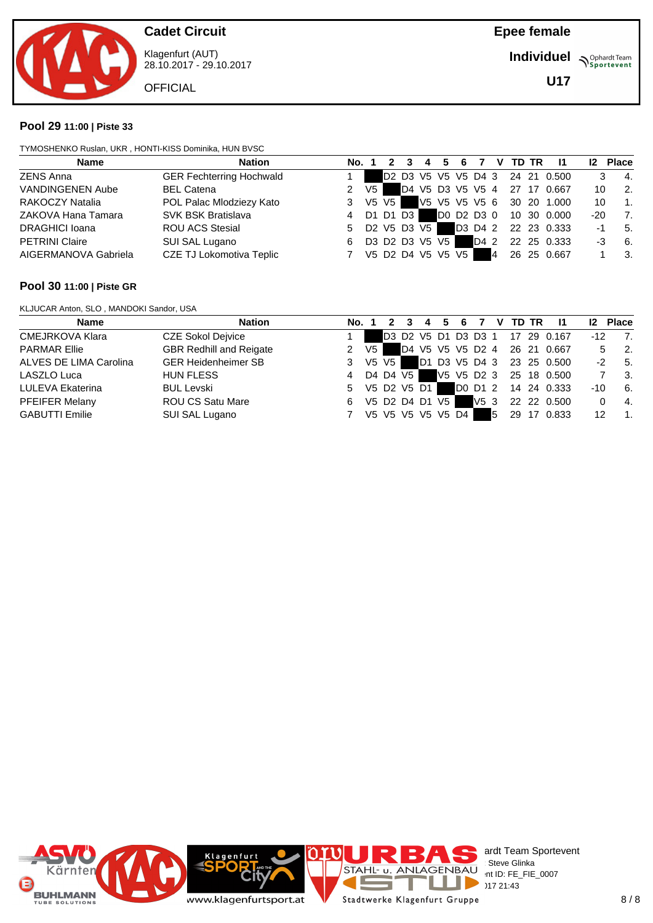

Klagenfurt (AUT) 28.10.2017 - 29.10.2017

**OFFICIAL** 

**Individuel Supplemant** Team

**U17**

#### **Pool 29 11:00 | Piste 33**

TYMOSHENKO Ruslan, UKR , HONTI-KISS Dominika, HUN BVSC

| <b>Name</b>             | <b>Nation</b>                   | No. 1            | $\overline{\mathbf{2}}$ |  |  |                |  | 3 4 5 6 7 V TD TR 11            | 12 <sup>2</sup> | <b>Place</b>                |
|-------------------------|---------------------------------|------------------|-------------------------|--|--|----------------|--|---------------------------------|-----------------|-----------------------------|
| ZENS Anna               | <b>GER Fechterring Hochwald</b> |                  |                         |  |  |                |  | D2 D3 V5 V5 V5 D4 3 24 21 0.500 | 3               | $\overline{4}$              |
| <b>VANDINGENEN Aube</b> | <b>BEL Catena</b>               | 2 V <sub>5</sub> |                         |  |  |                |  | D4 V5 D3 V5 V5 4 27 17 0.667    | 10              | $\overline{\phantom{a}}$ 2. |
| RAKOCZY Natalia         | POL Palac Mlodziezy Kato        | 3 V5 V5          |                         |  |  |                |  | V5 V5 V5 V5 6 30 20 1.000       | 10              | $\overline{\phantom{a}}$ 1. |
| ZAKOVA Hana Tamara      | SVK BSK Bratislava              | 4 D1 D1 D3       |                         |  |  |                |  | D0 D2 D3 0 10 30 0.000          | $-20$           | $\overline{7}$ .            |
| <b>DRAGHICI Ioana</b>   | <b>ROU ACS Stesial</b>          | 5                | D2 V5 D3 V5             |  |  |                |  | D3 D4 2 22 23 0.333             | $-1$            | 5.                          |
| <b>PETRINI Claire</b>   | SUI SAL Lugano                  | 6                | D3 D2 D3 V5 V5          |  |  |                |  | D4 2 22 25 0.333                | -3              | 6.                          |
| AIGERMANOVA Gabriela    | CZE TJ Lokomotiva Teplic        | $\mathbf{7}$     | V5 D2 D4 V5 V5 V5       |  |  | $\blacksquare$ |  | 26 25 0.667                     |                 | - 3.                        |

#### **Pool 30 11:00 | Piste GR**

KLJUCAR Anton, SLO , MANDOKI Sandor, USA

| <b>Name</b>            | <b>Nation</b>                  | No. 1 |      | $\overline{\mathbf{2}}$ |  |  |      |   | 3 4 5 6 7 V TD TR | $\blacksquare$                  | 12 <sup>2</sup> | <b>Place</b>                |
|------------------------|--------------------------------|-------|------|-------------------------|--|--|------|---|-------------------|---------------------------------|-----------------|-----------------------------|
| <b>CMEJRKOVA Klara</b> | <b>CZE Sokol Dejvice</b>       |       |      |                         |  |  |      |   |                   | D3 D2 V5 D1 D3 D3 1 17 29 0.167 | $-12$           | $\overline{7}$ .            |
| <b>PARMAR Ellie</b>    | <b>GBR Redhill and Reigate</b> | 2     | V5 I |                         |  |  |      |   |                   | D4 V5 V5 V5 D2 4 26 21 0.667    | 5               | $\overline{\phantom{a}}$ 2. |
| ALVES DE LIMA Carolina | <b>GER Heidenheimer SB</b>     | 3     |      | V5 V5                   |  |  |      |   |                   | D1 D3 V5 D4 3 23 25 0.500       | $-2$            | 5.                          |
| LASZLO Luca            | <b>HUN FLESS</b>               | 4     |      | D4 D4 V5                |  |  |      |   |                   | V5 V5 D2 3 25 18 0.500          |                 | - 3.                        |
| LULEVA Ekaterina       | <b>BUL Levski</b>              |       |      | 5 V5 D2 V5 D1           |  |  |      |   |                   | D0 D1 2 14 24 0.333             | -10             | 6.                          |
| PFEIFER Melany         | <b>ROU CS Satu Mare</b>        | 6     |      | V5 D2 D4 D1 V5          |  |  | V5 3 |   |                   | 22 22 0.500                     |                 | - 4.                        |
| <b>GABUTTI Emilie</b>  | SUI SAL Lugano                 |       |      | V5 V5 V5 V5 V5 D4       |  |  |      | 5 |                   | 29 17 0.833                     | 12              | $\overline{1}$ .            |

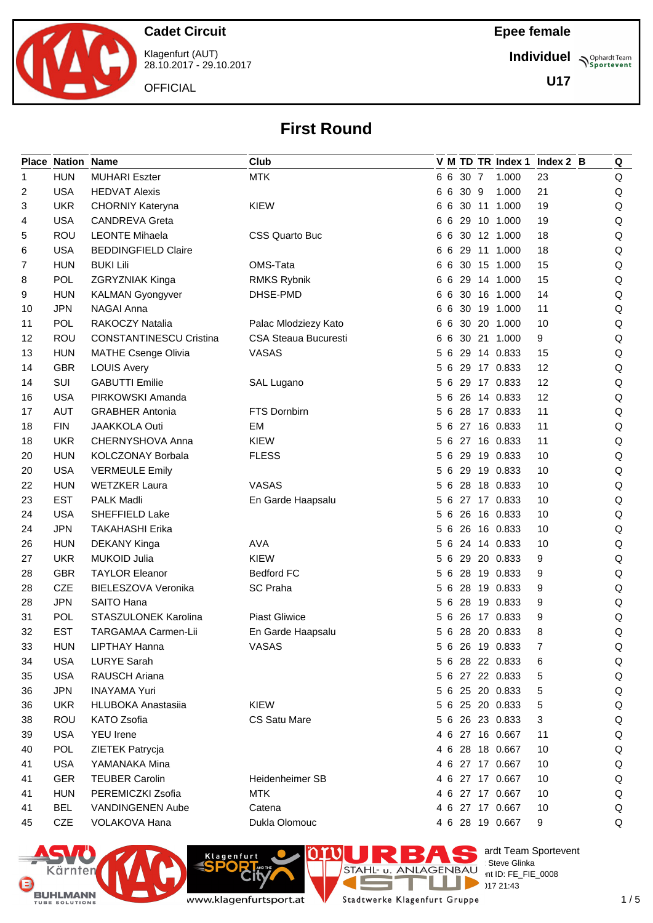

Klagenfurt (AUT) 28.10.2017 - 29.10.2017

**OFFICIAL** 

**Epee female**

**Individuel Supplemant** Team

**U17**

## **First Round**

| <b>Place</b> | <b>Nation Name</b> |                                | Club                        |          |      | V M TD TR Index 1 | Index $2$ B  | Q         |
|--------------|--------------------|--------------------------------|-----------------------------|----------|------|-------------------|--------------|-----------|
| 1            | <b>HUN</b>         | <b>MUHARI Eszter</b>           | <b>MTK</b>                  | 6 6 30 7 |      | 1.000             | 23           | Q         |
| 2            | <b>USA</b>         | <b>HEDVAT Alexis</b>           |                             | 66       | 30 9 | 1.000             | 21           | Q         |
| 3            | <b>UKR</b>         | <b>CHORNIY Kateryna</b>        | <b>KIEW</b>                 | 66       |      | 30 11 1.000       | 19           | Q         |
| 4            | <b>USA</b>         | <b>CANDREVA Greta</b>          |                             | 66       |      | 29 10 1.000       | 19           | Q         |
| 5            | <b>ROU</b>         | <b>LEONTE Mihaela</b>          | <b>CSS Quarto Buc</b>       | 66       |      | 30 12 1.000       | 18           | Q         |
| 6            | <b>USA</b>         | <b>BEDDINGFIELD Claire</b>     |                             | 66       |      | 29 11 1.000       | 18           | Q         |
| 7            | <b>HUN</b>         | <b>BUKI Lili</b>               | OMS-Tata                    | 66       |      | 30 15 1.000       | 15           | Q         |
| 8            | POL                | ZGRYZNIAK Kinga                | <b>RMKS Rybnik</b>          | 66       |      | 29 14 1.000       | 15           | Q         |
| 9            | <b>HUN</b>         | <b>KALMAN Gyongyver</b>        | DHSE-PMD                    | 66       |      | 30 16 1.000       | 14           | Q         |
| 10           | <b>JPN</b>         | NAGAI Anna                     |                             | 66       |      | 30 19 1.000       | 11           | Q         |
| 11           | POL                | RAKOCZY Natalia                | Palac Mlodziezy Kato        | 66       |      | 30 20 1.000       | 10           | Q         |
| 12           | <b>ROU</b>         | <b>CONSTANTINESCU Cristina</b> | <b>CSA Steaua Bucuresti</b> | 66       |      | 30 21 1.000       | 9            | Q         |
| 13           | <b>HUN</b>         | <b>MATHE Csenge Olivia</b>     | VASAS                       | 56       |      | 29 14 0.833       | 15           | Q         |
| 14           | <b>GBR</b>         | <b>LOUIS Avery</b>             |                             | 56       |      | 29 17 0.833       | 12           | Q         |
| 14           | SUI                | <b>GABUTTI Emilie</b>          | SAL Lugano                  | 56       |      | 29 17 0.833       | 12           | Q         |
| 16           | <b>USA</b>         | PIRKOWSKI Amanda               |                             | 56       |      | 26 14 0.833       | 12           | Q         |
| 17           | <b>AUT</b>         | <b>GRABHER Antonia</b>         | <b>FTS Dornbirn</b>         | 56       |      | 28 17 0.833       | 11           | Q         |
| 18           | <b>FIN</b>         | <b>JAAKKOLA Outi</b>           | EM                          |          |      | 5 6 27 16 0.833   | 11           | Q         |
| 18           | <b>UKR</b>         | CHERNYSHOVA Anna               | <b>KIEW</b>                 |          |      | 5 6 27 16 0.833   | 11           | Q         |
| 20           | <b>HUN</b>         | <b>KOLCZONAY Borbala</b>       | <b>FLESS</b>                |          |      | 5 6 29 19 0.833   | 10           | Q         |
| 20           | <b>USA</b>         | <b>VERMEULE Emily</b>          |                             | 56       |      | 29 19 0.833       | 10           | Q         |
| 22           | <b>HUN</b>         | <b>WETZKER Laura</b>           | <b>VASAS</b>                | 56       |      | 28 18 0.833       | 10           | Q         |
| 23           | <b>EST</b>         | <b>PALK Madli</b>              | En Garde Haapsalu           | 6<br>5   |      | 27 17 0.833       | 10           | Q         |
| 24           | <b>USA</b>         | SHEFFIELD Lake                 |                             | 56       |      | 26 16 0.833       | 10           | Q         |
| 24           | <b>JPN</b>         | <b>TAKAHASHI Erika</b>         |                             | 5<br>6   |      | 26 16 0.833       | 10           | Q         |
| 26           | <b>HUN</b>         | DEKANY Kinga                   | AVA                         | 56       |      | 24 14 0.833       | 10           | Q         |
| 27           | <b>UKR</b>         | <b>MUKOID Julia</b>            | <b>KIEW</b>                 | 56       |      | 29 20 0.833       | 9            | Q         |
| 28           | <b>GBR</b>         | <b>TAYLOR Eleanor</b>          | <b>Bedford FC</b>           | 56       |      | 28 19 0.833       | 9            | Q         |
| 28           | <b>CZE</b>         | BIELESZOVA Veronika            | <b>SC Praha</b>             | 56       |      | 28 19 0.833       | 9            | Q         |
| 28           | <b>JPN</b>         | SAITO Hana                     |                             | 5.<br>6  |      | 28 19 0.833       | 9            | Q         |
| 31           | POL                | STASZULONEK Karolina           | <b>Piast Gliwice</b>        | 5<br>6   |      | 26 17 0.833       | 9            | Q         |
| 32           | <b>EST</b>         | TARGAMAA Carmen-Lii            | En Garde Haapsalu           |          |      | 5 6 28 20 0.833   | 8            | Q         |
| 33           | <b>HUN</b>         | <b>LIPTHAY Hanna</b>           | VASAS                       |          |      | 5 6 26 19 0.833   | 7            | ${\sf Q}$ |
| 34           | <b>USA</b>         | <b>LURYE Sarah</b>             |                             |          |      | 5 6 28 22 0.833   | 6            | Q         |
| 35           | <b>USA</b>         | <b>RAUSCH Ariana</b>           |                             |          |      | 5 6 27 22 0.833   | 5            | Q         |
| 36           | <b>JPN</b>         | <b>INAYAMA Yuri</b>            |                             |          |      | 5 6 25 20 0.833   | 5            | Q         |
| 36           | <b>UKR</b>         | <b>HLUBOKA Anastasiia</b>      | <b>KIEW</b>                 |          |      | 5 6 25 20 0.833   | 5            | Q         |
| 38           | <b>ROU</b>         | KATO Zsofia                    | CS Satu Mare                |          |      | 5 6 26 23 0.833   | $\mathbf{3}$ | Q         |
| 39           | <b>USA</b>         | <b>YEU Irene</b>               |                             |          |      | 4 6 27 16 0.667   | 11           | Q         |
| 40           | <b>POL</b>         | ZIETEK Patrycja                |                             |          |      | 4 6 28 18 0.667   | 10           | Q         |
| 41           | <b>USA</b>         | YAMANAKA Mina                  |                             |          |      | 4 6 27 17 0.667   | 10           | Q         |
| 41           | GER                | <b>TEUBER Carolin</b>          | Heidenheimer SB             |          |      | 4 6 27 17 0.667   | 10           | Q         |
| 41           | <b>HUN</b>         | PEREMICZKI Zsofia              | <b>MTK</b>                  |          |      | 4 6 27 17 0.667   | 10           | Q         |
| 41           | <b>BEL</b>         | <b>VANDINGENEN Aube</b>        | Catena                      |          |      | 4 6 27 17 0.667   | 10           | Q         |
| 45           | <b>CZE</b>         | VOLAKOVA Hana                  | Dukla Olomouc               |          |      | 4 6 28 19 0.667   | 9            | Q         |



www.klagenfurtsport.at

**Site** 

**Klagenfurt** 

 $21:43$ T Stadtwerke Klagenfurt Gruppe

Е

**The Contract of Street** 

a.

es ardt Team Sportevent

**License:** Steve Glinka  $P^{\sim}$  nt ID: FE\_FIE\_0008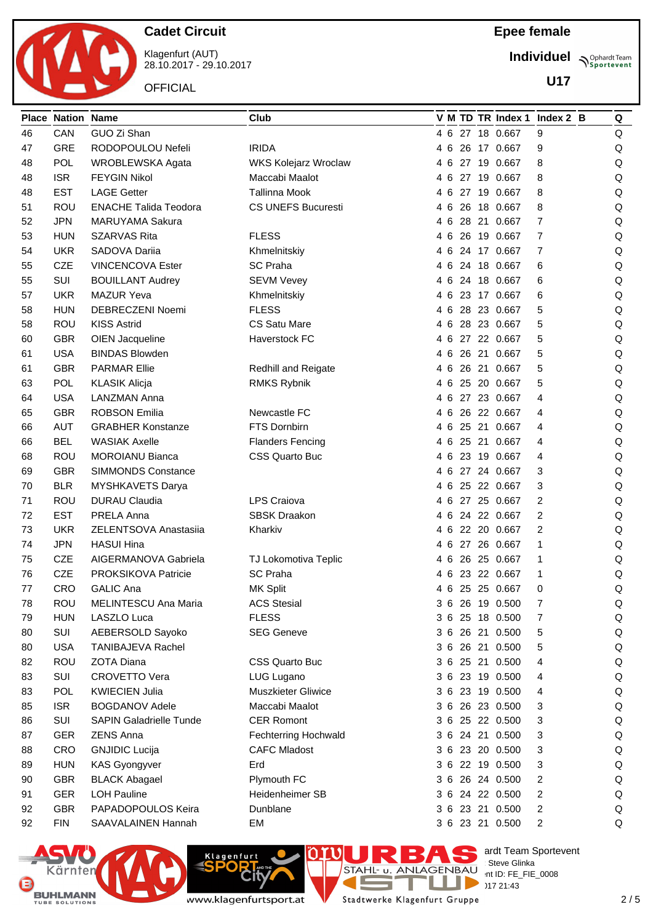

Klagenfurt (AUT) 28.10.2017 - 29.10.2017

**OFFICIAL** 

**Individuel Supplemant** Team

**U17**

|    | <b>Place Nation Name</b> |                                | Club                      |   |     |       |                 | V M TD TR Index 1 Index 2 B | Q       |
|----|--------------------------|--------------------------------|---------------------------|---|-----|-------|-----------------|-----------------------------|---------|
| 46 | CAN                      | GUO Zi Shan                    |                           |   |     |       | 4 6 27 18 0.667 | 9                           | Q       |
| 47 | <b>GRE</b>               | RODOPOULOU Nefeli              | <b>IRIDA</b>              |   | 46  |       | 26 17 0.667     | 9                           | Q       |
| 48 | <b>POL</b>               | WROBLEWSKA Agata               | WKS Kolejarz Wroclaw      | 4 | -6  |       | 27 19 0.667     | 8                           | Q       |
| 48 | <b>ISR</b>               | <b>FEYGIN Nikol</b>            | Maccabi Maalot            | 4 | 6   | 27 19 | 0.667           | 8                           | $\sf Q$ |
| 48 | <b>EST</b>               | <b>LAGE Getter</b>             | <b>Tallinna Mook</b>      | 4 | -6  |       | 27 19 0.667     | 8                           | $\sf Q$ |
| 51 | ROU                      | <b>ENACHE Talida Teodora</b>   | <b>CS UNEFS Bucuresti</b> |   | 46  |       | 26 18 0.667     | 8                           | Q       |
| 52 | <b>JPN</b>               | MARUYAMA Sakura                |                           |   |     |       | 4 6 28 21 0.667 | 7                           | Q       |
| 53 | <b>HUN</b>               | <b>SZARVAS Rita</b>            | <b>FLESS</b>              |   | 46  |       | 26 19 0.667     | 7                           | $\sf Q$ |
| 54 | <b>UKR</b>               | SADOVA Dariia                  | Khmelnitskiy              |   | 4 6 |       | 24 17 0.667     | 7                           | $\sf Q$ |
| 55 | <b>CZE</b>               | <b>VINCENCOVA Ester</b>        | <b>SC Praha</b>           |   | 46  |       | 24 18 0.667     | 6                           | Q       |
| 55 | SUI                      | <b>BOUILLANT Audrey</b>        | <b>SEVM Vevey</b>         | 4 | 6   |       | 24 18 0.667     | 6                           | Q       |
| 57 | <b>UKR</b>               | <b>MAZUR Yeva</b>              | Khmelnitskiy              | 4 | 6   |       | 23 17 0.667     | 6                           | Q       |
| 58 | <b>HUN</b>               | DEBRECZENI Noemi               | <b>FLESS</b>              | 4 | 6   |       | 28 23 0.667     | 5                           | $\sf Q$ |
| 58 | ROU                      | <b>KISS Astrid</b>             | <b>CS Satu Mare</b>       | 4 | 6   |       | 28 23 0.667     | 5                           | Q       |
| 60 | <b>GBR</b>               | OIEN Jacqueline                | Haverstock FC             |   | 46  |       | 27 22 0.667     | 5                           | Q       |
| 61 | <b>USA</b>               | <b>BINDAS Blowden</b>          |                           |   | 46  |       | 26 21 0.667     | 5                           | Q       |
| 61 | <b>GBR</b>               | <b>PARMAR Ellie</b>            | Redhill and Reigate       |   | 46  |       | 26 21 0.667     | 5                           | $\sf Q$ |
| 63 | <b>POL</b>               | <b>KLASIK Alicja</b>           | <b>RMKS Rybnik</b>        |   | 4 6 |       | 25 20 0.667     | 5                           | $\sf Q$ |
| 64 | <b>USA</b>               | <b>LANZMAN Anna</b>            |                           |   |     |       | 4 6 27 23 0.667 | 4                           | $\sf Q$ |
| 65 | <b>GBR</b>               | <b>ROBSON Emilia</b>           | Newcastle FC              |   | 46  |       | 26 22 0.667     | 4                           | Q       |
| 66 | <b>AUT</b>               | <b>GRABHER Konstanze</b>       | FTS Dornbirn              | 4 | 6   | 25 21 | 0.667           | 4                           | Q       |
| 66 | <b>BEL</b>               | <b>WASIAK Axelle</b>           | <b>Flanders Fencing</b>   |   | 46  | 25 21 | 0.667           | 4                           | Q       |
| 68 | ROU                      | <b>MOROIANU Bianca</b>         | <b>CSS Quarto Buc</b>     |   | 46  |       | 23 19 0.667     | 4                           | Q       |
| 69 | <b>GBR</b>               | <b>SIMMONDS Constance</b>      |                           |   |     |       | 4 6 27 24 0.667 | 3                           | Q       |
| 70 | <b>BLR</b>               | MYSHKAVETS Darya               |                           | 4 | 6   |       | 25 22 0.667     | 3                           | Q       |
| 71 | ROU                      | <b>DURAU Claudia</b>           | <b>LPS Craiova</b>        | 4 | 6   |       | 27 25 0.667     | 2                           | $\sf Q$ |
| 72 | <b>EST</b>               | PRELA Anna                     | <b>SBSK Draakon</b>       | 4 | 6   |       | 24 22 0.667     | 2                           | Q       |
| 73 | <b>UKR</b>               | ZELENTSOVA Anastasiia          | Kharkiv                   |   | 46  |       | 22 20 0.667     | 2                           | Q       |
| 74 | <b>JPN</b>               | <b>HASUI Hina</b>              |                           | 4 | 6   |       | 27 26 0.667     | 1                           | Q       |
| 75 | <b>CZE</b>               | AIGERMANOVA Gabriela           | TJ Lokomotiva Teplic      | 4 | 6   |       | 26 25 0.667     | 1                           | $\sf Q$ |
| 76 | <b>CZE</b>               | PROKSIKOVA Patricie            | <b>SC Praha</b>           | 4 | 6   |       | 23 22 0.667     | 1                           | Q       |
| 77 | CRO                      | <b>GALIC Ana</b>               | <b>MK Split</b>           |   |     |       | 4 6 25 25 0.667 | 0                           | Q       |
| 78 | <b>ROU</b>               | MELINTESCU Ana Maria           | <b>ACS Stesial</b>        |   |     |       | 3 6 26 19 0.500 | 7                           | Q       |
| 79 | <b>HUN</b>               | LASZLO Luca                    | <b>FLESS</b>              |   |     |       | 3 6 25 18 0.500 | 7                           | Q       |
| 80 | SUI                      | AEBERSOLD Sayoko               | <b>SEG Geneve</b>         |   |     |       | 3 6 26 21 0.500 | 5                           | Q       |
| 80 | <b>USA</b>               | <b>TANIBAJEVA Rachel</b>       |                           |   |     |       | 3 6 26 21 0.500 | 5                           | Q       |
| 82 | ROU                      | <b>ZOTA Diana</b>              | <b>CSS Quarto Buc</b>     |   |     |       | 3 6 25 21 0.500 | 4                           | Q       |
| 83 | SUI                      | <b>CROVETTO Vera</b>           | LUG Lugano                |   |     |       | 3 6 23 19 0.500 | 4                           | Q       |
| 83 | <b>POL</b>               | <b>KWIECIEN Julia</b>          | Muszkieter Gliwice        |   |     |       | 3 6 23 19 0.500 | 4                           | Q       |
| 85 | <b>ISR</b>               | <b>BOGDANOV Adele</b>          | Maccabi Maalot            |   |     |       | 3 6 26 23 0.500 | 3                           | Q       |
| 86 | SUI                      | <b>SAPIN Galadrielle Tunde</b> | <b>CER Romont</b>         |   |     |       | 3 6 25 22 0.500 | 3                           | Q       |
| 87 | <b>GER</b>               | <b>ZENS Anna</b>               | Fechterring Hochwald      |   |     |       | 3 6 24 21 0.500 | 3                           | Q       |
| 88 | <b>CRO</b>               | <b>GNJIDIC Lucija</b>          | <b>CAFC Mladost</b>       |   |     |       | 3 6 23 20 0.500 | 3                           | Q       |
| 89 | <b>HUN</b>               | <b>KAS Gyongyver</b>           | Erd                       |   |     |       | 3 6 22 19 0.500 | 3                           | Q       |
| 90 | <b>GBR</b>               | <b>BLACK Abagael</b>           | Plymouth FC               |   |     |       | 3 6 26 24 0.500 | 2                           | Q       |
| 91 | <b>GER</b>               | <b>LOH Pauline</b>             | Heidenheimer SB           |   |     |       | 3 6 24 22 0.500 | $\overline{\mathbf{c}}$     | Q       |
| 92 | <b>GBR</b>               | PAPADOPOULOS Keira             | Dunblane                  |   |     |       | 3 6 23 21 0.500 | $\overline{\mathbf{c}}$     | Q       |
| 92 | <b>FIN</b>               | SAAVALAINEN Hannah             | EM                        |   |     |       | 3 6 23 21 0.500 | 2                           | Q       |





**Klagenfurt** 

T Stadtwerke Klagenfurt Gruppe

**TELEVISION** 

a.

Е

erdt Team Sportevent

**License:** Steve Glinka  $P^{\sim}$  nt ID: FE\_FIE\_0008

 $18.721:43$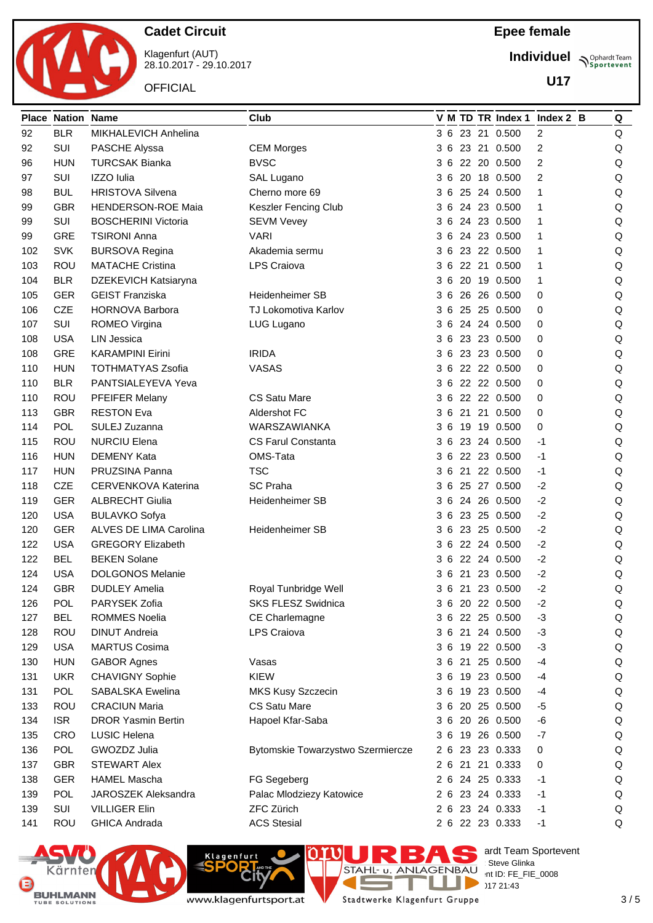

Klagenfurt (AUT) 28.10.2017 - 29.10.2017

**OFFICIAL** 

#### **Epee female**

**Individuel Supplemant** Team

**U17**

|     | <b>Place Nation Name</b> |                            | Club                              |    |  |                 | V M TD TR Index 1 Index 2 B | Q |
|-----|--------------------------|----------------------------|-----------------------------------|----|--|-----------------|-----------------------------|---|
| 92  | <b>BLR</b>               | MIKHALEVICH Anhelina       |                                   |    |  | 3 6 23 21 0.500 | $\overline{\mathbf{c}}$     | Q |
| 92  | SUI                      | PASCHE Alyssa              | <b>CEM Morges</b>                 |    |  | 3 6 23 21 0.500 | 2                           | Q |
| 96  | <b>HUN</b>               | <b>TURCSAK Bianka</b>      | <b>BVSC</b>                       |    |  | 3 6 22 20 0.500 | 2                           | Q |
| 97  | SUI                      | IZZO lulia                 | SAL Lugano                        | 36 |  | 20 18 0.500     | 2                           | Q |
| 98  | <b>BUL</b>               | <b>HRISTOVA Silvena</b>    | Cherno more 69                    |    |  | 3 6 25 24 0.500 | 1                           | Q |
| 99  | <b>GBR</b>               | HENDERSON-ROE Maia         | Keszler Fencing Club              |    |  | 3 6 24 23 0.500 | 1                           | Q |
| 99  | SUI                      | <b>BOSCHERINI Victoria</b> | <b>SEVM Vevey</b>                 |    |  | 3 6 24 23 0.500 | 1                           | Q |
| 99  | <b>GRE</b>               | <b>TSIRONI Anna</b>        | <b>VARI</b>                       | 36 |  | 24 23 0.500     | 1                           | Q |
| 102 | <b>SVK</b>               | <b>BURSOVA Regina</b>      | Akademia sermu                    | 36 |  | 23 22 0.500     | 1                           | Q |
| 103 | <b>ROU</b>               | <b>MATACHE Cristina</b>    | LPS Craiova                       | 36 |  | 22 21 0.500     | 1                           | Q |
| 104 | <b>BLR</b>               | DZEKEVICH Katsiaryna       |                                   | 36 |  | 20 19 0.500     | 1                           | Q |
| 105 | <b>GER</b>               | <b>GEIST Franziska</b>     | Heidenheimer SB                   | 36 |  | 26 26 0.500     | 0                           | Q |
| 106 | <b>CZE</b>               | <b>HORNOVA Barbora</b>     | TJ Lokomotiva Karlov              | 36 |  | 25 25 0.500     | 0                           | Q |
| 107 | SUI                      | ROMEO Virgina              | LUG Lugano                        |    |  | 3 6 24 24 0.500 | 0                           | Q |
| 108 | <b>USA</b>               | <b>LIN Jessica</b>         |                                   |    |  | 3 6 23 23 0.500 | 0                           | Q |
| 108 | <b>GRE</b>               | <b>KARAMPINI Eirini</b>    | <b>IRIDA</b>                      |    |  | 3 6 23 23 0.500 | 0                           | Q |
| 110 | <b>HUN</b>               | <b>TOTHMATYAS Zsofia</b>   | <b>VASAS</b>                      |    |  | 3 6 22 22 0.500 | 0                           | Q |
| 110 | <b>BLR</b>               | PANTSIALEYEVA Yeva         |                                   |    |  | 3 6 22 22 0.500 | 0                           | Q |
| 110 | <b>ROU</b>               | PFEIFER Melany             | <b>CS Satu Mare</b>               |    |  | 3 6 22 22 0.500 | 0                           | Q |
| 113 | <b>GBR</b>               | <b>RESTON Eva</b>          | Aldershot FC                      |    |  | 3 6 21 21 0.500 | 0                           | Q |
| 114 | POL                      | SULEJ Zuzanna              | WARSZAWIANKA                      | 36 |  | 19 19 0.500     | 0                           | Q |
| 115 | <b>ROU</b>               | <b>NURCIU Elena</b>        | <b>CS Farul Constanta</b>         |    |  | 3 6 23 24 0.500 | -1                          | Q |
| 116 | <b>HUN</b>               | <b>DEMENY Kata</b>         | OMS-Tata                          |    |  | 3 6 22 23 0.500 | $-1$                        | Q |
| 117 | <b>HUN</b>               | PRUZSINA Panna             | <b>TSC</b>                        |    |  | 3 6 21 22 0.500 | -1                          | Q |
| 118 | <b>CZE</b>               | CERVENKOVA Katerina        | <b>SC Praha</b>                   |    |  | 3 6 25 27 0.500 | $-2$                        | Q |
| 119 | <b>GER</b>               | <b>ALBRECHT Giulia</b>     | Heidenheimer SB                   | 36 |  | 24 26 0.500     | $-2$                        | Q |
| 120 | <b>USA</b>               | <b>BULAVKO Sofya</b>       |                                   | 36 |  | 23 25 0.500     | $-2$                        | Q |
| 120 | <b>GER</b>               | ALVES DE LIMA Carolina     | Heidenheimer SB                   | 36 |  | 23 25 0.500     | $-2$                        | Q |
| 122 | <b>USA</b>               | <b>GREGORY Elizabeth</b>   |                                   | 36 |  | 22 24 0.500     | $-2$                        | Q |
| 122 | <b>BEL</b>               | <b>BEKEN Solane</b>        |                                   |    |  | 3 6 22 24 0.500 | $-2$                        | Q |
| 124 | <b>USA</b>               | <b>DOLGONOS Melanie</b>    |                                   |    |  | 3 6 21 23 0.500 | $-2$                        | Q |
| 124 | <b>GBR</b>               | <b>DUDLEY Amelia</b>       | Royal Tunbridge Well              |    |  | 3 6 21 23 0.500 | $-2$                        | Q |
| 126 | POL                      | PARYSEK Zofia              | <b>SKS FLESZ Swidnica</b>         |    |  | 3 6 20 22 0.500 | $-2$                        | Q |
| 127 | <b>BEL</b>               | <b>ROMMES Noelia</b>       | CE Charlemagne                    |    |  | 3 6 22 25 0.500 | $-3$                        | Q |
| 128 | ROU                      | <b>DINUT Andreia</b>       | LPS Craiova                       |    |  | 3 6 21 24 0.500 | $-3$                        | Q |
| 129 | <b>USA</b>               | <b>MARTUS Cosima</b>       |                                   |    |  | 3 6 19 22 0.500 | $-3$                        | Q |
| 130 | <b>HUN</b>               | <b>GABOR Agnes</b>         | Vasas                             |    |  | 3 6 21 25 0.500 | -4                          | Q |
| 131 | <b>UKR</b>               | <b>CHAVIGNY Sophie</b>     | <b>KIEW</b>                       |    |  | 3 6 19 23 0.500 | -4                          | Q |
| 131 | POL                      | SABALSKA Ewelina           | MKS Kusy Szczecin                 |    |  | 3 6 19 23 0.500 | $-4$                        | Q |
| 133 | <b>ROU</b>               | <b>CRACIUN Maria</b>       | <b>CS Satu Mare</b>               |    |  | 3 6 20 25 0.500 | -5                          | Q |
| 134 | <b>ISR</b>               | <b>DROR Yasmin Bertin</b>  | Hapoel Kfar-Saba                  |    |  | 3 6 20 26 0.500 | -6                          | Q |
| 135 | <b>CRO</b>               | LUSIC Helena               |                                   |    |  | 3 6 19 26 0.500 | $-7$                        | Q |
| 136 | <b>POL</b>               | GWOZDZ Julia               | Bytomskie Towarzystwo Szermiercze |    |  | 2 6 23 23 0.333 | 0                           | Q |
| 137 | GBR                      | <b>STEWART Alex</b>        |                                   |    |  | 2 6 21 21 0.333 | 0                           | Q |
| 138 | <b>GER</b>               | <b>HAMEL Mascha</b>        | FG Segeberg                       |    |  | 2 6 24 25 0.333 | -1                          | Q |
| 139 | <b>POL</b>               | JAROSZEK Aleksandra        | Palac Mlodziezy Katowice          |    |  | 2 6 23 24 0.333 | -1                          | Q |
| 139 | SUI                      | <b>VILLIGER Elin</b>       | ZFC Zürich                        |    |  | 2 6 23 24 0.333 | $-1$                        | Q |
| 141 | <b>ROU</b>               | <b>GHICA Andrada</b>       | <b>ACS Stesial</b>                |    |  | 2 6 22 23 0.333 | $-1$                        | Q |





erdt Team Sportevent **License:** Steve Glinka  $P^{\sim}$  nt ID: FE\_FIE\_0008  $18.721:43$ 

www.klagenfurtsport.at

T Stadtwerke Klagenfurt Gruppe

**TELEVISION** 

a.

Е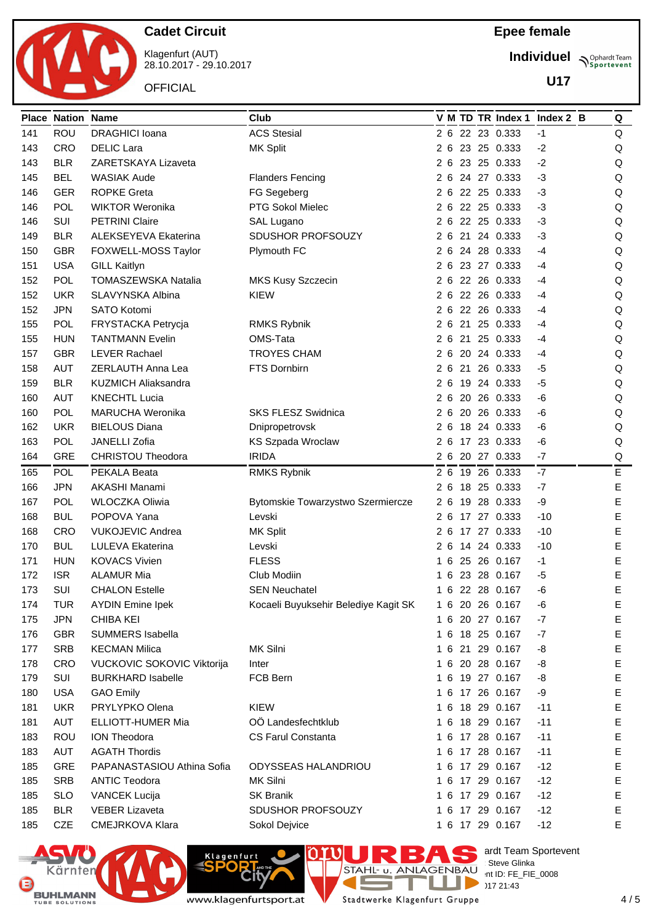

Klagenfurt (AUT) 28.10.2017 - 29.10.2017

**OFFICIAL** 

**Individuel Supplemant** Team

**U17**

|     | <b>Place Nation Name</b> |                            | Club                                 | V M TD TR Index 1 Index 2 B  | Q           |
|-----|--------------------------|----------------------------|--------------------------------------|------------------------------|-------------|
| 141 | <b>ROU</b>               | <b>DRAGHICI Ioana</b>      | <b>ACS Stesial</b>                   | 2 6 22 23 0.333<br>$-1$      | Q           |
| 143 | <b>CRO</b>               | <b>DELIC Lara</b>          | <b>MK Split</b>                      | 23 25 0.333<br>$-2$<br>26    | Q           |
| 143 | <b>BLR</b>               | ZARETSKAYA Lizaveta        |                                      | 2 6 23 25 0.333<br>$-2$      | Q           |
| 145 | <b>BEL</b>               | <b>WASIAK Aude</b>         | <b>Flanders Fencing</b>              | 2 6 24 27 0.333<br>$-3$      | Q           |
| 146 | <b>GER</b>               | <b>ROPKE Greta</b>         | FG Segeberg                          | 2 6 22 25 0.333<br>$-3$      | Q           |
| 146 | <b>POL</b>               | <b>WIKTOR Weronika</b>     | <b>PTG Sokol Mielec</b>              | 2 6 22 25 0.333<br>$-3$      | Q           |
| 146 | SUI                      | <b>PETRINI Claire</b>      | SAL Lugano                           | 2 6 22 25 0.333<br>$-3$      | Q           |
| 149 | <b>BLR</b>               | ALEKSEYEVA Ekaterina       | SDUSHOR PROFSOUZY                    | 2 6 21 24 0.333<br>$-3$      | Q           |
| 150 | <b>GBR</b>               | FOXWELL-MOSS Taylor        | <b>Plymouth FC</b>                   | 2 6 24 28 0.333<br>-4        | Q           |
| 151 | <b>USA</b>               | <b>GILL Kaitlyn</b>        |                                      | 23 27 0.333<br>26<br>-4      | Q           |
| 152 | POL                      | <b>TOMASZEWSKA Natalia</b> | MKS Kusy Szczecin                    | 2 6 22 26 0.333<br>-4        | Q           |
| 152 | <b>UKR</b>               | SLAVYNSKA Albina           | KIEW                                 | 2 6 22 26 0.333<br>-4        | Q           |
| 152 | <b>JPN</b>               | SATO Kotomi                |                                      | 2 6 22 26 0.333<br>-4        | Q           |
| 155 | POL                      | FRYSTACKA Petrycja         | <b>RMKS Rybnik</b>                   | 2 6 21 25 0.333<br>-4        | Q           |
| 155 | <b>HUN</b>               | <b>TANTMANN Evelin</b>     | OMS-Tata                             | 2 6 21 25 0.333<br>-4        | Q           |
| 157 | <b>GBR</b>               | <b>LEVER Rachael</b>       | <b>TROYES CHAM</b>                   | 20 24 0.333<br>26<br>-4      | Q           |
| 158 | <b>AUT</b>               | ZERLAUTH Anna Lea          | FTS Dornbirn                         | 2 6 21 26 0.333<br>-5        | Q           |
| 159 | <b>BLR</b>               | <b>KUZMICH Aliaksandra</b> |                                      | 2 6 19 24 0.333<br>-5        | Q           |
| 160 | <b>AUT</b>               | <b>KNECHTL Lucia</b>       |                                      | 2 6 20 26 0.333<br>-6        | Q           |
| 160 | <b>POL</b>               | MARUCHA Weronika           | SKS FLESZ Swidnica                   | 2 6 20 26 0.333<br>-6        | Q           |
| 162 | <b>UKR</b>               | <b>BIELOUS Diana</b>       | Dnipropetrovsk                       | 2 6 18 24 0.333<br>-6        | Q           |
| 163 | POL                      | JANELLI Zofia              | KS Szpada Wroclaw                    | 2 6 17 23 0.333<br>-6        | Q           |
| 164 | <b>GRE</b>               | <b>CHRISTOU Theodora</b>   | <b>IRIDA</b>                         | 2 6 20 27 0.333<br>$-7$      | Q           |
| 165 | POL                      | PEKALA Beata               | RMKS Rybnik                          | 2 6 19 26 0.333<br>$-7$      | E           |
| 166 | <b>JPN</b>               | AKASHI Manami              |                                      | 2 6 18 25 0.333<br>$-7$      | Е           |
| 167 | POL                      | <b>WLOCZKA Oliwia</b>      | Bytomskie Towarzystwo Szermiercze    | -9<br>26<br>19 28 0.333      | Е           |
| 168 | <b>BUL</b>               | POPOVA Yana                | Levski                               | 2 6 17 27 0.333<br>$-10$     | E           |
| 168 | <b>CRO</b>               | <b>VUKOJEVIC Andrea</b>    | MK Split                             | 17 27 0.333<br>$-10$<br>26   | E           |
| 170 | <b>BUL</b>               | LULEVA Ekaterina           | Levski                               | 2 6 14 24 0.333<br>$-10$     | E           |
| 171 | <b>HUN</b>               | <b>KOVACS Vivien</b>       | <b>FLESS</b>                         | 1 6 25 26 0.167<br>$-1$      | Е           |
| 172 | <b>ISR</b>               | <b>ALAMUR Mia</b>          | Club Modiin                          | 23 28 0.167<br>6<br>-5<br>1. | E           |
| 173 | <b>SUI</b>               | <b>CHALON Estelle</b>      | <b>SEN Neuchatel</b>                 | 1 6 22 28 0.167<br>-6        | E           |
| 174 | <b>TUR</b>               | <b>AYDIN Emine Ipek</b>    | Kocaeli Buyuksehir Belediye Kagit SK | 1 6 20 26 0.167<br>-6        | Е           |
| 175 | <b>JPN</b>               | <b>CHIBA KEI</b>           |                                      | 1 6 20 27 0.167<br>$-7$      | E           |
| 176 | <b>GBR</b>               | SUMMERS Isabella           |                                      | 1 6 18 25 0.167<br>$-7$      | E           |
| 177 | <b>SRB</b>               | <b>KECMAN Milica</b>       | MK Silni                             | 1 6 21 29 0.167<br>-8        | E           |
| 178 | CRO                      | VUCKOVIC SOKOVIC Viktorija | Inter                                | 1 6 20 28 0.167<br>-8        | E           |
| 179 | SUI                      | <b>BURKHARD Isabelle</b>   | FCB Bern                             | 1 6 19 27 0.167<br>-8        | E           |
| 180 | <b>USA</b>               | <b>GAO Emily</b>           |                                      | 1 6 17 26 0.167<br>-9        | E           |
| 181 | <b>UKR</b>               | PRYLYPKO Olena             | <b>KIEW</b>                          | 1 6 18 29 0.167<br>$-11$     | E           |
| 181 | <b>AUT</b>               | ELLIOTT-HUMER Mia          | OÖ Landesfechtklub                   | 1 6 18 29 0.167<br>$-11$     | $\mathsf E$ |
| 183 | <b>ROU</b>               | <b>ION Theodora</b>        | <b>CS Farul Constanta</b>            | 1 6 17 28 0.167<br>$-11$     | E           |
| 183 | <b>AUT</b>               | <b>AGATH Thordis</b>       |                                      | 1 6 17 28 0.167<br>$-11$     | E           |
| 185 | GRE                      | PAPANASTASIOU Athina Sofia | ODYSSEAS HALANDRIOU                  | 1 6 17 29 0.167<br>$-12$     | $\mathsf E$ |
| 185 | <b>SRB</b>               | <b>ANTIC Teodora</b>       | MK Silni                             | 1 6 17 29 0.167<br>$-12$     | E           |
| 185 | <b>SLO</b>               | <b>VANCEK Lucija</b>       | <b>SK Branik</b>                     | 1 6 17 29 0.167<br>$-12$     | E           |
| 185 | <b>BLR</b>               | <b>VEBER Lizaveta</b>      | SDUSHOR PROFSOUZY                    | 1 6 17 29 0.167<br>$-12$     | E           |
| 185 | <b>CZE</b>               | CMEJRKOVA Klara            | Sokol Dejvice                        | 1 6 17 29 0.167<br>$-12$     | E           |





erdt Team Sportevent **License:** Steve Glinka  $P^{\sim}$  nt ID: FE\_FIE\_0008  $21:43$ 

T Stadtwerke Klagenfurt Gruppe

**TELEVISION** 

E.

Е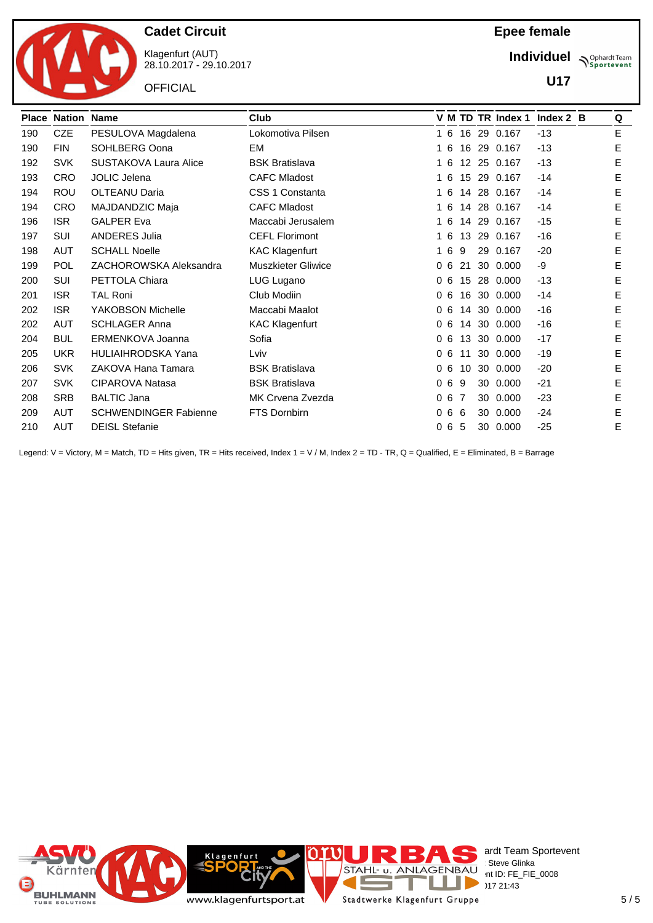

Klagenfurt (AUT) 28.10.2017 - 29.10.2017

**OFFICIAL** 

**Individuel Supplemant** Team

**U17**

|     | <b>Place Nation Name</b> |                              | Club                  |          |    |                 |    | V M TD TR Index 1 | Index $2$ B | Q           |
|-----|--------------------------|------------------------------|-----------------------|----------|----|-----------------|----|-------------------|-------------|-------------|
| 190 | <b>CZE</b>               | PESULOVA Magdalena           | Lokomotiva Pilsen     | 1.       | 6  |                 |    | 16 29 0.167       | $-13$       | $\mathsf E$ |
| 190 | <b>FIN</b>               | SOHLBERG Oona                | EM                    | 1        | -6 | 16              | 29 | 0.167             | $-13$       | Е           |
| 192 | <b>SVK</b>               | <b>SUSTAKOVA Laura Alice</b> | <b>BSK Bratislava</b> | 1        | 6  | 12 <sup>2</sup> |    | 25 0.167          | $-13$       | Е           |
| 193 | <b>CRO</b>               | <b>JOLIC Jelena</b>          | <b>CAFC Mladost</b>   | 1        | 6  |                 |    | 15 29 0.167       | $-14$       | E           |
| 194 | ROU                      | OLTEANU Daria                | CSS 1 Constanta       | 1        | 6  |                 |    | 14 28 0.167       | $-14$       | Е           |
| 194 | <b>CRO</b>               | MAJDANDZIC Maja              | <b>CAFC Mladost</b>   | 1        | 6  | 14              |    | 28 0.167          | $-14$       | Е           |
| 196 | <b>ISR</b>               | <b>GALPER Eva</b>            | Maccabi Jerusalem     | 1        | 6  | 14              | 29 | 0.167             | $-15$       | Е           |
| 197 | SUI                      | <b>ANDERES Julia</b>         | <b>CEFL Florimont</b> | 1        | 6  | 13              |    | 29 0.167          | $-16$       | Е           |
| 198 | <b>AUT</b>               | <b>SCHALL Noelle</b>         | <b>KAC Klagenfurt</b> | 1        | 6  | 9               | 29 | 0.167             | $-20$       | Е           |
| 199 | <b>POL</b>               | ZACHOROWSKA Aleksandra       | Muszkieter Gliwice    | 0        | 6  | 21              | 30 | 0.000             | -9          | E           |
| 200 | SUI                      | PETTOLA Chiara               | LUG Lugano            | 06       |    | 15              | 28 | 0.000             | $-13$       | Е           |
| 201 | <b>ISR</b>               | <b>TAL Roni</b>              | Club Modiin           | 06       |    | 16              | 30 | 0.000             | $-14$       | Е           |
| 202 | <b>ISR</b>               | YAKOBSON Michelle            | Maccabi Maalot        | 06       |    | 14              | 30 | 0.000             | $-16$       | Е           |
| 202 | <b>AUT</b>               | <b>SCHLAGER Anna</b>         | <b>KAC Klagenfurt</b> | 0        | 6  | 14              | 30 | 0.000             | $-16$       | Е           |
| 204 | <b>BUL</b>               | ERMENKOVA Joanna             | Sofia                 | 06       |    | 13              | 30 | 0.000             | $-17$       | E           |
| 205 | <b>UKR</b>               | HULIAIHRODSKA Yana           | Lviv                  | $\Omega$ | -6 | 11              | 30 | 0.000             | $-19$       | Е           |
| 206 | <b>SVK</b>               | ZAKOVA Hana Tamara           | <b>BSK Bratislava</b> | 0        | 6  | 10              | 30 | 0.000             | $-20$       | Е           |
| 207 | <b>SVK</b>               | CIPAROVA Natasa              | <b>BSK Bratislava</b> | 0        | 6  | 9               | 30 | 0.000             | $-21$       | Е           |
| 208 | <b>SRB</b>               | <b>BALTIC Jana</b>           | MK Crvena Zvezda      | 0        | 6  | 7               | 30 | 0.000             | $-23$       | Е           |
| 209 | <b>AUT</b>               | <b>SCHWENDINGER Fabienne</b> | FTS Dornbirn          | 0        | 6  | 6               | 30 | 0.000             | $-24$       | Е           |
| 210 | AUT                      | <b>DEISL Stefanie</b>        |                       | 0        | 6  | 5               |    | 30 0.000          | $-25$       | E           |

Legend: V = Victory, M = Match, TD = Hits given, TR = Hits received, Index 1 = V / M, Index 2 = TD - TR, Q = Qualified, E = Eliminated, B = Barrage

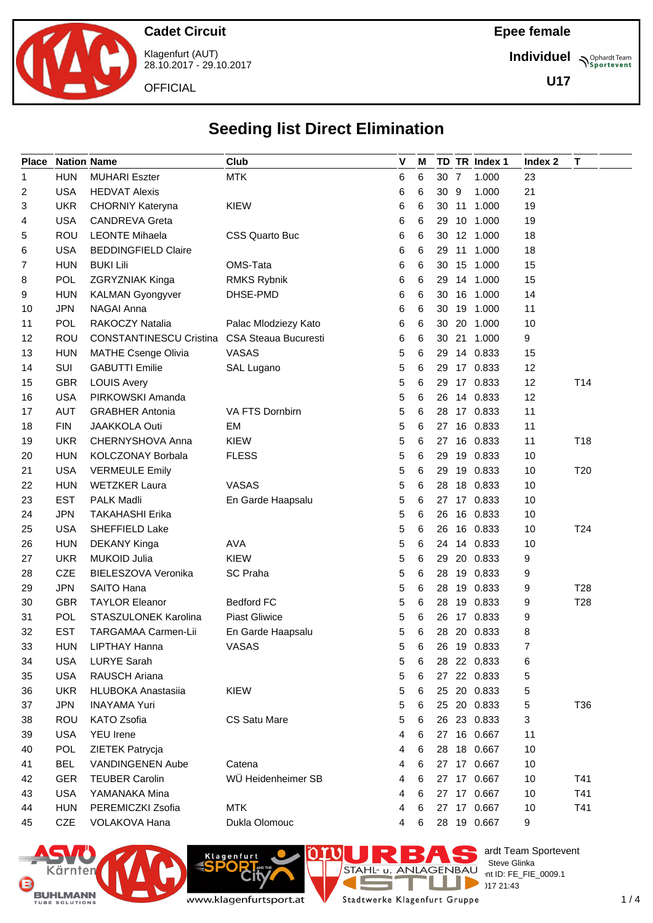

Klagenfurt (AUT) 28.10.2017 - 29.10.2017

**OFFICIAL** 

#### **Epee female**

**Individuel Supplemant** Team

**U17**

|  |  |  | <b>Seeding list Direct Elimination</b> |
|--|--|--|----------------------------------------|
|--|--|--|----------------------------------------|

| <b>MTK</b><br>30 7<br><b>HUN</b><br><b>MUHARI Eszter</b><br>6<br>1.000<br>23<br>1<br>6<br>21<br><b>USA</b><br><b>HEDVAT Alexis</b><br>9<br>2<br>6<br>6<br>30<br>1.000<br><b>UKR</b><br>19<br>3<br><b>CHORNIY Kateryna</b><br>KIEW<br>6<br>6<br>30<br>11<br>1.000<br><b>USA</b><br><b>CANDREVA Greta</b><br>6<br>6<br>10 1.000<br>19<br>29<br>4<br><b>ROU</b><br><b>LEONTE Mihaela</b><br>6<br>12 1.000<br>18<br>5<br><b>CSS Quarto Buc</b><br>6<br>30<br><b>USA</b><br><b>BEDDINGFIELD Claire</b><br>18<br>6<br>6<br>11 1.000<br>6<br>29<br><b>HUN</b><br><b>BUKI Lili</b><br>OMS-Tata<br>6<br>15 1.000<br>15<br>7<br>6<br>30<br><b>POL</b><br>ZGRYZNIAK Kinga<br><b>RMKS Rybnik</b><br>14 1.000<br>15<br>8<br>6<br>6<br>29<br><b>HUN</b><br>16 1.000<br>14<br>9<br><b>KALMAN Gyongyver</b><br>DHSE-PMD<br>6<br>6<br>30<br><b>JPN</b><br>NAGAI Anna<br>6<br>6<br>30<br>19<br>1.000<br>11<br>10<br>POL<br><b>RAKOCZY Natalia</b><br>Palac Mlodziezy Kato<br>6<br>6<br>20<br>1.000<br>10<br>11<br>30<br>12<br><b>ROU</b><br><b>CONSTANTINESCU Cristina</b><br><b>CSA Steaua Bucuresti</b><br>21<br>1.000<br>9<br>6<br>6<br>30 |                 |
|-----------------------------------------------------------------------------------------------------------------------------------------------------------------------------------------------------------------------------------------------------------------------------------------------------------------------------------------------------------------------------------------------------------------------------------------------------------------------------------------------------------------------------------------------------------------------------------------------------------------------------------------------------------------------------------------------------------------------------------------------------------------------------------------------------------------------------------------------------------------------------------------------------------------------------------------------------------------------------------------------------------------------------------------------------------------------------------------------------------------------------|-----------------|
|                                                                                                                                                                                                                                                                                                                                                                                                                                                                                                                                                                                                                                                                                                                                                                                                                                                                                                                                                                                                                                                                                                                             |                 |
|                                                                                                                                                                                                                                                                                                                                                                                                                                                                                                                                                                                                                                                                                                                                                                                                                                                                                                                                                                                                                                                                                                                             |                 |
|                                                                                                                                                                                                                                                                                                                                                                                                                                                                                                                                                                                                                                                                                                                                                                                                                                                                                                                                                                                                                                                                                                                             |                 |
|                                                                                                                                                                                                                                                                                                                                                                                                                                                                                                                                                                                                                                                                                                                                                                                                                                                                                                                                                                                                                                                                                                                             |                 |
|                                                                                                                                                                                                                                                                                                                                                                                                                                                                                                                                                                                                                                                                                                                                                                                                                                                                                                                                                                                                                                                                                                                             |                 |
|                                                                                                                                                                                                                                                                                                                                                                                                                                                                                                                                                                                                                                                                                                                                                                                                                                                                                                                                                                                                                                                                                                                             |                 |
|                                                                                                                                                                                                                                                                                                                                                                                                                                                                                                                                                                                                                                                                                                                                                                                                                                                                                                                                                                                                                                                                                                                             |                 |
|                                                                                                                                                                                                                                                                                                                                                                                                                                                                                                                                                                                                                                                                                                                                                                                                                                                                                                                                                                                                                                                                                                                             |                 |
|                                                                                                                                                                                                                                                                                                                                                                                                                                                                                                                                                                                                                                                                                                                                                                                                                                                                                                                                                                                                                                                                                                                             |                 |
|                                                                                                                                                                                                                                                                                                                                                                                                                                                                                                                                                                                                                                                                                                                                                                                                                                                                                                                                                                                                                                                                                                                             |                 |
|                                                                                                                                                                                                                                                                                                                                                                                                                                                                                                                                                                                                                                                                                                                                                                                                                                                                                                                                                                                                                                                                                                                             |                 |
|                                                                                                                                                                                                                                                                                                                                                                                                                                                                                                                                                                                                                                                                                                                                                                                                                                                                                                                                                                                                                                                                                                                             |                 |
| 13<br><b>HUN</b><br><b>MATHE Csenge Olivia</b><br>VASAS<br>6<br>14 0.833<br>15<br>5<br>29                                                                                                                                                                                                                                                                                                                                                                                                                                                                                                                                                                                                                                                                                                                                                                                                                                                                                                                                                                                                                                   |                 |
| SUI<br><b>GABUTTI Emilie</b><br>17 0.833<br>12<br>14<br>SAL Lugano<br>5<br>6<br>29                                                                                                                                                                                                                                                                                                                                                                                                                                                                                                                                                                                                                                                                                                                                                                                                                                                                                                                                                                                                                                          |                 |
| 12<br>15<br><b>GBR</b><br><b>LOUIS Avery</b><br>5<br>6<br>17 0.833<br>29                                                                                                                                                                                                                                                                                                                                                                                                                                                                                                                                                                                                                                                                                                                                                                                                                                                                                                                                                                                                                                                    | T14             |
| <b>USA</b><br>PIRKOWSKI Amanda<br>5<br>14 0.833<br>12<br>16<br>6<br>26                                                                                                                                                                                                                                                                                                                                                                                                                                                                                                                                                                                                                                                                                                                                                                                                                                                                                                                                                                                                                                                      |                 |
| 17 0.833<br>11<br>17<br><b>AUT</b><br><b>GRABHER Antonia</b><br>VA FTS Dornbirn<br>5<br>6<br>28                                                                                                                                                                                                                                                                                                                                                                                                                                                                                                                                                                                                                                                                                                                                                                                                                                                                                                                                                                                                                             |                 |
| 18<br><b>FIN</b><br><b>JAAKKOLA Outi</b><br>EM<br>5<br>16 0.833<br>11<br>6<br>27                                                                                                                                                                                                                                                                                                                                                                                                                                                                                                                                                                                                                                                                                                                                                                                                                                                                                                                                                                                                                                            |                 |
| 5<br>19<br><b>UKR</b><br>CHERNYSHOVA Anna<br>KIEW<br>6<br>16 0.833<br>11<br>27                                                                                                                                                                                                                                                                                                                                                                                                                                                                                                                                                                                                                                                                                                                                                                                                                                                                                                                                                                                                                                              | T18             |
| 20<br><b>HUN</b><br>KOLCZONAY Borbala<br>5<br>19 0.833<br>10<br><b>FLESS</b><br>6<br>29                                                                                                                                                                                                                                                                                                                                                                                                                                                                                                                                                                                                                                                                                                                                                                                                                                                                                                                                                                                                                                     |                 |
| <b>USA</b><br><b>VERMEULE Emily</b><br>5<br>19 0.833<br>10<br>21<br>6<br>29                                                                                                                                                                                                                                                                                                                                                                                                                                                                                                                                                                                                                                                                                                                                                                                                                                                                                                                                                                                                                                                 | T <sub>20</sub> |
| 22<br><b>HUN</b><br><b>WETZKER Laura</b><br>VASAS<br>5<br>18 0.833<br>10<br>6<br>28                                                                                                                                                                                                                                                                                                                                                                                                                                                                                                                                                                                                                                                                                                                                                                                                                                                                                                                                                                                                                                         |                 |
| 23<br><b>EST</b><br><b>PALK Madli</b><br>5<br>6<br>17 0.833<br>10<br>En Garde Haapsalu<br>27                                                                                                                                                                                                                                                                                                                                                                                                                                                                                                                                                                                                                                                                                                                                                                                                                                                                                                                                                                                                                                |                 |
| 24<br><b>JPN</b><br><b>TAKAHASHI Erika</b><br>5<br>16 0.833<br>10<br>6<br>26                                                                                                                                                                                                                                                                                                                                                                                                                                                                                                                                                                                                                                                                                                                                                                                                                                                                                                                                                                                                                                                |                 |
| <b>USA</b><br>SHEFFIELD Lake<br>5<br>16 0.833<br>10<br>25<br>6<br>26                                                                                                                                                                                                                                                                                                                                                                                                                                                                                                                                                                                                                                                                                                                                                                                                                                                                                                                                                                                                                                                        | T <sub>24</sub> |
| <b>HUN</b><br>DEKANY Kinga<br><b>AVA</b><br>14 0.833<br>10<br>26<br>5<br>6<br>24                                                                                                                                                                                                                                                                                                                                                                                                                                                                                                                                                                                                                                                                                                                                                                                                                                                                                                                                                                                                                                            |                 |
| 27<br><b>UKR</b><br><b>MUKOID Julia</b><br><b>KIEW</b><br>5<br>20 0.833<br>9<br>6<br>29                                                                                                                                                                                                                                                                                                                                                                                                                                                                                                                                                                                                                                                                                                                                                                                                                                                                                                                                                                                                                                     |                 |
| <b>CZE</b><br>BIELESZOVA Veronika<br><b>SC Praha</b><br>5<br>6<br>19 0.833<br>28<br>28<br>9                                                                                                                                                                                                                                                                                                                                                                                                                                                                                                                                                                                                                                                                                                                                                                                                                                                                                                                                                                                                                                 |                 |
| <b>JPN</b><br>SAITO Hana<br>5<br>19 0.833<br>29<br>6<br>28<br>9                                                                                                                                                                                                                                                                                                                                                                                                                                                                                                                                                                                                                                                                                                                                                                                                                                                                                                                                                                                                                                                             | T <sub>28</sub> |
| <b>GBR</b><br><b>TAYLOR Eleanor</b><br><b>Bedford FC</b><br>5<br>19 0.833<br>30<br>6<br>9<br>28                                                                                                                                                                                                                                                                                                                                                                                                                                                                                                                                                                                                                                                                                                                                                                                                                                                                                                                                                                                                                             | T <sub>28</sub> |
| POL<br><b>Piast Gliwice</b><br>STASZULONEK Karolina<br>31<br>5<br>6<br>17 0.833<br>9<br>26                                                                                                                                                                                                                                                                                                                                                                                                                                                                                                                                                                                                                                                                                                                                                                                                                                                                                                                                                                                                                                  |                 |
| 32<br><b>EST</b><br>TARGAMAA Carmen-Lii<br>5<br>6<br>28 20 0.833<br>8<br>En Garde Haapsalu                                                                                                                                                                                                                                                                                                                                                                                                                                                                                                                                                                                                                                                                                                                                                                                                                                                                                                                                                                                                                                  |                 |
| 33<br><b>HUN</b><br>VASAS<br>5<br>26 19 0.833<br>7<br>LIPTHAY Hanna<br>6                                                                                                                                                                                                                                                                                                                                                                                                                                                                                                                                                                                                                                                                                                                                                                                                                                                                                                                                                                                                                                                    |                 |
| <b>USA</b><br><b>LURYE Sarah</b><br>28 22 0.833<br>5<br>34<br>6<br>6                                                                                                                                                                                                                                                                                                                                                                                                                                                                                                                                                                                                                                                                                                                                                                                                                                                                                                                                                                                                                                                        |                 |
| <b>USA</b><br><b>RAUSCH Ariana</b><br>5<br>27 22 0.833<br>35<br>5<br>6                                                                                                                                                                                                                                                                                                                                                                                                                                                                                                                                                                                                                                                                                                                                                                                                                                                                                                                                                                                                                                                      |                 |
| <b>UKR</b><br><b>HLUBOKA Anastasiia</b><br>KIEW<br>20 0.833<br>5<br>36<br>5<br>25<br>6                                                                                                                                                                                                                                                                                                                                                                                                                                                                                                                                                                                                                                                                                                                                                                                                                                                                                                                                                                                                                                      |                 |
| <b>INAYAMA Yuri</b><br>25 20 0.833<br>37<br><b>JPN</b><br>5<br>5<br>6                                                                                                                                                                                                                                                                                                                                                                                                                                                                                                                                                                                                                                                                                                                                                                                                                                                                                                                                                                                                                                                       | T36             |
| 3<br><b>ROU</b><br><b>KATO Zsofia</b><br><b>CS Satu Mare</b><br>26 23 0.833<br>38<br>5<br>6                                                                                                                                                                                                                                                                                                                                                                                                                                                                                                                                                                                                                                                                                                                                                                                                                                                                                                                                                                                                                                 |                 |
| <b>YEU Irene</b><br>16 0.667<br>39<br><b>USA</b><br>11<br>4<br>6<br>27                                                                                                                                                                                                                                                                                                                                                                                                                                                                                                                                                                                                                                                                                                                                                                                                                                                                                                                                                                                                                                                      |                 |
| <b>POL</b><br>ZIETEK Patrycja<br>18 0.667<br>10<br>40<br>4<br>6<br>28                                                                                                                                                                                                                                                                                                                                                                                                                                                                                                                                                                                                                                                                                                                                                                                                                                                                                                                                                                                                                                                       |                 |
| <b>BEL</b><br>17 0.667<br>41<br><b>VANDINGENEN Aube</b><br>Catena<br>6<br>10<br>4<br>27                                                                                                                                                                                                                                                                                                                                                                                                                                                                                                                                                                                                                                                                                                                                                                                                                                                                                                                                                                                                                                     |                 |
| WÜ Heidenheimer SB<br>17 0.667<br>42<br>GER<br><b>TEUBER Carolin</b><br>6<br>10<br>4<br>27                                                                                                                                                                                                                                                                                                                                                                                                                                                                                                                                                                                                                                                                                                                                                                                                                                                                                                                                                                                                                                  | T41             |
| <b>USA</b><br>YAMANAKA Mina<br>17 0.667<br>43<br>10<br>4<br>6<br>27                                                                                                                                                                                                                                                                                                                                                                                                                                                                                                                                                                                                                                                                                                                                                                                                                                                                                                                                                                                                                                                         | T41             |
| <b>MTK</b><br><b>HUN</b><br>PEREMICZKI Zsofia<br>17 0.667<br>10<br>44<br>4<br>6<br>27                                                                                                                                                                                                                                                                                                                                                                                                                                                                                                                                                                                                                                                                                                                                                                                                                                                                                                                                                                                                                                       | T41             |
| <b>CZE</b><br>VOLAKOVA Hana<br>Dukla Olomouc<br>28 19 0.667<br>45<br>6<br>9<br>4                                                                                                                                                                                                                                                                                                                                                                                                                                                                                                                                                                                                                                                                                                                                                                                                                                                                                                                                                                                                                                            |                 |



www.klagenfurtsport.at

**Rit** 

**Klagenfurt** 

T Stadtwerke Klagenfurt Gruppe

 $\overline{\phantom{a}}$ 

F

J.

 $\mathcal{L} \rightarrow \mathcal{L}$ 

es ardt Team Sportevent

**License:** Steve Glinka  $P^{\text{LO}}$  int ID: FE\_FIE\_0009.1

 $17.21:43$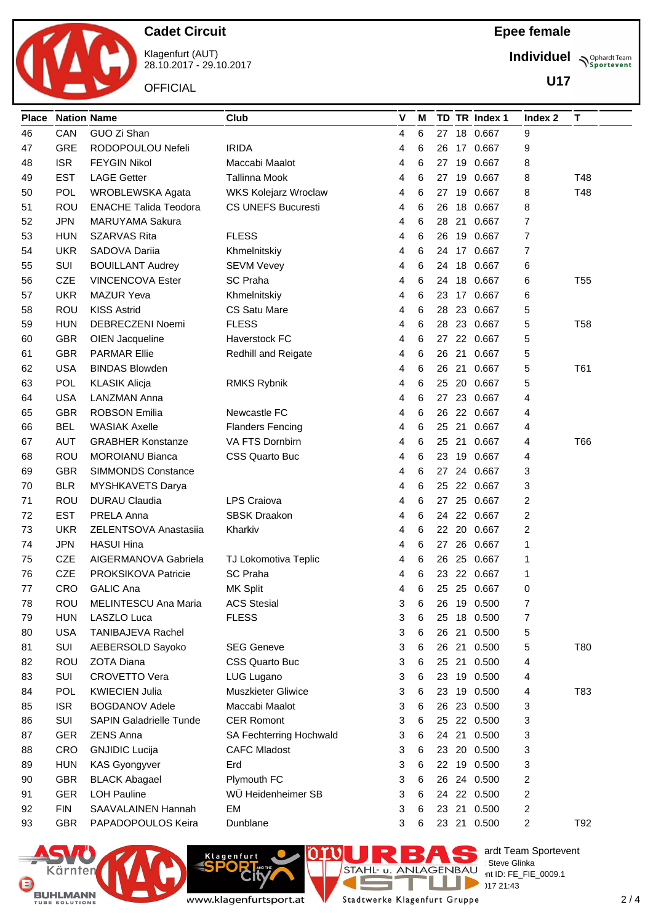Klagenfurt (AUT) 28.10.2017 - 29.10.2017

**OFFICIAL** 

**Individuel Supplemant** Team

**U17**

| <b>Place</b> | <b>Nation Name</b>       |                                            | Club                      | $\mathbf v$ | Μ      |          |    | TD TR Index 1        | Index 2        | $\mathsf T$     |
|--------------|--------------------------|--------------------------------------------|---------------------------|-------------|--------|----------|----|----------------------|----------------|-----------------|
| 46           | CAN                      | GUO Zi Shan                                |                           | 4           | 6      | 27       |    | 18 0.667             | 9              |                 |
| 47           | <b>GRE</b>               | RODOPOULOU Nefeli                          | <b>IRIDA</b>              | 4           | 6      | 26       |    | 17 0.667             | 9              |                 |
| 48           | <b>ISR</b>               | <b>FEYGIN Nikol</b>                        | Maccabi Maalot            | 4           | 6      | 27       | 19 | 0.667                | 8              |                 |
| 49           | <b>EST</b>               | <b>LAGE Getter</b>                         | <b>Tallinna Mook</b>      | 4           | 6      | 27       | 19 | 0.667                | 8              | T48             |
| 50           | <b>POL</b>               | WROBLEWSKA Agata                           | WKS Kolejarz Wroclaw      | 4           | 6      | 27       | 19 | 0.667                | 8              | T48             |
| 51           | <b>ROU</b>               | <b>ENACHE Talida Teodora</b>               | <b>CS UNEFS Bucuresti</b> | 4           | 6      | 26       |    | 18 0.667             | 8              |                 |
| 52           | <b>JPN</b>               | <b>MARUYAMA Sakura</b>                     |                           | 4           | 6      | 28       | 21 | 0.667                | 7              |                 |
| 53           | <b>HUN</b>               | <b>SZARVAS Rita</b>                        | <b>FLESS</b>              | 4           | 6      | 26       | 19 | 0.667                | $\overline{7}$ |                 |
| 54           | <b>UKR</b>               | SADOVA Dariia                              | Khmelnitskiy              | 4           | 6      | 24       |    | 17 0.667             | 7              |                 |
| 55           | SUI                      | <b>BOUILLANT Audrey</b>                    | <b>SEVM Vevey</b>         | 4           | 6      | 24       |    | 18 0.667             | 6              |                 |
| 56           | <b>CZE</b>               | <b>VINCENCOVA Ester</b>                    | <b>SC Praha</b>           | 4           | 6      | 24       |    | 18 0.667             | 6              | T <sub>55</sub> |
| 57           | <b>UKR</b>               | <b>MAZUR Yeva</b>                          | Khmelnitskiy              | 4           | 6      | 23       |    | 17 0.667             | 6              |                 |
| 58           | <b>ROU</b>               | <b>KISS Astrid</b>                         | <b>CS Satu Mare</b>       | 4           | 6      | 28       |    | 23 0.667             | 5              |                 |
| 59           | <b>HUN</b>               | DEBRECZENI Noemi                           | <b>FLESS</b>              | 4           | 6      | 28       |    | 23 0.667             | 5              | <b>T58</b>      |
| 60           | <b>GBR</b>               | OIEN Jacqueline                            | Haverstock FC             | 4           | 6      | 27       |    | 22 0.667             | 5              |                 |
| 61           | <b>GBR</b>               | <b>PARMAR Ellie</b>                        | Redhill and Reigate       | 4           | 6      | 26       | 21 | 0.667                | 5              |                 |
| 62           | <b>USA</b>               | <b>BINDAS Blowden</b>                      |                           | 4           | 6      | 26       | 21 | 0.667                | 5              | T61             |
| 63           | <b>POL</b>               | <b>KLASIK Alicja</b>                       | <b>RMKS Rybnik</b>        | 4           | 6      | 25       | 20 | 0.667                | 5              |                 |
| 64           | <b>USA</b>               | <b>LANZMAN Anna</b>                        |                           | 4           | 6      | 27       |    | 23 0.667             | 4              |                 |
| 65           | <b>GBR</b>               | <b>ROBSON Emilia</b>                       | Newcastle FC              | 4           | 6      | 26       |    | 22 0.667             | 4              |                 |
| 66           | <b>BEL</b>               | <b>WASIAK Axelle</b>                       | <b>Flanders Fencing</b>   | 4           | 6      | 25       | 21 | 0.667                | 4              |                 |
| 67           | <b>AUT</b>               | <b>GRABHER Konstanze</b>                   | VA FTS Dornbirn           | 4           | 6      | 25       | 21 | 0.667                | 4              | T66             |
| 68           | <b>ROU</b>               | <b>MOROIANU Bianca</b>                     | <b>CSS Quarto Buc</b>     | 4           | 6      | 23       |    | 19 0.667             | 4              |                 |
| 69           | <b>GBR</b>               | <b>SIMMONDS Constance</b>                  |                           | 4           | 6      | 27       |    | 24 0.667             | 3              |                 |
| 70           | <b>BLR</b>               | MYSHKAVETS Darya                           |                           | 4           | 6      | 25       |    | 22 0.667             | 3              |                 |
| 71           | <b>ROU</b>               | <b>DURAU Claudia</b>                       | <b>LPS Craiova</b>        | 4           | 6      | 27       |    | 25 0.667             | 2              |                 |
| 72           | <b>EST</b>               | PRELA Anna                                 | <b>SBSK Draakon</b>       | 4           | 6      | 24       |    | 22 0.667             | 2              |                 |
| 73           | <b>UKR</b>               | ZELENTSOVA Anastasiia                      | Kharkiv                   | 4           | 6      |          |    | 22 20 0.667          | 2              |                 |
| 74           | <b>JPN</b>               | <b>HASUI Hina</b>                          |                           | 4           | 6      | 27       | 26 | 0.667                | 1              |                 |
| 75           | <b>CZE</b>               | AIGERMANOVA Gabriela                       | TJ Lokomotiva Teplic      | 4           | 6      | 26       |    | 25 0.667             | 1              |                 |
| 76           | <b>CZE</b>               | PROKSIKOVA Patricie                        | <b>SC Praha</b>           | 4           | 6      | 23       |    | 22 0.667             | 1              |                 |
| 77           | CRO                      | <b>GALIC Ana</b>                           | <b>MK Split</b>           | 4           | 6      |          |    | 25 25 0.667          | 0              |                 |
| 78           | <b>ROU</b>               | MELINTESCU Ana Maria                       | <b>ACS Stesial</b>        | 3           | 6      | 26       |    | 19 0.500             | 7              |                 |
| 79           | <b>HUN</b>               | LASZLO Luca                                | <b>FLESS</b>              | 3           | 6      | 25       |    | 18 0.500             | 7              |                 |
| 80           | <b>USA</b>               | <b>TANIBAJEVA Rachel</b>                   |                           | 3           | 6      | 26       |    | 21 0.500             | 5              |                 |
| 81           | SUI                      | AEBERSOLD Sayoko                           | <b>SEG Geneve</b>         | 3           | 6      | 26       |    | 21 0.500             | 5              | T80             |
| 82           | <b>ROU</b>               | ZOTA Diana                                 | <b>CSS Quarto Buc</b>     | 3           | 6      |          |    | 25 21 0.500          | 4              |                 |
| 83           | SUI                      | <b>CROVETTO Vera</b>                       | LUG Lugano                | 3           | 6      | 23       |    | 19 0.500             | 4              |                 |
| 84           | <b>POL</b>               | <b>KWIECIEN Julia</b>                      | Muszkieter Gliwice        | 3           | 6      | 23       |    | 19 0.500             | 4              | T83             |
| 85           | <b>ISR</b>               | <b>BOGDANOV Adele</b>                      | Maccabi Maalot            | 3           | 6      | 26       |    | 23 0.500             | 3              |                 |
| 86           | SUI                      | <b>SAPIN Galadrielle Tunde</b>             | <b>CER Romont</b>         | 3           | 6      |          |    | 25 22 0.500          | 3              |                 |
| 87           | <b>GER</b>               | <b>ZENS Anna</b>                           | SA Fechterring Hochwald   | 3           | 6      | 24       |    | 21 0.500             | 3              |                 |
| 88           | <b>CRO</b>               | <b>GNJIDIC Lucija</b>                      | <b>CAFC Mladost</b>       | 3           | 6      |          |    | 23 20 0.500          | 3              |                 |
| 89           | <b>HUN</b><br><b>GBR</b> | KAS Gyongyver                              | Erd<br>Plymouth FC        | 3           | 6      | 22       |    | 19 0.500<br>24 0.500 | 3              |                 |
| 90           | <b>GER</b>               | <b>BLACK Abagael</b><br><b>LOH Pauline</b> | WÜ Heidenheimer SB        | 3           | 6      | 26       |    | 22 0.500             | 2              |                 |
| 91<br>92     | <b>FIN</b>               | SAAVALAINEN Hannah                         | EM                        | 3           | 6<br>6 | 24<br>23 |    | 21 0.500             | 2              |                 |
| 93           | GBR                      | PAPADOPOULOS Keira                         | Dunblane                  | 3<br>3      | 6      |          |    | 23 21 0.500          | 2<br>2         | T92             |
|              |                          |                                            |                           |             |        |          |    |                      |                |                 |



www.klagenfurtsport.at

**City** 

**Klagenfurt** 

T Stadtwerke Klagenfurt Gruppe

Е

F

a.

 $\mathcal{L}_{\text{max}}$ 

es ardt Team Sportevent

**License:** Steve Glinka  $P^{\text{LO}}$  int ID: FE\_FIE\_0009.1

 $21:43$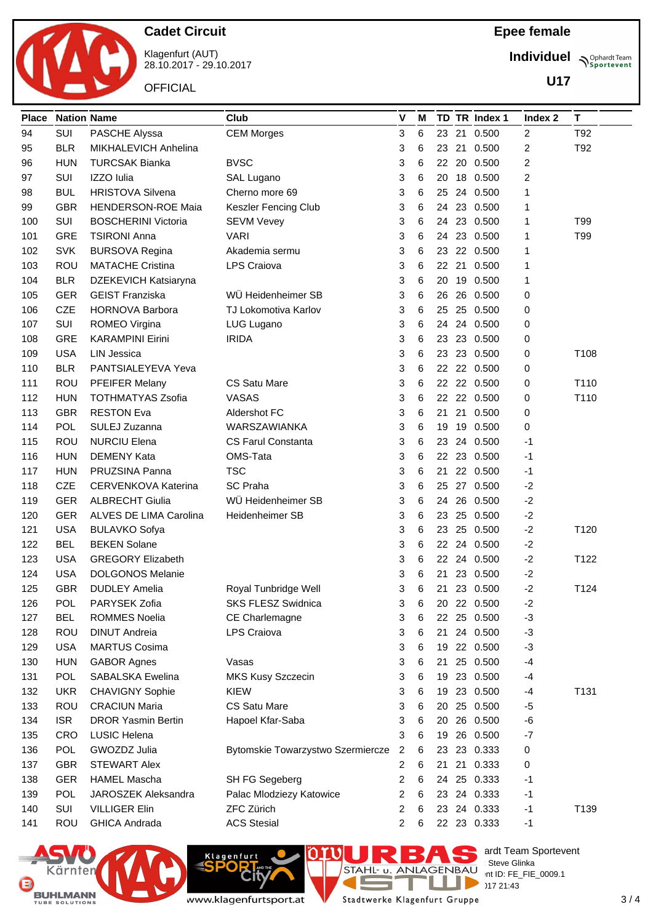

Klagenfurt (AUT) 28.10.2017 - 29.10.2017

**OFFICIAL** 

**Individuel Supplemant** Team

**U17**

| <b>Place</b> | <b>Nation Name</b> |                            | Club                              | $\mathsf{V}$   | M |    |       | TD TR Index 1 | Index 2        | T    |
|--------------|--------------------|----------------------------|-----------------------------------|----------------|---|----|-------|---------------|----------------|------|
| 94           | SUI                | PASCHE Alyssa              | <b>CEM Morges</b>                 | 3              | 6 | 23 | 21    | 0.500         | $\overline{2}$ | T92  |
| 95           | <b>BLR</b>         | MIKHALEVICH Anhelina       |                                   | 3              | 6 |    | 23 21 | 0.500         | 2              | T92  |
| 96           | <b>HUN</b>         | <b>TURCSAK Bianka</b>      | <b>BVSC</b>                       | 3              | 6 | 22 | 20    | 0.500         | 2              |      |
| 97           | <b>SUI</b>         | IZZO lulia                 | SAL Lugano                        | 3              | 6 | 20 |       | 18 0.500      | 2              |      |
| 98           | <b>BUL</b>         | <b>HRISTOVA Silvena</b>    | Cherno more 69                    | 3              | 6 | 25 |       | 24 0.500      | 1              |      |
| 99           | <b>GBR</b>         | <b>HENDERSON-ROE Maia</b>  | Keszler Fencing Club              | 3              | 6 | 24 |       | 23 0.500      | 1              |      |
| 100          | <b>SUI</b>         | <b>BOSCHERINI Victoria</b> | <b>SEVM Vevey</b>                 | 3              | 6 | 24 |       | 23 0.500      | 1              | T99  |
| 101          | <b>GRE</b>         | <b>TSIRONI Anna</b>        | <b>VARI</b>                       | 3              | 6 | 24 |       | 23 0.500      | 1              | T99  |
| 102          | <b>SVK</b>         | <b>BURSOVA Regina</b>      | Akademia sermu                    | 3              | 6 | 23 |       | 22 0.500      | 1              |      |
| 103          | <b>ROU</b>         | <b>MATACHE Cristina</b>    | <b>LPS Craiova</b>                | 3              | 6 |    |       | 22 21 0.500   | 1              |      |
| 104          | <b>BLR</b>         | DZEKEVICH Katsiaryna       |                                   | 3              | 6 | 20 |       | 19 0.500      | 1              |      |
| 105          | <b>GER</b>         | <b>GEIST Franziska</b>     | WÜ Heidenheimer SB                | 3              | 6 | 26 | 26    | 0.500         | 0              |      |
| 106          | <b>CZE</b>         | <b>HORNOVA Barbora</b>     | TJ Lokomotiva Karlov              | 3              | 6 | 25 |       | 25 0.500      | 0              |      |
| 107          | SUI                | ROMEO Virgina              | LUG Lugano                        | 3              | 6 | 24 |       | 24 0.500      | 0              |      |
| 108          | <b>GRE</b>         | <b>KARAMPINI Eirini</b>    | <b>IRIDA</b>                      | 3              | 6 | 23 |       | 23 0.500      | 0              |      |
| 109          | <b>USA</b>         | <b>LIN Jessica</b>         |                                   | 3              | 6 | 23 |       | 23 0.500      | 0              | T108 |
| 110          | <b>BLR</b>         | PANTSIALEYEVA Yeva         |                                   | 3              | 6 | 22 |       | 22 0.500      | 0              |      |
| 111          | <b>ROU</b>         | PFEIFER Melany             | <b>CS Satu Mare</b>               | 3              | 6 | 22 |       | 22 0.500      | 0              | T110 |
| 112          | <b>HUN</b>         | <b>TOTHMATYAS Zsofia</b>   | VASAS                             | 3              | 6 |    |       | 22 22 0.500   | 0              | T110 |
| 113          | <b>GBR</b>         | <b>RESTON Eva</b>          | Aldershot FC                      | 3              | 6 | 21 | 21    | 0.500         | 0              |      |
| 114          | POL                | SULEJ Zuzanna              | WARSZAWIANKA                      | 3              | 6 | 19 | 19    | 0.500         | 0              |      |
| 115          | <b>ROU</b>         | <b>NURCIU Elena</b>        | <b>CS Farul Constanta</b>         | 3              | 6 | 23 |       | 24 0.500      | -1             |      |
| 116          | <b>HUN</b>         | <b>DEMENY Kata</b>         | OMS-Tata                          | 3              | 6 |    |       | 22 23 0.500   | -1             |      |
| 117          | <b>HUN</b>         | PRUZSINA Panna             | <b>TSC</b>                        | 3              | 6 | 21 |       | 22 0.500      | -1             |      |
| 118          | CZE                | CERVENKOVA Katerina        | <b>SC Praha</b>                   | 3              | 6 | 25 |       | 27 0.500      | $-2$           |      |
| 119          | <b>GER</b>         | <b>ALBRECHT Giulia</b>     | WÜ Heidenheimer SB                | 3              | 6 | 24 | 26    | 0.500         | $-2$           |      |
| 120          | <b>GER</b>         | ALVES DE LIMA Carolina     | Heidenheimer SB                   | 3              | 6 | 23 |       | 25 0.500      | $-2$           |      |
| 121          | <b>USA</b>         | <b>BULAVKO Sofya</b>       |                                   | 3              | 6 | 23 |       | 25 0.500      | $-2$           | T120 |
| 122          | <b>BEL</b>         | <b>BEKEN Solane</b>        |                                   | 3              | 6 | 22 |       | 24 0.500      | $-2$           |      |
| 123          | <b>USA</b>         | <b>GREGORY Elizabeth</b>   |                                   | 3              | 6 |    |       | 22 24 0.500   | $-2$           | T122 |
| 124          | <b>USA</b>         | <b>DOLGONOS Melanie</b>    |                                   | 3              | 6 | 21 |       | 23 0.500      | $-2$           |      |
| 125          | <b>GBR</b>         | <b>DUDLEY Amelia</b>       | Royal Tunbridge Well              | 3              | 6 |    |       | 21 23 0.500   | $-2$           | T124 |
| 126          | <b>POL</b>         | PARYSEK Zofia              | SKS FLESZ Swidnica                | 3              | 6 | 20 |       | 22 0.500      | -2             |      |
| 127          | <b>BEL</b>         | <b>ROMMES Noelia</b>       | CE Charlemagne                    | 3              | 6 | 22 |       | 25 0.500      | $-3$           |      |
| 128          | <b>ROU</b>         | <b>DINUT Andreia</b>       | LPS Craiova                       | 3              | 6 | 21 |       | 24 0.500      | -3             |      |
| 129          | <b>USA</b>         | <b>MARTUS Cosima</b>       |                                   | 3              | 6 |    |       | 19 22 0.500   | $-3$           |      |
| 130          | <b>HUN</b>         | <b>GABOR Agnes</b>         | Vasas                             | 3              | 6 | 21 |       | 25 0.500      | -4             |      |
| 131          | POL                | SABALSKA Ewelina           | MKS Kusy Szczecin                 | 3              | 6 | 19 |       | 23 0.500      | -4             |      |
| 132          | <b>UKR</b>         | <b>CHAVIGNY Sophie</b>     | KIEW                              | 3              | 6 | 19 |       | 23 0.500      | $-4$           | T131 |
| 133          | <b>ROU</b>         | <b>CRACIUN Maria</b>       | CS Satu Mare                      | 3              | 6 |    |       | 20 25 0.500   | -5             |      |
| 134          | <b>ISR</b>         | DROR Yasmin Bertin         | Hapoel Kfar-Saba                  | 3              | 6 |    |       | 20 26 0.500   | -6             |      |
| 135          | CRO                | LUSIC Helena               |                                   | 3              | 6 | 19 |       | 26 0.500      | -7             |      |
| 136          | POL                | GWOZDZ Julia               | Bytomskie Towarzystwo Szermiercze | $\overline{c}$ | 6 | 23 |       | 23 0.333      | 0              |      |
| 137          | GBR                | <b>STEWART Alex</b>        |                                   | 2              | 6 | 21 |       | 21 0.333      | 0              |      |
| 138          | GER                | <b>HAMEL Mascha</b>        | SH FG Segeberg                    | 2              | 6 |    |       | 24 25 0.333   | -1             |      |
| 139          | POL                | JAROSZEK Aleksandra        | Palac Mlodziezy Katowice          | 2              | 6 | 23 |       | 24 0.333      | -1             |      |
| 140          | SUI                | <b>VILLIGER Elin</b>       | ZFC Zürich                        | 2              | 6 | 23 |       | 24 0.333      | $-1$           | T139 |
| 141          | ROU                | <b>GHICA Andrada</b>       | <b>ACS Stesial</b>                | 2              | 6 |    |       | 22 23 0.333   | $-1$           |      |



www.klagenfurtsport.at

**Cit** 

**Klagenfurt** 

T Stadtwerke Klagenfurt Gruppe

**TELEVISION** 

a.

Е

erdt Team Sportevent

**License:** Steve Glinka  $P^{\text{LO}}$  int ID: FE\_FIE\_0009.1

 $18.721:43$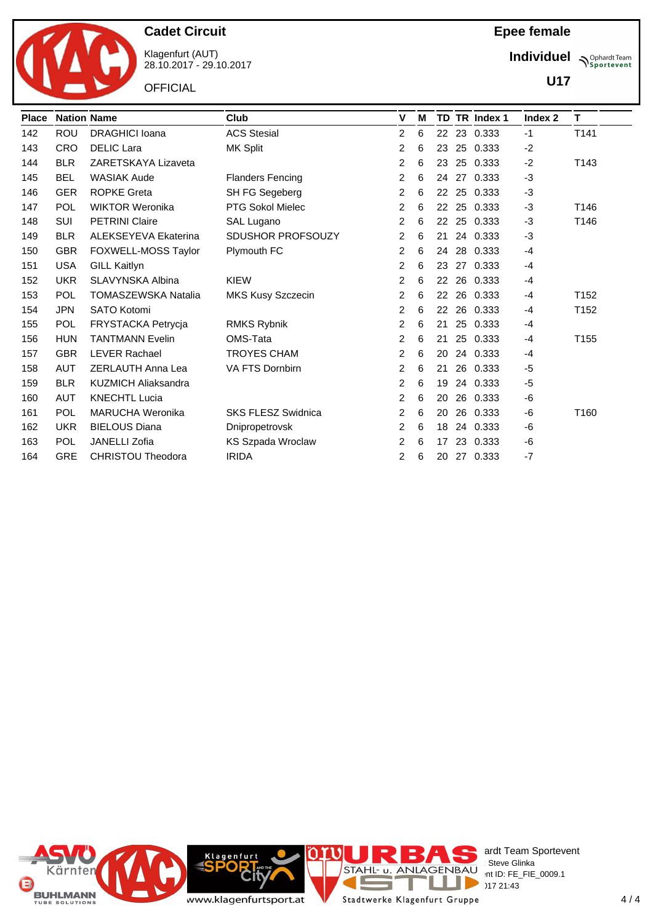

Klagenfurt (AUT) 28.10.2017 - 29.10.2017

**OFFICIAL** 

**Individuel Supplemant** Team

**U17**

| <b>Place</b> | <b>Nation Name</b> |                            | Club                      | v              | м |    |    | TD TR Index 1 | Index 2 | T                |
|--------------|--------------------|----------------------------|---------------------------|----------------|---|----|----|---------------|---------|------------------|
| 142          | <b>ROU</b>         | <b>DRAGHICI Ioana</b>      | <b>ACS Stesial</b>        | 2              | 6 | 22 |    | 23 0.333      | $-1$    | T141             |
| 143          | <b>CRO</b>         | <b>DELIC</b> Lara          | MK Split                  | 2              | 6 | 23 | 25 | 0.333         | $-2$    |                  |
| 144          | <b>BLR</b>         | ZARETSKAYA Lizaveta        |                           | $\overline{2}$ | 6 | 23 | 25 | 0.333         | $-2$    | T <sub>143</sub> |
| 145          | <b>BEL</b>         | <b>WASIAK Aude</b>         | <b>Flanders Fencing</b>   | $\overline{2}$ | 6 | 24 | 27 | 0.333         | $-3$    |                  |
| 146          | <b>GER</b>         | <b>ROPKE Greta</b>         | SH FG Segeberg            | 2              | 6 | 22 | 25 | 0.333         | $-3$    |                  |
| 147          | POL                | <b>WIKTOR Weronika</b>     | <b>PTG Sokol Mielec</b>   | $\overline{2}$ | 6 | 22 | 25 | 0.333         | -3      | T146             |
| 148          | <b>SUI</b>         | <b>PETRINI Claire</b>      | SAL Lugano                | 2              | 6 | 22 | 25 | 0.333         | -3      | T146             |
| 149          | <b>BLR</b>         | ALEKSEYEVA Ekaterina       | <b>SDUSHOR PROFSOUZY</b>  | 2              | 6 | 21 |    | 24 0.333      | -3      |                  |
| 150          | <b>GBR</b>         | FOXWELL-MOSS Taylor        | Plymouth FC               | 2              | 6 | 24 | 28 | 0.333         | -4      |                  |
| 151          | <b>USA</b>         | <b>GILL Kaitlyn</b>        |                           | 2              | 6 | 23 | 27 | 0.333         | -4      |                  |
| 152          | <b>UKR</b>         | <b>SLAVYNSKA Albina</b>    | <b>KIEW</b>               | 2              | 6 | 22 | 26 | 0.333         | -4      |                  |
| 153          | <b>POL</b>         | <b>TOMASZEWSKA Natalia</b> | <b>MKS Kusy Szczecin</b>  | 2              | 6 | 22 | 26 | 0.333         | -4      | T <sub>152</sub> |
| 154          | <b>JPN</b>         | <b>SATO Kotomi</b>         |                           | 2              | 6 | 22 | 26 | 0.333         | -4      | T <sub>152</sub> |
| 155          | <b>POL</b>         | <b>FRYSTACKA Petrycja</b>  | <b>RMKS Rybnik</b>        | 2              | 6 | 21 | 25 | 0.333         | -4      |                  |
| 156          | <b>HUN</b>         | <b>TANTMANN Evelin</b>     | OMS-Tata                  | 2              | 6 | 21 | 25 | 0.333         | -4      | T <sub>155</sub> |
| 157          | <b>GBR</b>         | <b>LEVER Rachael</b>       | <b>TROYES CHAM</b>        | 2              | 6 | 20 |    | 24 0.333      | -4      |                  |
| 158          | <b>AUT</b>         | <b>ZERLAUTH Anna Lea</b>   | VA FTS Dornbirn           | $\overline{2}$ | 6 | 21 | 26 | 0.333         | -5      |                  |
| 159          | <b>BLR</b>         | <b>KUZMICH Aliaksandra</b> |                           | $\overline{2}$ | 6 | 19 | 24 | 0.333         | $-5$    |                  |
| 160          | <b>AUT</b>         | <b>KNECHTL Lucia</b>       |                           | 2              | 6 | 20 | 26 | 0.333         | -6      |                  |
| 161          | <b>POL</b>         | <b>MARUCHA Weronika</b>    | <b>SKS FLESZ Swidnica</b> | 2              | 6 | 20 | 26 | 0.333         | -6      | T160             |
| 162          | <b>UKR</b>         | <b>BIELOUS Diana</b>       | Dnipropetrovsk            | 2              | 6 | 18 | 24 | 0.333         | -6      |                  |
| 163          | <b>POL</b>         | <b>JANELLI Zofia</b>       | KS Szpada Wroclaw         | 2              | 6 | 17 | 23 | 0.333         | -6      |                  |
| 164          | <b>GRE</b>         | <b>CHRISTOU Theodora</b>   | <b>IRIDA</b>              | 2              | 6 | 20 | 27 | 0.333         | $-7$    |                  |
|              |                    |                            |                           |                |   |    |    |               |         |                  |

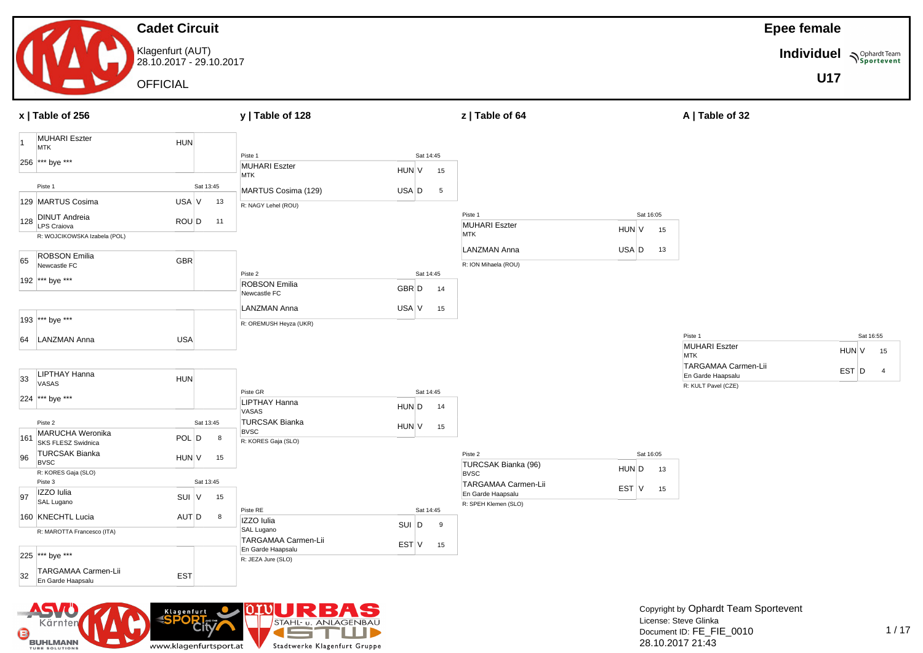#### **Cadet Circuit** Klagenfurt (AUT) 28.10.2017 - 29.10.2017 **OFFICIAL Epee female Individuel**  $\sum_{\text{Sportevent}}$ **U17 x | Table of 256 y | Table of 128 z | Table of 64 A | Table of 32**  $\vert$ 1 **MUHARI Eszter** MTK **Example 19** HUN 256 \*\*\* bye \*\*\* Piste 1 Sat 13:45 129 MARTUS Cosima USA V 13 128 DINUT Andreia DINOT Andreia<br>LPS Craiova **ROU** D 11 R: WOJCIKOWSKA Izabela (POL) 65 ROBSON Emilia ROBSON Emilia<br>Newcastle FC GBR 192 \*\*\* bye \*\*\* 193 \*\*\* bye \*\*\* 64 LANZMAN Anna USA 33 **LIPTHAY Hanna** Lii Tiivii hama<br>VASAS HUN 224 \*\*\* bye \*\*\* Piste 2 Sat 13:45 161 MARUCHA Weronika NARUCHA WEIDHIKA<br>SKS FLESZ Swidnica POL D 8 96 TURCSAK Bianka PONCOAN Diama **HUN** V 15 R: KORES Gaja (SLO) Piste 3 Sat 13:45 97 IZZO Iulia SAL Lugano SUI <sup>V</sup> <sup>15</sup> 160 KNECHTL Lucia AUT D 8 R: MAROTTA Francesco (ITA) 225 \*\*\* bye \*\*\* 32 TARGAMAA Carmen-Lii Piste 1 Sat 14:45 MUHARI Eszter MOTARCE LOCAL CONTROL CONTROL CONTROL CONTROL CONTROL CONTROL CONTROL CONTROL CONTROL CONTROL CONTROL CONTROL CONTROL CONTROL CONTROL CONTROL CONTROL CONTROL CONTROL CONTROL CONTROL CONTROL CONTROL CONTROL CONTROL CONTROL MARTUS Cosima (129) USA D 5 R: NAGY Lehel (ROU) Piste 2 Sat 14:45 ROBSON Emilia Newcastle FC<br>Newcastle FC LANZMAN Anna USA V 15 R: OREMUSH Heyza (UKR) Piste GR Sat 14:45 LIPTHAY Hanna Lii Tirkii Tilanna kuni kuni HUN D 14<br>VASAS TURCSAK Bianka<br>BVSC BVSC HUN V 15 R: KORES Gaja (SLO) Piste RE Sat 14:45 IZZO Iulia IZZO IUIIA<br>SAL Lugano SAL Presidente SUI D 9 TARGAMAA Carmen-Lii TARGAMAA Califien-Lii EST V 15 R: JEZA Jure (SLO) Piste 1 Sat 16:05 MUHARI Eszter MUNICIPAL ESERCITOR CONTROLLER HUN V 15 LANZMAN Anna USA D 13 R: ION Mihaela (ROU) Piste 2 Sat 16:05 TURCSAK Bianka (96) BVSC **BRACE DESCRIPTION** D 13 TARGAMAA Carmen-Lii TANGAMAA Camilen-Lii EST V 15 R: SPEH Klemen (SLO) Piste 1 Sat 16:55 **MUHARI Eszter**<br>MTK MUNICIPAL ESERCITOR CONTROLLER HUN V 15 TARGAMAA Carmen-Lii TARGAMAA Carmen-Lii<br>En Garde Haapsalu EST D 4 R: KULT Pavel (CZE)



TARGAMAA Califien-Lii<br>En Garde Haapsalu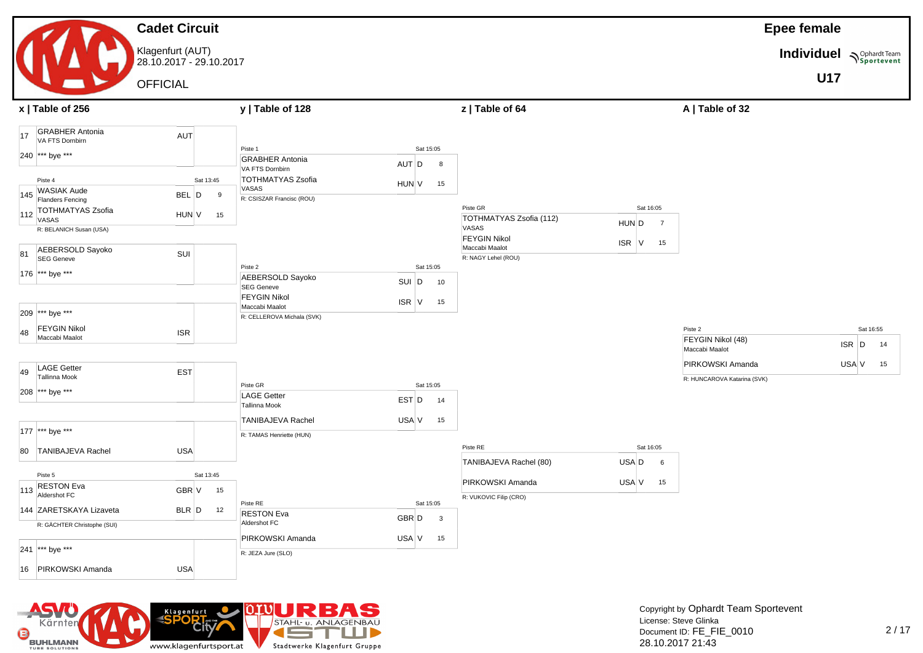#### **Cadet Circuit** Klagenfurt (AUT) 28.10.2017 - 29.10.2017 **OFFICIAL Epee female Individuel**  $\sum_{\text{Sportevent}}$ **U17 x | Table of 256 y | Table of 128 z | Table of 64 A | Table of 32** 17 GRABHER Antonia GRABHER Antonia<br>VA FTS Dombirn 240 \*\*\* bye \*\*\* Piste 4 Sat 13:45 145 WASIAK Aude WASIAK Aude<br>Flanders Fencing de March 1999 BEL D 9 112 TOTHMATYAS Zsofia VASAS **HUN** V 15 R: BELANICH Susan (USA) 81 AEBERSOLD Sayoko AEBERSOLD Sayoko<br>SEG Geneve 176 \*\*\* bye \*\*\* 209 \*\*\* bye \*\*\* 48 FEYGIN Nikol | FE Y GIN NIKOI<br>| Maccabi Maalot 49 LAGE Getter Tallinna Mook EST 208 \*\*\* bye \*\*\* 177 \*\*\* bye \*\*\* 80 TANIBAJEVA Rachel USA Piste 5 Sat 13:45  $\vert_{113}$  RESTON Eva RESTON EVA CONTROL CONTROL CONTROL CONTROL CONTROL 15 144 ZARETSKAYA Lizaveta BLR D 12 R: GÄCHTER Christophe (SUI) 241 \*\*\* bye \*\*\* 16 PIRKOWSKI Amanda USA Piste 1 Sat 15:05 GRABHER Antonia URABHER ANTONIA<br>VA FTS Dombirn AUT D 8 TOTHMATYAS Zsofia VASAS HUN V 15 R: CSISZAR Francisc (ROU) Piste 2 Sat 15:05 AEBERSOLD Sayoko AEDERSULD Sayoko<br>SEG Geneve SUI D 10 FEYGIN Nikol **Example 19 TEX Y 15**<br>Maccabi Maalot R: CELLEROVA Michala (SVK) Piste GR Sat 15:05 LAGE Getter Tallinna Mook EST <sup>D</sup> <sup>14</sup> TANIBAJEVA Rachel USA V 15 R: TAMAS Henriette (HUN) Piste RE Sat 15:05 RESTON Eva RESTON EVA<br>Aldershot FC GBR D 3 PIRKOWSKI Amanda<br>
USA V 15 R: JEZA Jure (SLO) Piste GR Sat 16:05 TOTHMATYAS Zsofia (112) VASAS VASAS FEYGIN Nikol Maccabi Maalot ISR <sup>V</sup> <sup>15</sup> R: NAGY Lehel (ROU) Piste RE Sat 16:05 TANIBAJEVA Rachel (80) USA D 6 PIRKOWSKI Amanda USA V 15 R: VUKOVIC Filip (CRO) Piste 2 Sat 16:55 FEYGIN Nikol (48) Maccabi Maalot ISR <sup>D</sup> <sup>14</sup> PIRKOWSKI Amanda USA V 15 R: HUNCAROVA Katarina (SVK)

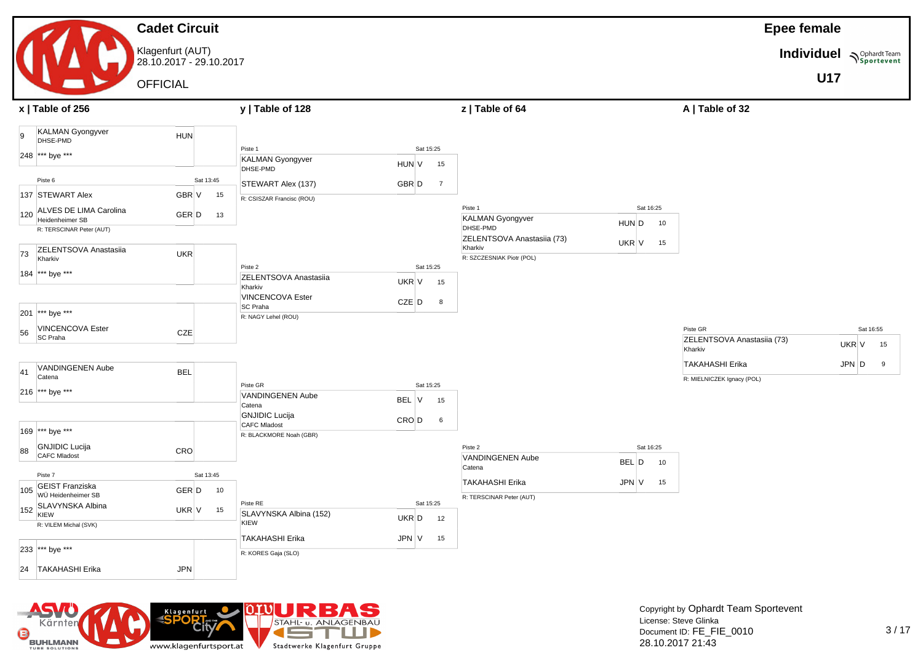#### **Cadet Circuit** Klagenfurt (AUT) 28.10.2017 - 29.10.2017 **OFFICIAL Epee female Individuel**  $\sum_{\text{Sportevent}}$ **U17 x | Table of 256 y | Table of 128 z | Table of 64 A | Table of 32** 9 KALMAN Gyongyver KALMAN Gyöngyver<br>DHSE-PMD HUN 248 \*\*\* bye \*\*\* Piste 6 Sat 13:45 137 STEWART Alex GBR V 15 120 ALVES DE LIMA Carolina ALVES DE LIMA Carolina<br>Heidenheimer SB<br>GER D 13 R: TERSCINAR Peter (AUT)  $Z_3$  ZELENTSOVA Anastasiia LEELITTOO WWW.astasiid<br>Kharkiv UKR 184 \*\*\* bye \*\*\* 201 \*\*\* bye \*\*\* 56 VINCENCOVA Ester VINCENCOVA ESTERNATIONAL CZE<br>SC Praha Piste 1 Sat 15:25 KALMAN Gyongyver KALIWAN Gyöngyver<br>DHSE-PMD HUN V 15 STEWART Alex (137) GBR D 7 R: CSISZAR Francisc (ROU) Piste 2 Sat 15:25 ZELENTSOVA Anastasiia LELENTOU*W* Miladiadika **UKR** V 15 VINCENCOVA Ester SC Praha CZE D 8 R: NAGY Lehel (ROU) Piste 1 Sat 16:25 KALMAN Gyongyver RALMAN Gyöngyver<br>DHSE-PMD 10 ZELENTSOVA Anastasiia (73) Kharkiv UKR <sup>V</sup> <sup>15</sup> R: SZCZESNIAK Piotr (POL) Piste GR<br>
Sat 16:55 ZELENTSOVA Anastasiia (73) Kharkiv UKR <sup>V</sup> <sup>15</sup>

| 41  | VANDINGENEN Aube                             | <b>BEL</b> |           |    |                                                                         |                 |           |    |                                                    |            |           | <b>TAKAHASHI Erika</b>     | $JPN$ D 9 |
|-----|----------------------------------------------|------------|-----------|----|-------------------------------------------------------------------------|-----------------|-----------|----|----------------------------------------------------|------------|-----------|----------------------------|-----------|
|     | Catena                                       |            |           |    | Piste GR                                                                |                 | Sat 15:25 |    |                                                    |            |           | R: MIELNICZEK Ignacy (POL) |           |
|     | 216 *** bye ***                              |            |           |    | VANDINGENEN Aube<br>Catena                                              | <b>BEL</b><br>v |           | 15 |                                                    |            |           |                            |           |
|     | 169 *** bye ***                              |            |           |    | <b>GNJIDIC Lucija</b><br><b>CAFC Mladost</b><br>R: BLACKMORE Noah (GBR) | CRO D           |           | 6  |                                                    |            |           |                            |           |
| 88  | <b>GNJIDIC Lucija</b><br><b>CAFC Mladost</b> | <b>CRO</b> |           |    |                                                                         |                 |           |    | Piste 2<br>VANDINGENEN Aube                        |            | Sat 16:25 |                            |           |
|     | Piste 7                                      |            | Sat 13:45 |    |                                                                         |                 |           |    | Catena                                             | <b>BEL</b> | D<br>10   |                            |           |
| 105 | <b>GEIST Franziska</b><br>WÜ Heidenheimer SB | GER D      |           | 10 |                                                                         |                 |           |    | <b>TAKAHASHI Erika</b><br>R: TERSCINAR Peter (AUT) | JPN V      | 15        |                            |           |
|     | 152 SLAVYNSKA Albina<br>KIEW                 | UKR V      |           | 15 | Piste RE<br>SLAVYNSKA Albina (152)                                      |                 | Sat 15:25 |    |                                                    |            |           |                            |           |
|     | R: VILEM Michal (SVK)                        |            |           |    | KIEW                                                                    | UKR D           |           | 12 |                                                    |            |           |                            |           |
|     | 233 *** bye ***                              |            |           |    | <b>TAKAHASHI Erika</b><br>R: KORES Gaja (SLO)                           | JPN V           |           | 15 |                                                    |            |           |                            |           |
|     | 24 TAKAHASHI Erika                           | JPN        |           |    |                                                                         |                 |           |    |                                                    |            |           |                            |           |

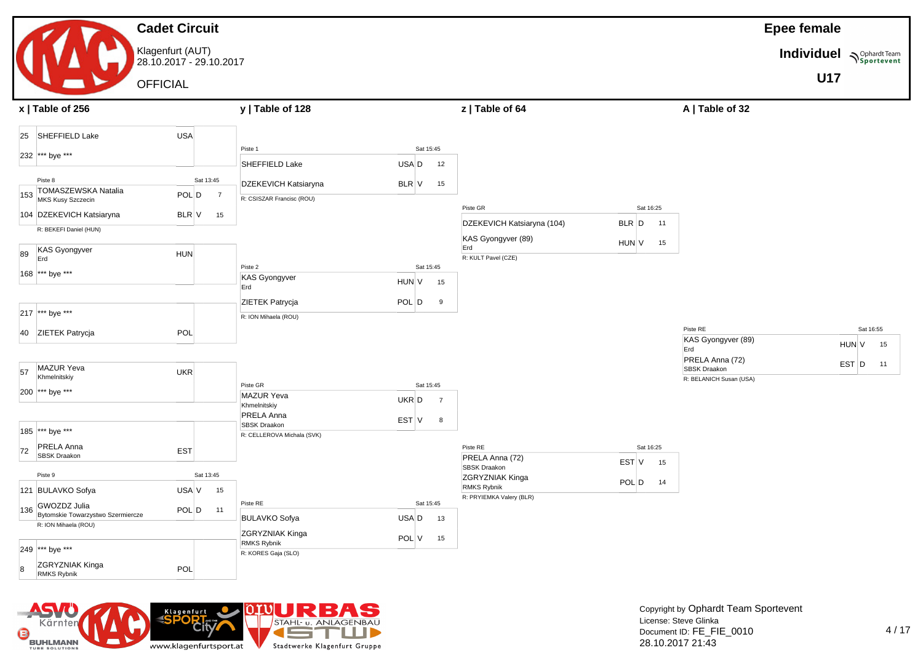### **Cadet Circuit** Klagenfurt (AUT) 28.10.2017 - 29.10.2017 **OFFICIAL**

#### **Epee female**

**Individuel**  $\sum_{\text{Sportevent}}$ 

**U17**



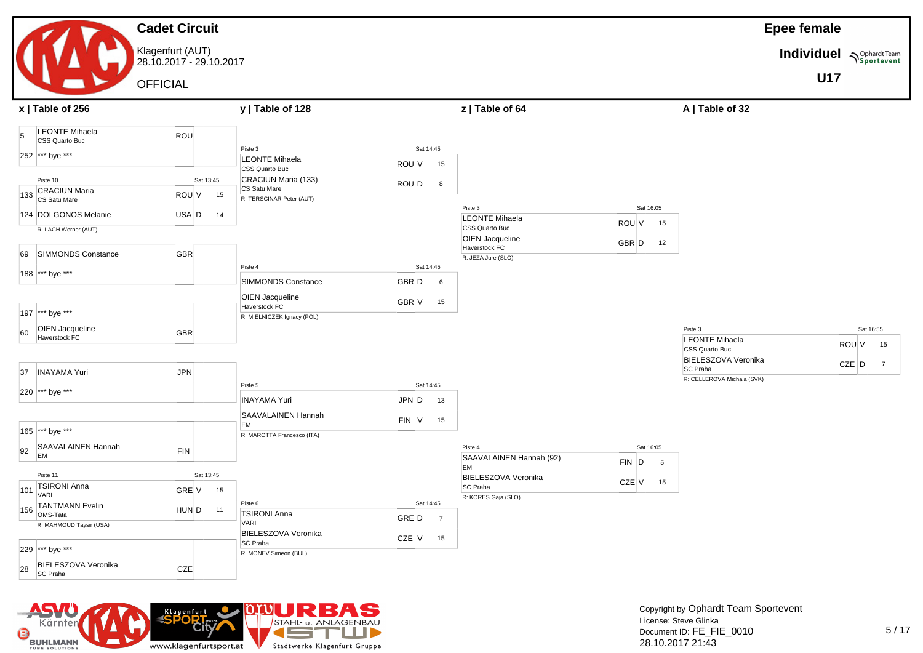#### **Cadet Circuit** Klagenfurt (AUT) 28.10.2017 - 29.10.2017 **OFFICIAL Epee female Individuel**  $\sum_{\text{Sportevent}}$ **U17 x | Table of 256 y | Table of 128 z | Table of 64 A | Table of 32** 5 LEONTE Mihaela LEONTE Minaela<br>CSS Quarto Buc ROU 252 \*\*\* bye \*\*\* Piste 10 Sat 13:45 133 CRACIUN Maria CRACIUN Maria<br>CS Satu Mare ROU V 15 124 DOLGONOS Melanie USA D 14 R: LACH Werner (AUT) 69 SIMMONDS Constance GBR 188 \*\*\* bye \*\*\* 197 \*\*\* bye \*\*\* 60 OIEN Jacqueline ULEN Jacqueline<br>Haverstock FC 37 INAYAMA Yuri JPN 220 \*\*\* bye \*\*\* 165 \*\*\* bye \*\*\* 92 SAAVALAINEN Hannah FIN Piste 11 Sat 13:45  $101$  TSIRONI Anna VARI VARI GRENT GRENT 15 156 TANTMANN Evelin TANTIMAN'N EVEIIN<br>OMS-Tata HUN D 11 R: MAHMOUD Taysir (USA) 229 \*\*\* bye \*\*\* 28 BIELESZOVA Veronika SIELESZOVA Veronika<br>SC Praha Piste 3 Sat 14:45 LEONTE Mihaela CONTENTINABIA<br>CSS Quarto Buc ROU V 15 CRACIUN Maria (133) CRACTUN Maria (133)<br>
CS Satu Mare **ROU** D 8 R: TERSCINAR Peter (AUT) Piste 4 Sat 14:45 SIMMONDS Constance GBR D 6 OIEN Jacqueline SULTN Jacqueline<br>Haverstock FC GBR V 15 R: MIELNICZEK Ignacy (POL) Piste 5 Sat 14:45 INAYAMA Yuri **International Studies of the UPN** D 13 SAAVALAINEN Hannah EM PIN V 15 R: MAROTTA Francesco (ITA) Piste 6 Sat 14:45 TSIRONI Anna VARI VARI GRED 7 BIELESZOVA Veronika SC Praha CZE V 15 R: MONEV Simeon (BUL) Piste 3 Sat 16:05 LEONTE Mihaela CONTENTINABIA<br>CSS Quarto Buc ROU V 15 OIEN Jacqueline ULEN Jacqueline<br>Haverstock FC GBR D 12 R: JEZA Jure (SLO) Piste 4 Sat 16:05 SAAVALAINEN Hannah (92)  $E$ M EM  $\overline{D}$  5 BIELESZOVA Veronika SC Praha CZE V 15 R: KORES Gaja (SLO) Piste 3 Sat 16:55 LEONTE Mihaela LEONTE Minaeia<br>CSS Quarto Buc ROU V 15 BIELESZOVA Veronika SC Praha<br>SC Praha CZE D 7 R: CELLEROVA Michala (SVK)

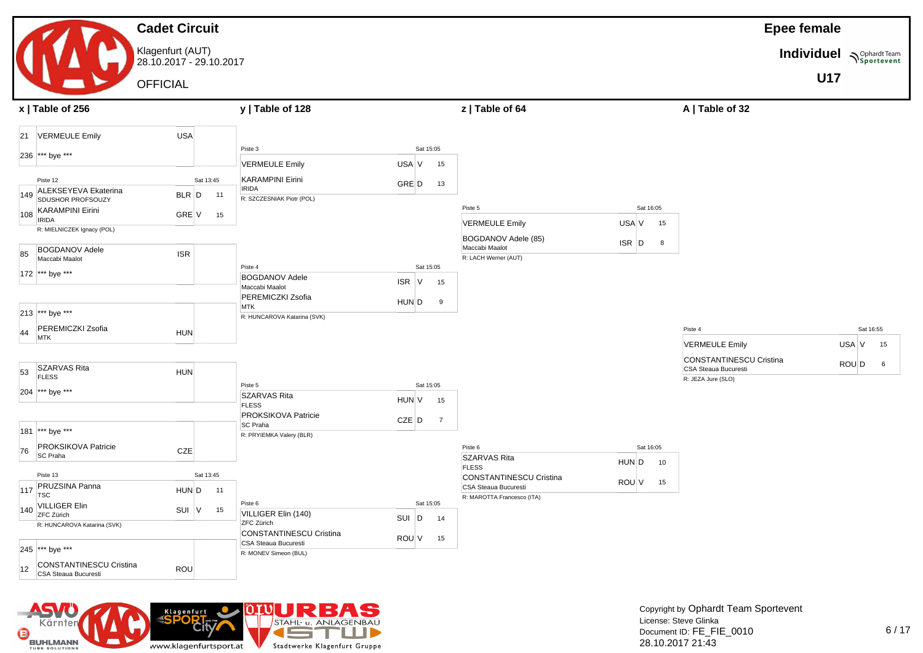## **Cadet Circuit** Klagenfurt (AUT) 28.10.2017 - 29.10.2017

#### **Epee female**

**Individuel**  $\sum_{\text{Sportevent}}$ 

**U17**

**OFFICIAL** 



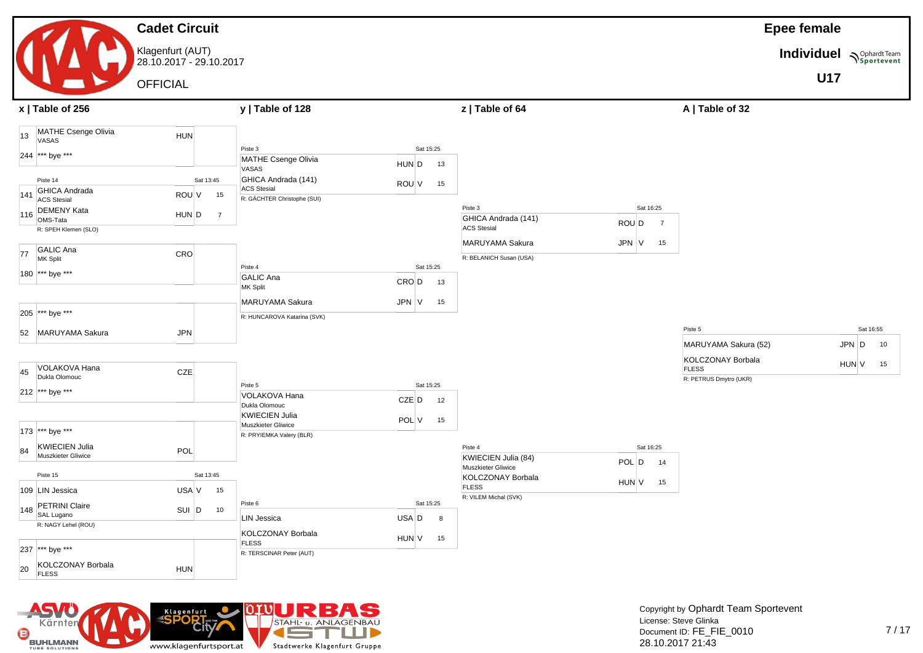#### **Cadet Circuit** Klagenfurt (AUT) 28.10.2017 - 29.10.2017 **OFFICIAL Epee female Individuel**  $\sum_{\text{Sportevent}}$ **U17 x | Table of 256 y | Table of 128 z | Table of 64 A | Table of 32** 13 MATHE Csenge Olivia WITH SOONS SIMA<br>VASAS HUN 244 \*\*\* bye \*\*\* Piste 14 Sat 13:45 141 GHICA Andrada GHICA Andrada<br>ACS Stesial **ROU** V 15 116 DEMENY Kata OMS-Tata HUN <sup>D</sup> <sup>7</sup> R: SPEH Klemen (SLO)  $77$  GALIC Ana CRO<br>MK Split CRO 180 \*\*\* bye \*\*\* 205 \*\*\* bye \*\*\* 52 MARUYAMA Sakura **JPN**  $\vert_{45}$  VOLAKOVA Hana VOLAKOVA Hana<br>Dukla Olomouc 212 \*\*\* bye \*\*\* 173 \*\*\* bye \*\*\* 84 KWIECIEN Julia KWIECIEN Julia<br>Muszkieter Gliwice Piste 3 Sat 15:25 MATHE Csenge Olivia<br>VASAS WWW.LEXERGER.COM GHICA Andrada (141) GHICA Andrada (141)<br>ACS Stesial ROU V 15 R: GÄCHTER Christophe (SUI) Piste 4 Sat 15:25 **GALIC Ana**<br>MK Split SALIC And **CRO** D 13 MARUYAMA Sakura JPN V 15 R: HUNCAROVA Katarina (SVK) Piste 5 Sat 15:25 VOLAKOVA Hana VOLAKOVA Hana<br>Dukla Olomouc CZE D 12 KWIECIEN Julia KWIEUEN JUIIa<br>Muszkieter Gliwice POL V 15 R: PRYIEMKA Valery (BLR) Piste 3 Sat 16:25 GHICA Andrada (141) GHICA Andrada (141)<br>ACS Stesial ROU D 7 MARUYAMA Sakura JPN V 15 R: BELANICH Susan (USA) Piste 4 Sat 16:25 KWIECIEN Julia (84) KWIECIEN JUIIA (84)<br>Muszkieter Gliwice Piste 5 Sat 16:55 MARUYAMA Sakura (52) **JPN D** 10 KOLCZONAY Borbala RUSE CONTROLLER HUN V 15 R: PETRUS Dmytro (UKR)

KOLCZONAY Borbala

R: VILEM Michal (SVK)

RUSES HUN V 15



Piste 6 Sat 15:25 LIN Jessica **USA D** 8

ROEDED MY DOIDOM NOT HUN V 15

KOLCZONAY Borbala

R: TERSCINAR Peter (AUT)

Piste 15 Sat 13:45 109 LIN Jessica USA V 15

PETRINI Claire<br>SAL Lugano Calco de SUI D 10

20 KOLCZONAY Borbala<br>FLESS

148 PETRINI Claire

237 \*\*\* bye \*\*\*

R: NAGY Lehel (ROU)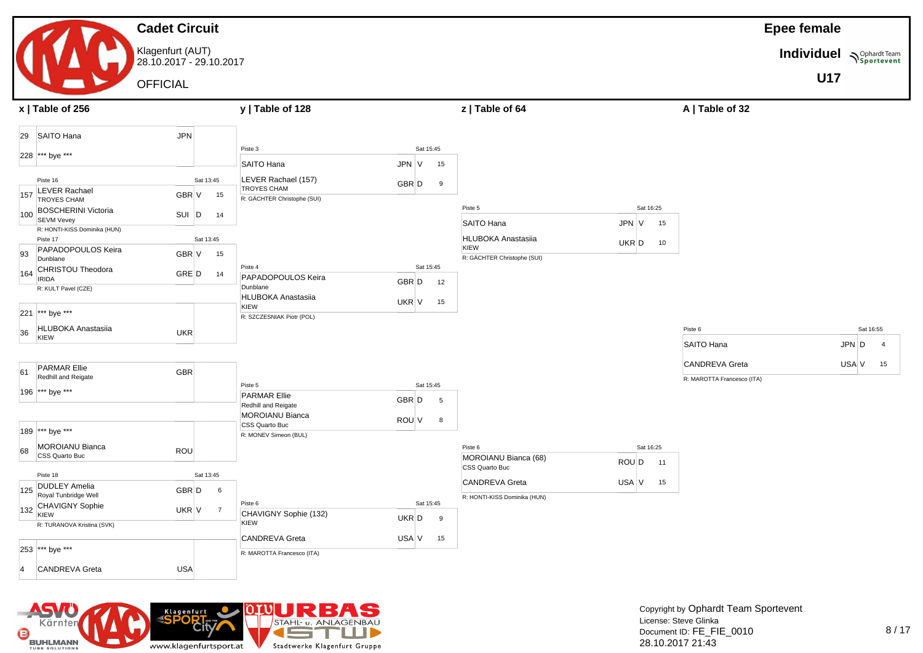#### **Cadet Circuit** Klagenfurt (AUT) 28.10.2017 - 29.10.2017 **OFFICIAL Epee female Individuel**  $\sum_{\text{Sportevent}}$ **U17 x | Table of 256 y | Table of 128 z | Table of 64 A | Table of 32** 29 SAITO Hana JPN 228 \*\*\* bye \*\*\* Piste 16 Sat 13:45 157 LEVER Rachael LEVER RACHAEL<br>TROYES CHAM GBR V 15 100 BOSCHERINI Victoria BOSCHERINI VICtoria<br>SEVM Vevev R: HONTI-KISS Dominika (HUN) Piste 17 Sat 13:45 93 PAPADOPOULOS Keira Dunblane GBR V 15 164 CHRISTOU Theodora SE D 14 R: KULT Pavel (CZE) 221 \*\*\* bye \*\*\* 36 HLUBOKA Anastasiia KIEW UKR 61 PARMAR Ellie PARMAR Ellie<br>Redhill and Reigate GBR 196 \*\*\* bye \*\*\* 189 \*\*\* bye \*\*\* 68 MOROIANU Bianca MOROIANU BIAnca<br>CSS Quarto Buc Piste 18 Sat 13:45  $125$  DUDLEY Amelia PUDLEY Amelia<br>Royal Tunbridge Well GBR D 6 132 CHAVIGNY Sophie CHANGEN COPING CONTROL UKR V 7 R: TURANOVA Kristina (SVK) 253 \*\*\* bye \*\*\* 4 CANDREVA Greta USA Piste 3 Sat 15:45 SAITO Hana JPN V 15 LEVER Rachael (157) LEVER Racriael (157)<br>TROYES CHAM R: GÄCHTER Christophe (SUI) Piste 4 Sat 15:45 PAPADOPOULOS Keira Dunblane GBR D 12 HLUBOKA Anastasiia KIEW UKR V 15 R: SZCZESNIAK Piotr (POL) Piste 5 Sat 15:45 PARMAR Ellie PARMAR EIIIE<br>Redhill and Reigate GBR D 5 MOROIANU Bianca MURUIANU BIANCA<br>CSS Quarto Buc ROU V 8 R: MONEV Simeon (BUL) Piste 6 Sat 15:45 CHAVIGNY Sophie (132) UKR D 9<br>KIEW UKR D 9 CANDREVA Greta USA V 15 R: MAROTTA Francesco (ITA) Piste 5 Sat 16:25 SAITO Hana JPN V 15 HLUBOKA Anastasiia KIEW UKR D 10 R: GÄCHTER Christophe (SUI) Piste 6 Sat 16:25 MOROIANU Bianca (68) MOROIANO BIANCA (68)<br>CSS Quarto Buc CANDREVA Greta USA V 15 R: HONTI-KISS Dominika (HUN) Piste 6 Sat 16:55  $SAITO Hana$   $1PN$   $D$  4 CANDREVA Greta USA V 15 R: MAROTTA Francesco (ITA)

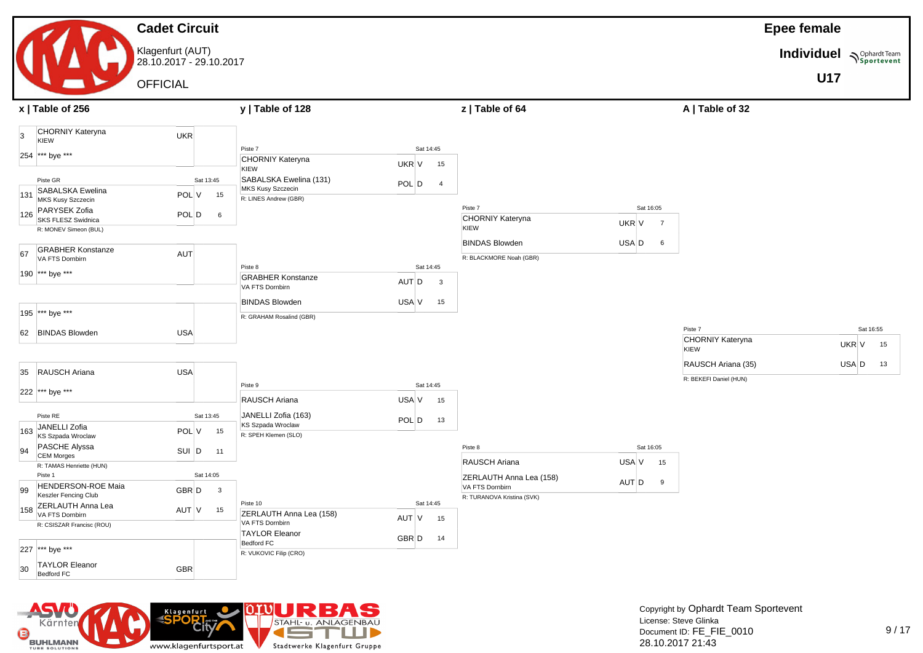#### **Cadet Circuit** Klagenfurt (AUT) 28.10.2017 - 29.10.2017 **OFFICIAL Epee female Individuel**  $\sum_{\text{Sportevent}}$ **U17 x | Table of 256 y | Table of 128 z | Table of 64 A | Table of 32** 3 CHORNIY Kateryna SHORAH Ratoryna<br>KIEW UKR 254 \*\*\* bye \*\*\* Piste GR<br>
Sat 13:45 131 SABALSKA Ewelina SABALSKA EWellna<br>MKS Kusy Szczecin POL V 15 126 PARYSEK Zofia PARYSEK ZONA<br>SKS FLESZ Swidnica POL D 6 R: MONEV Simeon (BUL) 67 GRABHER Konstanze GRABHER KONSTANZE<br>VA FTS Dornbirn 190 \*\*\* bye \*\*\* 195 \*\*\* bye \*\*\* 62 BINDAS Blowden USA 35 RAUSCH Ariana USA 222 \*\*\* bye \*\*\* Piste RE Sat 13:45 163 JANELLI Zofia JANELLI ZOIIA<br>KS Szpada Wroclaw POL V 15 94 PASCHE Alyssa PASCHE Alyssa<br>CEM Morges SUI D 11 R: TAMAS Henriette (HUN) Piste 1 Sat 14:05 99 HENDERSON-ROE Maia HENDERSON-ROE Maia<br>Keszler Fencing Club de CBR GBR D 3 158 ZERLAUTH Anna Lea | ZERLAUTH ANNA Lea<br>| VA FTS Dornbirn | CARL | CARL | AUT | V | 15 R: CSISZAR Francisc (ROU) 227 \*\*\* bye \*\*\* 30 TAYLOR Eleanor TAYLOR Eleanor<br>Bedford FC GBR Piste 7 Sat 14:45 CHORNIY Kateryna UKR V 15 SABALSKA Ewelina (131) SABALSKA EWellfia (131)<br>MKS Kusy Szczecin POL D 4 R: LINES Andrew (GBR) Piste 8 Sat 14:45 GRABHER Konstanze SKABLIK KONSTANDER AUT D 3<br>VA FTS Dombirn BINDAS Blowden USA V 15 R: GRAHAM Rosalind (GBR) Piste 9 Sat 14:45 RAUSCH Ariana USA V 15 JANELLI Zofia (163) JANELLI ZOIIA (163)<br>KS Szpada Wroclaw POL D 13 R: SPEH Klemen (SLO) Piste 10 Sat 14:45 ZERLAUTH Anna Lea (158)  $\angle$ ERLAUTH Anna Lea (158)<br>VA FTS Dornbirn TAYLOR Eleanor TAYLOR EIGANOR<br>Bedford FC. 69 GBR D 14 R: VUKOVIC Filip (CRO) Piste 7 Sat 16:05 CHORNIY Kateryna KIEW UKR V 7 BINDAS Blowden USA D 6 R: BLACKMORE Noah (GBR) Piste 8 Sat 16:05 RAUSCH Ariana USA V 15 ZERLAUTH Anna Lea (158) XERLAUTH AUTIA Lea (190)<br>VA FTS Dombirn AUT D R: TURANOVA Kristina (SVK) Piste 7 Sat 16:55 CHORNIY Kateryna<br>KIEW UKR V 15 RAUSCH Ariana (35) **USA D** 13 R: BEKEFI Daniel (HUN)

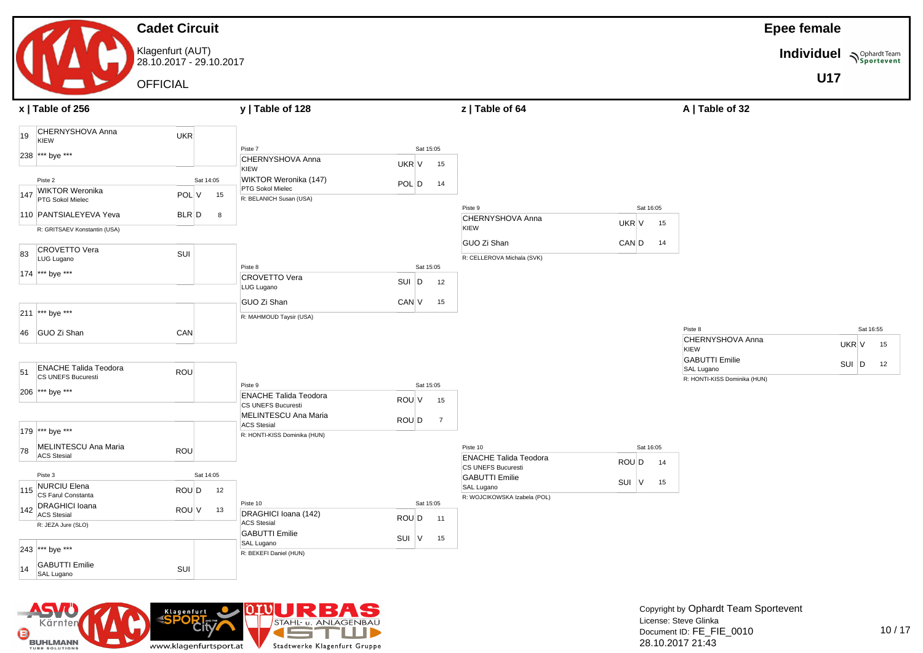## **Cadet Circuit** Klagenfurt (AUT)

28.10.2017 - 29.10.2017

**OFFICIAL** 

**Epee female**

**Individuel Supplardt Team** 

**U17**

| x   Table of 256                                 |            | y   Table of 128                           |                         | z   Table of 64                                    |             | A   Table of 32                            |                 |
|--------------------------------------------------|------------|--------------------------------------------|-------------------------|----------------------------------------------------|-------------|--------------------------------------------|-----------------|
| CHERNYSHOVA Anna<br>19<br>KIEW                   | <b>UKR</b> | Piste 7                                    | Sat 15:05               |                                                    |             |                                            |                 |
| 238 *** bye ***                                  |            | CHERNYSHOVA Anna                           |                         |                                                    |             |                                            |                 |
|                                                  |            | <b>KIEW</b>                                | UKR V<br>15             |                                                    |             |                                            |                 |
| Piste 2                                          | Sat 14:05  | WIKTOR Weronika (147)<br>PTG Sokol Mielec  | POL D<br>14             |                                                    |             |                                            |                 |
| 147 WIKTOR Weronika                              | POL V      | 15<br>R: BELANICH Susan (USA)              |                         |                                                    |             |                                            |                 |
| 110 PANTSIALEYEVA Yeva                           | BLR D      | 8                                          |                         | Piste 9<br>CHERNYSHOVA Anna                        | Sat 16:05   |                                            |                 |
| R: GRITSAEV Konstantin (USA)                     |            |                                            |                         | KIEW                                               | UKR V<br>15 |                                            |                 |
| <b>CROVETTO Vera</b>                             |            |                                            |                         | GUO Zi Shan                                        | CAN D<br>14 |                                            |                 |
| 83<br>LUG Lugano                                 | SUI        |                                            |                         | R: CELLEROVA Michala (SVK)                         |             |                                            |                 |
| 174 *** bye ***                                  |            | Piste 8<br><b>CROVETTO Vera</b>            | Sat 15:05               |                                                    |             |                                            |                 |
|                                                  |            | LUG Lugano                                 | $SUI$ $D$<br>12         |                                                    |             |                                            |                 |
|                                                  |            | GUO Zi Shan                                | CAN V<br>15             |                                                    |             |                                            |                 |
| 211 *** bye ***                                  |            | R: MAHMOUD Taysir (USA)                    |                         |                                                    |             |                                            |                 |
| 46 GUO Zi Shan                                   | CAN        |                                            |                         |                                                    |             | Piste 8                                    | Sat 16:55       |
|                                                  |            |                                            |                         |                                                    |             | CHERNYSHOVA Anna<br>KIEW                   | UKR V<br>15     |
| <b>ENACHE Talida Teodora</b>                     |            |                                            |                         |                                                    |             | <b>GABUTTI Emilie</b>                      | $SUI$ $D$<br>12 |
| 51<br>CS UNEFS Bucuresti                         | ROU        |                                            |                         |                                                    |             | SAL Lugano<br>R: HONTI-KISS Dominika (HUN) |                 |
| 206 *** bye ***                                  |            | Piste 9<br><b>ENACHE Talida Teodora</b>    | Sat 15:05               |                                                    |             |                                            |                 |
|                                                  |            | CS UNEFS Bucuresti                         | ROU V<br>15             |                                                    |             |                                            |                 |
|                                                  |            | MELINTESCU Ana Maria<br><b>ACS Stesial</b> | ROU D<br>$\overline{7}$ |                                                    |             |                                            |                 |
| 179 *** bye ***                                  |            | R: HONTI-KISS Dominika (HUN)               |                         |                                                    |             |                                            |                 |
| MELINTESCU Ana Maria<br>78<br><b>ACS Stesial</b> | ROU        |                                            |                         | Piste 10                                           | Sat 16:05   |                                            |                 |
|                                                  |            |                                            |                         | <b>ENACHE Talida Teodora</b><br>CS UNEFS Bucuresti | ROU D<br>14 |                                            |                 |
| Piste 3                                          | Sat 14:05  |                                            |                         | <b>GABUTTI Emilie</b>                              | SUI V<br>15 |                                            |                 |
| <b>NURCIU Elena</b><br>115<br>CS Farul Constanta | ROU D      | 12                                         |                         | SAL Lugano<br>R: WOJCIKOWSKA Izabela (POL)         |             |                                            |                 |
| 142 DRAGHICI Ioana                               | ROU V      | Piste 10<br>13<br>DRAGHICI Ioana (142)     | Sat 15:05               |                                                    |             |                                            |                 |
| <b>ACS Stesial</b><br>R: JEZA Jure (SLO)         |            | <b>ACS Stesial</b>                         | ROU D<br>11             |                                                    |             |                                            |                 |
|                                                  |            | <b>GABUTTI Emilie</b>                      | SUI V<br>15             |                                                    |             |                                            |                 |
| 243 *** bye ***                                  |            | SAL Lugano<br>R: BEKEFI Daniel (HUN)       |                         |                                                    |             |                                            |                 |
| <b>GABUTTI Emilie</b><br>14<br>SAL Lugano        | SUI        |                                            |                         |                                                    |             |                                            |                 |

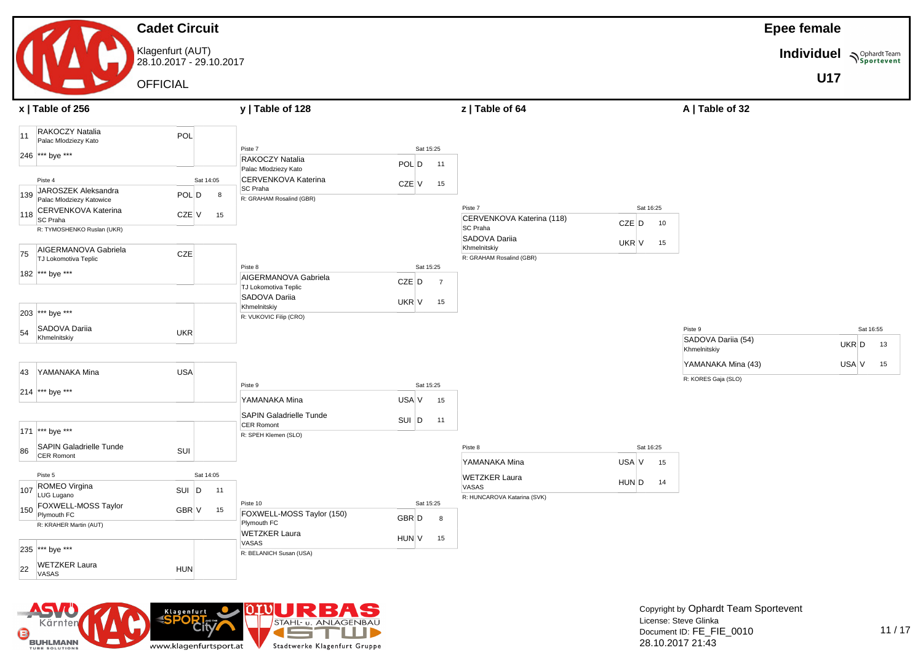|                                                     | <b>Cadet Circuit</b>                        |           |                                              |                                          |                                          |                              |                                    | <b>Epee female</b> |             |  |
|-----------------------------------------------------|---------------------------------------------|-----------|----------------------------------------------|------------------------------------------|------------------------------------------|------------------------------|------------------------------------|--------------------|-------------|--|
|                                                     | Klagenfurt (AUT)<br>28.10.2017 - 29.10.2017 |           |                                              |                                          |                                          |                              |                                    | <b>Individuel</b>  | Sportevent  |  |
|                                                     |                                             |           |                                              |                                          |                                          |                              |                                    | <b>U17</b>         |             |  |
|                                                     | <b>OFFICIAL</b>                             |           |                                              |                                          |                                          |                              |                                    |                    |             |  |
| x   Table of 256                                    |                                             |           | y   Table of 128                             |                                          | z   Table of 64                          |                              | A   Table of 32                    |                    |             |  |
| RAKOCZY Natalia<br> 11<br>Palac Mlodziezy Kato      | POL                                         |           |                                              |                                          |                                          |                              |                                    |                    |             |  |
| 246 *** bye ***                                     |                                             |           | Piste 7<br>RAKOCZY Natalia                   | Sat 15:25<br>POL D<br>11                 |                                          |                              |                                    |                    |             |  |
| Piste 4                                             |                                             | Sat 14:05 | Palac Mlodziezy Kato<br>CERVENKOVA Katerina  | CZE V<br>15                              |                                          |                              |                                    |                    |             |  |
| 139 JAROSZEK Aleksandra<br>Palac Mlodziezy Katowice | POL D                                       | 8         | <b>SC Praha</b><br>R: GRAHAM Rosalind (GBR)  |                                          |                                          |                              |                                    |                    |             |  |
| CERVENKOVA Katerina<br>118<br><b>SC Praha</b>       | CZE V                                       | 15        |                                              |                                          | Piste 7<br>CERVENKOVA Katerina (118)     | Sat 16:25<br>$CZE$ $D$<br>10 |                                    |                    |             |  |
| R: TYMOSHENKO Ruslan (UKR)                          |                                             |           |                                              |                                          | SC Praha<br>SADOVA Dariia                | UKR V<br>15                  |                                    |                    |             |  |
| AIGERMANOVA Gabriela<br>75<br>TJ Lokomotiva Teplic  | CZE                                         |           |                                              |                                          | Khmelnitskiy<br>R: GRAHAM Rosalind (GBR) |                              |                                    |                    |             |  |
| 182 *** bye ***                                     |                                             |           | Piste 8<br>AIGERMANOVA Gabriela              | Sat 15:25<br>$CZE$ $D$<br>$\overline{7}$ |                                          |                              |                                    |                    |             |  |
|                                                     |                                             |           | TJ Lokomotiva Teplic<br>SADOVA Dariia        |                                          |                                          |                              |                                    |                    |             |  |
| 203 *** bye ***                                     |                                             |           | Khmelnitskiy<br>R: VUKOVIC Filip (CRO)       | UKR V<br>15                              |                                          |                              |                                    |                    |             |  |
| SADOVA Dariia<br>54                                 | <b>UKR</b>                                  |           |                                              |                                          |                                          |                              | Piste 9                            |                    | Sat 16:55   |  |
| Khmelnitskiy                                        |                                             |           |                                              |                                          |                                          |                              | SADOVA Dariia (54)<br>Khmelnitskiy |                    | UKR D<br>13 |  |
| YAMANAKA Mina<br>43                                 | <b>USA</b>                                  |           |                                              |                                          |                                          |                              | YAMANAKA Mina (43)                 |                    | USA V<br>15 |  |
| 214 *** bye ***                                     |                                             |           | Piste 9                                      | Sat 15:25                                |                                          |                              | R: KORES Gaja (SLO)                |                    |             |  |
|                                                     |                                             |           | YAMANAKA Mina                                | USA V<br>15                              |                                          |                              |                                    |                    |             |  |
|                                                     |                                             |           | <b>SAPIN Galadrielle Tunde</b><br>CER Romont | SUI D<br>11                              |                                          |                              |                                    |                    |             |  |
| 171 *** bye ***<br>SAPIN Galadrielle Tunde          |                                             |           | R: SPEH Klemen (SLO)                         |                                          | Piste 8                                  | Sat 16:25                    |                                    |                    |             |  |
| 86<br>CER Romont                                    | SUI                                         |           |                                              |                                          | YAMANAKA Mina                            | USA V<br>15                  |                                    |                    |             |  |
| Piste 5                                             |                                             | Sat 14:05 |                                              |                                          | <b>WETZKER Laura</b>                     | HUN D<br>14                  |                                    |                    |             |  |
| 107 ROMEO Virgina<br>LUG Lugano                     | SUI D                                       | 11        |                                              |                                          | VASAS<br>R: HUNCAROVA Katarina (SVK)     |                              |                                    |                    |             |  |
| FOXWELL-MOSS Taylor<br>150<br>Plymouth FC           | GBR V                                       | 15        | Piste 10<br>FOXWELL-MOSS Taylor (150)        | Sat 15:25<br>GBR D<br>8                  |                                          |                              |                                    |                    |             |  |
| R: KRAHER Martin (AUT)                              |                                             |           | Plymouth FC<br><b>WETZKER Laura</b>          | 15                                       |                                          |                              |                                    |                    |             |  |
| 235 *** bye ***                                     |                                             |           | VASAS<br>R: BELANICH Susan (USA)             | HUN V                                    |                                          |                              |                                    |                    |             |  |
| <b>WETZKER Laura</b><br>22<br>VASAS                 | <b>HUN</b>                                  |           |                                              |                                          |                                          |                              |                                    |                    |             |  |

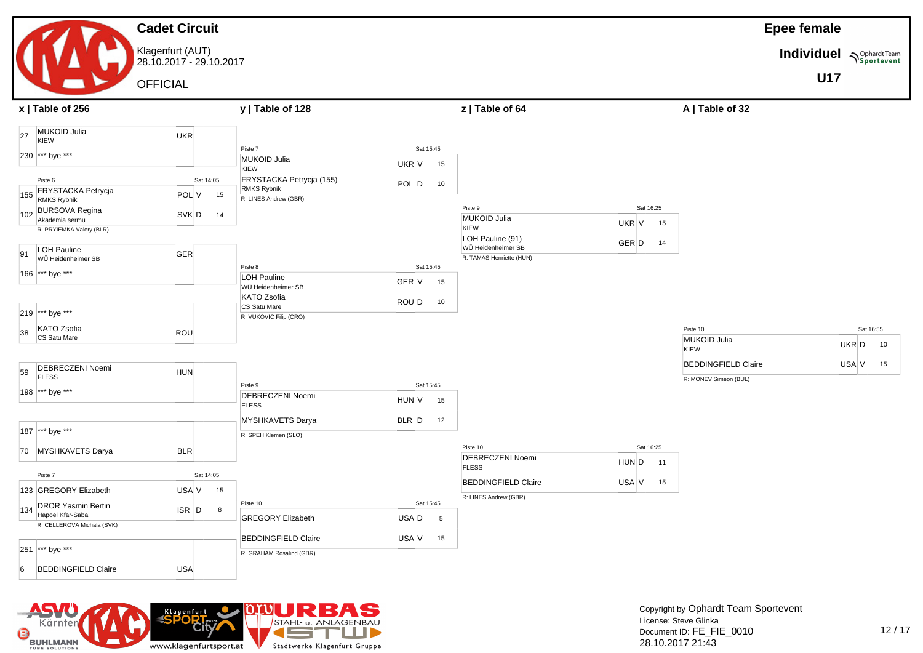#### **Cadet Circuit** Klagenfurt (AUT) 28.10.2017 - 29.10.2017 **OFFICIAL Epee female Individuel**  $\sum_{\text{Sportevent}}$ **U17 x | Table of 256 y | Table of 128 z | Table of 64 A | Table of 32** 27 MUKOID Julia KIEW UKR 230 \*\*\* bye \*\*\* Piste 6 Sat 14:05 155 FRYSTACKA Petrycja RMKS Rybnik POL <sup>V</sup> <sup>15</sup> 102 BURSOVA Regina BURSOVA Regiria and a SVK D 14 R: PRYIEMKA Valery (BLR)  $91$  LOH Pauline LOH Pauline<br>WÜ Heidenheimer SB GER 166 \*\*\* bye \*\*\* 219 \*\*\* bye \*\*\* 38 KATO Zsofia KATO ZSOTIA<br>CS Satu Mare ROU 59 DEBRECZENI Noemi FLESS HUN 198 \*\*\* bye \*\*\* 187 \*\*\* bye \*\*\* 70 MYSHKAVETS Darya BLR Piste 7 Sat 14:05 123 GREGORY Elizabeth USA V 15 134 DROR Yasmin Bertin |DROR Yasmin Bertin<br>|Hapoel Kfar-Saba R: CELLEROVA Michala (SVK) 251 \*\*\* bye \*\*\* 6 BEDDINGFIELD Claire USA Piste 7 Sat 15:45 MUKOID Julia KIEW UKR V 15 FRYSTACKA Petrycja (155) PRYSTAUNA Petrycja (155)<br>RMKS Rybnik POL D 10 R: LINES Andrew (GBR) Piste 8 Sat 15:45 LOH Pauline LUFT Paulifie<br>WÜ Heidenheimer SB GER V 15 KATO Zsofia ROU D 10<br>CS Satu Mare R: VUKOVIC Filip (CRO) Piste 9 Sat 15:45 DEBRECZENI Noemi **FLESS** HUN V 15 MYSHKAVETS Darva BLR D 12 R: SPEH Klemen (SLO) Piste 10 Sat 15:45 GREGORY Elizabeth USA D 5 BEDDINGFIELD Claire **USA V** 15 R: GRAHAM Rosalind (GBR) Piste 9 Sat 16:25 **MUKOID Julia**<br>KIEW KIEW UKR V 15 LOH Pauline (91) LOH Pauline (91)<br>WÜ Heidenheimer SB GER D 14 R: TAMAS Henriette (HUN) Piste 10 Sat 16:25 DEBRECZENI Noemi<br>ELESS **FLESS** HUND 11 BEDDINGFIELD Claire USA V 15 R: LINES Andrew (GBR) Piste 10 Sat 16:55 **MUKOID Julia**<br>KIEW KIEW UKR D 10 BEDDINGFIELD Claire **USA V** 15 R: MONEV Simeon (BUL)

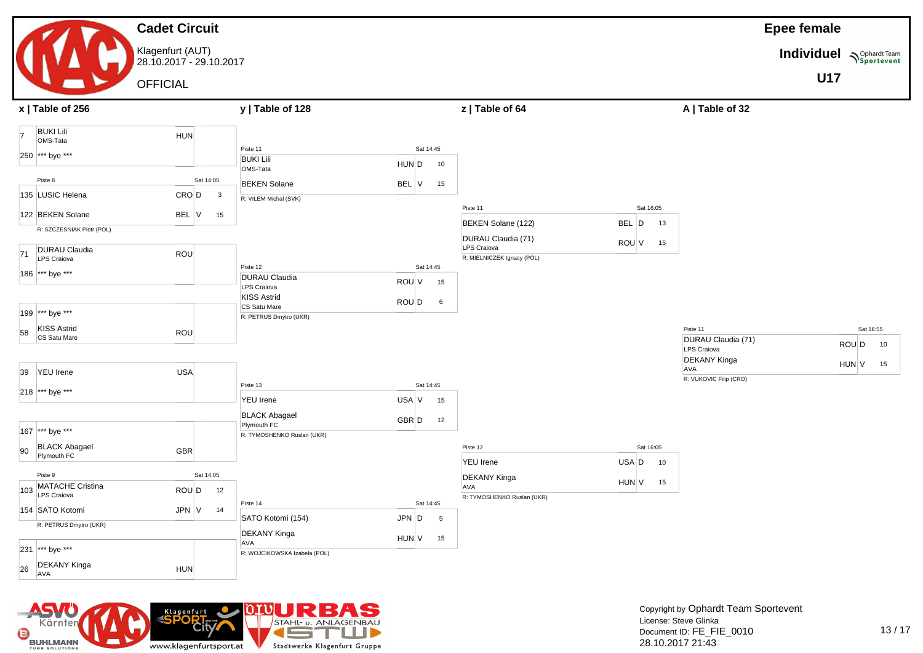# **Cadet Circuit** Klagenfurt (AUT) 28.10.2017 - 29.10.2017 OFFICIAL **x | Table of 256 y | Table of 128 z | Table of 64 A | Table of 32**

| <b>BUKI Lili</b><br>17<br>OMS-Tata         | <b>HUN</b>                       |                                           |                          |                                           |                          |                                   |            |
|--------------------------------------------|----------------------------------|-------------------------------------------|--------------------------|-------------------------------------------|--------------------------|-----------------------------------|------------|
| 250 *** bye ***                            |                                  | Piste 11<br><b>BUKI Lili</b>              | Sat 14:45<br>HUN D<br>10 |                                           |                          |                                   |            |
| Piste 8                                    | Sat 14:05                        | OMS-Tata<br><b>BEKEN Solane</b>           | BEL V<br>15              |                                           |                          |                                   |            |
| 135 LUSIC Helena                           | CRO D<br>$\overline{\mathbf{3}}$ | R: VILEM Michal (SVK)                     |                          |                                           |                          |                                   |            |
| 122 BEKEN Solane                           | BEL V<br>15                      |                                           |                          | Piste 11<br>BEKEN Solane (122)            | Sat 16:05<br>BEL D<br>13 |                                   |            |
| R: SZCZESNIAK Piotr (POL)                  |                                  |                                           |                          | DURAU Claudia (71)                        |                          |                                   |            |
| <b>DURAU Claudia</b><br> 71<br>LPS Craiova | <b>ROU</b>                       |                                           |                          | LPS Craiova<br>R: MIELNICZEK Ignacy (POL) | ROU V<br>15              |                                   |            |
| 186 *** bye ***                            |                                  | Piste 12                                  | Sat 14:45                |                                           |                          |                                   |            |
|                                            |                                  | <b>DURAU Claudia</b><br>LPS Craiova       | ROU V<br>15              |                                           |                          |                                   |            |
|                                            |                                  | <b>KISS Astrid</b><br>CS Satu Mare        | ROU D<br>$6\phantom{1}$  |                                           |                          |                                   |            |
| 199 *** bye ***                            |                                  | R: PETRUS Dmytro (UKR)                    |                          |                                           |                          |                                   |            |
| <b>KISS Astrid</b><br>58<br>CS Satu Mare   | ROU                              |                                           |                          |                                           |                          | Piste 11                          | Sat 16:55  |
|                                            |                                  |                                           |                          |                                           |                          | DURAU Claudia (71)<br>LPS Craiova | $ROU D$ 10 |
| 39<br><b>YEU</b> Irene                     | <b>USA</b>                       |                                           |                          |                                           |                          | <b>DEKANY Kinga</b><br>AVA        | $HUN V$ 15 |
|                                            |                                  | Piste 13                                  | Sat 14:45                |                                           |                          | R: VUKOVIC Filip (CRO)            |            |
| 218 *** bye ***                            |                                  | <b>YEU</b> Irene                          | USA V<br>15              |                                           |                          |                                   |            |
|                                            |                                  | <b>BLACK Abagael</b>                      | GBR D<br>12              |                                           |                          |                                   |            |
| 167 *** bye ***                            |                                  | Plymouth FC<br>R: TYMOSHENKO Ruslan (UKR) |                          |                                           |                          |                                   |            |
| <b>BLACK Abagael</b><br>90                 | <b>GBR</b>                       |                                           |                          | Piste 12                                  | Sat 16:05                |                                   |            |
| Plymouth FC                                |                                  |                                           |                          | YEU Irene                                 | USA D<br>10              |                                   |            |
| Piste 9                                    | Sat 14:05                        |                                           |                          | <b>DEKANY Kinga</b>                       | HUN V<br>15              |                                   |            |
| MATACHE Cristina<br>103<br>LPS Craiova     | ROU D<br>12                      |                                           |                          | AVA<br>R: TYMOSHENKO Ruslan (UKR)         |                          |                                   |            |
| 154 SATO Kotomi                            | JPN $V$ 14                       | Piste 14                                  | Sat 14:45                |                                           |                          |                                   |            |
| R: PETRUS Dmytro (UKR)                     |                                  | SATO Kotomi (154)<br><b>DEKANY Kinga</b>  | $JPN$ $D$<br>5           |                                           |                          |                                   |            |
| 231 *** bye ***                            |                                  | AVA                                       | HUN V<br>15              |                                           |                          |                                   |            |
| <b>DEKANY Kinga</b><br>26<br>AVA           | <b>HUN</b>                       | R: WOJCIKOWSKA Izabela (POL)              |                          |                                           |                          |                                   |            |



Copyright by Ophardt Team Sportevent License: Steve Glinka Document ID: FE\_FIE\_0010 28.10.2017 21:43

**Epee female**

**Individuel Supplardt Team** 

**U17**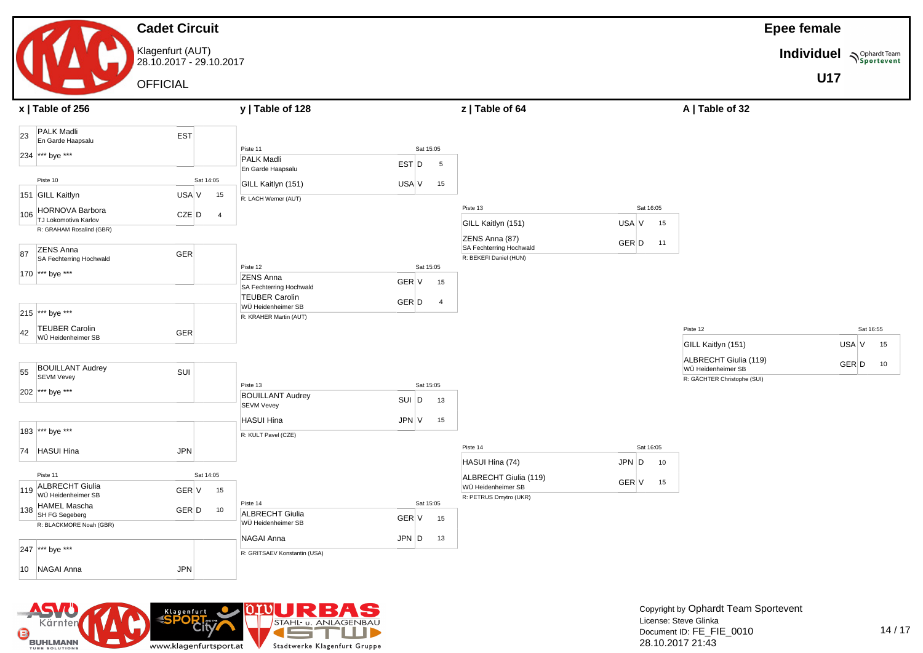#### **Cadet Circuit** Klagenfurt (AUT) 28.10.2017 - 29.10.2017 **OFFICIAL Epee female Individuel**  $\sum_{\text{Sportevent}}$ **U17 x | Table of 256 y | Table of 128 z | Table of 64 A | Table of 32** 23 PALK Madli PALK Madii<br>En Garde Haapsalu EST 234 \*\*\* bye \*\*\* Piste 10 Sat 14:05 151 GILL Kaitlyn USA V 15 106 HORNOVA Barbora TJ Lokomotiva Karlov CZE <sup>D</sup> <sup>4</sup> R: GRAHAM Rosalind (GBR) 87 ZENS Anna ZENS Anna<br>SA Fechterring Hochwald GER 170 \*\*\* bye \*\*\* 215 \*\*\* bye \*\*\* 42 TEUBER Carolin TEUBER Carolin<br>WÜ Heidenheimer SB GER 55 BOUILLANT Audrey BOUILLANT Audrey<br>SEVM Vevey 202 \*\*\* bye \*\*\* 183 \*\*\* bye \*\*\* 74 HASUI Hina JPN Piste 11 Sat 14:05 119 **ALBRECHT Giulia**<br>WÜ Heidenheimer SB<br>
GER V 15 138 HAMEL Mascha Piste 11 Sat 15:05 PALK Madli PALK Madii<br>En Garde Haapsalu EST D 5 GILL Kaitlyn (151) USA V 15 R: LACH Werner (AUT) Piste 12 Sat 15:05 ZENS Anna SA Fechterring Hochwald GER V 15 TEUBER Carolin TEUBER Carolin<br>WÜ Heidenheimer SB GER D 4 R: KRAHER Martin (AUT) Piste 13 Sat 15:05 BOUILLANT Audrey BOUILLANT AUDREY<br>SEVM Vevey SUI D 13 HASUI Hina **JPN** V 15 R: KULT Pavel (CZE) Piste 14 Sat 15:05 Piste 13 Sat 16:05 GILL Kaitlyn (151) USA V 15 ZENS Anna (87) SA Fechterring Hochwald GER D 11 R: BEKEFI Daniel (HUN) Piste 14 Sat 16:05 HASUI Hina (74) **JPN** D 10 ALBRECHT Giulia (119) ALDREUTT GIUIId (119)<br>WÜ Heidenheimer SB R: PETRUS Dmytro (UKR) Piste 12 Sat 16:55 GILL Kaitlyn (151) **USA V** 15 ALBRECHT Giulia (119) ALBREUHT GIUIIA (119)<br>WÜ Heidenheimer SB R: GÄCHTER Christophe (SUI)



ALBRECHT Giulia

R: GRITSAEV Konstantin (USA)

ALBRECHT GIUIIA<br>WÜ Heidenheimer SB GER V 15 NAGAI Anna JPN D 13

HAMEL Mascha<br>SH FG Segeberg GER D 10

10 NAGAI Anna JPN

R: BLACKMORE Noah (GBR)

247 \*\*\* bye \*\*\*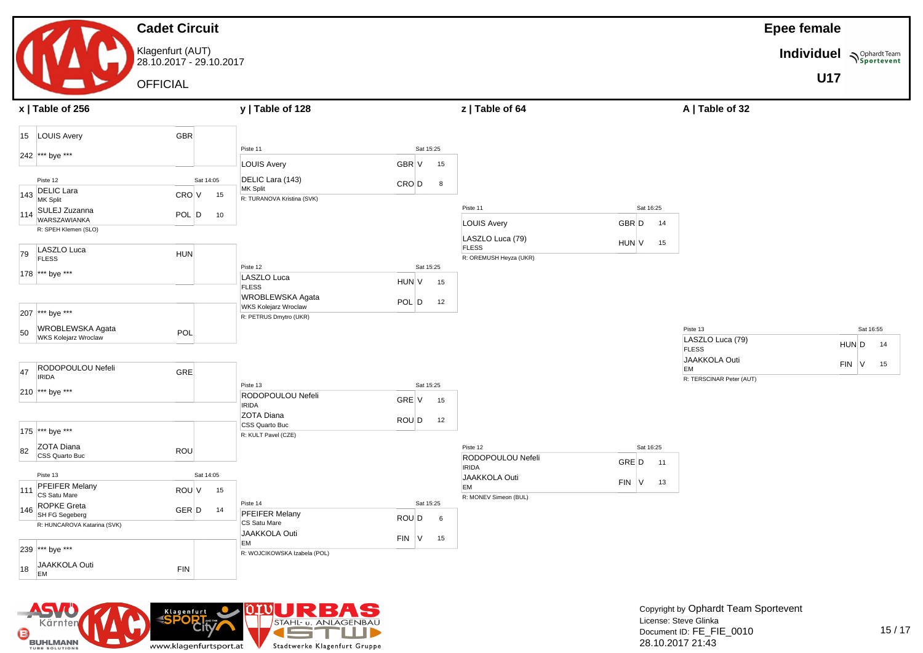#### **Cadet Circuit** Klagenfurt (AUT) 28.10.2017 - 29.10.2017 **OFFICIAL Epee female Individuel**  $\sum_{\text{Sportevent}}$ **U17 x | Table of 256 y | Table of 128 z | Table of 64 A | Table of 32** 15 LOUIS Avery GBR 242 \*\*\* bye \*\*\* Piste 12 Sat 14:05 143 DELIC Lara DEETO Edita<br>MK Split CRO V 15  $114$  SULEJ Zuzanna SULEJ Zuzanna<br>WARSZAWIANKA POL D 10 R: SPEH Klemen (SLO) Piste 11 Sat 15:25 LOUIS Avery GBR V 15 DELIC Lara (143)<br>MK Split  $D = 8$ <br>MK Split CRO D 8 R: TURANOVA Kristina (SVK) Piste 11 Sat 16:25 LOUIS Avery GBR D 14 LASZLO Luca (79)<br>FLESS LOCAL CASA (1 O)<br>FLESS HUN V 15

R: OREMUSH Heyza (UKR)

| 47  | RODOPOULOU Nefeli<br><b>IRIDA</b> | GRE        |           |                                   |            |           |                       |                       |
|-----|-----------------------------------|------------|-----------|-----------------------------------|------------|-----------|-----------------------|-----------------------|
|     | 210 *** bye ***                   |            |           | Piste 13                          |            | Sat 15:25 |                       |                       |
|     |                                   |            |           | RODOPOULOU Nefeli<br><b>IRIDA</b> | GRE V      | 15        |                       |                       |
|     |                                   |            |           | <b>ZOTA Diana</b>                 |            |           |                       |                       |
|     |                                   |            |           | CSS Quarto Buc                    | ROU D      | 12        |                       |                       |
|     | 175 *** bye ***                   |            |           | R: KULT Pavel (CZE)               |            |           |                       |                       |
| 82  | ZOTA Diana                        | ROU        |           |                                   |            |           | Piste 12              | Sat 16:25             |
|     | CSS Quarto Buc                    |            |           |                                   |            |           | RODOPOULOU Nefeli     | GRE D<br>11           |
|     |                                   |            |           |                                   |            |           | <b>IRIDA</b>          |                       |
|     | Piste 13                          |            | Sat 14:05 |                                   |            |           | <b>JAAKKOLA Outi</b>  | <b>FIN</b><br>13<br>V |
| 111 | <b>PFEIFER Melany</b>             | ROU V      | 15        |                                   |            |           | EM                    |                       |
|     | CS Satu Mare                      |            |           |                                   |            |           | R: MONEV Simeon (BUL) |                       |
| 146 | <b>ROPKE Greta</b>                | GER D      | 14        | Piste 14                          |            | Sat 15:25 |                       |                       |
|     | SH FG Segeberg                    |            |           | PFEIFER Melany                    | ROU D      | 6         |                       |                       |
|     | R: HUNCAROVA Katarina (SVK)       |            |           | CS Satu Mare                      |            |           |                       |                       |
|     |                                   |            |           | <b>JAAKKOLA Outi</b>              | <b>FIN</b> | 15<br>V   |                       |                       |
|     |                                   |            |           | EM                                |            |           |                       |                       |
|     | 239 *** bye ***                   |            |           | R: WOJCIKOWSKA Izabela (POL)      |            |           |                       |                       |
| 18  | <b>JAAKKOLA Outi</b><br>EM        | <b>FIN</b> |           |                                   |            |           |                       |                       |

Piste 12 Sat 15:25

PRESS HUN V 15

WROBLEWSKA Agata<br>WKS Kolejarz Wroclaw POL D 12

LASZLO Luca<br>FLESS

WROBLEWSKA Agata

R: PETRUS Dmytro (UKR)



79 LASZLO Luca

178 \*\*\* bye \*\*\*

207 \*\*\* bye \*\*\*

50 WROBLEWSKA Agata

LASZLO Luca<br>FLESS HUN

WROBLEWSKA Agata<br>WKS Kolejarz Wroclaw POL

SAANNOLA OUT<br>EM FIN

Copyright by Ophardt Team Sportevent License: Steve Glinka Document ID: FE\_FIE\_0010 28.10.2017 21:43

LASZLO Luca (79)<br>FLESS

JAAKKOLA Outi

R: TERSCINAR Peter (AUT)

Piste 13 Sat 16:55

 $FLESS$  HUN D 14

EM V 15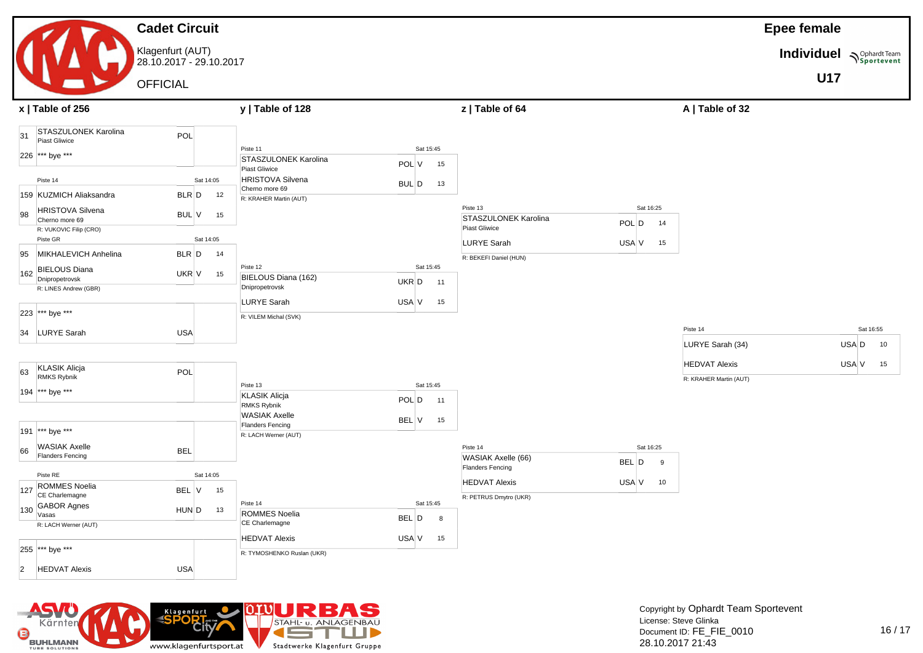#### **Cadet Circuit** Klagenfurt (AUT) 28.10.2017 - 29.10.2017 **OFFICIAL Epee female Individuel**  $\sum_{\text{Sportevent}}$ **U17 x | Table of 256 y | Table of 128 z | Table of 64 A | Table of 32** 31 STASZULONEK Karolina STASZULONEK Karolina<br>Piast Gliwice 226 \*\*\* bye \*\*\* Piste 14 Sat 14:05 159 KUZMICH Aliaksandra BLR D 12 98 HRISTOVA Silvena HRISTOVA Silvena<br>Cherno more 69 BUL V 15 R: VUKOVIC Filip (CRO) Piste GR Sat 14:05 95 MIKHALEVICH Anhelina BLR D 14 162 BIELOUS Diana BIELOUS Diana<br>Dnipropetrovsk UKR V 15 R: LINES Andrew (GBR) Piste 11 Sat 15:45 STASZULONEK Karolina STASZULUNEK Karolina<br>Piast Gliwice Piast Gliwice HRISTOVA Silvena THE STOVA SILVERIA<br>Cherno more 69 BUL D 13 R: KRAHER Martin (AUT) Piste 12 Sat 15:45 BIELOUS Diana (162) BIELOUS Diaria (162)<br>Dnipropetrovsk UKR D 11 LURYE Sarah USA V 15 Piste 13 Sat 16:25 STASZULONEK Karolina Piast Gliwice POL <sup>D</sup> <sup>14</sup> LURYE Sarah USA V 15 R: BEKEFI Daniel (HUN)

| 63        | <b>KLASIK Alicja</b>                            | POL        |           |    |                                                 |       |           |    |                                                |            |           | <b>HEDVAT Alexis</b>   | USA V 15 |  |
|-----------|-------------------------------------------------|------------|-----------|----|-------------------------------------------------|-------|-----------|----|------------------------------------------------|------------|-----------|------------------------|----------|--|
|           | RMKS Rybnik                                     |            |           |    | Piste 13                                        |       | Sat 15:45 |    |                                                |            |           | R: KRAHER Martin (AUT) |          |  |
|           | 194 *** bye ***                                 |            |           |    | <b>KLASIK Alicja</b><br><b>RMKS Rybnik</b>      | POL D |           | 11 |                                                |            |           |                        |          |  |
|           |                                                 |            |           |    | <b>WASIAK Axelle</b><br><b>Flanders Fencing</b> | BEL   |           | 15 |                                                |            |           |                        |          |  |
|           | 191 *** bye ***                                 |            |           |    | R: LACH Werner (AUT)                            |       |           |    |                                                |            |           |                        |          |  |
| 66        | <b>WASIAK Axelle</b><br><b>Flanders Fencing</b> | <b>BEL</b> |           |    |                                                 |       |           |    | Piste 14                                       |            | Sat 16:25 |                        |          |  |
|           |                                                 |            |           |    |                                                 |       |           |    | WASIAK Axelle (66)<br><b>Flanders Fencing</b>  | <b>BEL</b> | D<br>9    |                        |          |  |
|           | Piste RE                                        |            | Sat 14:05 |    |                                                 |       |           |    |                                                |            |           |                        |          |  |
| 127       | <b>ROMMES Noelia</b><br>CE Charlemagne          | <b>BEL</b> |           | 15 |                                                 |       |           |    | <b>HEDVAT Alexis</b><br>R: PETRUS Dmytro (UKR) | USA V      | 10        |                        |          |  |
|           | $\frac{1}{130}$ GABOR Agnes                     |            |           |    | Piste 14                                        |       | Sat 15:45 |    |                                                |            |           |                        |          |  |
|           | Vasas                                           | HUN D      |           | 13 | <b>ROMMES Noelia</b>                            | BEL D |           | 8  |                                                |            |           |                        |          |  |
|           | R: LACH Werner (AUT)                            |            |           |    | CE Charlemagne                                  |       |           |    |                                                |            |           |                        |          |  |
|           |                                                 |            |           |    | <b>HEDVAT Alexis</b>                            | USA V |           | 15 |                                                |            |           |                        |          |  |
|           | 255 *** bye ***                                 |            |           |    | R: TYMOSHENKO Ruslan (UKR)                      |       |           |    |                                                |            |           |                        |          |  |
| $\vert$ 2 | <b>HEDVAT Alexis</b>                            | <b>USA</b> |           |    |                                                 |       |           |    |                                                |            |           |                        |          |  |

R: VILEM Michal (SVK)



223 \*\*\* bye \*\*\*

34 LURYE Sarah USA

Copyright by Ophardt Team Sportevent License: Steve Glinka Document ID: FE\_FIE\_0010 28.10.2017 21:43

Piste 14 Sat 16:55 LURYE Sarah (34) USA D 10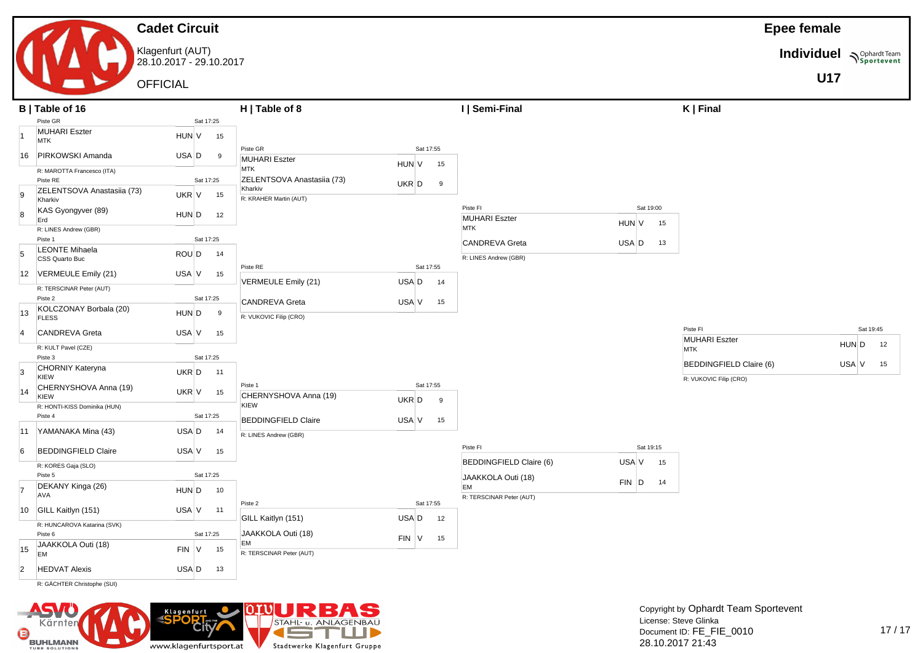Klagenfurt (AUT) 28.10.2017 - 29.10.2017

**OFFICIAL** 

**Individuel Supplardt Team** 

| B   Table of 16                        |                                                                                                                                       | H   Table of 8                           |                                                                                                                               |                                                    | I   Semi-Final                                                                     |                                                                              | $K$   Final                                                                         |                                                                           |                |
|----------------------------------------|---------------------------------------------------------------------------------------------------------------------------------------|------------------------------------------|-------------------------------------------------------------------------------------------------------------------------------|----------------------------------------------------|------------------------------------------------------------------------------------|------------------------------------------------------------------------------|-------------------------------------------------------------------------------------|---------------------------------------------------------------------------|----------------|
| Piste GR                               | Sat 17:25                                                                                                                             |                                          |                                                                                                                               |                                                    |                                                                                    |                                                                              |                                                                                     |                                                                           |                |
| <b>MUHARI Eszter</b><br><b>MTK</b>     | HUN V<br>15                                                                                                                           |                                          |                                                                                                                               |                                                    |                                                                                    |                                                                              |                                                                                     |                                                                           |                |
| PIRKOWSKI Amanda                       | USA D<br>9                                                                                                                            | <b>MUHARI Eszter</b>                     |                                                                                                                               |                                                    |                                                                                    |                                                                              |                                                                                     |                                                                           |                |
| R: MAROTTA Francesco (ITA)<br>Piste RE | Sat 17:25                                                                                                                             | <b>MTK</b><br>ZELENTSOVA Anastasiia (73) |                                                                                                                               |                                                    |                                                                                    |                                                                              |                                                                                     |                                                                           |                |
| ZELENTSOVA Anastasiia (73)<br>Kharkiv  | $UKR V$ 15                                                                                                                            | Kharkiv<br>R: KRAHER Martin (AUT)        |                                                                                                                               |                                                    |                                                                                    |                                                                              |                                                                                     |                                                                           |                |
| KAS Gyongyver (89)<br>Erd              | $HUN$ D 12                                                                                                                            |                                          |                                                                                                                               |                                                    | Piste FI<br><b>MUHARI Eszter</b>                                                   |                                                                              |                                                                                     |                                                                           |                |
| R: LINES Andrew (GBR)<br>Piste 1       | Sat 17:25                                                                                                                             |                                          |                                                                                                                               |                                                    | <b>MTK</b>                                                                         |                                                                              |                                                                                     |                                                                           |                |
| <b>LEONTE Mihaela</b>                  | ROUD <sub>14</sub>                                                                                                                    |                                          |                                                                                                                               |                                                    | R: LINES Andrew (GBR)                                                              |                                                                              |                                                                                     |                                                                           |                |
| VERMEULE Emily (21)                    | USA V<br>15                                                                                                                           | Piste RE                                 |                                                                                                                               |                                                    |                                                                                    |                                                                              |                                                                                     |                                                                           |                |
| R: TERSCINAR Peter (AUT)<br>Piste 2    | Sat 17:25                                                                                                                             |                                          |                                                                                                                               |                                                    |                                                                                    |                                                                              |                                                                                     |                                                                           |                |
| KOLCZONAY Borbala (20)<br><b>FLESS</b> | HUN D<br>9                                                                                                                            | R: VUKOVIC Filip (CRO)                   |                                                                                                                               |                                                    |                                                                                    |                                                                              |                                                                                     |                                                                           |                |
| <b>CANDREVA Greta</b>                  | USA V<br>15                                                                                                                           |                                          |                                                                                                                               |                                                    |                                                                                    |                                                                              | Piste FI                                                                            | Sat 19:45                                                                 |                |
| R: KULT Pavel (CZE)<br>Piste 3         | Sat 17:25                                                                                                                             |                                          |                                                                                                                               |                                                    |                                                                                    |                                                                              | <b>MTK</b>                                                                          |                                                                           | 12             |
| CHORNIY Kateryna<br>KIEW               | UKR D<br>11                                                                                                                           |                                          |                                                                                                                               |                                                    |                                                                                    |                                                                              |                                                                                     |                                                                           | 15             |
| CHERNYSHOVA Anna (19)<br>KIEW          | UKR V<br>15                                                                                                                           | Piste 1<br>CHERNYSHOVA Anna (19)         |                                                                                                                               |                                                    |                                                                                    |                                                                              |                                                                                     |                                                                           |                |
| R: HONTI-KISS Dominika (HUN)           |                                                                                                                                       | KIEW                                     |                                                                                                                               |                                                    |                                                                                    |                                                                              |                                                                                     |                                                                           |                |
| Piste 4                                | Sat 17:25                                                                                                                             |                                          |                                                                                                                               |                                                    |                                                                                    |                                                                              |                                                                                     |                                                                           |                |
| YAMANAKA Mina (43)                     | USA D<br>14                                                                                                                           | R: LINES Andrew (GBR)                    |                                                                                                                               |                                                    |                                                                                    |                                                                              |                                                                                     |                                                                           |                |
| <b>BEDDINGFIELD Claire</b>             | USA V<br>15                                                                                                                           |                                          |                                                                                                                               |                                                    | Piste FI                                                                           |                                                                              |                                                                                     |                                                                           |                |
|                                        |                                                                                                                                       |                                          |                                                                                                                               |                                                    |                                                                                    |                                                                              |                                                                                     |                                                                           |                |
|                                        |                                                                                                                                       |                                          |                                                                                                                               |                                                    |                                                                                    |                                                                              |                                                                                     |                                                                           |                |
| AVA                                    | HUN D<br>10                                                                                                                           |                                          |                                                                                                                               |                                                    | R: TERSCINAR Peter (AUT)                                                           |                                                                              |                                                                                     |                                                                           |                |
| GILL Kaitlyn (151)                     | USA V<br>11                                                                                                                           | GILL Kaitlyn (151)                       | USA D                                                                                                                         | 12                                                 |                                                                                    |                                                                              |                                                                                     |                                                                           |                |
|                                        |                                                                                                                                       |                                          |                                                                                                                               |                                                    |                                                                                    |                                                                              |                                                                                     |                                                                           |                |
|                                        |                                                                                                                                       |                                          | $FIN$ $V$                                                                                                                     | 15                                                 |                                                                                    |                                                                              |                                                                                     |                                                                           |                |
| EM                                     | FIN V<br>15                                                                                                                           | R: TERSCINAR Peter (AUT)                 |                                                                                                                               |                                                    |                                                                                    |                                                                              |                                                                                     |                                                                           |                |
| <b>HEDVAT Alexis</b>                   | USA D<br>13                                                                                                                           |                                          |                                                                                                                               |                                                    |                                                                                    |                                                                              |                                                                                     |                                                                           |                |
|                                        | CSS Quarto Buc<br>R: KORES Gaja (SLO)<br>Piste 5<br>DEKANY Kinga (26)<br>R: HUNCAROVA Katarina (SVK)<br>Piste 6<br>JAAKKOLA Outi (18) | Sat 17:25<br>Sat 17:25                   | Piste GR<br>VERMEULE Emily (21)<br><b>CANDREVA Greta</b><br><b>BEDDINGFIELD Claire</b><br>Piste 2<br>JAAKKOLA Outi (18)<br>EM | HUN V<br>UKR D<br>USA D<br>USA V<br>UKR D<br>USA V | Sat 17:55<br>15<br>9<br>Sat 17:55<br>14<br>15<br>Sat 17:55<br>9<br>15<br>Sat 17:55 | <b>CANDREVA Greta</b><br>BEDDINGFIELD Claire (6)<br>JAAKKOLA Outi (18)<br>EM | Sat 19:00<br>HUN V<br>15<br>USA D<br>13<br>Sat 19:15<br>USA V<br>15<br>$FIN$ $D$ 14 | <b>MUHARI Eszter</b><br>BEDDINGFIELD Claire (6)<br>R: VUKOVIC Filip (CRO) | HUN D<br>USA V |

R: GÄCHTER Christophe (SUI)

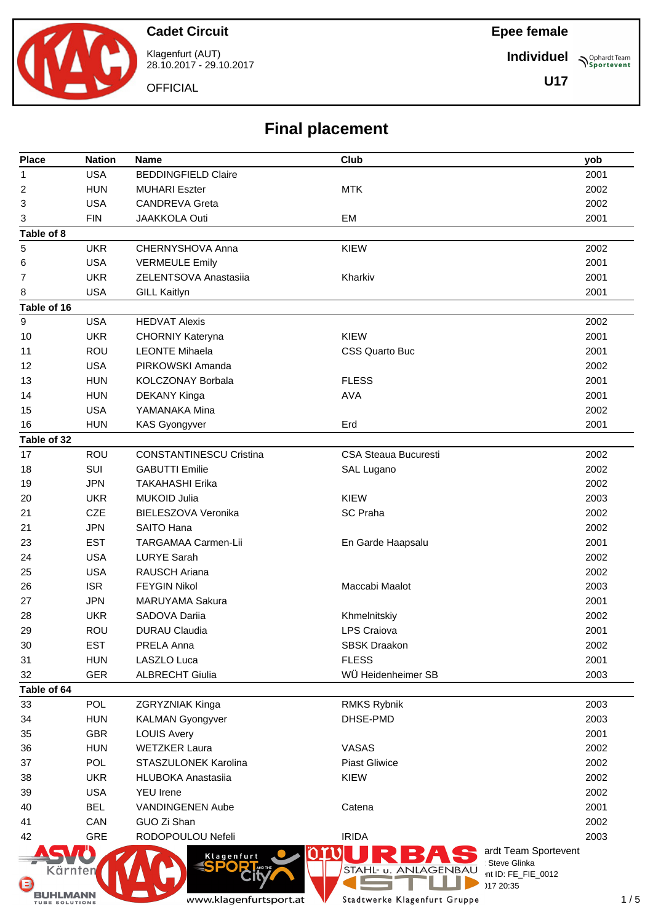

Klagenfurt (AUT) 28.10.2017 - 29.10.2017

**OFFICIAL** 

**Epee female**

**Individuel Sportevent** 

**U17**

# **Final placement**

| <b>Place</b>                    | <b>Nation</b> | <b>Name</b>                    | Club                                                                  | yob                  |
|---------------------------------|---------------|--------------------------------|-----------------------------------------------------------------------|----------------------|
| $\mathbf{1}$                    | <b>USA</b>    | <b>BEDDINGFIELD Claire</b>     |                                                                       | 2001                 |
| 2                               | <b>HUN</b>    | <b>MUHARI Eszter</b>           | <b>MTK</b>                                                            | 2002                 |
| 3                               | <b>USA</b>    | <b>CANDREVA Greta</b>          |                                                                       | 2002                 |
| 3                               | <b>FIN</b>    | <b>JAAKKOLA Outi</b>           | <b>EM</b>                                                             | 2001                 |
| Table of 8                      |               |                                |                                                                       |                      |
| 5                               | <b>UKR</b>    | CHERNYSHOVA Anna               | <b>KIEW</b>                                                           | 2002                 |
| 6                               | <b>USA</b>    | <b>VERMEULE Emily</b>          |                                                                       | 2001                 |
| $\overline{7}$                  | <b>UKR</b>    | ZELENTSOVA Anastasiia          | Kharkiv                                                               | 2001                 |
| 8                               | <b>USA</b>    | <b>GILL Kaitlyn</b>            |                                                                       | 2001                 |
| Table of 16                     |               |                                |                                                                       |                      |
| 9                               | <b>USA</b>    | <b>HEDVAT Alexis</b>           |                                                                       | 2002                 |
| 10                              | <b>UKR</b>    | <b>CHORNIY Kateryna</b>        | <b>KIEW</b>                                                           | 2001                 |
| 11                              | <b>ROU</b>    | <b>LEONTE Mihaela</b>          | <b>CSS Quarto Buc</b>                                                 | 2001                 |
| 12                              | <b>USA</b>    | PIRKOWSKI Amanda               |                                                                       | 2002                 |
| 13                              | <b>HUN</b>    | <b>KOLCZONAY Borbala</b>       | <b>FLESS</b>                                                          | 2001                 |
| 14                              | <b>HUN</b>    | DEKANY Kinga                   | <b>AVA</b>                                                            | 2001                 |
| 15                              | <b>USA</b>    | YAMANAKA Mina                  |                                                                       | 2002                 |
| 16                              | <b>HUN</b>    | <b>KAS Gyongyver</b>           | Erd                                                                   | 2001                 |
| Table of 32                     |               |                                |                                                                       |                      |
| 17                              | ROU           | <b>CONSTANTINESCU Cristina</b> | <b>CSA Steaua Bucuresti</b>                                           | 2002                 |
| 18                              | SUI           | <b>GABUTTI Emilie</b>          | SAL Lugano                                                            | 2002                 |
| 19                              | <b>JPN</b>    | <b>TAKAHASHI Erika</b>         |                                                                       | 2002                 |
| 20                              | <b>UKR</b>    | <b>MUKOID Julia</b>            | <b>KIEW</b>                                                           | 2003                 |
| 21                              | <b>CZE</b>    | <b>BIELESZOVA Veronika</b>     | <b>SC Praha</b>                                                       | 2002                 |
| 21                              | <b>JPN</b>    | <b>SAITO Hana</b>              |                                                                       | 2002                 |
| 23                              | <b>EST</b>    | <b>TARGAMAA Carmen-Lii</b>     | En Garde Haapsalu                                                     | 2001                 |
| 24                              | <b>USA</b>    | <b>LURYE Sarah</b>             |                                                                       | 2002                 |
| 25                              | <b>USA</b>    | <b>RAUSCH Ariana</b>           |                                                                       | 2002                 |
| 26                              | <b>ISR</b>    | <b>FEYGIN Nikol</b>            | Maccabi Maalot                                                        | 2003                 |
| 27                              | <b>JPN</b>    | <b>MARUYAMA Sakura</b>         |                                                                       | 2001                 |
| 28                              | <b>UKR</b>    | SADOVA Darija                  | Khmelnitskiy                                                          | 2002                 |
| 29                              | <b>ROU</b>    | <b>DURAU Claudia</b>           | <b>LPS Craiova</b>                                                    | 2001                 |
| 30                              | <b>EST</b>    | PRELA Anna                     | SBSK Draakon                                                          | 2002                 |
| 31                              | <b>HUN</b>    | LASZLO Luca                    | <b>FLESS</b>                                                          | 2001                 |
| 32                              | <b>GER</b>    | <b>ALBRECHT Giulia</b>         | WÜ Heidenheimer SB                                                    | 2003                 |
| Table of 64                     |               |                                |                                                                       |                      |
| 33                              | <b>POL</b>    | ZGRYZNIAK Kinga                | RMKS Rybnik                                                           | 2003                 |
| 34                              | <b>HUN</b>    | <b>KALMAN Gyongyver</b>        | DHSE-PMD                                                              | 2003                 |
| 35                              | <b>GBR</b>    | <b>LOUIS Avery</b>             |                                                                       | 2001                 |
| 36                              | <b>HUN</b>    | <b>WETZKER Laura</b>           | <b>VASAS</b>                                                          | 2002                 |
| 37                              | POL           | STASZULONEK Karolina           | <b>Piast Gliwice</b>                                                  | 2002                 |
| 38                              | <b>UKR</b>    | <b>HLUBOKA Anastasiia</b>      | <b>KIEW</b>                                                           | 2002                 |
| 39                              | <b>USA</b>    | <b>YEU Irene</b>               |                                                                       | 2002                 |
| 40                              | <b>BEL</b>    | <b>VANDINGENEN Aube</b>        | Catena                                                                | 2001                 |
| 41                              | CAN           | GUO Zi Shan                    |                                                                       | 2002                 |
| 42                              | GRE           | RODOPOULOU Nefeli              | <b>IRIDA</b>                                                          | 2003                 |
|                                 |               | Klagenfurt                     |                                                                       | ardt Team Sportevent |
| Kärnten                         |               | <b>PLAND THE</b><br>DO)        | Steve Glinka<br>STAHL-<br><b>u. ANLAGENBAU</b><br>int ID: FE_FIE_0012 |                      |
| (E)                             |               |                                | )17 20:35                                                             |                      |
| HLMANN<br><b>TUBE SOLUTIONS</b> |               | www.klagenfurtsport.at         | Stadtwerke Klagenfurt Gruppe                                          | 1/                   |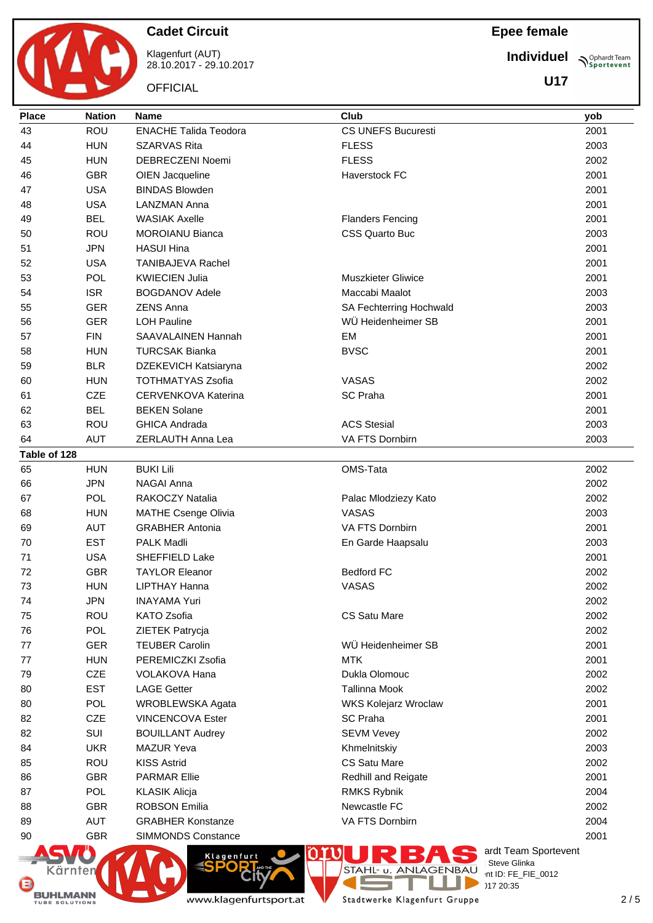

Klagenfurt (AUT) 28.10.2017 - 29.10.2017

**OFFICIAL** 

**Epee female**

**Individuel Sportevent** 

**U17**

| <b>Place</b> | <b>Nation</b> | <b>Name</b>                  | Club                        | yob  |
|--------------|---------------|------------------------------|-----------------------------|------|
| 43           | ROU           | <b>ENACHE Talida Teodora</b> | <b>CS UNEFS Bucuresti</b>   | 2001 |
| 44           | <b>HUN</b>    | <b>SZARVAS Rita</b>          | <b>FLESS</b>                | 2003 |
| 45           | <b>HUN</b>    | DEBRECZENI Noemi             | <b>FLESS</b>                | 2002 |
| 46           | <b>GBR</b>    | OIEN Jacqueline              | <b>Haverstock FC</b>        | 2001 |
| 47           | <b>USA</b>    | <b>BINDAS Blowden</b>        |                             | 2001 |
| 48           | <b>USA</b>    | <b>LANZMAN Anna</b>          |                             | 2001 |
| 49           | <b>BEL</b>    | <b>WASIAK Axelle</b>         | <b>Flanders Fencing</b>     | 2001 |
| 50           | ROU           | <b>MOROIANU Bianca</b>       | <b>CSS Quarto Buc</b>       | 2003 |
| 51           | <b>JPN</b>    | <b>HASUI Hina</b>            |                             | 2001 |
| 52           | <b>USA</b>    | <b>TANIBAJEVA Rachel</b>     |                             | 2001 |
| 53           | POL           | <b>KWIECIEN Julia</b>        | Muszkieter Gliwice          | 2001 |
|              | <b>ISR</b>    | <b>BOGDANOV Adele</b>        | Maccabi Maalot              | 2003 |
| 54           |               | <b>ZENS Anna</b>             |                             |      |
| 55           | <b>GER</b>    |                              | SA Fechterring Hochwald     | 2003 |
| 56           | <b>GER</b>    | <b>LOH Pauline</b>           | WÜ Heidenheimer SB          | 2001 |
| 57           | <b>FIN</b>    | SAAVALAINEN Hannah           | EM                          | 2001 |
| 58           | <b>HUN</b>    | <b>TURCSAK Bianka</b>        | <b>BVSC</b>                 | 2001 |
| 59           | <b>BLR</b>    | DZEKEVICH Katsiaryna         |                             | 2002 |
| 60           | <b>HUN</b>    | <b>TOTHMATYAS Zsofia</b>     | <b>VASAS</b>                | 2002 |
| 61           | <b>CZE</b>    | CERVENKOVA Katerina          | <b>SC Praha</b>             | 2001 |
| 62           | <b>BEL</b>    | <b>BEKEN Solane</b>          |                             | 2001 |
| 63           | ROU           | <b>GHICA Andrada</b>         | <b>ACS Stesial</b>          | 2003 |
| 64           | <b>AUT</b>    | ZERLAUTH Anna Lea            | VA FTS Dornbirn             | 2003 |
| Table of 128 |               |                              |                             |      |
| 65           | <b>HUN</b>    | <b>BUKI Lili</b>             | OMS-Tata                    | 2002 |
| 66           | <b>JPN</b>    | <b>NAGAI Anna</b>            |                             | 2002 |
| 67           | POL           | RAKOCZY Natalia              | Palac Mlodziezy Kato        | 2002 |
| 68           | <b>HUN</b>    | <b>MATHE Csenge Olivia</b>   | <b>VASAS</b>                | 2003 |
| 69           | <b>AUT</b>    | <b>GRABHER Antonia</b>       | VA FTS Dornbirn             | 2001 |
| 70           | <b>EST</b>    | <b>PALK Madli</b>            | En Garde Haapsalu           | 2003 |
| 71           | <b>USA</b>    | SHEFFIELD Lake               |                             | 2001 |
| 72           | <b>GBR</b>    | <b>TAYLOR Eleanor</b>        | <b>Bedford FC</b>           | 2002 |
| 73           | <b>HUN</b>    | LIPTHAY Hanna                | VASAS                       | 2002 |
| 74           | <b>JPN</b>    | <b>INAYAMA Yuri</b>          |                             | 2002 |
| 75           | ROU           | <b>KATO Zsofia</b>           | CS Satu Mare                | 2002 |
| 76           | POL           | ZIETEK Patrycja              |                             | 2002 |
| 77           | <b>GER</b>    | <b>TEUBER Carolin</b>        | WÜ Heidenheimer SB          | 2001 |
| 77           | <b>HUN</b>    | PEREMICZKI Zsofia            | <b>MTK</b>                  | 2001 |
| 79           | <b>CZE</b>    | <b>VOLAKOVA Hana</b>         | Dukla Olomouc               | 2002 |
| 80           | <b>EST</b>    | <b>LAGE Getter</b>           | <b>Tallinna Mook</b>        | 2002 |
| 80           | POL           | WROBLEWSKA Agata             | <b>WKS Kolejarz Wroclaw</b> | 2001 |
| 82           | CZE           | <b>VINCENCOVA Ester</b>      | <b>SC Praha</b>             | 2001 |
| 82           | SUI           | <b>BOUILLANT Audrey</b>      | <b>SEVM Vevey</b>           | 2002 |
| 84           | <b>UKR</b>    | <b>MAZUR Yeva</b>            | Khmelnitskiy                | 2003 |
| 85           | <b>ROU</b>    | <b>KISS Astrid</b>           | <b>CS Satu Mare</b>         | 2002 |
| 86           | <b>GBR</b>    | <b>PARMAR Ellie</b>          | Redhill and Reigate         | 2001 |
| 87           | POL           | <b>KLASIK Alicja</b>         | <b>RMKS Rybnik</b>          | 2004 |
| 88           | <b>GBR</b>    | <b>ROBSON Emilia</b>         | Newcastle FC                | 2002 |
| 89           | <b>AUT</b>    | <b>GRABHER Konstanze</b>     | VA FTS Dornbirn             | 2004 |
| 90           | <b>GBR</b>    | <b>SIMMONDS Constance</b>    |                             | 2001 |

BUHLMANN

Kärnten



**City** 

**Klagenfurt** 



**CONTRACT** 

Е

erdt Team Sportevent

**License:** Steve Glinka  $P^{\sim}$  nt ID: FE\_FIE\_0012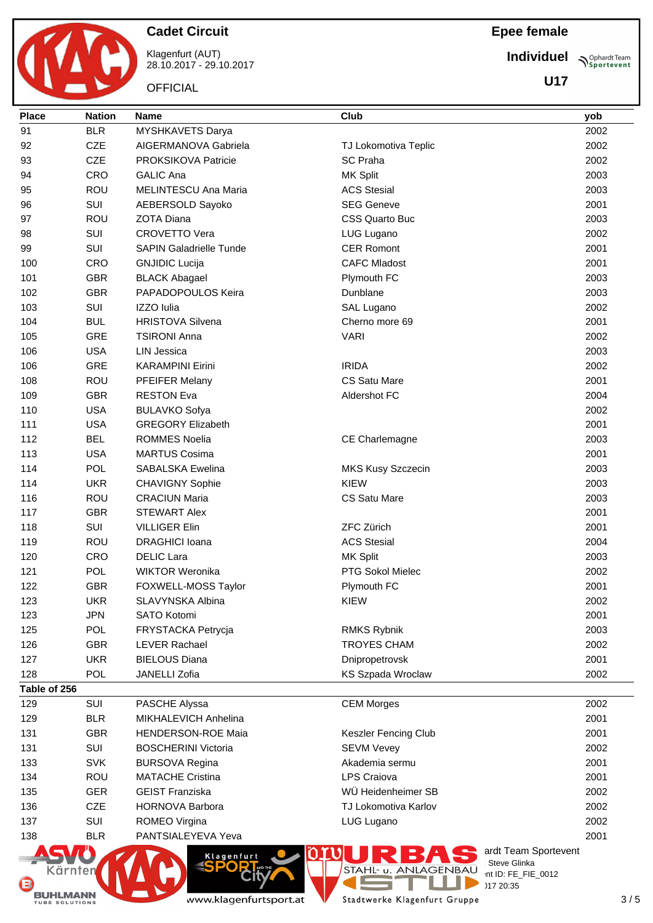Klagenfurt (AUT) 28.10.2017 - 29.10.2017

**OFFICIAL** 

#### **Epee female**

**Individuel Sportevent** 

**U17**

| <b>Place</b> | <b>Nation</b> | <b>Name</b>                    | Club                                            | yob  |
|--------------|---------------|--------------------------------|-------------------------------------------------|------|
| 91           | <b>BLR</b>    | MYSHKAVETS Darya               |                                                 | 2002 |
| 92           | <b>CZE</b>    | AIGERMANOVA Gabriela           | TJ Lokomotiva Teplic                            | 2002 |
| 93           | <b>CZE</b>    | PROKSIKOVA Patricie            | <b>SC Praha</b>                                 | 2002 |
| 94           | CRO           | <b>GALIC Ana</b>               | MK Split                                        | 2003 |
| 95           | ROU           | <b>MELINTESCU Ana Maria</b>    | <b>ACS Stesial</b>                              | 2003 |
| 96           | SUI           | AEBERSOLD Sayoko               | <b>SEG Geneve</b>                               | 2001 |
| 97           | ROU           | <b>ZOTA Diana</b>              | <b>CSS Quarto Buc</b>                           | 2003 |
| 98           | SUI           | <b>CROVETTO Vera</b>           | LUG Lugano                                      | 2002 |
| 99           | SUI           | <b>SAPIN Galadrielle Tunde</b> | <b>CER Romont</b>                               | 2001 |
| 100          | CRO           | <b>GNJIDIC Lucija</b>          | <b>CAFC Mladost</b>                             | 2001 |
| 101          | <b>GBR</b>    | <b>BLACK Abagael</b>           | Plymouth FC                                     | 2003 |
| 102          | <b>GBR</b>    | PAPADOPOULOS Keira             | Dunblane                                        | 2003 |
| 103          | SUI           | IZZO Iulia                     | SAL Lugano                                      | 2002 |
| 104          | <b>BUL</b>    | <b>HRISTOVA Silvena</b>        | Cherno more 69                                  | 2001 |
| 105          | <b>GRE</b>    | <b>TSIRONI Anna</b>            | <b>VARI</b>                                     | 2002 |
| 106          | <b>USA</b>    | <b>LIN Jessica</b>             |                                                 | 2003 |
| 106          | <b>GRE</b>    | <b>KARAMPINI Eirini</b>        | <b>IRIDA</b>                                    | 2002 |
| 108          | ROU           | PFEIFER Melany                 | <b>CS Satu Mare</b>                             | 2001 |
| 109          | <b>GBR</b>    | <b>RESTON Eva</b>              | Aldershot FC                                    | 2004 |
| 110          | <b>USA</b>    | <b>BULAVKO Sofya</b>           |                                                 | 2002 |
| 111          | <b>USA</b>    | <b>GREGORY Elizabeth</b>       |                                                 | 2001 |
| 112          | <b>BEL</b>    | <b>ROMMES Noelia</b>           | CE Charlemagne                                  | 2003 |
| 113          | <b>USA</b>    | <b>MARTUS Cosima</b>           |                                                 | 2001 |
| 114          | <b>POL</b>    | SABALSKA Ewelina               | MKS Kusy Szczecin                               | 2003 |
| 114          | <b>UKR</b>    | <b>CHAVIGNY Sophie</b>         | <b>KIEW</b>                                     | 2003 |
| 116          | ROU           | <b>CRACIUN Maria</b>           | <b>CS Satu Mare</b>                             | 2003 |
| 117          | <b>GBR</b>    | <b>STEWART Alex</b>            |                                                 | 2001 |
| 118          | SUI           | <b>VILLIGER Elin</b>           | <b>ZFC Zürich</b>                               | 2001 |
| 119          | ROU           | <b>DRAGHICI Ioana</b>          | <b>ACS Stesial</b>                              | 2004 |
| 120          | <b>CRO</b>    | <b>DELIC Lara</b>              | <b>MK Split</b>                                 | 2003 |
| 121          | <b>POL</b>    | <b>WIKTOR Weronika</b>         | PTG Sokol Mielec                                | 2002 |
| 122          | <b>GBR</b>    | FOXWELL-MOSS Taylor            | Plymouth FC                                     | 2001 |
| 123          | <b>UKR</b>    | <b>SLAVYNSKA Albina</b>        | KIEW                                            | 2002 |
| 123          | <b>JPN</b>    | <b>SATO Kotomi</b>             |                                                 | 2001 |
| 125          | POL           | FRYSTACKA Petrycja             | <b>RMKS Rybnik</b>                              | 2003 |
| 126          | <b>GBR</b>    | <b>LEVER Rachael</b>           | <b>TROYES CHAM</b>                              | 2002 |
| 127          | <b>UKR</b>    | <b>BIELOUS Diana</b>           | Dnipropetrovsk                                  | 2001 |
| 128          | POL           | JANELLI Zofia                  | <b>KS Szpada Wroclaw</b>                        | 2002 |
| Table of 256 |               |                                |                                                 |      |
| 129          | SUI           | PASCHE Alyssa                  | <b>CEM Morges</b>                               | 2002 |
| 129          | <b>BLR</b>    | MIKHALEVICH Anhelina           |                                                 | 2001 |
| 131          | <b>GBR</b>    | <b>HENDERSON-ROE Maia</b>      | <b>Keszler Fencing Club</b>                     | 2001 |
| 131          | <b>SUI</b>    | <b>BOSCHERINI Victoria</b>     | <b>SEVM Vevey</b>                               | 2002 |
| 133          | <b>SVK</b>    | <b>BURSOVA Regina</b>          | Akademia sermu                                  | 2001 |
| 134          | ROU           | <b>MATACHE Cristina</b>        | <b>LPS Craiova</b>                              | 2001 |
| 135          | <b>GER</b>    | <b>GEIST Franziska</b>         | WÜ Heidenheimer SB                              | 2002 |
| 136          | <b>CZE</b>    | <b>HORNOVA Barbora</b>         | <b>TJ Lokomotiva Karlov</b>                     | 2002 |
| 137          | SUI           | ROMEO Virgina                  | LUG Lugano                                      | 2002 |
| 138          | <b>BLR</b>    | PANTSIALEYEVA Yeva             |                                                 | 2001 |
|              |               | <b>DATE</b>                    | Klagenfurt <b>ODDDRBAS</b> ardt Team Sportevent |      |



Kärnten

**Rit** 

**O** 



J.

**License:** Steve Glinka  $P^{\sim}$  nt ID: FE\_FIE\_0012

 $\frac{1}{2}$  20:35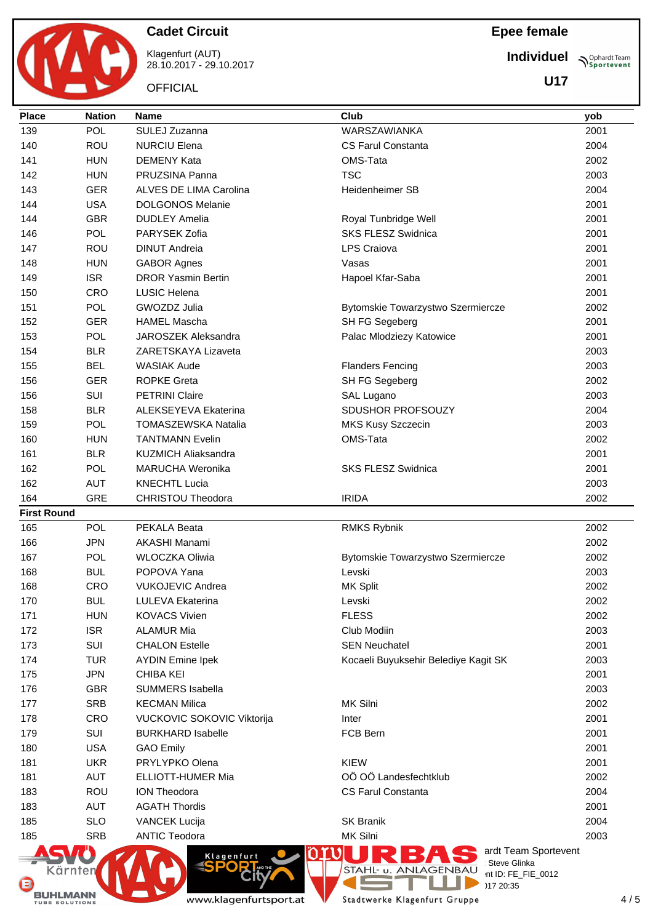Klagenfurt (AUT) 28.10.2017 - 29.10.2017

**OFFICIAL** 

### **Epee female**

**Individuel Sportevent** 

**U17**

| <b>Place</b>       | <b>Nation</b> | <b>Name</b>                | Club                                      | yob  |
|--------------------|---------------|----------------------------|-------------------------------------------|------|
| 139                | <b>POL</b>    | SULEJ Zuzanna              | WARSZAWIANKA                              | 2001 |
| 140                | ROU           | <b>NURCIU Elena</b>        | <b>CS Farul Constanta</b>                 | 2004 |
| 141                | <b>HUN</b>    | <b>DEMENY Kata</b>         | OMS-Tata                                  | 2002 |
| 142                | <b>HUN</b>    | PRUZSINA Panna             | <b>TSC</b>                                | 2003 |
| 143                | <b>GER</b>    | ALVES DE LIMA Carolina     | Heidenheimer SB                           | 2004 |
| 144                | <b>USA</b>    | <b>DOLGONOS Melanie</b>    |                                           | 2001 |
| 144                | <b>GBR</b>    | <b>DUDLEY Amelia</b>       | Royal Tunbridge Well                      | 2001 |
| 146                | <b>POL</b>    | PARYSEK Zofia              | <b>SKS FLESZ Swidnica</b>                 | 2001 |
| 147                | ROU           | <b>DINUT Andreia</b>       | <b>LPS Craiova</b>                        | 2001 |
| 148                | <b>HUN</b>    | <b>GABOR Agnes</b>         | Vasas                                     | 2001 |
| 149                | <b>ISR</b>    | <b>DROR Yasmin Bertin</b>  | Hapoel Kfar-Saba                          | 2001 |
| 150                | CRO           | LUSIC Helena               |                                           | 2001 |
| 151                | <b>POL</b>    | GWOZDZ Julia               | Bytomskie Towarzystwo Szermiercze         | 2002 |
| 152                | <b>GER</b>    | <b>HAMEL Mascha</b>        | SH FG Segeberg                            | 2001 |
| 153                | <b>POL</b>    | JAROSZEK Aleksandra        | Palac Mlodziezy Katowice                  | 2001 |
| 154                | <b>BLR</b>    | ZARETSKAYA Lizaveta        |                                           | 2003 |
| 155                | <b>BEL</b>    | <b>WASIAK Aude</b>         | <b>Flanders Fencing</b>                   | 2003 |
| 156                | <b>GER</b>    | <b>ROPKE Greta</b>         | SH FG Segeberg                            | 2002 |
| 156                | SUI           | <b>PETRINI Claire</b>      | SAL Lugano                                | 2003 |
| 158                | <b>BLR</b>    | ALEKSEYEVA Ekaterina       | SDUSHOR PROFSOUZY                         | 2004 |
| 159                | <b>POL</b>    | <b>TOMASZEWSKA Natalia</b> | MKS Kusy Szczecin                         | 2003 |
| 160                | <b>HUN</b>    | <b>TANTMANN Evelin</b>     | OMS-Tata                                  | 2002 |
| 161                | <b>BLR</b>    | <b>KUZMICH Aliaksandra</b> |                                           | 2001 |
| 162                | <b>POL</b>    | <b>MARUCHA Weronika</b>    | <b>SKS FLESZ Swidnica</b>                 | 2001 |
| 162                | <b>AUT</b>    | <b>KNECHTL Lucia</b>       |                                           | 2003 |
| 164                | <b>GRE</b>    | CHRISTOU Theodora          | <b>IRIDA</b>                              | 2002 |
| <b>First Round</b> |               |                            |                                           |      |
| 165                | <b>POL</b>    | PEKALA Beata               | <b>RMKS Rybnik</b>                        | 2002 |
| 166                | <b>JPN</b>    | AKASHI Manami              |                                           | 2002 |
| 167                | <b>POL</b>    | <b>WLOCZKA Oliwia</b>      | Bytomskie Towarzystwo Szermiercze         | 2002 |
| 168                | <b>BUL</b>    | POPOVA Yana                | Levski                                    | 2003 |
| 168                | CRO           | <b>VUKOJEVIC Andrea</b>    | <b>MK Split</b>                           | 2002 |
| 170                | <b>BUL</b>    | LULEVA Ekaterina           | Levski                                    | 2002 |
| 171                | <b>HUN</b>    | <b>KOVACS Vivien</b>       | <b>FLESS</b>                              | 2002 |
| 172                | <b>ISR</b>    | <b>ALAMUR Mia</b>          | Club Modiin                               | 2003 |
| 173                | SUI           | <b>CHALON Estelle</b>      | <b>SEN Neuchatel</b>                      | 2001 |
| 174                | <b>TUR</b>    | <b>AYDIN Emine Ipek</b>    | Kocaeli Buyuksehir Belediye Kagit SK      | 2003 |
| 175                | <b>JPN</b>    | <b>CHIBA KEI</b>           |                                           | 2001 |
| 176                | <b>GBR</b>    | <b>SUMMERS Isabella</b>    |                                           | 2003 |
| 177                | <b>SRB</b>    | <b>KECMAN Milica</b>       | MK Silni                                  | 2002 |
| 178                | <b>CRO</b>    | VUCKOVIC SOKOVIC Viktorija | Inter                                     | 2001 |
| 179                | SUI           | <b>BURKHARD Isabelle</b>   | FCB Bern                                  | 2001 |
| 180                | <b>USA</b>    | <b>GAO Emily</b>           |                                           | 2001 |
| 181                | <b>UKR</b>    | PRYLYPKO Olena             | <b>KIEW</b>                               | 2001 |
| 181                | <b>AUT</b>    | ELLIOTT-HUMER Mia          | OÖ OÖ Landesfechtklub                     | 2002 |
| 183                | <b>ROU</b>    | <b>ION Theodora</b>        | <b>CS Farul Constanta</b>                 | 2004 |
| 183                | AUT           | <b>AGATH Thordis</b>       |                                           | 2001 |
| 185                | <b>SLO</b>    | <b>VANCEK Lucija</b>       | <b>SK Branik</b>                          | 2004 |
| 185                | <b>SRB</b>    | <b>ANTIC Teodora</b>       | MK Silni                                  | 2003 |
|                    |               | <b>TANK</b><br>Klagenfurt  | <b>DIULIE BAS</b><br>ardt Team Sportevent |      |

www.klagenfurtsport.at

C

**City** 

**BUHLMANN** 

Kärnten

Τ Stadtwerke Klagenfurt Gruppe

J.

**IC** 

**License:** Steve Glinka  $P^{\sim}$  nt ID: FE\_FIE\_0012

 $\frac{1}{2}$  20:35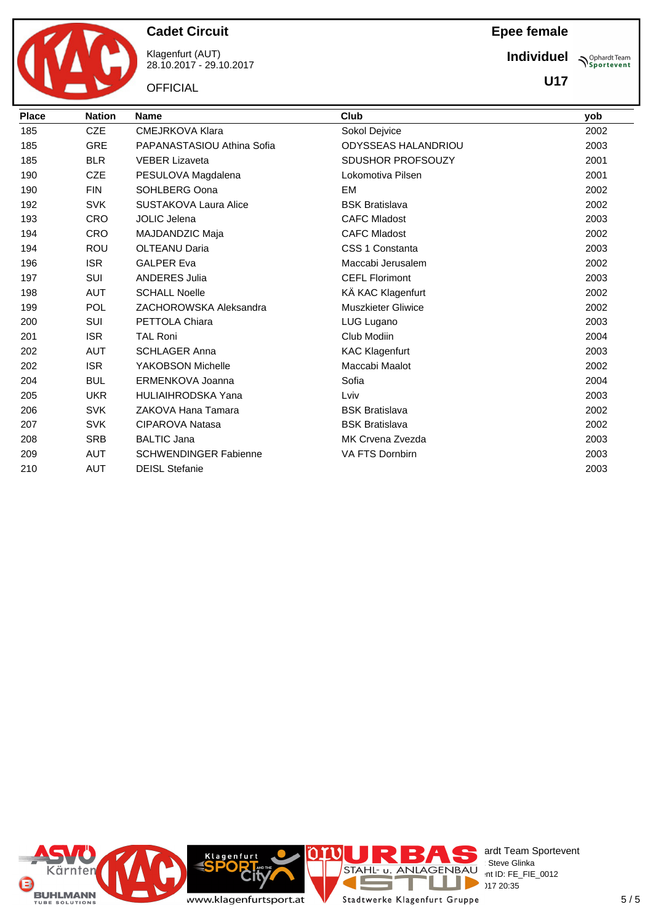

Klagenfurt (AUT) 28.10.2017 - 29.10.2017

**OFFICIAL** 

#### **Epee female**

**Individuel**

**U17**

**Sportevent** 

| <b>Place</b> | <b>Nation</b> | <b>Name</b>                  | Club                       | yob  |
|--------------|---------------|------------------------------|----------------------------|------|
| 185          | <b>CZE</b>    | <b>CMEJRKOVA Klara</b>       | Sokol Dejvice              | 2002 |
| 185          | <b>GRE</b>    | PAPANASTASIOU Athina Sofia   | <b>ODYSSEAS HALANDRIOU</b> | 2003 |
| 185          | <b>BLR</b>    | <b>VEBER Lizaveta</b>        | <b>SDUSHOR PROFSOUZY</b>   | 2001 |
| 190          | <b>CZE</b>    | PESULOVA Magdalena           | Lokomotiva Pilsen          | 2001 |
| 190          | <b>FIN</b>    | SOHLBERG Oona                | <b>EM</b>                  | 2002 |
| 192          | <b>SVK</b>    | <b>SUSTAKOVA Laura Alice</b> | <b>BSK Bratislava</b>      | 2002 |
| 193          | <b>CRO</b>    | <b>JOLIC Jelena</b>          | <b>CAFC Mladost</b>        | 2003 |
| 194          | <b>CRO</b>    | MAJDANDZIC Maja              | <b>CAFC Mladost</b>        | 2002 |
| 194          | <b>ROU</b>    | <b>OLTEANU Daria</b>         | CSS 1 Constanta            | 2003 |
| 196          | <b>ISR</b>    | <b>GALPER Eva</b>            | Maccabi Jerusalem          | 2002 |
| 197          | SUI           | <b>ANDERES Julia</b>         | <b>CEFL Florimont</b>      | 2003 |
| 198          | <b>AUT</b>    | <b>SCHALL Noelle</b>         | KÄ KAC Klagenfurt          | 2002 |
| 199          | <b>POL</b>    | ZACHOROWSKA Aleksandra       | Muszkieter Gliwice         | 2002 |
| 200          | SUI           | PETTOLA Chiara               | LUG Lugano                 | 2003 |
| 201          | <b>ISR</b>    | <b>TAL Roni</b>              | Club Modiin                | 2004 |
| 202          | <b>AUT</b>    | <b>SCHLAGER Anna</b>         | <b>KAC Klagenfurt</b>      | 2003 |
| 202          | <b>ISR</b>    | YAKOBSON Michelle            | Maccabi Maalot             | 2002 |
| 204          | <b>BUL</b>    | ERMENKOVA Joanna             | Sofia                      | 2004 |
| 205          | <b>UKR</b>    | <b>HULIAIHRODSKA Yana</b>    | Lviv                       | 2003 |
| 206          | <b>SVK</b>    | ZAKOVA Hana Tamara           | <b>BSK Bratislava</b>      | 2002 |
| 207          | <b>SVK</b>    | <b>CIPAROVA Natasa</b>       | <b>BSK Bratislava</b>      | 2002 |
| 208          | <b>SRB</b>    | <b>BALTIC Jana</b>           | MK Crvena Zvezda           | 2003 |
| 209          | <b>AUT</b>    | <b>SCHWENDINGER Fabienne</b> | <b>VA FTS Dornbirn</b>     | 2003 |
| 210          | <b>AUT</b>    | <b>DEISL Stefanie</b>        |                            | 2003 |

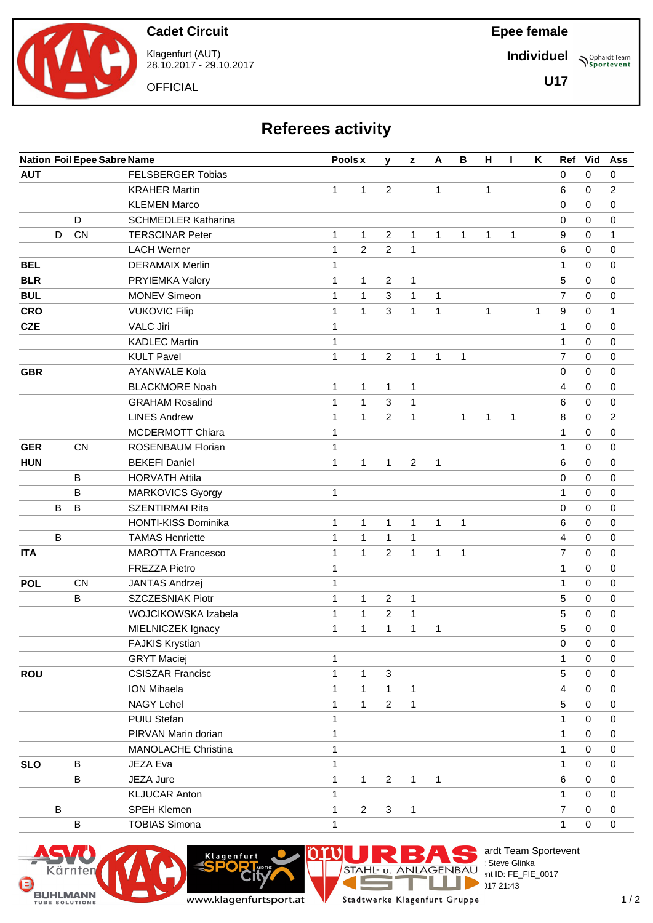

Klagenfurt (AUT) 28.10.2017 - 29.10.2017

**OFFICIAL** 

## **Epee female**

**Individuel Sportevent** 

**U17**

## **Referees activity**

|            | <b>Nation Foil Epee Sabre Name</b> |           |                            |              |  | Pools x        | y              | z              | A            | В            | H | п | Κ |                | Ref Vid | Ass          |
|------------|------------------------------------|-----------|----------------------------|--------------|--|----------------|----------------|----------------|--------------|--------------|---|---|---|----------------|---------|--------------|
| <b>AUT</b> |                                    |           | <b>FELSBERGER Tobias</b>   |              |  |                |                |                |              |              |   |   |   | 0              | 0       | 0            |
|            |                                    |           | <b>KRAHER Martin</b>       | 1            |  | 1              | $\overline{2}$ |                | 1            |              | 1 |   |   | 6              | 0       | 2            |
|            |                                    |           | <b>KLEMEN Marco</b>        |              |  |                |                |                |              |              |   |   |   | 0              | 0       | 0            |
|            |                                    | D         | <b>SCHMEDLER Katharina</b> |              |  |                |                |                |              |              |   |   |   | 0              | 0       | 0            |
|            | D                                  | CN        | <b>TERSCINAR Peter</b>     | $\mathbf 1$  |  | 1              | $\overline{c}$ | $\mathbf{1}$   | $\mathbf{1}$ | $\mathbf{1}$ | 1 | 1 |   | 9              | 0       | 1            |
|            |                                    |           | <b>LACH Werner</b>         | $\mathbf{1}$ |  | $\overline{2}$ | $\overline{2}$ | $\mathbf{1}$   |              |              |   |   |   | 6              | 0       | 0            |
| <b>BEL</b> |                                    |           | <b>DERAMAIX Merlin</b>     | $\mathbf{1}$ |  |                |                |                |              |              |   |   |   | $\mathbf{1}$   | 0       | 0            |
| <b>BLR</b> |                                    |           | PRYIEMKA Valery            | $\mathbf 1$  |  | 1              | 2              | 1              |              |              |   |   |   | 5              | 0       | 0            |
| <b>BUL</b> |                                    |           | <b>MONEV Simeon</b>        | $\mathbf 1$  |  | $\mathbf{1}$   | 3              | $\mathbf{1}$   | $\mathbf{1}$ |              |   |   |   | $\overline{7}$ | 0       | 0            |
| <b>CRO</b> |                                    |           | <b>VUKOVIC Filip</b>       | $\mathbf{1}$ |  | $\mathbf{1}$   | 3              | $\mathbf{1}$   | $\mathbf{1}$ |              | 1 |   | 1 | 9              | 0       | $\mathbf{1}$ |
| <b>CZE</b> |                                    |           | <b>VALC Jiri</b>           | $\mathbf 1$  |  |                |                |                |              |              |   |   |   | 1              | 0       | 0            |
|            |                                    |           | <b>KADLEC Martin</b>       | $\mathbf 1$  |  |                |                |                |              |              |   |   |   | $\mathbf{1}$   | 0       | 0            |
|            |                                    |           | <b>KULT Pavel</b>          | $\mathbf{1}$ |  | $\mathbf{1}$   | $\overline{2}$ | $\mathbf{1}$   | $\mathbf{1}$ | $\mathbf{1}$ |   |   |   | $\overline{7}$ | 0       | 0            |
| <b>GBR</b> |                                    |           | <b>AYANWALE Kola</b>       |              |  |                |                |                |              |              |   |   |   | 0              | 0       | 0            |
|            |                                    |           | <b>BLACKMORE Noah</b>      | 1            |  | 1              | 1              | 1              |              |              |   |   |   | 4              | 0       | 0            |
|            |                                    |           | <b>GRAHAM Rosalind</b>     | $\mathbf 1$  |  | 1              | 3              | $\mathbf{1}$   |              |              |   |   |   | 6              | 0       | 0            |
|            |                                    |           | <b>LINES Andrew</b>        | $\mathbf 1$  |  | 1              | 2              | 1              |              | 1            | 1 | 1 |   | 8              | 0       | 2            |
|            |                                    |           | <b>MCDERMOTT Chiara</b>    | $\mathbf 1$  |  |                |                |                |              |              |   |   |   | 1              | 0       | 0            |
| <b>GER</b> |                                    | <b>CN</b> | ROSENBAUM Florian          | $\mathbf 1$  |  |                |                |                |              |              |   |   |   | 1              | 0       | 0            |
| <b>HUN</b> |                                    |           | <b>BEKEFI Daniel</b>       | $\mathbf{1}$ |  | 1              | 1              | $\overline{c}$ | 1            |              |   |   |   | 6              | 0       | 0            |
|            |                                    | B         | <b>HORVATH Attila</b>      |              |  |                |                |                |              |              |   |   |   | 0              | 0       | 0            |
|            |                                    | B         | <b>MARKOVICS Gyorgy</b>    | $\mathbf 1$  |  |                |                |                |              |              |   |   |   | 1              | 0       | 0            |
|            | B                                  | B         | <b>SZENTIRMAI Rita</b>     |              |  |                |                |                |              |              |   |   |   | 0              | 0       | 0            |
|            |                                    |           | <b>HONTI-KISS Dominika</b> | $\mathbf 1$  |  | 1              | 1              | 1              | 1            | 1            |   |   |   | 6              | 0       | 0            |
|            | B                                  |           | <b>TAMAS Henriette</b>     | 1            |  | 1              | 1              | 1              |              |              |   |   |   | 4              | 0       | 0            |
| <b>ITA</b> |                                    |           | <b>MAROTTA Francesco</b>   | $\mathbf 1$  |  | 1              | $\overline{2}$ | $\mathbf{1}$   | $\mathbf{1}$ | $\mathbf{1}$ |   |   |   | $\overline{7}$ | 0       | 0            |
|            |                                    |           | <b>FREZZA Pietro</b>       | $\mathbf 1$  |  |                |                |                |              |              |   |   |   | 1              | 0       | 0            |
| <b>POL</b> |                                    | CN        | <b>JANTAS Andrzej</b>      | $\mathbf 1$  |  |                |                |                |              |              |   |   |   | 1              | 0       | 0            |
|            |                                    | B         | SZCZESNIAK Piotr           | $\mathbf 1$  |  | 1              | $\overline{c}$ | $\mathbf{1}$   |              |              |   |   |   | 5              | 0       | 0            |
|            |                                    |           | WOJCIKOWSKA Izabela        | $\mathbf 1$  |  | 1              | $\overline{c}$ | $\mathbf{1}$   |              |              |   |   |   | 5              | 0       | 0            |
|            |                                    |           | MIELNICZEK Ignacy          | 1            |  | 1              | 1              | 1              | 1            |              |   |   |   | 5              | 0       | 0            |
|            |                                    |           | <b>FAJKIS Krystian</b>     |              |  |                |                |                |              |              |   |   |   | 0              | 0       | 0            |
|            |                                    |           | <b>GRYT Maciej</b>         | $\mathbf 1$  |  |                |                |                |              |              |   |   |   | 1              | 0       | 0            |
| <b>ROU</b> |                                    |           | <b>CSISZAR Francisc</b>    | $\mathbf 1$  |  | 1              | $\mathbf{3}$   |                |              |              |   |   |   | 5              | 0       | 0            |
|            |                                    |           | <b>ION Mihaela</b>         | $\mathbf{1}$ |  | $\mathbf{1}$   | $\mathbf{1}$   | $\mathbf{1}$   |              |              |   |   |   | 4              | 0       | 0            |
|            |                                    |           | NAGY Lehel                 | $\mathbf 1$  |  | $\mathbf{1}$   | $\overline{2}$ | $\mathbf{1}$   |              |              |   |   |   | 5              | 0       | 0            |
|            |                                    |           | PUIU Stefan                | $\mathbf 1$  |  |                |                |                |              |              |   |   |   | $\mathbf{1}$   | 0       | 0            |
|            |                                    |           | PIRVAN Marin dorian        | 1            |  |                |                |                |              |              |   |   |   | 1              | 0       | 0            |
|            |                                    |           | <b>MANOLACHE Christina</b> | 1            |  |                |                |                |              |              |   |   |   | 1              | 0       | 0            |
| <b>SLO</b> |                                    | B         | JEZA Eva                   | $\mathbf 1$  |  |                |                |                |              |              |   |   |   | 1              | 0       | 0            |
|            |                                    | B         | JEZA Jure                  | $\mathbf{1}$ |  | 1              | $\overline{2}$ | $\mathbf{1}$   | 1            |              |   |   |   | 6              | 0       | 0            |
|            |                                    |           | <b>KLJUCAR Anton</b>       | 1            |  |                |                |                |              |              |   |   |   | 1              | 0       | 0            |
|            | B                                  |           | SPEH Klemen                | $\mathbf 1$  |  | $\overline{2}$ | 3              | $\mathbf{1}$   |              |              |   |   |   | $\overline{7}$ | 0       | 0            |
|            |                                    | B         | <b>TOBIAS Simona</b>       | 1            |  |                |                |                |              |              |   |   |   | 1              | 0       | 0            |

M

∩





`it

Klagenfurt



Е

F

J.

**CONTRACT** 

ardt Team Sportevent<br>∶Steve Glinka

**License:** Steve Glinka  $P^{\sim}$  nt ID: FE\_FIE\_0017

 $18.721:43$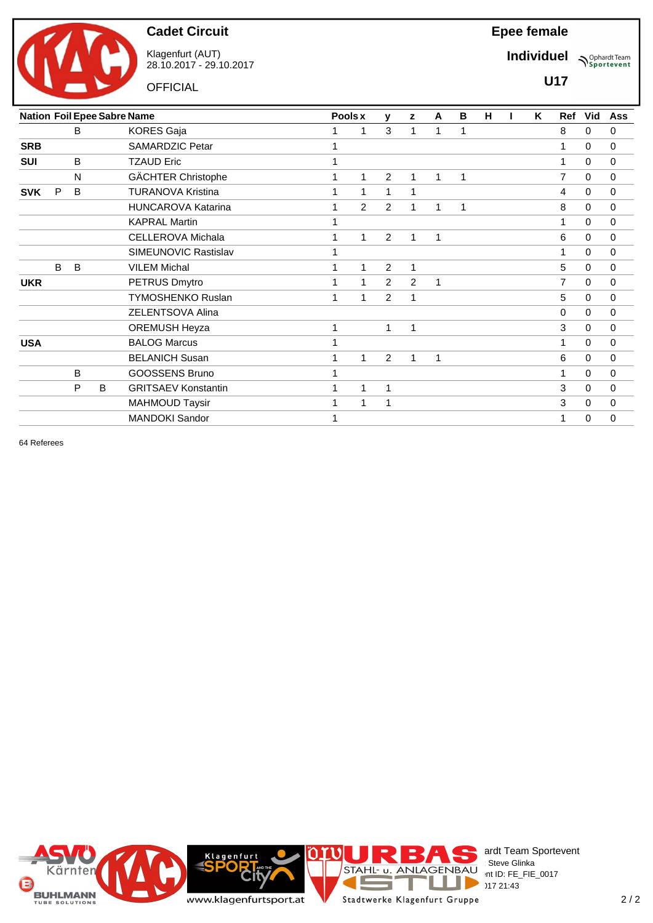

**OFFICIAL** 

Klagenfurt (AUT) 28.10.2017 - 29.10.2017 **Epee female**

**Individuel Sportevent** 

**U17**

| <b>Nation Foil Epee Sabre Name</b> |   |   |   |                            |  | Pools x |              | v              | $\mathbf{z}$ | A | В | н | K | Ref            | Vid      | Ass         |
|------------------------------------|---|---|---|----------------------------|--|---------|--------------|----------------|--------------|---|---|---|---|----------------|----------|-------------|
|                                    |   | B |   | <b>KORES Gaja</b>          |  | 1       | 1            | 3              | $\mathbf{1}$ | 1 | 1 |   |   | 8              | $\Omega$ | 0           |
| <b>SRB</b>                         |   |   |   | SAMARDZIC Petar            |  | 1       |              |                |              |   |   |   |   | 1              | $\Omega$ | $\mathbf 0$ |
| <b>SUI</b>                         |   | B |   | <b>TZAUD Eric</b>          |  | 1       |              |                |              |   |   |   |   | 1              | 0        | 0           |
|                                    |   | N |   | GÄCHTER Christophe         |  | 1       | 1            | $\overline{2}$ | 1            | 1 | 1 |   |   | $\overline{7}$ | 0        | 0           |
| <b>SVK</b>                         | P | B |   | <b>TURANOVA Kristina</b>   |  | 1       | 1            | 1              | 1            |   |   |   |   | 4              | $\Omega$ | $\mathbf 0$ |
|                                    |   |   |   | <b>HUNCAROVA Katarina</b>  |  | 1       | 2            | 2              | 1            | 1 | 1 |   |   | 8              | $\Omega$ | $\mathbf 0$ |
|                                    |   |   |   | <b>KAPRAL Martin</b>       |  | 1       |              |                |              |   |   |   |   | 1              | $\Omega$ | 0           |
|                                    |   |   |   | CELLEROVA Michala          |  | 1       | 1            | $\overline{2}$ | 1            | 1 |   |   |   | 6              | 0        | 0           |
|                                    |   |   |   | SIMEUNOVIC Rastislav       |  | 1       |              |                |              |   |   |   |   | 1              | $\Omega$ | $\mathbf 0$ |
|                                    | B | B |   | <b>VILEM Michal</b>        |  | 1       | 1            | 2              | 1            |   |   |   |   | 5              | $\Omega$ | $\mathbf 0$ |
| <b>UKR</b>                         |   |   |   | PETRUS Dmytro              |  | 1       | 1            | $\overline{2}$ | 2            | 1 |   |   |   | $\overline{7}$ | $\Omega$ | 0           |
|                                    |   |   |   | <b>TYMOSHENKO Ruslan</b>   |  | 1       | 1            | 2              | 1            |   |   |   |   | 5              | $\Omega$ | $\mathbf 0$ |
|                                    |   |   |   | ZELENTSOVA Alina           |  |         |              |                |              |   |   |   |   | 0              | $\Omega$ | $\mathbf 0$ |
|                                    |   |   |   | <b>OREMUSH Heyza</b>       |  | 1       |              | 1              | 1            |   |   |   |   | 3              | $\Omega$ | $\mathbf 0$ |
| <b>USA</b>                         |   |   |   | <b>BALOG Marcus</b>        |  | 1       |              |                |              |   |   |   |   | 1              | 0        | $\mathbf 0$ |
|                                    |   |   |   | <b>BELANICH Susan</b>      |  | 1       |              | 2              | 1            | 1 |   |   |   | 6              | $\Omega$ | $\mathbf 0$ |
|                                    |   | B |   | <b>GOOSSENS Bruno</b>      |  | 1       |              |                |              |   |   |   |   |                | $\Omega$ | $\mathbf 0$ |
|                                    |   | P | B | <b>GRITSAEV Konstantin</b> |  | 1       | 1            | 1              |              |   |   |   |   | 3              | $\Omega$ | 0           |
|                                    |   |   |   | <b>MAHMOUD Taysir</b>      |  | 1       | $\mathbf{1}$ | 1              |              |   |   |   |   | 3              | 0        | 0           |
|                                    |   |   |   | <b>MANDOKI Sandor</b>      |  | 1       |              |                |              |   |   |   |   | 1              | 0        | $\mathbf 0$ |

64 Referees